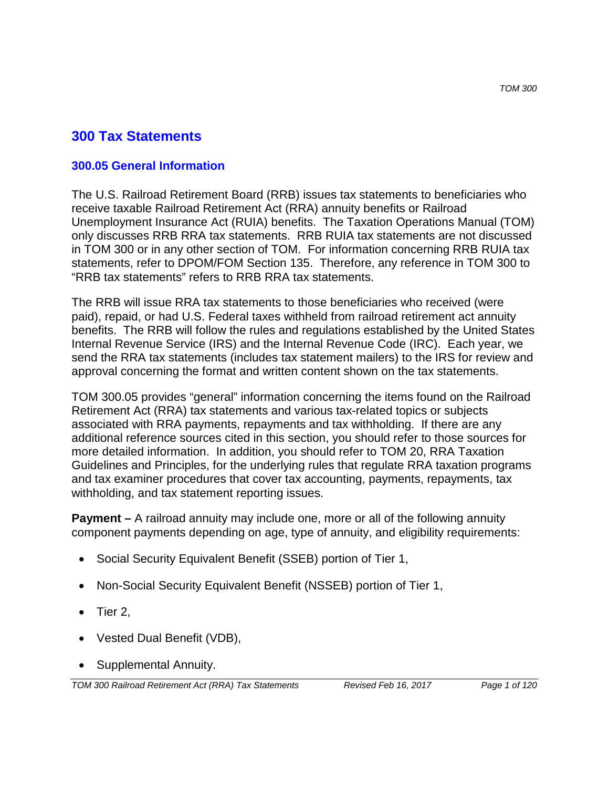# **300 Tax Statements**

### **300.05 General Information**

The U.S. Railroad Retirement Board (RRB) issues tax statements to beneficiaries who receive taxable Railroad Retirement Act (RRA) annuity benefits or Railroad Unemployment Insurance Act (RUIA) benefits. The Taxation Operations Manual (TOM) only discusses RRB RRA tax statements. RRB RUIA tax statements are not discussed in TOM 300 or in any other section of TOM. For information concerning RRB RUIA tax statements, refer to DPOM/FOM Section 135. Therefore, any reference in TOM 300 to "RRB tax statements" refers to RRB RRA tax statements.

The RRB will issue RRA tax statements to those beneficiaries who received (were paid), repaid, or had U.S. Federal taxes withheld from railroad retirement act annuity benefits. The RRB will follow the rules and regulations established by the United States Internal Revenue Service (IRS) and the Internal Revenue Code (IRC). Each year, we send the RRA tax statements (includes tax statement mailers) to the IRS for review and approval concerning the format and written content shown on the tax statements.

TOM 300.05 provides "general" information concerning the items found on the Railroad Retirement Act (RRA) tax statements and various tax-related topics or subjects associated with RRA payments, repayments and tax withholding. If there are any additional reference sources cited in this section, you should refer to those sources for more detailed information. In addition, you should refer to TOM 20, RRA Taxation Guidelines and Principles, for the underlying rules that regulate RRA taxation programs and tax examiner procedures that cover tax accounting, payments, repayments, tax withholding, and tax statement reporting issues.

**Payment** – A railroad annuity may include one, more or all of the following annuity component payments depending on age, type of annuity, and eligibility requirements:

- Social Security Equivalent Benefit (SSEB) portion of Tier 1,
- Non-Social Security Equivalent Benefit (NSSEB) portion of Tier 1,
- Tier 2,
- Vested Dual Benefit (VDB),
- Supplemental Annuity.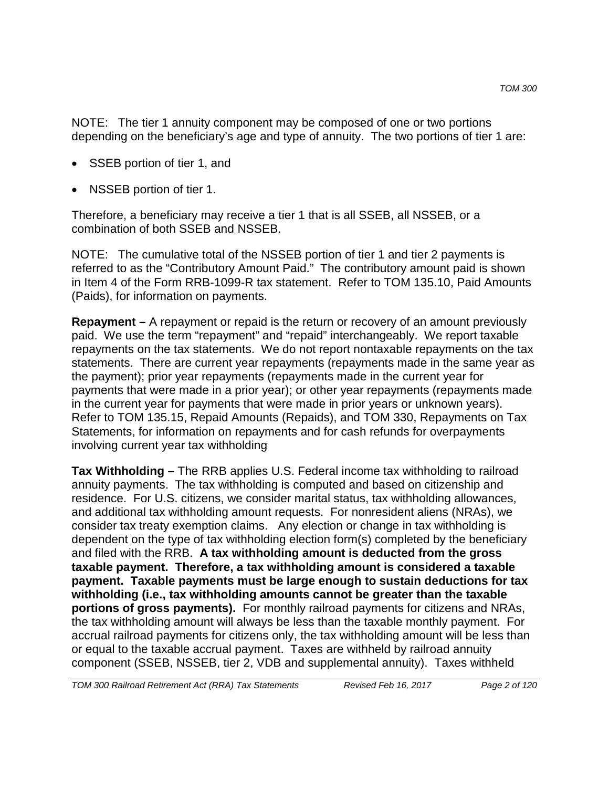NOTE: The tier 1 annuity component may be composed of one or two portions depending on the beneficiary's age and type of annuity. The two portions of tier 1 are:

- SSEB portion of tier 1, and
- NSSEB portion of tier 1.

Therefore, a beneficiary may receive a tier 1 that is all SSEB, all NSSEB, or a combination of both SSEB and NSSEB.

NOTE: The cumulative total of the NSSEB portion of tier 1 and tier 2 payments is referred to as the "Contributory Amount Paid." The contributory amount paid is shown in Item 4 of the Form RRB-1099-R tax statement. Refer to TOM 135.10, Paid Amounts (Paids), for information on payments.

**Repayment –** A repayment or repaid is the return or recovery of an amount previously paid. We use the term "repayment" and "repaid" interchangeably. We report taxable repayments on the tax statements. We do not report nontaxable repayments on the tax statements. There are current year repayments (repayments made in the same year as the payment); prior year repayments (repayments made in the current year for payments that were made in a prior year); or other year repayments (repayments made in the current year for payments that were made in prior years or unknown years). Refer to TOM 135.15, Repaid Amounts (Repaids), and TOM 330, Repayments on Tax Statements, for information on repayments and for cash refunds for overpayments involving current year tax withholding

**Tax Withholding –** The RRB applies U.S. Federal income tax withholding to railroad annuity payments. The tax withholding is computed and based on citizenship and residence. For U.S. citizens, we consider marital status, tax withholding allowances, and additional tax withholding amount requests. For nonresident aliens (NRAs), we consider tax treaty exemption claims. Any election or change in tax withholding is dependent on the type of tax withholding election form(s) completed by the beneficiary and filed with the RRB. **A tax withholding amount is deducted from the gross taxable payment. Therefore, a tax withholding amount is considered a taxable payment. Taxable payments must be large enough to sustain deductions for tax withholding (i.e., tax withholding amounts cannot be greater than the taxable portions of gross payments).** For monthly railroad payments for citizens and NRAs, the tax withholding amount will always be less than the taxable monthly payment. For accrual railroad payments for citizens only, the tax withholding amount will be less than or equal to the taxable accrual payment. Taxes are withheld by railroad annuity component (SSEB, NSSEB, tier 2, VDB and supplemental annuity). Taxes withheld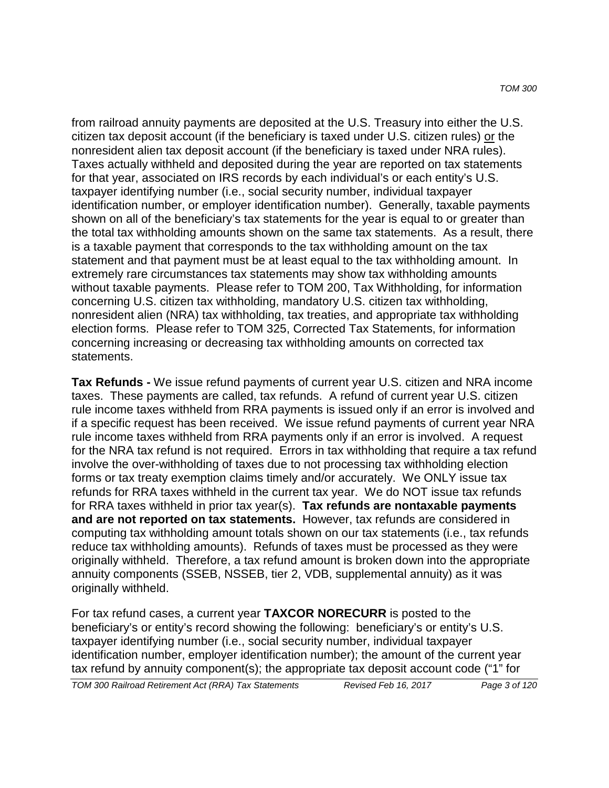from railroad annuity payments are deposited at the U.S. Treasury into either the U.S. citizen tax deposit account (if the beneficiary is taxed under U.S. citizen rules) or the nonresident alien tax deposit account (if the beneficiary is taxed under NRA rules). Taxes actually withheld and deposited during the year are reported on tax statements for that year, associated on IRS records by each individual's or each entity's U.S. taxpayer identifying number (i.e., social security number, individual taxpayer identification number, or employer identification number). Generally, taxable payments shown on all of the beneficiary's tax statements for the year is equal to or greater than the total tax withholding amounts shown on the same tax statements. As a result, there is a taxable payment that corresponds to the tax withholding amount on the tax statement and that payment must be at least equal to the tax withholding amount. In extremely rare circumstances tax statements may show tax withholding amounts without taxable payments. Please refer to TOM 200, Tax Withholding, for information concerning U.S. citizen tax withholding, mandatory U.S. citizen tax withholding, nonresident alien (NRA) tax withholding, tax treaties, and appropriate tax withholding election forms. Please refer to TOM 325, Corrected Tax Statements, for information concerning increasing or decreasing tax withholding amounts on corrected tax statements.

**Tax Refunds -** We issue refund payments of current year U.S. citizen and NRA income taxes. These payments are called, tax refunds. A refund of current year U.S. citizen rule income taxes withheld from RRA payments is issued only if an error is involved and if a specific request has been received. We issue refund payments of current year NRA rule income taxes withheld from RRA payments only if an error is involved. A request for the NRA tax refund is not required. Errors in tax withholding that require a tax refund involve the over-withholding of taxes due to not processing tax withholding election forms or tax treaty exemption claims timely and/or accurately. We ONLY issue tax refunds for RRA taxes withheld in the current tax year. We do NOT issue tax refunds for RRA taxes withheld in prior tax year(s). **Tax refunds are nontaxable payments and are not reported on tax statements.** However, tax refunds are considered in computing tax withholding amount totals shown on our tax statements (i.e., tax refunds reduce tax withholding amounts). Refunds of taxes must be processed as they were originally withheld. Therefore, a tax refund amount is broken down into the appropriate annuity components (SSEB, NSSEB, tier 2, VDB, supplemental annuity) as it was originally withheld.

For tax refund cases, a current year **TAXCOR NORECURR** is posted to the beneficiary's or entity's record showing the following: beneficiary's or entity's U.S. taxpayer identifying number (i.e., social security number, individual taxpayer identification number, employer identification number); the amount of the current year tax refund by annuity component(s); the appropriate tax deposit account code ("1" for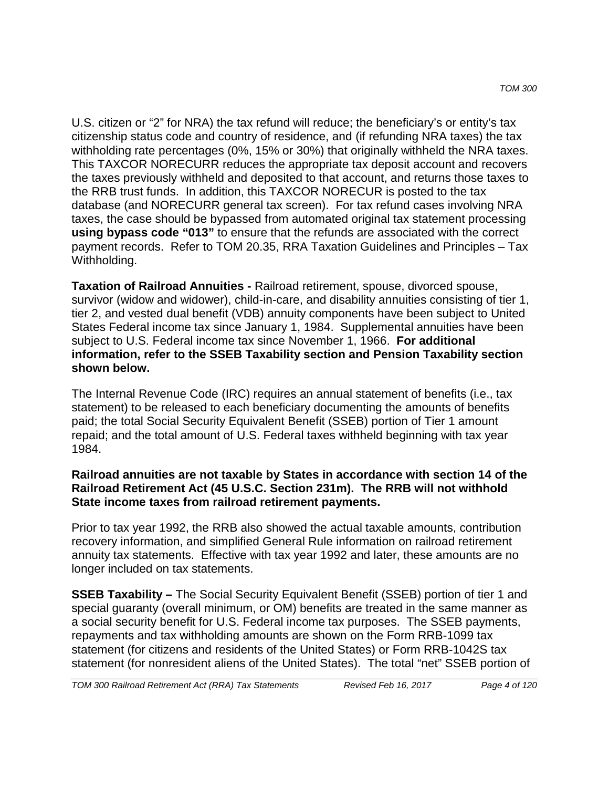U.S. citizen or "2" for NRA) the tax refund will reduce; the beneficiary's or entity's tax citizenship status code and country of residence, and (if refunding NRA taxes) the tax withholding rate percentages (0%, 15% or 30%) that originally withheld the NRA taxes. This TAXCOR NORECURR reduces the appropriate tax deposit account and recovers the taxes previously withheld and deposited to that account, and returns those taxes to the RRB trust funds. In addition, this TAXCOR NORECUR is posted to the tax database (and NORECURR general tax screen). For tax refund cases involving NRA taxes, the case should be bypassed from automated original tax statement processing **using bypass code "013"** to ensure that the refunds are associated with the correct payment records. Refer to TOM 20.35, RRA Taxation Guidelines and Principles – Tax Withholding.

**Taxation of Railroad Annuities -** Railroad retirement, spouse, divorced spouse, survivor (widow and widower), child-in-care, and disability annuities consisting of tier 1, tier 2, and vested dual benefit (VDB) annuity components have been subject to United States Federal income tax since January 1, 1984. Supplemental annuities have been subject to U.S. Federal income tax since November 1, 1966. **For additional information, refer to the SSEB Taxability section and Pension Taxability section shown below.**

The Internal Revenue Code (IRC) requires an annual statement of benefits (i.e., tax statement) to be released to each beneficiary documenting the amounts of benefits paid; the total Social Security Equivalent Benefit (SSEB) portion of Tier 1 amount repaid; and the total amount of U.S. Federal taxes withheld beginning with tax year 1984.

### **Railroad annuities are not taxable by States in accordance with section 14 of the Railroad Retirement Act (45 U.S.C. Section 231m). The RRB will not withhold State income taxes from railroad retirement payments.**

Prior to tax year 1992, the RRB also showed the actual taxable amounts, contribution recovery information, and simplified General Rule information on railroad retirement annuity tax statements. Effective with tax year 1992 and later, these amounts are no longer included on tax statements.

**SSEB Taxability –** The Social Security Equivalent Benefit (SSEB) portion of tier 1 and special guaranty (overall minimum, or OM) benefits are treated in the same manner as a social security benefit for U.S. Federal income tax purposes. The SSEB payments, repayments and tax withholding amounts are shown on the Form RRB-1099 tax statement (for citizens and residents of the United States) or Form RRB-1042S tax statement (for nonresident aliens of the United States). The total "net" SSEB portion of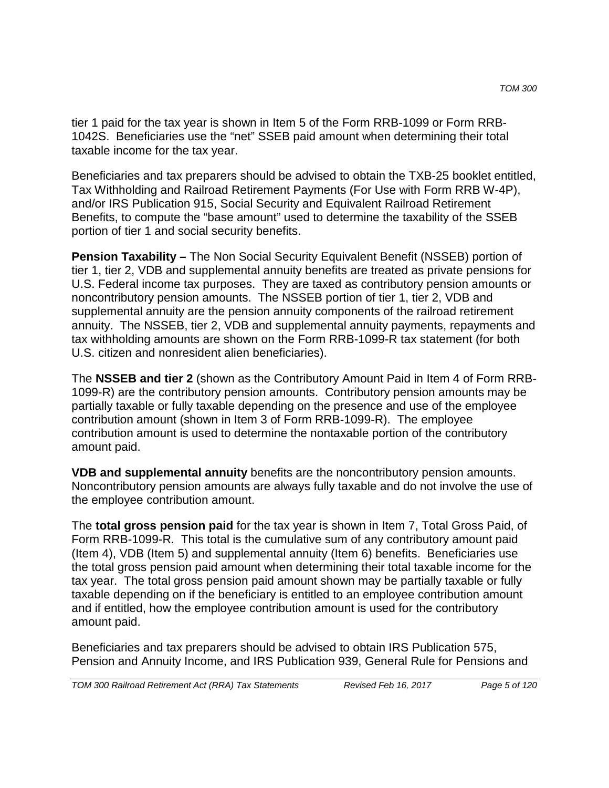tier 1 paid for the tax year is shown in Item 5 of the Form RRB-1099 or Form RRB-1042S. Beneficiaries use the "net" SSEB paid amount when determining their total taxable income for the tax year.

Beneficiaries and tax preparers should be advised to obtain the TXB-25 booklet entitled, Tax Withholding and Railroad Retirement Payments (For Use with Form RRB W-4P), and/or IRS Publication 915, Social Security and Equivalent Railroad Retirement Benefits, to compute the "base amount" used to determine the taxability of the SSEB portion of tier 1 and social security benefits.

**Pension Taxability –** The Non Social Security Equivalent Benefit (NSSEB) portion of tier 1, tier 2, VDB and supplemental annuity benefits are treated as private pensions for U.S. Federal income tax purposes. They are taxed as contributory pension amounts or noncontributory pension amounts. The NSSEB portion of tier 1, tier 2, VDB and supplemental annuity are the pension annuity components of the railroad retirement annuity. The NSSEB, tier 2, VDB and supplemental annuity payments, repayments and tax withholding amounts are shown on the Form RRB-1099-R tax statement (for both U.S. citizen and nonresident alien beneficiaries).

The **NSSEB and tier 2** (shown as the Contributory Amount Paid in Item 4 of Form RRB-1099-R) are the contributory pension amounts. Contributory pension amounts may be partially taxable or fully taxable depending on the presence and use of the employee contribution amount (shown in Item 3 of Form RRB-1099-R). The employee contribution amount is used to determine the nontaxable portion of the contributory amount paid.

**VDB and supplemental annuity** benefits are the noncontributory pension amounts. Noncontributory pension amounts are always fully taxable and do not involve the use of the employee contribution amount.

The **total gross pension paid** for the tax year is shown in Item 7, Total Gross Paid, of Form RRB-1099-R. This total is the cumulative sum of any contributory amount paid (Item 4), VDB (Item 5) and supplemental annuity (Item 6) benefits. Beneficiaries use the total gross pension paid amount when determining their total taxable income for the tax year. The total gross pension paid amount shown may be partially taxable or fully taxable depending on if the beneficiary is entitled to an employee contribution amount and if entitled, how the employee contribution amount is used for the contributory amount paid.

Beneficiaries and tax preparers should be advised to obtain IRS Publication 575, Pension and Annuity Income, and IRS Publication 939, General Rule for Pensions and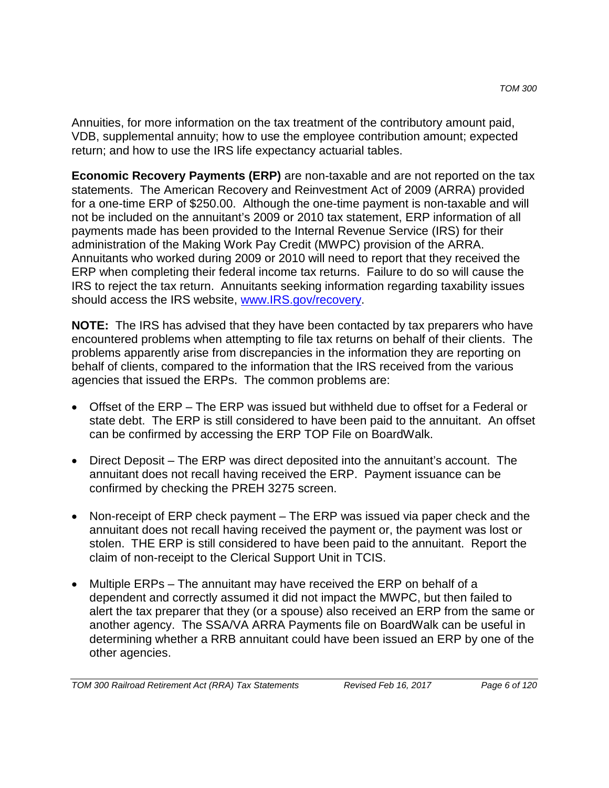Annuities, for more information on the tax treatment of the contributory amount paid, VDB, supplemental annuity; how to use the employee contribution amount; expected return; and how to use the IRS life expectancy actuarial tables.

**Economic Recovery Payments (ERP)** are non-taxable and are not reported on the tax statements. The American Recovery and Reinvestment Act of 2009 (ARRA) provided for a one-time ERP of \$250.00. Although the one-time payment is non-taxable and will not be included on the annuitant's 2009 or 2010 tax statement, ERP information of all payments made has been provided to the Internal Revenue Service (IRS) for their administration of the Making Work Pay Credit (MWPC) provision of the ARRA. Annuitants who worked during 2009 or 2010 will need to report that they received the ERP when completing their federal income tax returns. Failure to do so will cause the IRS to reject the tax return. Annuitants seeking information regarding taxability issues should access the IRS website, www.IRS.gov/recovery.

**NOTE:** The IRS has advised that they have been contacted by tax preparers who have encountered problems when attempting to file tax returns on behalf of their clients. The problems apparently arise from discrepancies in the information they are reporting on behalf of clients, compared to the information that the IRS received from the various agencies that issued the ERPs. The common problems are:

- Offset of the ERP The ERP was issued but withheld due to offset for a Federal or state debt. The ERP is still considered to have been paid to the annuitant. An offset can be confirmed by accessing the ERP TOP File on BoardWalk.
- Direct Deposit The ERP was direct deposited into the annuitant's account. The annuitant does not recall having received the ERP. Payment issuance can be confirmed by checking the PREH 3275 screen.
- Non-receipt of ERP check payment The ERP was issued via paper check and the annuitant does not recall having received the payment or, the payment was lost or stolen. THE ERP is still considered to have been paid to the annuitant. Report the claim of non-receipt to the Clerical Support Unit in TCIS.
- Multiple ERPs The annuitant may have received the ERP on behalf of a dependent and correctly assumed it did not impact the MWPC, but then failed to alert the tax preparer that they (or a spouse) also received an ERP from the same or another agency. The SSA/VA ARRA Payments file on BoardWalk can be useful in determining whether a RRB annuitant could have been issued an ERP by one of the other agencies.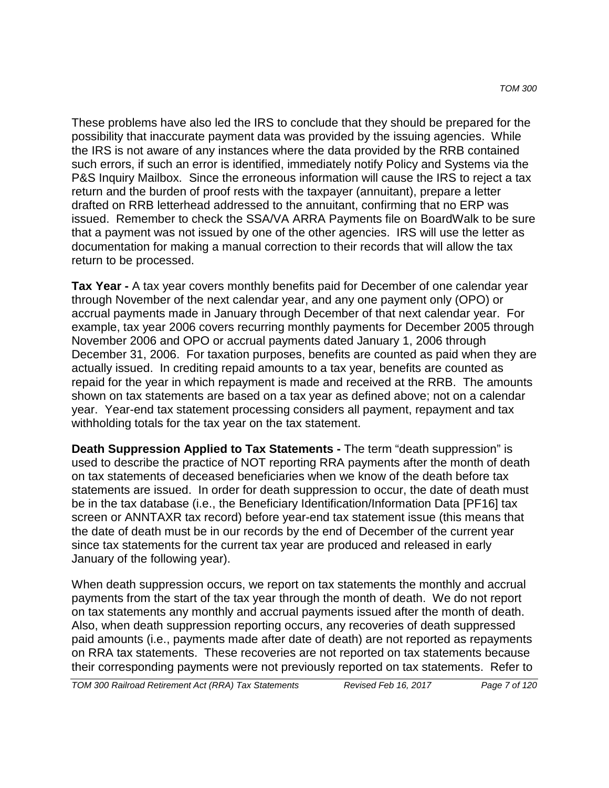These problems have also led the IRS to conclude that they should be prepared for the possibility that inaccurate payment data was provided by the issuing agencies. While the IRS is not aware of any instances where the data provided by the RRB contained such errors, if such an error is identified, immediately notify Policy and Systems via the P&S Inquiry Mailbox. Since the erroneous information will cause the IRS to reject a tax return and the burden of proof rests with the taxpayer (annuitant), prepare a letter drafted on RRB letterhead addressed to the annuitant, confirming that no ERP was issued. Remember to check the SSA/VA ARRA Payments file on BoardWalk to be sure that a payment was not issued by one of the other agencies. IRS will use the letter as documentation for making a manual correction to their records that will allow the tax return to be processed.

**Tax Year -** A tax year covers monthly benefits paid for December of one calendar year through November of the next calendar year, and any one payment only (OPO) or accrual payments made in January through December of that next calendar year. For example, tax year 2006 covers recurring monthly payments for December 2005 through November 2006 and OPO or accrual payments dated January 1, 2006 through December 31, 2006. For taxation purposes, benefits are counted as paid when they are actually issued. In crediting repaid amounts to a tax year, benefits are counted as repaid for the year in which repayment is made and received at the RRB. The amounts shown on tax statements are based on a tax year as defined above; not on a calendar year. Year-end tax statement processing considers all payment, repayment and tax withholding totals for the tax year on the tax statement.

**Death Suppression Applied to Tax Statements -** The term "death suppression" is used to describe the practice of NOT reporting RRA payments after the month of death on tax statements of deceased beneficiaries when we know of the death before tax statements are issued. In order for death suppression to occur, the date of death must be in the tax database (i.e., the Beneficiary Identification/Information Data [PF16] tax screen or ANNTAXR tax record) before year-end tax statement issue (this means that the date of death must be in our records by the end of December of the current year since tax statements for the current tax year are produced and released in early January of the following year).

When death suppression occurs, we report on tax statements the monthly and accrual payments from the start of the tax year through the month of death. We do not report on tax statements any monthly and accrual payments issued after the month of death. Also, when death suppression reporting occurs, any recoveries of death suppressed paid amounts (i.e., payments made after date of death) are not reported as repayments on RRA tax statements. These recoveries are not reported on tax statements because their corresponding payments were not previously reported on tax statements. Refer to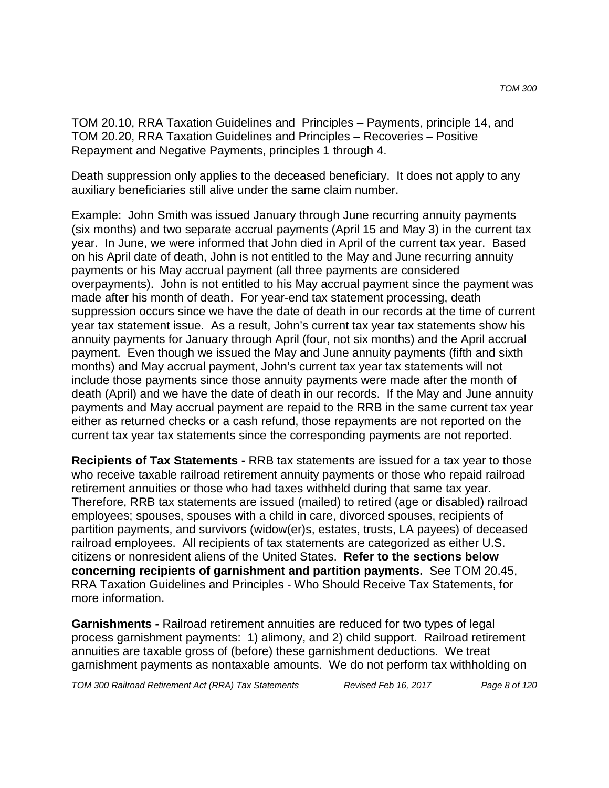TOM 20.10, RRA Taxation Guidelines and Principles – Payments, principle 14, and TOM 20.20, RRA Taxation Guidelines and Principles – Recoveries – Positive Repayment and Negative Payments, principles 1 through 4.

Death suppression only applies to the deceased beneficiary. It does not apply to any auxiliary beneficiaries still alive under the same claim number.

Example: John Smith was issued January through June recurring annuity payments (six months) and two separate accrual payments (April 15 and May 3) in the current tax year. In June, we were informed that John died in April of the current tax year. Based on his April date of death, John is not entitled to the May and June recurring annuity payments or his May accrual payment (all three payments are considered overpayments). John is not entitled to his May accrual payment since the payment was made after his month of death. For year-end tax statement processing, death suppression occurs since we have the date of death in our records at the time of current year tax statement issue. As a result, John's current tax year tax statements show his annuity payments for January through April (four, not six months) and the April accrual payment. Even though we issued the May and June annuity payments (fifth and sixth months) and May accrual payment, John's current tax year tax statements will not include those payments since those annuity payments were made after the month of death (April) and we have the date of death in our records. If the May and June annuity payments and May accrual payment are repaid to the RRB in the same current tax year either as returned checks or a cash refund, those repayments are not reported on the current tax year tax statements since the corresponding payments are not reported.

**Recipients of Tax Statements -** RRB tax statements are issued for a tax year to those who receive taxable railroad retirement annuity payments or those who repaid railroad retirement annuities or those who had taxes withheld during that same tax year. Therefore, RRB tax statements are issued (mailed) to retired (age or disabled) railroad employees; spouses, spouses with a child in care, divorced spouses, recipients of partition payments, and survivors (widow(er)s, estates, trusts, LA payees) of deceased railroad employees. All recipients of tax statements are categorized as either U.S. citizens or nonresident aliens of the United States. **Refer to the sections below concerning recipients of garnishment and partition payments.** See TOM 20.45, RRA Taxation Guidelines and Principles - Who Should Receive Tax Statements, for more information.

**Garnishments -** Railroad retirement annuities are reduced for two types of legal process garnishment payments: 1) alimony, and 2) child support. Railroad retirement annuities are taxable gross of (before) these garnishment deductions. We treat garnishment payments as nontaxable amounts. We do not perform tax withholding on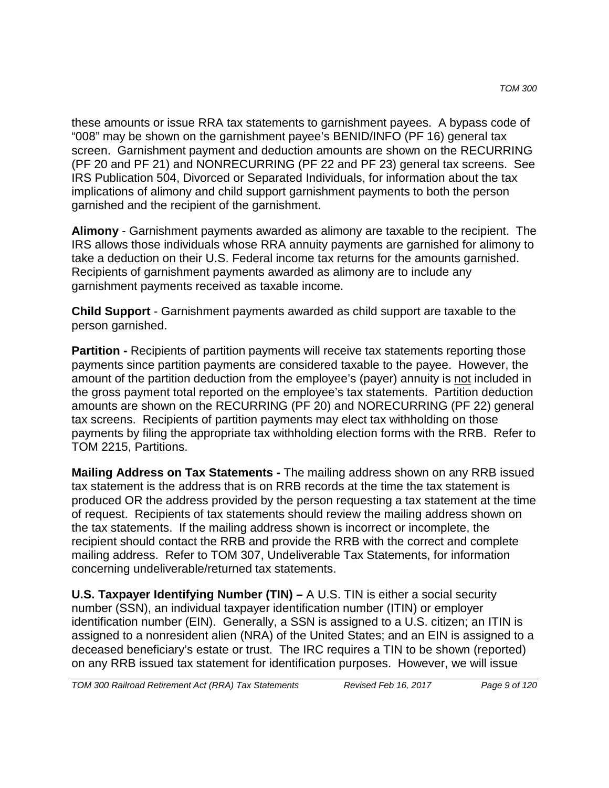these amounts or issue RRA tax statements to garnishment payees. A bypass code of "008" may be shown on the garnishment payee's BENID/INFO (PF 16) general tax screen. Garnishment payment and deduction amounts are shown on the RECURRING (PF 20 and PF 21) and NONRECURRING (PF 22 and PF 23) general tax screens. See IRS Publication 504, Divorced or Separated Individuals, for information about the tax implications of alimony and child support garnishment payments to both the person garnished and the recipient of the garnishment.

**Alimony** - Garnishment payments awarded as alimony are taxable to the recipient. The IRS allows those individuals whose RRA annuity payments are garnished for alimony to take a deduction on their U.S. Federal income tax returns for the amounts garnished. Recipients of garnishment payments awarded as alimony are to include any garnishment payments received as taxable income.

**Child Support** - Garnishment payments awarded as child support are taxable to the person garnished.

**Partition -** Recipients of partition payments will receive tax statements reporting those payments since partition payments are considered taxable to the payee. However, the amount of the partition deduction from the employee's (payer) annuity is not included in the gross payment total reported on the employee's tax statements. Partition deduction amounts are shown on the RECURRING (PF 20) and NORECURRING (PF 22) general tax screens. Recipients of partition payments may elect tax withholding on those payments by filing the appropriate tax withholding election forms with the RRB. Refer to TOM 2215, Partitions.

**Mailing Address on Tax Statements -** The mailing address shown on any RRB issued tax statement is the address that is on RRB records at the time the tax statement is produced OR the address provided by the person requesting a tax statement at the time of request. Recipients of tax statements should review the mailing address shown on the tax statements. If the mailing address shown is incorrect or incomplete, the recipient should contact the RRB and provide the RRB with the correct and complete mailing address. Refer to TOM 307, Undeliverable Tax Statements, for information concerning undeliverable/returned tax statements.

**U.S. Taxpayer Identifying Number (TIN) –** A U.S. TIN is either a social security number (SSN), an individual taxpayer identification number (ITIN) or employer identification number (EIN). Generally, a SSN is assigned to a U.S. citizen; an ITIN is assigned to a nonresident alien (NRA) of the United States; and an EIN is assigned to a deceased beneficiary's estate or trust. The IRC requires a TIN to be shown (reported) on any RRB issued tax statement for identification purposes. However, we will issue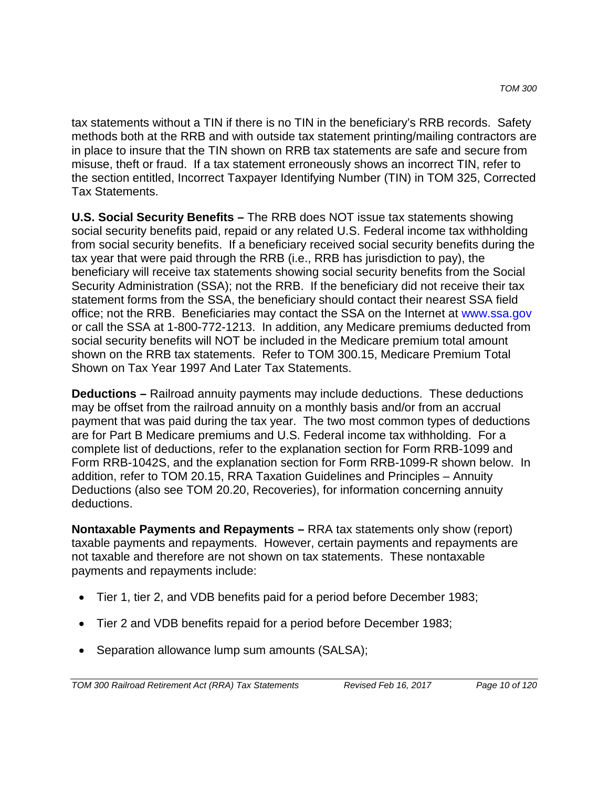tax statements without a TIN if there is no TIN in the beneficiary's RRB records. Safety methods both at the RRB and with outside tax statement printing/mailing contractors are in place to insure that the TIN shown on RRB tax statements are safe and secure from misuse, theft or fraud. If a tax statement erroneously shows an incorrect TIN, refer to the section entitled, Incorrect Taxpayer Identifying Number (TIN) in TOM 325, Corrected Tax Statements.

**U.S. Social Security Benefits –** The RRB does NOT issue tax statements showing social security benefits paid, repaid or any related U.S. Federal income tax withholding from social security benefits. If a beneficiary received social security benefits during the tax year that were paid through the RRB (i.e., RRB has jurisdiction to pay), the beneficiary will receive tax statements showing social security benefits from the Social Security Administration (SSA); not the RRB. If the beneficiary did not receive their tax statement forms from the SSA, the beneficiary should contact their nearest SSA field office; not the RRB. Beneficiaries may contact the SSA on the Internet at www.ssa.gov or call the SSA at 1-800-772-1213. In addition, any Medicare premiums deducted from social security benefits will NOT be included in the Medicare premium total amount shown on the RRB tax statements. Refer to TOM 300.15, Medicare Premium Total Shown on Tax Year 1997 And Later Tax Statements.

**Deductions –** Railroad annuity payments may include deductions. These deductions may be offset from the railroad annuity on a monthly basis and/or from an accrual payment that was paid during the tax year. The two most common types of deductions are for Part B Medicare premiums and U.S. Federal income tax withholding. For a complete list of deductions, refer to the explanation section for Form RRB-1099 and Form RRB-1042S, and the explanation section for Form RRB-1099-R shown below. In addition, refer to TOM 20.15, RRA Taxation Guidelines and Principles – Annuity Deductions (also see TOM 20.20, Recoveries), for information concerning annuity deductions.

**Nontaxable Payments and Repayments –** RRA tax statements only show (report) taxable payments and repayments. However, certain payments and repayments are not taxable and therefore are not shown on tax statements. These nontaxable payments and repayments include:

- Tier 1, tier 2, and VDB benefits paid for a period before December 1983;
- Tier 2 and VDB benefits repaid for a period before December 1983;
- Separation allowance lump sum amounts (SALSA);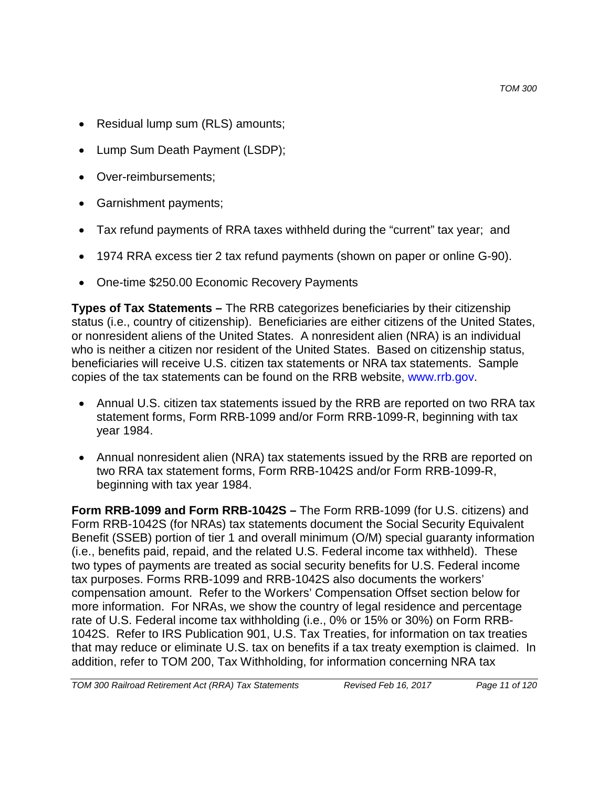- Residual lump sum (RLS) amounts;
- Lump Sum Death Payment (LSDP);
- Over-reimbursements;
- Garnishment payments;
- Tax refund payments of RRA taxes withheld during the "current" tax year; and
- 1974 RRA excess tier 2 tax refund payments (shown on paper or online G-90).
- One-time \$250.00 Economic Recovery Payments

**Types of Tax Statements –** The RRB categorizes beneficiaries by their citizenship status (i.e., country of citizenship). Beneficiaries are either citizens of the United States, or nonresident aliens of the United States. A nonresident alien (NRA) is an individual who is neither a citizen nor resident of the United States. Based on citizenship status, beneficiaries will receive U.S. citizen tax statements or NRA tax statements. Sample copies of the tax statements can be found on the RRB website, www.rrb.gov.

- Annual U.S. citizen tax statements issued by the RRB are reported on two RRA tax statement forms, Form RRB-1099 and/or Form RRB-1099-R, beginning with tax year 1984.
- Annual nonresident alien (NRA) tax statements issued by the RRB are reported on two RRA tax statement forms, Form RRB-1042S and/or Form RRB-1099-R, beginning with tax year 1984.

**Form RRB-1099 and Form RRB-1042S –** The Form RRB-1099 (for U.S. citizens) and Form RRB-1042S (for NRAs) tax statements document the Social Security Equivalent Benefit (SSEB) portion of tier 1 and overall minimum (O/M) special guaranty information (i.e., benefits paid, repaid, and the related U.S. Federal income tax withheld). These two types of payments are treated as social security benefits for U.S. Federal income tax purposes. Forms RRB-1099 and RRB-1042S also documents the workers' compensation amount. Refer to the Workers' Compensation Offset section below for more information. For NRAs, we show the country of legal residence and percentage rate of U.S. Federal income tax withholding (i.e., 0% or 15% or 30%) on Form RRB-1042S. Refer to IRS Publication 901, U.S. Tax Treaties, for information on tax treaties that may reduce or eliminate U.S. tax on benefits if a tax treaty exemption is claimed. In addition, refer to TOM 200, Tax Withholding, for information concerning NRA tax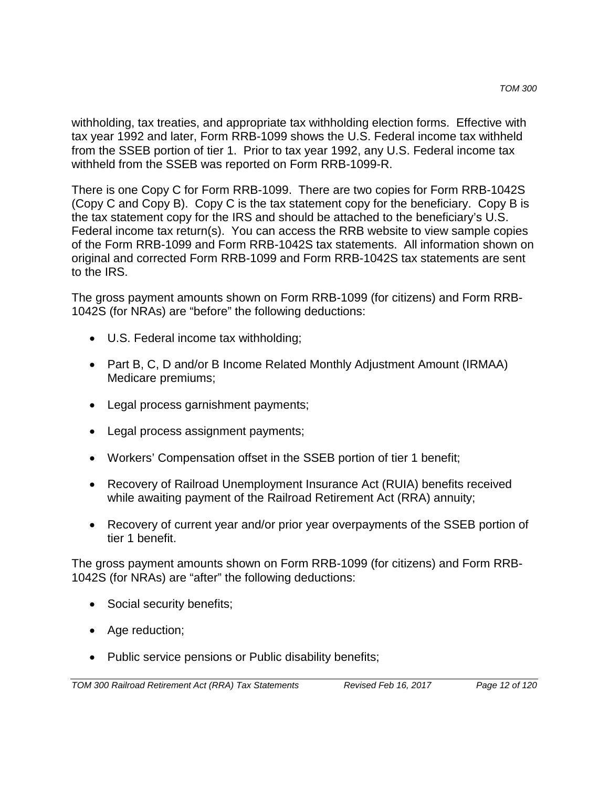withholding, tax treaties, and appropriate tax withholding election forms. Effective with tax year 1992 and later, Form RRB-1099 shows the U.S. Federal income tax withheld from the SSEB portion of tier 1. Prior to tax year 1992, any U.S. Federal income tax withheld from the SSEB was reported on Form RRB-1099-R.

There is one Copy C for Form RRB-1099. There are two copies for Form RRB-1042S (Copy C and Copy B). Copy C is the tax statement copy for the beneficiary. Copy B is the tax statement copy for the IRS and should be attached to the beneficiary's U.S. Federal income tax return(s). You can access the RRB website to view sample copies of the Form RRB-1099 and Form RRB-1042S tax statements. All information shown on original and corrected Form RRB-1099 and Form RRB-1042S tax statements are sent to the IRS.

The gross payment amounts shown on Form RRB-1099 (for citizens) and Form RRB-1042S (for NRAs) are "before" the following deductions:

- U.S. Federal income tax withholding;
- Part B, C, D and/or B Income Related Monthly Adjustment Amount (IRMAA) Medicare premiums;
- Legal process garnishment payments;
- Legal process assignment payments;
- Workers' Compensation offset in the SSEB portion of tier 1 benefit;
- Recovery of Railroad Unemployment Insurance Act (RUIA) benefits received while awaiting payment of the Railroad Retirement Act (RRA) annuity;
- Recovery of current year and/or prior year overpayments of the SSEB portion of tier 1 benefit.

The gross payment amounts shown on Form RRB-1099 (for citizens) and Form RRB-1042S (for NRAs) are "after" the following deductions:

- Social security benefits;
- Age reduction;
- Public service pensions or Public disability benefits;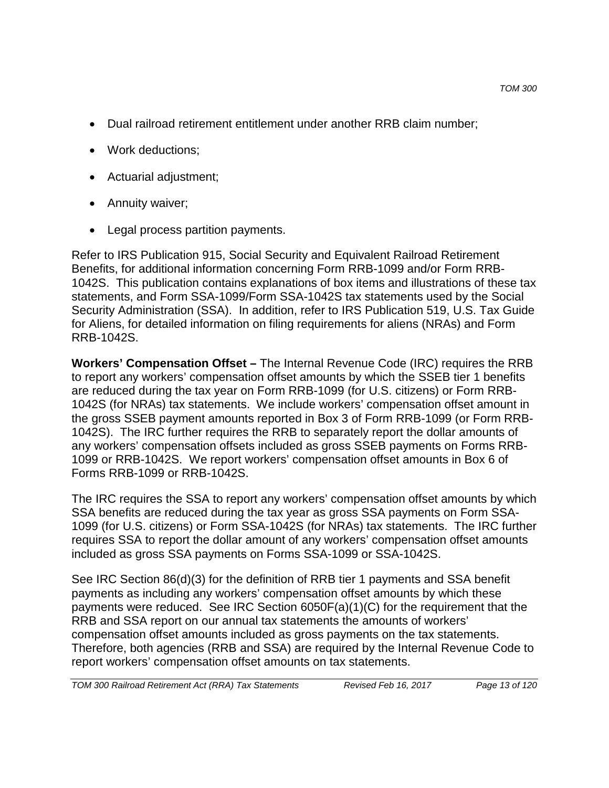- Dual railroad retirement entitlement under another RRB claim number;
- Work deductions;
- Actuarial adjustment;
- Annuity waiver;
- Legal process partition payments.

Refer to IRS Publication 915, Social Security and Equivalent Railroad Retirement Benefits, for additional information concerning Form RRB-1099 and/or Form RRB-1042S. This publication contains explanations of box items and illustrations of these tax statements, and Form SSA-1099/Form SSA-1042S tax statements used by the Social Security Administration (SSA). In addition, refer to IRS Publication 519, U.S. Tax Guide for Aliens, for detailed information on filing requirements for aliens (NRAs) and Form RRB-1042S.

**Workers' Compensation Offset –** The Internal Revenue Code (IRC) requires the RRB to report any workers' compensation offset amounts by which the SSEB tier 1 benefits are reduced during the tax year on Form RRB-1099 (for U.S. citizens) or Form RRB-1042S (for NRAs) tax statements. We include workers' compensation offset amount in the gross SSEB payment amounts reported in Box 3 of Form RRB-1099 (or Form RRB-1042S). The IRC further requires the RRB to separately report the dollar amounts of any workers' compensation offsets included as gross SSEB payments on Forms RRB-1099 or RRB-1042S. We report workers' compensation offset amounts in Box 6 of Forms RRB-1099 or RRB-1042S.

The IRC requires the SSA to report any workers' compensation offset amounts by which SSA benefits are reduced during the tax year as gross SSA payments on Form SSA-1099 (for U.S. citizens) or Form SSA-1042S (for NRAs) tax statements. The IRC further requires SSA to report the dollar amount of any workers' compensation offset amounts included as gross SSA payments on Forms SSA-1099 or SSA-1042S.

See IRC Section 86(d)(3) for the definition of RRB tier 1 payments and SSA benefit payments as including any workers' compensation offset amounts by which these payments were reduced. See IRC Section 6050F(a)(1)(C) for the requirement that the RRB and SSA report on our annual tax statements the amounts of workers' compensation offset amounts included as gross payments on the tax statements. Therefore, both agencies (RRB and SSA) are required by the Internal Revenue Code to report workers' compensation offset amounts on tax statements.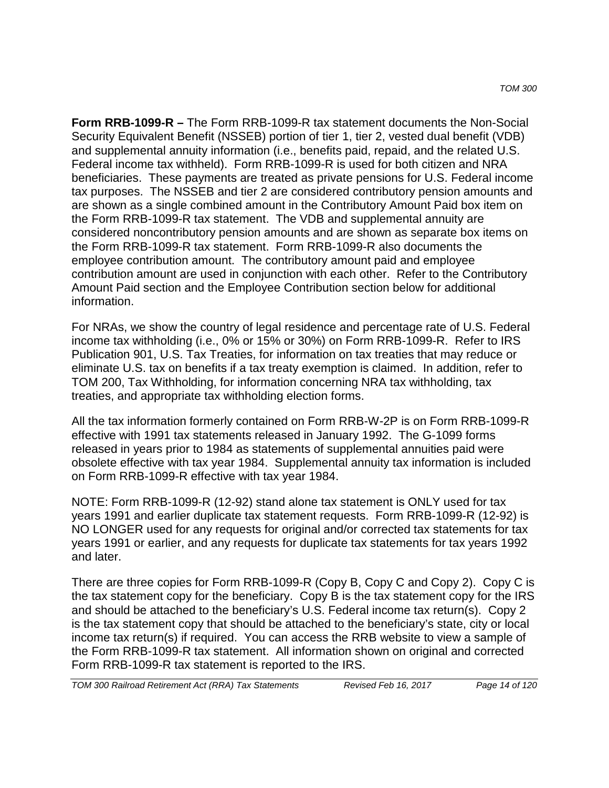**Form RRB-1099-R –** The Form RRB-1099-R tax statement documents the Non-Social Security Equivalent Benefit (NSSEB) portion of tier 1, tier 2, vested dual benefit (VDB) and supplemental annuity information (i.e., benefits paid, repaid, and the related U.S. Federal income tax withheld). Form RRB-1099-R is used for both citizen and NRA beneficiaries. These payments are treated as private pensions for U.S. Federal income tax purposes. The NSSEB and tier 2 are considered contributory pension amounts and are shown as a single combined amount in the Contributory Amount Paid box item on the Form RRB-1099-R tax statement. The VDB and supplemental annuity are considered noncontributory pension amounts and are shown as separate box items on the Form RRB-1099-R tax statement. Form RRB-1099-R also documents the employee contribution amount. The contributory amount paid and employee contribution amount are used in conjunction with each other. Refer to the Contributory Amount Paid section and the Employee Contribution section below for additional information.

For NRAs, we show the country of legal residence and percentage rate of U.S. Federal income tax withholding (i.e., 0% or 15% or 30%) on Form RRB-1099-R. Refer to IRS Publication 901, U.S. Tax Treaties, for information on tax treaties that may reduce or eliminate U.S. tax on benefits if a tax treaty exemption is claimed. In addition, refer to TOM 200, Tax Withholding, for information concerning NRA tax withholding, tax treaties, and appropriate tax withholding election forms.

All the tax information formerly contained on Form RRB-W-2P is on Form RRB-1099-R effective with 1991 tax statements released in January 1992. The G-1099 forms released in years prior to 1984 as statements of supplemental annuities paid were obsolete effective with tax year 1984. Supplemental annuity tax information is included on Form RRB-1099-R effective with tax year 1984.

NOTE: Form RRB-1099-R (12-92) stand alone tax statement is ONLY used for tax years 1991 and earlier duplicate tax statement requests. Form RRB-1099-R (12-92) is NO LONGER used for any requests for original and/or corrected tax statements for tax years 1991 or earlier, and any requests for duplicate tax statements for tax years 1992 and later.

There are three copies for Form RRB-1099-R (Copy B, Copy C and Copy 2). Copy C is the tax statement copy for the beneficiary. Copy B is the tax statement copy for the IRS and should be attached to the beneficiary's U.S. Federal income tax return(s). Copy 2 is the tax statement copy that should be attached to the beneficiary's state, city or local income tax return(s) if required. You can access the RRB website to view a sample of the Form RRB-1099-R tax statement. All information shown on original and corrected Form RRB-1099-R tax statement is reported to the IRS.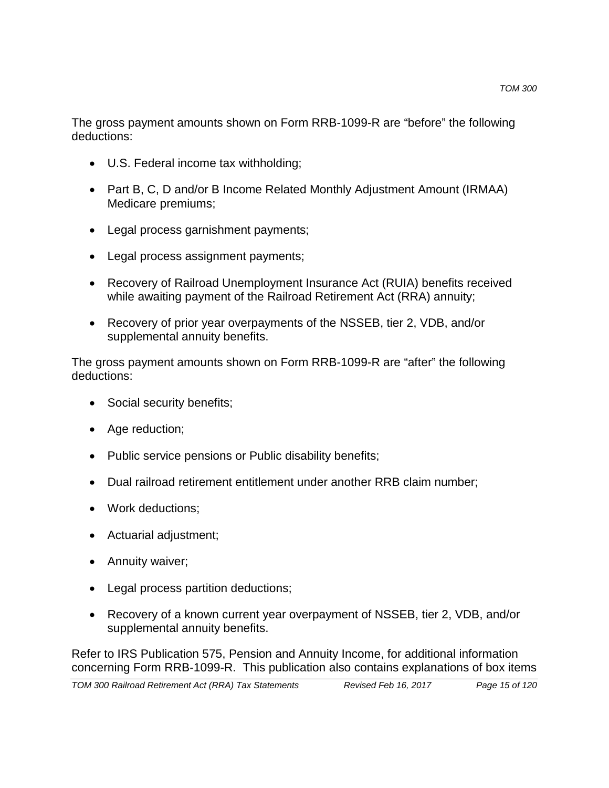The gross payment amounts shown on Form RRB-1099-R are "before" the following deductions:

- U.S. Federal income tax withholding;
- Part B, C, D and/or B Income Related Monthly Adjustment Amount (IRMAA) Medicare premiums;
- Legal process garnishment payments;
- Legal process assignment payments;
- Recovery of Railroad Unemployment Insurance Act (RUIA) benefits received while awaiting payment of the Railroad Retirement Act (RRA) annuity;
- Recovery of prior year overpayments of the NSSEB, tier 2, VDB, and/or supplemental annuity benefits.

The gross payment amounts shown on Form RRB-1099-R are "after" the following deductions:

- Social security benefits;
- Age reduction;
- Public service pensions or Public disability benefits;
- Dual railroad retirement entitlement under another RRB claim number;
- Work deductions;
- Actuarial adjustment;
- Annuity waiver;
- Legal process partition deductions;
- Recovery of a known current year overpayment of NSSEB, tier 2, VDB, and/or supplemental annuity benefits.

Refer to IRS Publication 575, Pension and Annuity Income, for additional information concerning Form RRB-1099-R. This publication also contains explanations of box items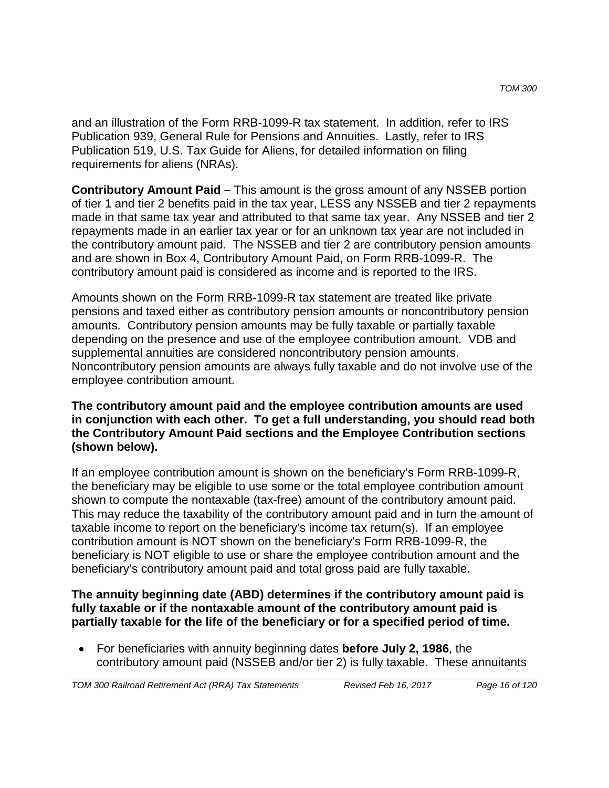and an illustration of the Form RRB-1099-R tax statement. In addition, refer to IRS Publication 939, General Rule for Pensions and Annuities. Lastly, refer to IRS Publication 519, U.S. Tax Guide for Aliens, for detailed information on filing requirements for aliens (NRAs).

**Contributory Amount Paid –** This amount is the gross amount of any NSSEB portion of tier 1 and tier 2 benefits paid in the tax year, LESS any NSSEB and tier 2 repayments made in that same tax year and attributed to that same tax year. Any NSSEB and tier 2 repayments made in an earlier tax year or for an unknown tax year are not included in the contributory amount paid. The NSSEB and tier 2 are contributory pension amounts and are shown in Box 4, Contributory Amount Paid, on Form RRB-1099-R. The contributory amount paid is considered as income and is reported to the IRS.

Amounts shown on the Form RRB-1099-R tax statement are treated like private pensions and taxed either as contributory pension amounts or noncontributory pension amounts. Contributory pension amounts may be fully taxable or partially taxable depending on the presence and use of the employee contribution amount. VDB and supplemental annuities are considered noncontributory pension amounts. Noncontributory pension amounts are always fully taxable and do not involve use of the employee contribution amount.

### **The contributory amount paid and the employee contribution amounts are used in conjunction with each other. To get a full understanding, you should read both the Contributory Amount Paid sections and the Employee Contribution sections (shown below).**

If an employee contribution amount is shown on the beneficiary's Form RRB-1099-R, the beneficiary may be eligible to use some or the total employee contribution amount shown to compute the nontaxable (tax-free) amount of the contributory amount paid. This may reduce the taxability of the contributory amount paid and in turn the amount of taxable income to report on the beneficiary's income tax return(s). If an employee contribution amount is NOT shown on the beneficiary's Form RRB-1099-R, the beneficiary is NOT eligible to use or share the employee contribution amount and the beneficiary's contributory amount paid and total gross paid are fully taxable.

#### **The annuity beginning date (ABD) determines if the contributory amount paid is fully taxable or if the nontaxable amount of the contributory amount paid is partially taxable for the life of the beneficiary or for a specified period of time.**

• For beneficiaries with annuity beginning dates **before July 2, 1986**, the contributory amount paid (NSSEB and/or tier 2) is fully taxable. These annuitants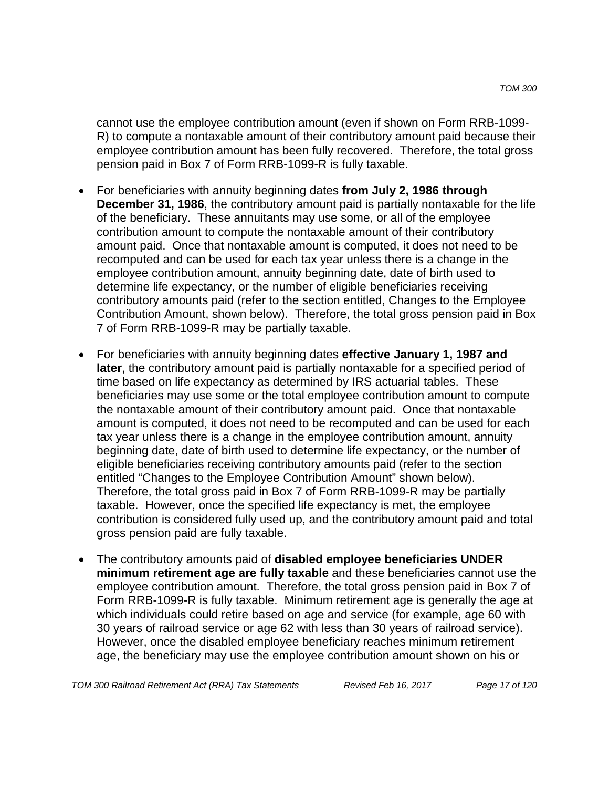cannot use the employee contribution amount (even if shown on Form RRB-1099- R) to compute a nontaxable amount of their contributory amount paid because their employee contribution amount has been fully recovered. Therefore, the total gross pension paid in Box 7 of Form RRB-1099-R is fully taxable.

- For beneficiaries with annuity beginning dates **from July 2, 1986 through December 31, 1986**, the contributory amount paid is partially nontaxable for the life of the beneficiary. These annuitants may use some, or all of the employee contribution amount to compute the nontaxable amount of their contributory amount paid. Once that nontaxable amount is computed, it does not need to be recomputed and can be used for each tax year unless there is a change in the employee contribution amount, annuity beginning date, date of birth used to determine life expectancy, or the number of eligible beneficiaries receiving contributory amounts paid (refer to the section entitled, Changes to the Employee Contribution Amount, shown below). Therefore, the total gross pension paid in Box 7 of Form RRB-1099-R may be partially taxable.
- For beneficiaries with annuity beginning dates **effective January 1, 1987 and later**, the contributory amount paid is partially nontaxable for a specified period of time based on life expectancy as determined by IRS actuarial tables. These beneficiaries may use some or the total employee contribution amount to compute the nontaxable amount of their contributory amount paid. Once that nontaxable amount is computed, it does not need to be recomputed and can be used for each tax year unless there is a change in the employee contribution amount, annuity beginning date, date of birth used to determine life expectancy, or the number of eligible beneficiaries receiving contributory amounts paid (refer to the section entitled "Changes to the Employee Contribution Amount" shown below). Therefore, the total gross paid in Box 7 of Form RRB-1099-R may be partially taxable. However, once the specified life expectancy is met, the employee contribution is considered fully used up, and the contributory amount paid and total gross pension paid are fully taxable.
- The contributory amounts paid of **disabled employee beneficiaries UNDER minimum retirement age are fully taxable** and these beneficiaries cannot use the employee contribution amount. Therefore, the total gross pension paid in Box 7 of Form RRB-1099-R is fully taxable. Minimum retirement age is generally the age at which individuals could retire based on age and service (for example, age 60 with 30 years of railroad service or age 62 with less than 30 years of railroad service). However, once the disabled employee beneficiary reaches minimum retirement age, the beneficiary may use the employee contribution amount shown on his or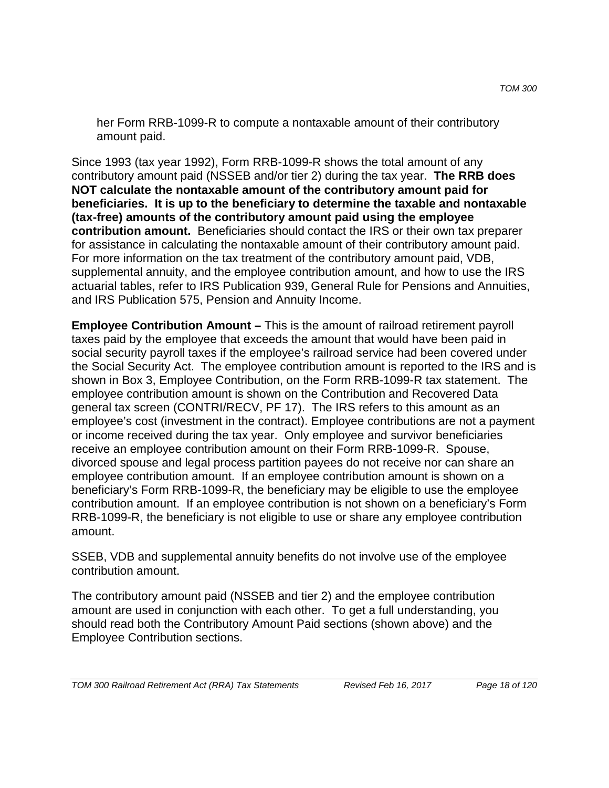her Form RRB-1099-R to compute a nontaxable amount of their contributory amount paid.

Since 1993 (tax year 1992), Form RRB-1099-R shows the total amount of any contributory amount paid (NSSEB and/or tier 2) during the tax year. **The RRB does NOT calculate the nontaxable amount of the contributory amount paid for beneficiaries. It is up to the beneficiary to determine the taxable and nontaxable (tax-free) amounts of the contributory amount paid using the employee contribution amount.** Beneficiaries should contact the IRS or their own tax preparer for assistance in calculating the nontaxable amount of their contributory amount paid. For more information on the tax treatment of the contributory amount paid, VDB, supplemental annuity, and the employee contribution amount, and how to use the IRS actuarial tables, refer to IRS Publication 939, General Rule for Pensions and Annuities, and IRS Publication 575, Pension and Annuity Income.

**Employee Contribution Amount –** This is the amount of railroad retirement payroll taxes paid by the employee that exceeds the amount that would have been paid in social security payroll taxes if the employee's railroad service had been covered under the Social Security Act. The employee contribution amount is reported to the IRS and is shown in Box 3, Employee Contribution, on the Form RRB-1099-R tax statement. The employee contribution amount is shown on the Contribution and Recovered Data general tax screen (CONTRI/RECV, PF 17). The IRS refers to this amount as an employee's cost (investment in the contract). Employee contributions are not a payment or income received during the tax year. Only employee and survivor beneficiaries receive an employee contribution amount on their Form RRB-1099-R. Spouse, divorced spouse and legal process partition payees do not receive nor can share an employee contribution amount. If an employee contribution amount is shown on a beneficiary's Form RRB-1099-R, the beneficiary may be eligible to use the employee contribution amount. If an employee contribution is not shown on a beneficiary's Form RRB-1099-R, the beneficiary is not eligible to use or share any employee contribution amount.

SSEB, VDB and supplemental annuity benefits do not involve use of the employee contribution amount.

The contributory amount paid (NSSEB and tier 2) and the employee contribution amount are used in conjunction with each other. To get a full understanding, you should read both the Contributory Amount Paid sections (shown above) and the Employee Contribution sections.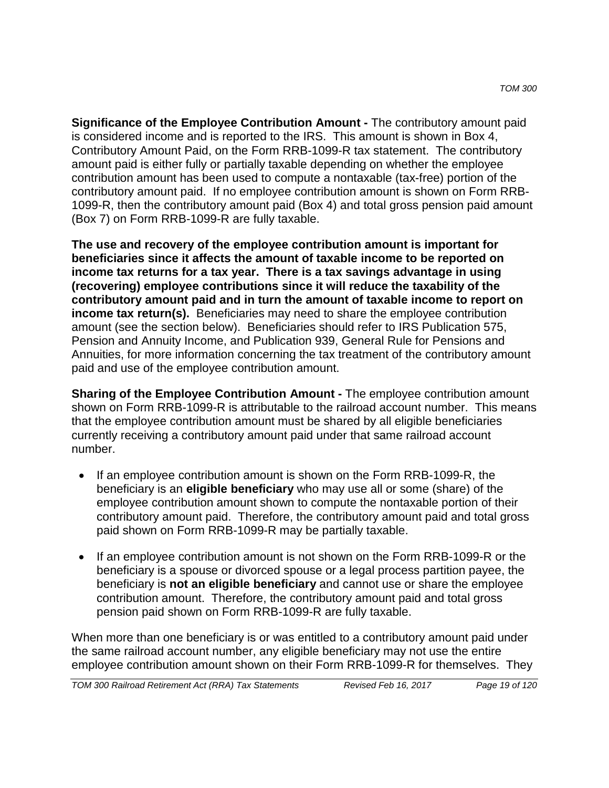**Significance of the Employee Contribution Amount -** The contributory amount paid is considered income and is reported to the IRS. This amount is shown in Box 4, Contributory Amount Paid, on the Form RRB-1099-R tax statement. The contributory amount paid is either fully or partially taxable depending on whether the employee contribution amount has been used to compute a nontaxable (tax-free) portion of the contributory amount paid. If no employee contribution amount is shown on Form RRB-1099-R, then the contributory amount paid (Box 4) and total gross pension paid amount (Box 7) on Form RRB-1099-R are fully taxable.

**The use and recovery of the employee contribution amount is important for beneficiaries since it affects the amount of taxable income to be reported on income tax returns for a tax year. There is a tax savings advantage in using (recovering) employee contributions since it will reduce the taxability of the contributory amount paid and in turn the amount of taxable income to report on income tax return(s).** Beneficiaries may need to share the employee contribution amount (see the section below). Beneficiaries should refer to IRS Publication 575, Pension and Annuity Income, and Publication 939, General Rule for Pensions and Annuities, for more information concerning the tax treatment of the contributory amount paid and use of the employee contribution amount.

**Sharing of the Employee Contribution Amount -** The employee contribution amount shown on Form RRB-1099-R is attributable to the railroad account number. This means that the employee contribution amount must be shared by all eligible beneficiaries currently receiving a contributory amount paid under that same railroad account number.

- If an employee contribution amount is shown on the Form RRB-1099-R, the beneficiary is an **eligible beneficiary** who may use all or some (share) of the employee contribution amount shown to compute the nontaxable portion of their contributory amount paid. Therefore, the contributory amount paid and total gross paid shown on Form RRB-1099-R may be partially taxable.
- If an employee contribution amount is not shown on the Form RRB-1099-R or the beneficiary is a spouse or divorced spouse or a legal process partition payee, the beneficiary is **not an eligible beneficiary** and cannot use or share the employee contribution amount. Therefore, the contributory amount paid and total gross pension paid shown on Form RRB-1099-R are fully taxable.

When more than one beneficiary is or was entitled to a contributory amount paid under the same railroad account number, any eligible beneficiary may not use the entire employee contribution amount shown on their Form RRB-1099-R for themselves. They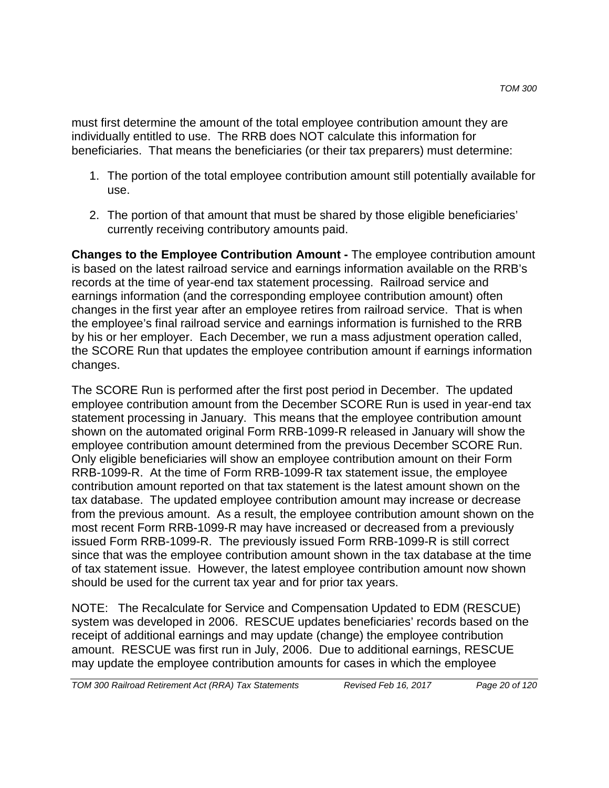must first determine the amount of the total employee contribution amount they are individually entitled to use. The RRB does NOT calculate this information for beneficiaries. That means the beneficiaries (or their tax preparers) must determine:

- 1. The portion of the total employee contribution amount still potentially available for use.
- 2. The portion of that amount that must be shared by those eligible beneficiaries' currently receiving contributory amounts paid.

**Changes to the Employee Contribution Amount -** The employee contribution amount is based on the latest railroad service and earnings information available on the RRB's records at the time of year-end tax statement processing. Railroad service and earnings information (and the corresponding employee contribution amount) often changes in the first year after an employee retires from railroad service. That is when the employee's final railroad service and earnings information is furnished to the RRB by his or her employer. Each December, we run a mass adjustment operation called, the SCORE Run that updates the employee contribution amount if earnings information changes.

The SCORE Run is performed after the first post period in December. The updated employee contribution amount from the December SCORE Run is used in year-end tax statement processing in January. This means that the employee contribution amount shown on the automated original Form RRB-1099-R released in January will show the employee contribution amount determined from the previous December SCORE Run. Only eligible beneficiaries will show an employee contribution amount on their Form RRB-1099-R. At the time of Form RRB-1099-R tax statement issue, the employee contribution amount reported on that tax statement is the latest amount shown on the tax database. The updated employee contribution amount may increase or decrease from the previous amount. As a result, the employee contribution amount shown on the most recent Form RRB-1099-R may have increased or decreased from a previously issued Form RRB-1099-R. The previously issued Form RRB-1099-R is still correct since that was the employee contribution amount shown in the tax database at the time of tax statement issue. However, the latest employee contribution amount now shown should be used for the current tax year and for prior tax years.

NOTE: The Recalculate for Service and Compensation Updated to EDM (RESCUE) system was developed in 2006. RESCUE updates beneficiaries' records based on the receipt of additional earnings and may update (change) the employee contribution amount. RESCUE was first run in July, 2006. Due to additional earnings, RESCUE may update the employee contribution amounts for cases in which the employee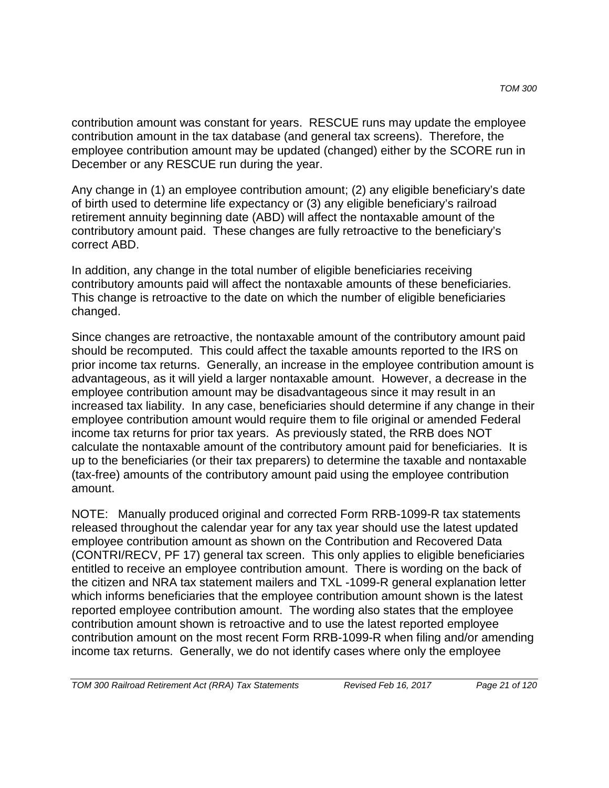contribution amount was constant for years. RESCUE runs may update the employee contribution amount in the tax database (and general tax screens). Therefore, the employee contribution amount may be updated (changed) either by the SCORE run in December or any RESCUE run during the year.

Any change in (1) an employee contribution amount; (2) any eligible beneficiary's date of birth used to determine life expectancy or (3) any eligible beneficiary's railroad retirement annuity beginning date (ABD) will affect the nontaxable amount of the contributory amount paid. These changes are fully retroactive to the beneficiary's correct ABD.

In addition, any change in the total number of eligible beneficiaries receiving contributory amounts paid will affect the nontaxable amounts of these beneficiaries. This change is retroactive to the date on which the number of eligible beneficiaries changed.

Since changes are retroactive, the nontaxable amount of the contributory amount paid should be recomputed. This could affect the taxable amounts reported to the IRS on prior income tax returns. Generally, an increase in the employee contribution amount is advantageous, as it will yield a larger nontaxable amount. However, a decrease in the employee contribution amount may be disadvantageous since it may result in an increased tax liability. In any case, beneficiaries should determine if any change in their employee contribution amount would require them to file original or amended Federal income tax returns for prior tax years. As previously stated, the RRB does NOT calculate the nontaxable amount of the contributory amount paid for beneficiaries. It is up to the beneficiaries (or their tax preparers) to determine the taxable and nontaxable (tax-free) amounts of the contributory amount paid using the employee contribution amount.

NOTE: Manually produced original and corrected Form RRB-1099-R tax statements released throughout the calendar year for any tax year should use the latest updated employee contribution amount as shown on the Contribution and Recovered Data (CONTRI/RECV, PF 17) general tax screen. This only applies to eligible beneficiaries entitled to receive an employee contribution amount. There is wording on the back of the citizen and NRA tax statement mailers and TXL -1099-R general explanation letter which informs beneficiaries that the employee contribution amount shown is the latest reported employee contribution amount. The wording also states that the employee contribution amount shown is retroactive and to use the latest reported employee contribution amount on the most recent Form RRB-1099-R when filing and/or amending income tax returns. Generally, we do not identify cases where only the employee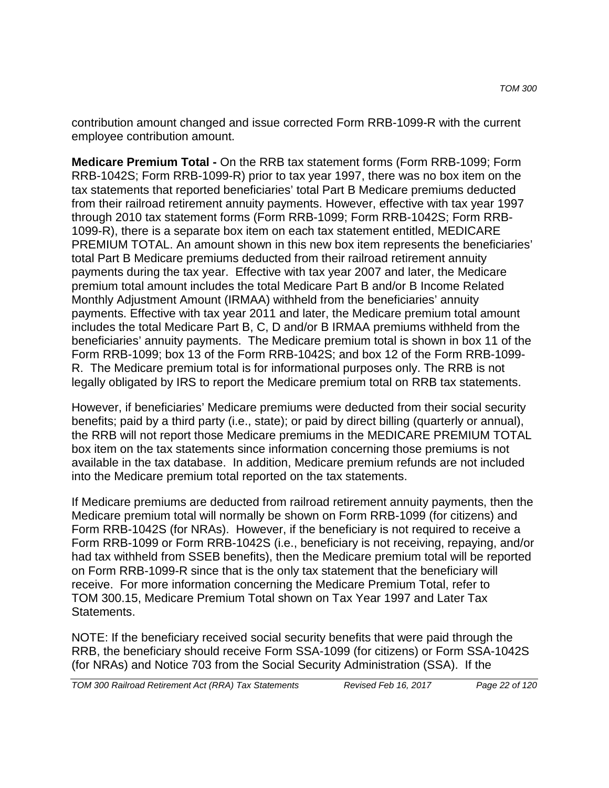contribution amount changed and issue corrected Form RRB-1099-R with the current employee contribution amount.

**Medicare Premium Total -** On the RRB tax statement forms (Form RRB-1099; Form RRB-1042S; Form RRB-1099-R) prior to tax year 1997, there was no box item on the tax statements that reported beneficiaries' total Part B Medicare premiums deducted from their railroad retirement annuity payments. However, effective with tax year 1997 through 2010 tax statement forms (Form RRB-1099; Form RRB-1042S; Form RRB-1099-R), there is a separate box item on each tax statement entitled, MEDICARE PREMIUM TOTAL. An amount shown in this new box item represents the beneficiaries' total Part B Medicare premiums deducted from their railroad retirement annuity payments during the tax year. Effective with tax year 2007 and later, the Medicare premium total amount includes the total Medicare Part B and/or B Income Related Monthly Adjustment Amount (IRMAA) withheld from the beneficiaries' annuity payments. Effective with tax year 2011 and later, the Medicare premium total amount includes the total Medicare Part B, C, D and/or B IRMAA premiums withheld from the beneficiaries' annuity payments. The Medicare premium total is shown in box 11 of the Form RRB-1099; box 13 of the Form RRB-1042S; and box 12 of the Form RRB-1099- R. The Medicare premium total is for informational purposes only. The RRB is not legally obligated by IRS to report the Medicare premium total on RRB tax statements.

However, if beneficiaries' Medicare premiums were deducted from their social security benefits; paid by a third party (i.e., state); or paid by direct billing (quarterly or annual), the RRB will not report those Medicare premiums in the MEDICARE PREMIUM TOTAL box item on the tax statements since information concerning those premiums is not available in the tax database. In addition, Medicare premium refunds are not included into the Medicare premium total reported on the tax statements.

If Medicare premiums are deducted from railroad retirement annuity payments, then the Medicare premium total will normally be shown on Form RRB-1099 (for citizens) and Form RRB-1042S (for NRAs). However, if the beneficiary is not required to receive a Form RRB-1099 or Form RRB-1042S (i.e., beneficiary is not receiving, repaying, and/or had tax withheld from SSEB benefits), then the Medicare premium total will be reported on Form RRB-1099-R since that is the only tax statement that the beneficiary will receive. For more information concerning the Medicare Premium Total, refer to TOM 300.15, Medicare Premium Total shown on Tax Year 1997 and Later Tax Statements.

NOTE: If the beneficiary received social security benefits that were paid through the RRB, the beneficiary should receive Form SSA-1099 (for citizens) or Form SSA-1042S (for NRAs) and Notice 703 from the Social Security Administration (SSA). If the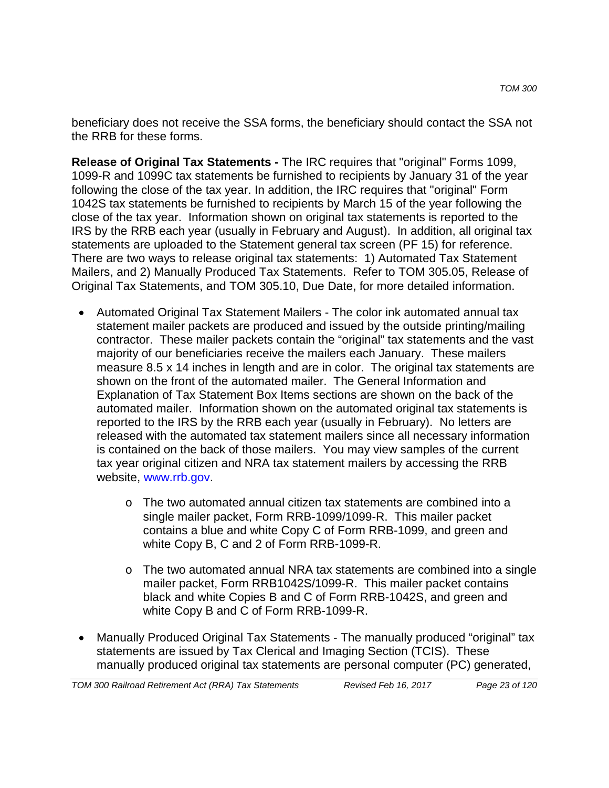beneficiary does not receive the SSA forms, the beneficiary should contact the SSA not the RRB for these forms.

**Release of Original Tax Statements -** The IRC requires that "original" Forms 1099, 1099-R and 1099C tax statements be furnished to recipients by January 31 of the year following the close of the tax year. In addition, the IRC requires that "original" Form 1042S tax statements be furnished to recipients by March 15 of the year following the close of the tax year. Information shown on original tax statements is reported to the IRS by the RRB each year (usually in February and August). In addition, all original tax statements are uploaded to the Statement general tax screen (PF 15) for reference. There are two ways to release original tax statements: 1) Automated Tax Statement Mailers, and 2) Manually Produced Tax Statements. Refer to TOM 305.05, Release of Original Tax Statements, and TOM 305.10, Due Date, for more detailed information.

- Automated Original Tax Statement Mailers The color ink automated annual tax statement mailer packets are produced and issued by the outside printing/mailing contractor. These mailer packets contain the "original" tax statements and the vast majority of our beneficiaries receive the mailers each January. These mailers measure 8.5 x 14 inches in length and are in color. The original tax statements are shown on the front of the automated mailer. The General Information and Explanation of Tax Statement Box Items sections are shown on the back of the automated mailer. Information shown on the automated original tax statements is reported to the IRS by the RRB each year (usually in February). No letters are released with the automated tax statement mailers since all necessary information is contained on the back of those mailers. You may view samples of the current tax year original citizen and NRA tax statement mailers by accessing the RRB website, www.rrb.gov.
	- o The two automated annual citizen tax statements are combined into a single mailer packet, Form RRB-1099/1099-R. This mailer packet contains a blue and white Copy C of Form RRB-1099, and green and white Copy B, C and 2 of Form RRB-1099-R.
	- $\circ$  The two automated annual NRA tax statements are combined into a single mailer packet, Form RRB1042S/1099-R. This mailer packet contains black and white Copies B and C of Form RRB-1042S, and green and white Copy B and C of Form RRB-1099-R.
- Manually Produced Original Tax Statements The manually produced "original" tax statements are issued by Tax Clerical and Imaging Section (TCIS). These manually produced original tax statements are personal computer (PC) generated,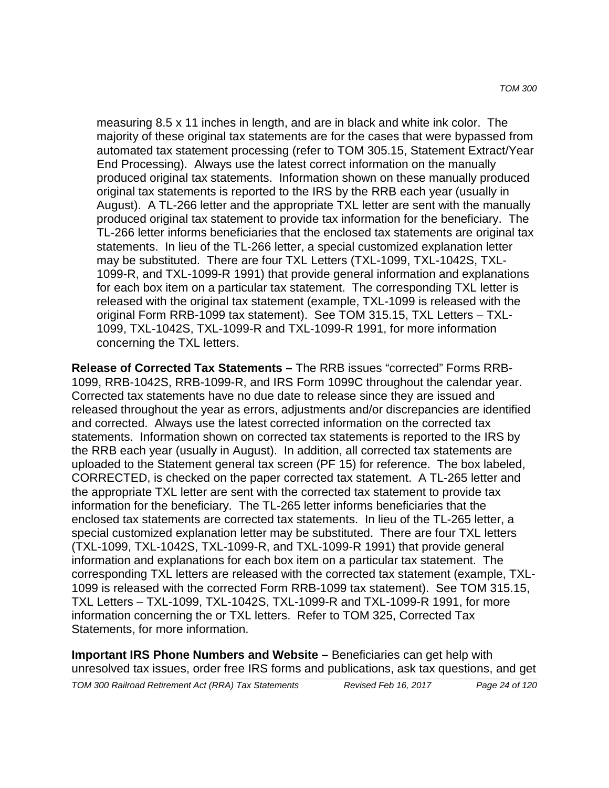measuring 8.5 x 11 inches in length, and are in black and white ink color. The majority of these original tax statements are for the cases that were bypassed from automated tax statement processing (refer to TOM 305.15, Statement Extract/Year End Processing). Always use the latest correct information on the manually produced original tax statements. Information shown on these manually produced original tax statements is reported to the IRS by the RRB each year (usually in August). A TL-266 letter and the appropriate TXL letter are sent with the manually produced original tax statement to provide tax information for the beneficiary. The TL-266 letter informs beneficiaries that the enclosed tax statements are original tax statements. In lieu of the TL-266 letter, a special customized explanation letter may be substituted. There are four TXL Letters (TXL-1099, TXL-1042S, TXL-1099-R, and TXL-1099-R 1991) that provide general information and explanations for each box item on a particular tax statement. The corresponding TXL letter is released with the original tax statement (example, TXL-1099 is released with the original Form RRB-1099 tax statement). See TOM 315.15, TXL Letters – TXL-1099, TXL-1042S, TXL-1099-R and TXL-1099-R 1991, for more information concerning the TXL letters.

**Release of Corrected Tax Statements –** The RRB issues "corrected" Forms RRB-1099, RRB-1042S, RRB-1099-R, and IRS Form 1099C throughout the calendar year. Corrected tax statements have no due date to release since they are issued and released throughout the year as errors, adjustments and/or discrepancies are identified and corrected. Always use the latest corrected information on the corrected tax statements. Information shown on corrected tax statements is reported to the IRS by the RRB each year (usually in August). In addition, all corrected tax statements are uploaded to the Statement general tax screen (PF 15) for reference. The box labeled, CORRECTED, is checked on the paper corrected tax statement. A TL-265 letter and the appropriate TXL letter are sent with the corrected tax statement to provide tax information for the beneficiary. The TL-265 letter informs beneficiaries that the enclosed tax statements are corrected tax statements. In lieu of the TL-265 letter, a special customized explanation letter may be substituted. There are four TXL letters (TXL-1099, TXL-1042S, TXL-1099-R, and TXL-1099-R 1991) that provide general information and explanations for each box item on a particular tax statement. The corresponding TXL letters are released with the corrected tax statement (example, TXL-1099 is released with the corrected Form RRB-1099 tax statement). See TOM 315.15, TXL Letters – TXL-1099, TXL-1042S, TXL-1099-R and TXL-1099-R 1991, for more information concerning the or TXL letters. Refer to TOM 325, Corrected Tax Statements, for more information.

**Important IRS Phone Numbers and Website –** Beneficiaries can get help with unresolved tax issues, order free IRS forms and publications, ask tax questions, and get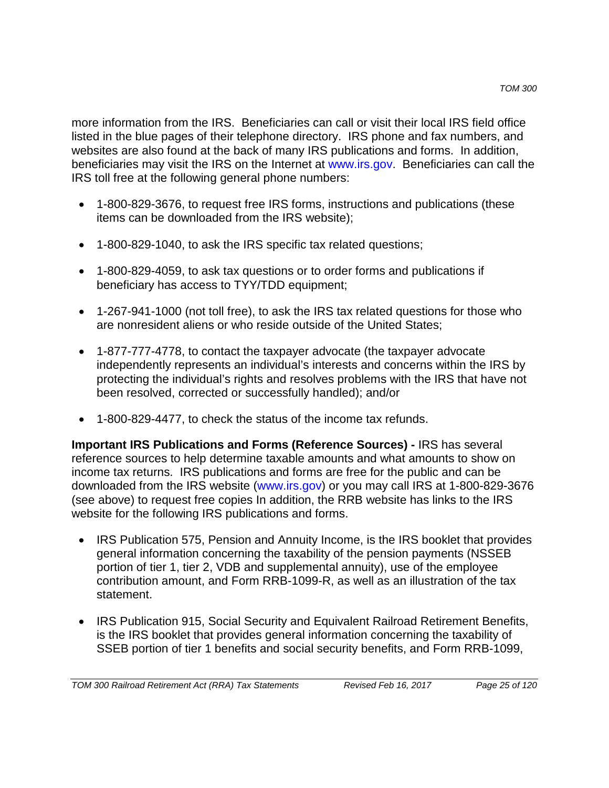more information from the IRS. Beneficiaries can call or visit their local IRS field office listed in the blue pages of their telephone directory. IRS phone and fax numbers, and websites are also found at the back of many IRS publications and forms. In addition, beneficiaries may visit the IRS on the Internet at www.irs.gov. Beneficiaries can call the IRS toll free at the following general phone numbers:

- 1-800-829-3676, to request free IRS forms, instructions and publications (these items can be downloaded from the IRS website);
- 1-800-829-1040, to ask the IRS specific tax related questions;
- 1-800-829-4059, to ask tax questions or to order forms and publications if beneficiary has access to TYY/TDD equipment;
- 1-267-941-1000 (not toll free), to ask the IRS tax related questions for those who are nonresident aliens or who reside outside of the United States;
- 1-877-777-4778, to contact the taxpayer advocate (the taxpayer advocate independently represents an individual's interests and concerns within the IRS by protecting the individual's rights and resolves problems with the IRS that have not been resolved, corrected or successfully handled); and/or
- 1-800-829-4477, to check the status of the income tax refunds.

**Important IRS Publications and Forms (Reference Sources) -** IRS has several reference sources to help determine taxable amounts and what amounts to show on income tax returns. IRS publications and forms are free for the public and can be downloaded from the IRS website (www.irs.gov) or you may call IRS at 1-800-829-3676 (see above) to request free copies In addition, the RRB website has links to the IRS website for the following IRS publications and forms.

- IRS Publication 575, Pension and Annuity Income, is the IRS booklet that provides general information concerning the taxability of the pension payments (NSSEB portion of tier 1, tier 2, VDB and supplemental annuity), use of the employee contribution amount, and Form RRB-1099-R, as well as an illustration of the tax statement.
- IRS Publication 915, Social Security and Equivalent Railroad Retirement Benefits, is the IRS booklet that provides general information concerning the taxability of SSEB portion of tier 1 benefits and social security benefits, and Form RRB-1099,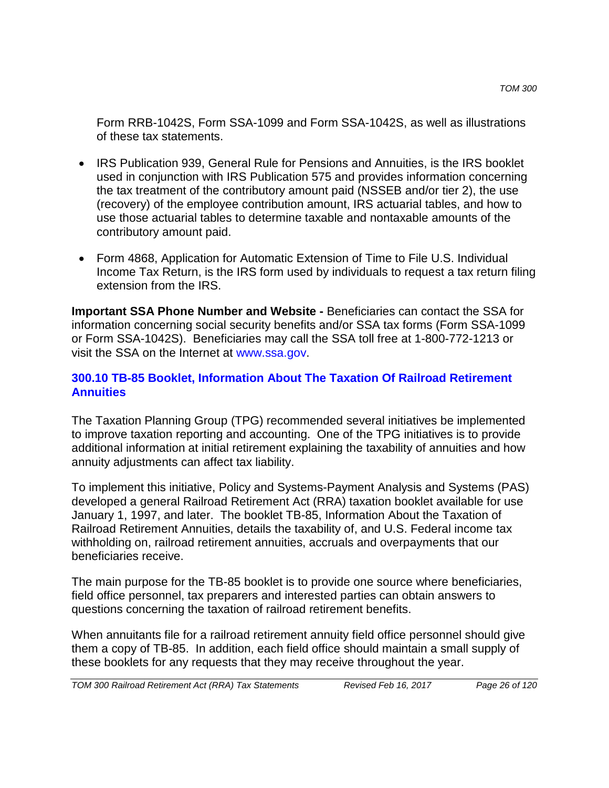Form RRB-1042S, Form SSA-1099 and Form SSA-1042S, as well as illustrations of these tax statements.

- IRS Publication 939, General Rule for Pensions and Annuities, is the IRS booklet used in conjunction with IRS Publication 575 and provides information concerning the tax treatment of the contributory amount paid (NSSEB and/or tier 2), the use (recovery) of the employee contribution amount, IRS actuarial tables, and how to use those actuarial tables to determine taxable and nontaxable amounts of the contributory amount paid.
- Form 4868, Application for Automatic Extension of Time to File U.S. Individual Income Tax Return, is the IRS form used by individuals to request a tax return filing extension from the IRS.

**Important SSA Phone Number and Website -** Beneficiaries can contact the SSA for information concerning social security benefits and/or SSA tax forms (Form SSA-1099 or Form SSA-1042S). Beneficiaries may call the SSA toll free at 1-800-772-1213 or visit the SSA on the Internet at www.ssa.gov.

### **300.10 TB-85 Booklet, Information About The Taxation Of Railroad Retirement Annuities**

The Taxation Planning Group (TPG) recommended several initiatives be implemented to improve taxation reporting and accounting. One of the TPG initiatives is to provide additional information at initial retirement explaining the taxability of annuities and how annuity adjustments can affect tax liability.

To implement this initiative, Policy and Systems-Payment Analysis and Systems (PAS) developed a general Railroad Retirement Act (RRA) taxation booklet available for use January 1, 1997, and later. The booklet TB-85, Information About the Taxation of Railroad Retirement Annuities, details the taxability of, and U.S. Federal income tax withholding on, railroad retirement annuities, accruals and overpayments that our beneficiaries receive.

The main purpose for the TB-85 booklet is to provide one source where beneficiaries, field office personnel, tax preparers and interested parties can obtain answers to questions concerning the taxation of railroad retirement benefits.

When annuitants file for a railroad retirement annuity field office personnel should give them a copy of TB-85. In addition, each field office should maintain a small supply of these booklets for any requests that they may receive throughout the year.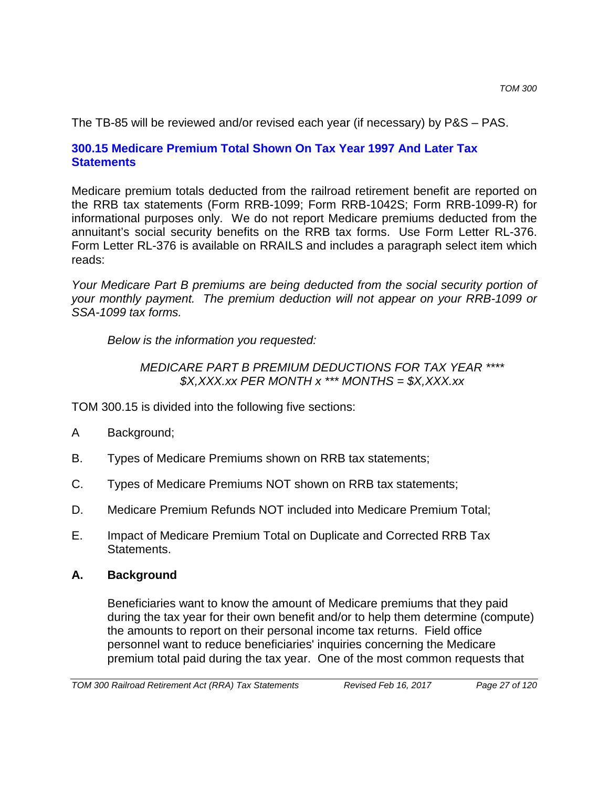The TB-85 will be reviewed and/or revised each year (if necessary) by P&S – PAS.

## **300.15 Medicare Premium Total Shown On Tax Year 1997 And Later Tax Statements**

Medicare premium totals deducted from the railroad retirement benefit are reported on the RRB tax statements (Form RRB-1099; Form RRB-1042S; Form RRB-1099-R) for informational purposes only. We do not report Medicare premiums deducted from the annuitant's social security benefits on the RRB tax forms. Use Form Letter RL-376. Form Letter RL-376 is available on RRAILS and includes a paragraph select item which reads:

*Your Medicare Part B premiums are being deducted from the social security portion of your monthly payment. The premium deduction will not appear on your RRB-1099 or SSA-1099 tax forms.*

*Below is the information you requested:*

## *MEDICARE PART B PREMIUM DEDUCTIONS FOR TAX YEAR \*\*\*\* \$X,XXX.xx PER MONTH x \*\*\* MONTHS = \$X,XXX.xx*

TOM 300.15 is divided into the following five sections:

- A Background;
- B. Types of Medicare Premiums shown on RRB tax statements;
- C. Types of Medicare Premiums NOT shown on RRB tax statements;
- D. Medicare Premium Refunds NOT included into Medicare Premium Total;
- E. Impact of Medicare Premium Total on Duplicate and Corrected RRB Tax Statements.

## **A. Background**

Beneficiaries want to know the amount of Medicare premiums that they paid during the tax year for their own benefit and/or to help them determine (compute) the amounts to report on their personal income tax returns. Field office personnel want to reduce beneficiaries' inquiries concerning the Medicare premium total paid during the tax year. One of the most common requests that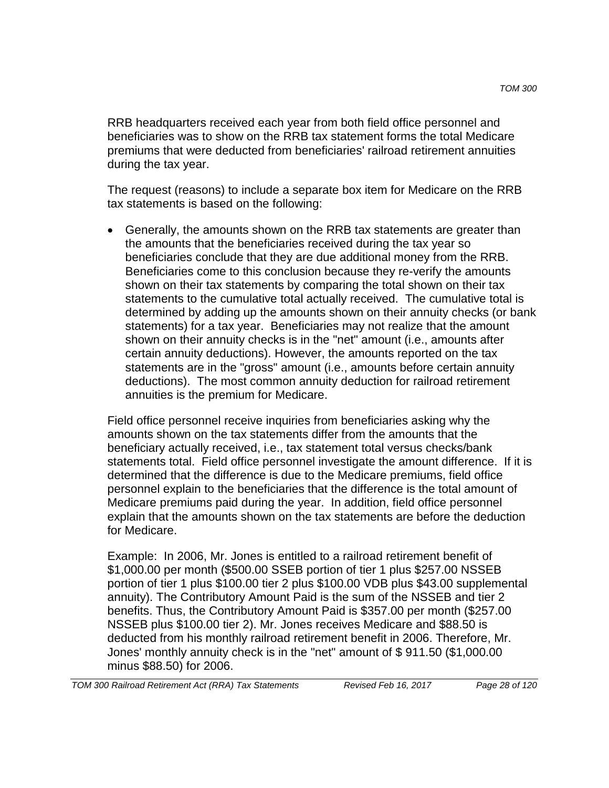RRB headquarters received each year from both field office personnel and beneficiaries was to show on the RRB tax statement forms the total Medicare premiums that were deducted from beneficiaries' railroad retirement annuities during the tax year.

The request (reasons) to include a separate box item for Medicare on the RRB tax statements is based on the following:

• Generally, the amounts shown on the RRB tax statements are greater than the amounts that the beneficiaries received during the tax year so beneficiaries conclude that they are due additional money from the RRB. Beneficiaries come to this conclusion because they re-verify the amounts shown on their tax statements by comparing the total shown on their tax statements to the cumulative total actually received. The cumulative total is determined by adding up the amounts shown on their annuity checks (or bank statements) for a tax year. Beneficiaries may not realize that the amount shown on their annuity checks is in the "net" amount (i.e., amounts after certain annuity deductions). However, the amounts reported on the tax statements are in the "gross" amount (i.e., amounts before certain annuity deductions). The most common annuity deduction for railroad retirement annuities is the premium for Medicare.

Field office personnel receive inquiries from beneficiaries asking why the amounts shown on the tax statements differ from the amounts that the beneficiary actually received, i.e., tax statement total versus checks/bank statements total. Field office personnel investigate the amount difference. If it is determined that the difference is due to the Medicare premiums, field office personnel explain to the beneficiaries that the difference is the total amount of Medicare premiums paid during the year. In addition, field office personnel explain that the amounts shown on the tax statements are before the deduction for Medicare.

Example: In 2006, Mr. Jones is entitled to a railroad retirement benefit of \$1,000.00 per month (\$500.00 SSEB portion of tier 1 plus \$257.00 NSSEB portion of tier 1 plus \$100.00 tier 2 plus \$100.00 VDB plus \$43.00 supplemental annuity). The Contributory Amount Paid is the sum of the NSSEB and tier 2 benefits. Thus, the Contributory Amount Paid is \$357.00 per month (\$257.00 NSSEB plus \$100.00 tier 2). Mr. Jones receives Medicare and \$88.50 is deducted from his monthly railroad retirement benefit in 2006. Therefore, Mr. Jones' monthly annuity check is in the "net" amount of \$ 911.50 (\$1,000.00 minus \$88.50) for 2006.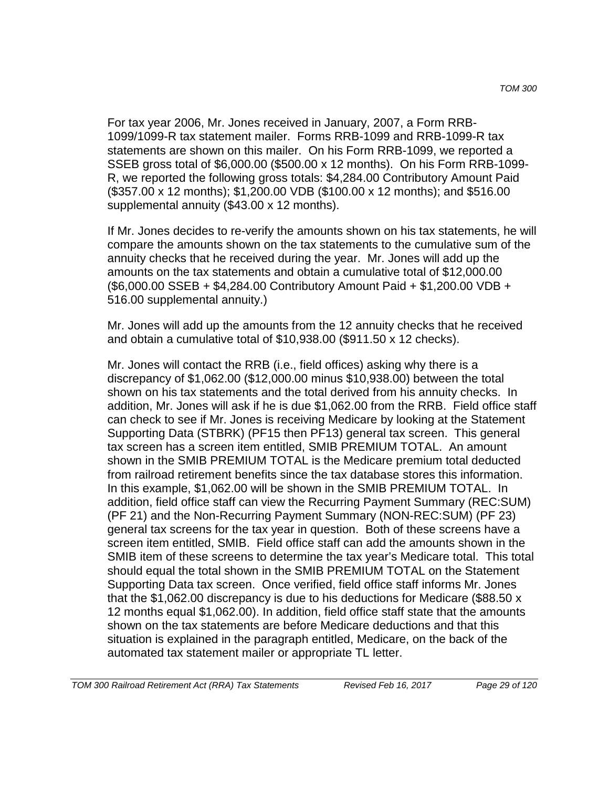For tax year 2006, Mr. Jones received in January, 2007, a Form RRB-1099/1099-R tax statement mailer. Forms RRB-1099 and RRB-1099-R tax statements are shown on this mailer. On his Form RRB-1099, we reported a SSEB gross total of \$6,000.00 (\$500.00 x 12 months). On his Form RRB-1099- R, we reported the following gross totals: \$4,284.00 Contributory Amount Paid (\$357.00 x 12 months); \$1,200.00 VDB (\$100.00 x 12 months); and \$516.00 supplemental annuity (\$43.00 x 12 months).

If Mr. Jones decides to re-verify the amounts shown on his tax statements, he will compare the amounts shown on the tax statements to the cumulative sum of the annuity checks that he received during the year. Mr. Jones will add up the amounts on the tax statements and obtain a cumulative total of \$12,000.00 (\$6,000.00 SSEB + \$4,284.00 Contributory Amount Paid + \$1,200.00 VDB + 516.00 supplemental annuity.)

Mr. Jones will add up the amounts from the 12 annuity checks that he received and obtain a cumulative total of \$10,938.00 (\$911.50 x 12 checks).

Mr. Jones will contact the RRB (i.e., field offices) asking why there is a discrepancy of \$1,062.00 (\$12,000.00 minus \$10,938.00) between the total shown on his tax statements and the total derived from his annuity checks. In addition, Mr. Jones will ask if he is due \$1,062.00 from the RRB. Field office staff can check to see if Mr. Jones is receiving Medicare by looking at the Statement Supporting Data (STBRK) (PF15 then PF13) general tax screen. This general tax screen has a screen item entitled, SMIB PREMIUM TOTAL. An amount shown in the SMIB PREMIUM TOTAL is the Medicare premium total deducted from railroad retirement benefits since the tax database stores this information. In this example, \$1,062.00 will be shown in the SMIB PREMIUM TOTAL. In addition, field office staff can view the Recurring Payment Summary (REC:SUM) (PF 21) and the Non-Recurring Payment Summary (NON-REC:SUM) (PF 23) general tax screens for the tax year in question. Both of these screens have a screen item entitled, SMIB. Field office staff can add the amounts shown in the SMIB item of these screens to determine the tax year's Medicare total. This total should equal the total shown in the SMIB PREMIUM TOTAL on the Statement Supporting Data tax screen. Once verified, field office staff informs Mr. Jones that the \$1,062.00 discrepancy is due to his deductions for Medicare (\$88.50 x 12 months equal \$1,062.00). In addition, field office staff state that the amounts shown on the tax statements are before Medicare deductions and that this situation is explained in the paragraph entitled, Medicare, on the back of the automated tax statement mailer or appropriate TL letter.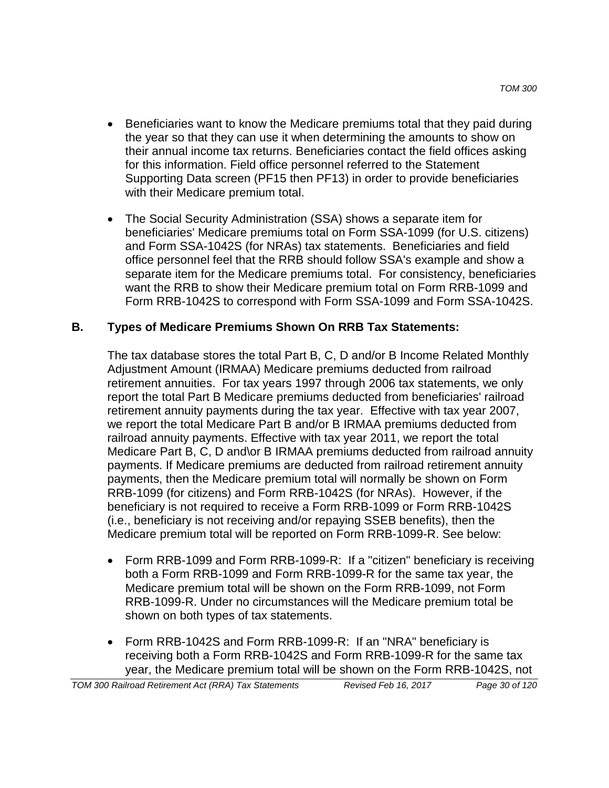- Beneficiaries want to know the Medicare premiums total that they paid during the year so that they can use it when determining the amounts to show on their annual income tax returns. Beneficiaries contact the field offices asking for this information. Field office personnel referred to the Statement Supporting Data screen (PF15 then PF13) in order to provide beneficiaries with their Medicare premium total.
- The Social Security Administration (SSA) shows a separate item for beneficiaries' Medicare premiums total on Form SSA-1099 (for U.S. citizens) and Form SSA-1042S (for NRAs) tax statements. Beneficiaries and field office personnel feel that the RRB should follow SSA's example and show a separate item for the Medicare premiums total. For consistency, beneficiaries want the RRB to show their Medicare premium total on Form RRB-1099 and Form RRB-1042S to correspond with Form SSA-1099 and Form SSA-1042S.

## **B. Types of Medicare Premiums Shown On RRB Tax Statements:**

The tax database stores the total Part B, C, D and/or B Income Related Monthly Adjustment Amount (IRMAA) Medicare premiums deducted from railroad retirement annuities. For tax years 1997 through 2006 tax statements, we only report the total Part B Medicare premiums deducted from beneficiaries' railroad retirement annuity payments during the tax year. Effective with tax year 2007, we report the total Medicare Part B and/or B IRMAA premiums deducted from railroad annuity payments. Effective with tax year 2011, we report the total Medicare Part B, C, D and\or B IRMAA premiums deducted from railroad annuity payments. If Medicare premiums are deducted from railroad retirement annuity payments, then the Medicare premium total will normally be shown on Form RRB-1099 (for citizens) and Form RRB-1042S (for NRAs). However, if the beneficiary is not required to receive a Form RRB-1099 or Form RRB-1042S (i.e., beneficiary is not receiving and/or repaying SSEB benefits), then the Medicare premium total will be reported on Form RRB-1099-R. See below:

- Form RRB-1099 and Form RRB-1099-R: If a "citizen" beneficiary is receiving both a Form RRB-1099 and Form RRB-1099-R for the same tax year, the Medicare premium total will be shown on the Form RRB-1099, not Form RRB-1099-R. Under no circumstances will the Medicare premium total be shown on both types of tax statements.
- Form RRB-1042S and Form RRB-1099-R: If an "NRA" beneficiary is receiving both a Form RRB-1042S and Form RRB-1099-R for the same tax year, the Medicare premium total will be shown on the Form RRB-1042S, not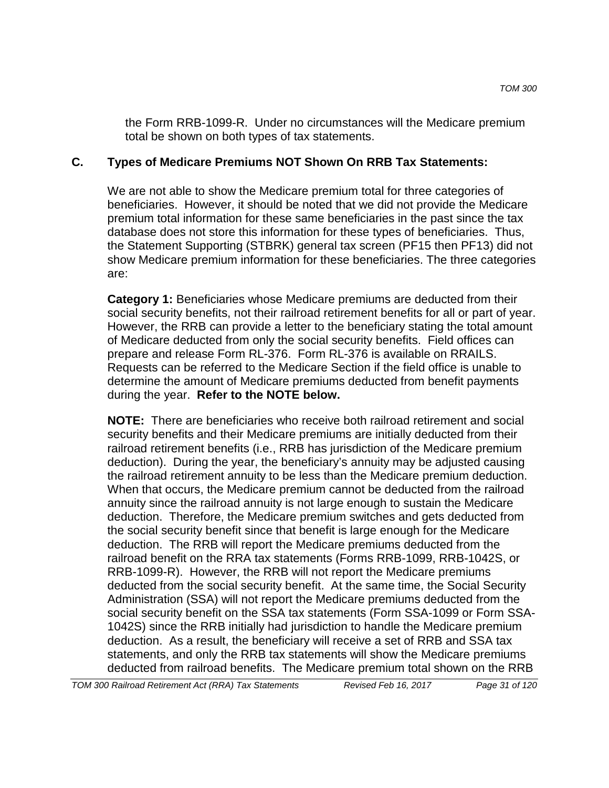the Form RRB-1099-R. Under no circumstances will the Medicare premium total be shown on both types of tax statements.

## **C. Types of Medicare Premiums NOT Shown On RRB Tax Statements:**

We are not able to show the Medicare premium total for three categories of beneficiaries. However, it should be noted that we did not provide the Medicare premium total information for these same beneficiaries in the past since the tax database does not store this information for these types of beneficiaries. Thus, the Statement Supporting (STBRK) general tax screen (PF15 then PF13) did not show Medicare premium information for these beneficiaries. The three categories are:

**Category 1:** Beneficiaries whose Medicare premiums are deducted from their social security benefits, not their railroad retirement benefits for all or part of year. However, the RRB can provide a letter to the beneficiary stating the total amount of Medicare deducted from only the social security benefits. Field offices can prepare and release Form RL-376. Form RL-376 is available on RRAILS. Requests can be referred to the Medicare Section if the field office is unable to determine the amount of Medicare premiums deducted from benefit payments during the year. **Refer to the NOTE below.**

**NOTE:** There are beneficiaries who receive both railroad retirement and social security benefits and their Medicare premiums are initially deducted from their railroad retirement benefits (i.e., RRB has jurisdiction of the Medicare premium deduction). During the year, the beneficiary's annuity may be adjusted causing the railroad retirement annuity to be less than the Medicare premium deduction. When that occurs, the Medicare premium cannot be deducted from the railroad annuity since the railroad annuity is not large enough to sustain the Medicare deduction. Therefore, the Medicare premium switches and gets deducted from the social security benefit since that benefit is large enough for the Medicare deduction. The RRB will report the Medicare premiums deducted from the railroad benefit on the RRA tax statements (Forms RRB-1099, RRB-1042S, or RRB-1099-R). However, the RRB will not report the Medicare premiums deducted from the social security benefit. At the same time, the Social Security Administration (SSA) will not report the Medicare premiums deducted from the social security benefit on the SSA tax statements (Form SSA-1099 or Form SSA-1042S) since the RRB initially had jurisdiction to handle the Medicare premium deduction. As a result, the beneficiary will receive a set of RRB and SSA tax statements, and only the RRB tax statements will show the Medicare premiums deducted from railroad benefits. The Medicare premium total shown on the RRB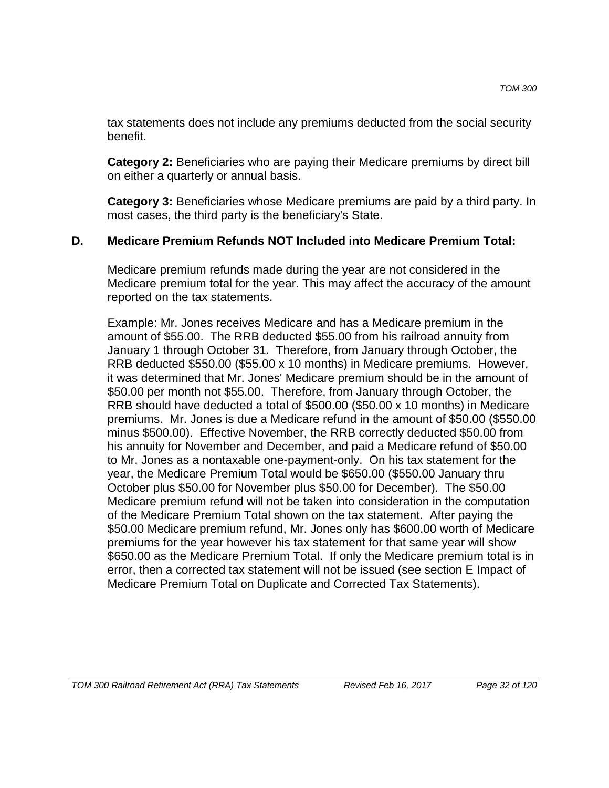tax statements does not include any premiums deducted from the social security benefit.

**Category 2:** Beneficiaries who are paying their Medicare premiums by direct bill on either a quarterly or annual basis.

**Category 3:** Beneficiaries whose Medicare premiums are paid by a third party. In most cases, the third party is the beneficiary's State.

## **D. Medicare Premium Refunds NOT Included into Medicare Premium Total:**

Medicare premium refunds made during the year are not considered in the Medicare premium total for the year. This may affect the accuracy of the amount reported on the tax statements.

Example: Mr. Jones receives Medicare and has a Medicare premium in the amount of \$55.00. The RRB deducted \$55.00 from his railroad annuity from January 1 through October 31. Therefore, from January through October, the RRB deducted \$550.00 (\$55.00 x 10 months) in Medicare premiums. However, it was determined that Mr. Jones' Medicare premium should be in the amount of \$50.00 per month not \$55.00. Therefore, from January through October, the RRB should have deducted a total of \$500.00 (\$50.00 x 10 months) in Medicare premiums. Mr. Jones is due a Medicare refund in the amount of \$50.00 (\$550.00 minus \$500.00). Effective November, the RRB correctly deducted \$50.00 from his annuity for November and December, and paid a Medicare refund of \$50.00 to Mr. Jones as a nontaxable one-payment-only. On his tax statement for the year, the Medicare Premium Total would be \$650.00 (\$550.00 January thru October plus \$50.00 for November plus \$50.00 for December). The \$50.00 Medicare premium refund will not be taken into consideration in the computation of the Medicare Premium Total shown on the tax statement. After paying the \$50.00 Medicare premium refund, Mr. Jones only has \$600.00 worth of Medicare premiums for the year however his tax statement for that same year will show \$650.00 as the Medicare Premium Total. If only the Medicare premium total is in error, then a corrected tax statement will not be issued (see section E Impact of Medicare Premium Total on Duplicate and Corrected Tax Statements).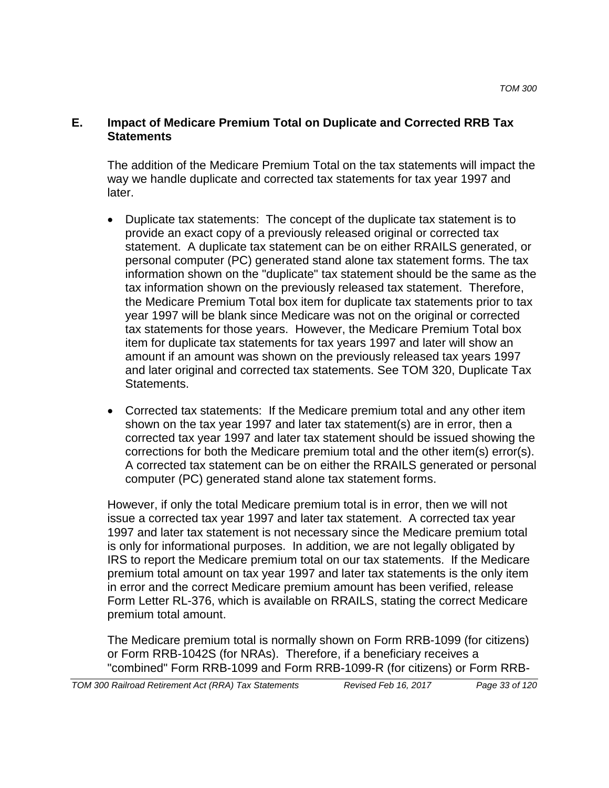### **E. Impact of Medicare Premium Total on Duplicate and Corrected RRB Tax Statements**

The addition of the Medicare Premium Total on the tax statements will impact the way we handle duplicate and corrected tax statements for tax year 1997 and later.

- Duplicate tax statements: The concept of the duplicate tax statement is to provide an exact copy of a previously released original or corrected tax statement. A duplicate tax statement can be on either RRAILS generated, or personal computer (PC) generated stand alone tax statement forms. The tax information shown on the "duplicate" tax statement should be the same as the tax information shown on the previously released tax statement. Therefore, the Medicare Premium Total box item for duplicate tax statements prior to tax year 1997 will be blank since Medicare was not on the original or corrected tax statements for those years. However, the Medicare Premium Total box item for duplicate tax statements for tax years 1997 and later will show an amount if an amount was shown on the previously released tax years 1997 and later original and corrected tax statements. See TOM 320, Duplicate Tax Statements.
- Corrected tax statements: If the Medicare premium total and any other item shown on the tax year 1997 and later tax statement(s) are in error, then a corrected tax year 1997 and later tax statement should be issued showing the corrections for both the Medicare premium total and the other item(s) error(s). A corrected tax statement can be on either the RRAILS generated or personal computer (PC) generated stand alone tax statement forms.

However, if only the total Medicare premium total is in error, then we will not issue a corrected tax year 1997 and later tax statement. A corrected tax year 1997 and later tax statement is not necessary since the Medicare premium total is only for informational purposes. In addition, we are not legally obligated by IRS to report the Medicare premium total on our tax statements. If the Medicare premium total amount on tax year 1997 and later tax statements is the only item in error and the correct Medicare premium amount has been verified, release Form Letter RL-376, which is available on RRAILS, stating the correct Medicare premium total amount.

The Medicare premium total is normally shown on Form RRB-1099 (for citizens) or Form RRB-1042S (for NRAs). Therefore, if a beneficiary receives a "combined" Form RRB-1099 and Form RRB-1099-R (for citizens) or Form RRB-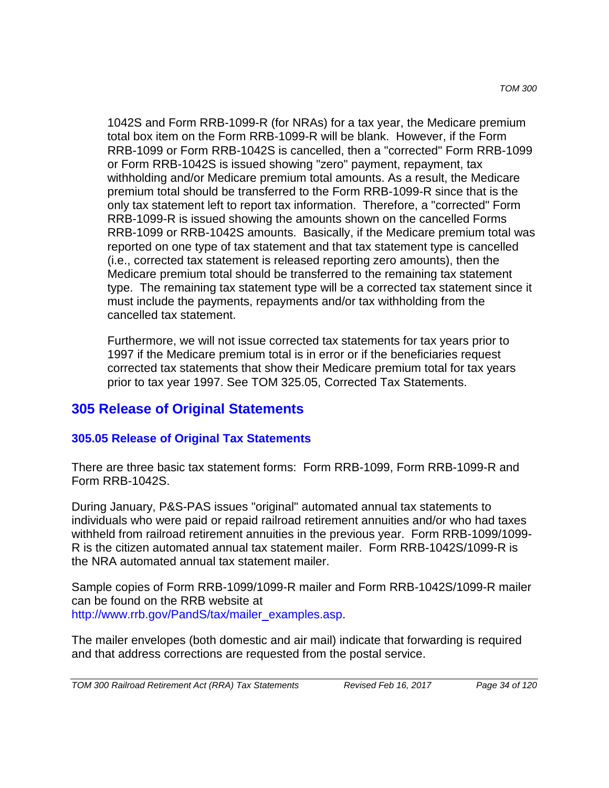1042S and Form RRB-1099-R (for NRAs) for a tax year, the Medicare premium total box item on the Form RRB-1099-R will be blank. However, if the Form RRB-1099 or Form RRB-1042S is cancelled, then a "corrected" Form RRB-1099 or Form RRB-1042S is issued showing "zero" payment, repayment, tax withholding and/or Medicare premium total amounts. As a result, the Medicare premium total should be transferred to the Form RRB-1099-R since that is the only tax statement left to report tax information. Therefore, a "corrected" Form RRB-1099-R is issued showing the amounts shown on the cancelled Forms RRB-1099 or RRB-1042S amounts. Basically, if the Medicare premium total was reported on one type of tax statement and that tax statement type is cancelled (i.e., corrected tax statement is released reporting zero amounts), then the Medicare premium total should be transferred to the remaining tax statement type. The remaining tax statement type will be a corrected tax statement since it must include the payments, repayments and/or tax withholding from the cancelled tax statement.

Furthermore, we will not issue corrected tax statements for tax years prior to 1997 if the Medicare premium total is in error or if the beneficiaries request corrected tax statements that show their Medicare premium total for tax years prior to tax year 1997. See TOM 325.05, Corrected Tax Statements.

## **305 Release of Original Statements**

### **305.05 Release of Original Tax Statements**

There are three basic tax statement forms: Form RRB-1099, Form RRB-1099-R and Form RRB-1042S.

During January, P&S-PAS issues "original" automated annual tax statements to individuals who were paid or repaid railroad retirement annuities and/or who had taxes withheld from railroad retirement annuities in the previous year. Form RRB-1099/1099- R is the citizen automated annual tax statement mailer. Form RRB-1042S/1099-R is the NRA automated annual tax statement mailer.

Sample copies of Form RRB-1099/1099-R mailer and Form RRB-1042S/1099-R mailer can be found on the RRB website at http://www.rrb.gov/PandS/tax/mailer\_examples.asp.

The mailer envelopes (both domestic and air mail) indicate that forwarding is required and that address corrections are requested from the postal service.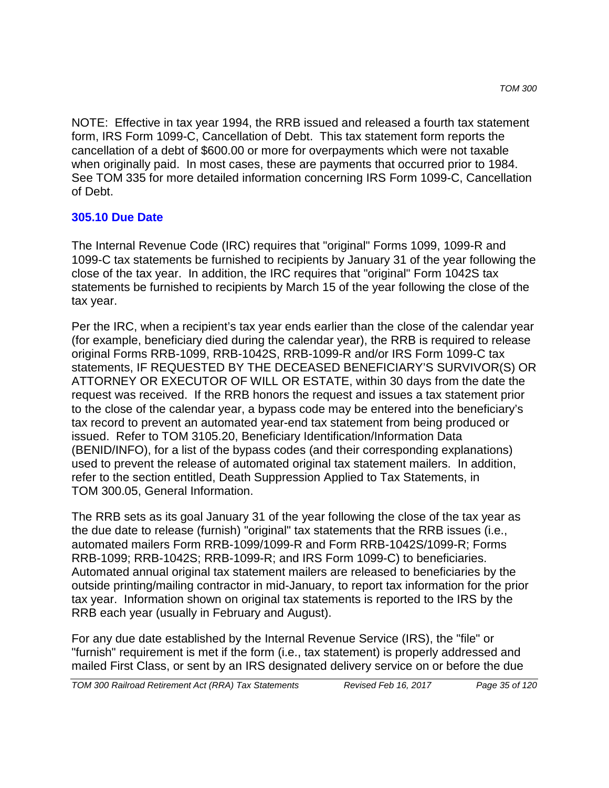NOTE: Effective in tax year 1994, the RRB issued and released a fourth tax statement form, IRS Form 1099-C, Cancellation of Debt. This tax statement form reports the cancellation of a debt of \$600.00 or more for overpayments which were not taxable when originally paid. In most cases, these are payments that occurred prior to 1984. See TOM 335 for more detailed information concerning IRS Form 1099-C, Cancellation of Debt.

## **305.10 Due Date**

The Internal Revenue Code (IRC) requires that "original" Forms 1099, 1099-R and 1099-C tax statements be furnished to recipients by January 31 of the year following the close of the tax year. In addition, the IRC requires that "original" Form 1042S tax statements be furnished to recipients by March 15 of the year following the close of the tax year.

Per the IRC, when a recipient's tax year ends earlier than the close of the calendar year (for example, beneficiary died during the calendar year), the RRB is required to release original Forms RRB-1099, RRB-1042S, RRB-1099-R and/or IRS Form 1099-C tax statements, IF REQUESTED BY THE DECEASED BENEFICIARY'S SURVIVOR(S) OR ATTORNEY OR EXECUTOR OF WILL OR ESTATE, within 30 days from the date the request was received. If the RRB honors the request and issues a tax statement prior to the close of the calendar year, a bypass code may be entered into the beneficiary's tax record to prevent an automated year-end tax statement from being produced or issued. Refer to TOM 3105.20, Beneficiary Identification/Information Data (BENID/INFO), for a list of the bypass codes (and their corresponding explanations) used to prevent the release of automated original tax statement mailers. In addition, refer to the section entitled, Death Suppression Applied to Tax Statements, in TOM 300.05, General Information.

The RRB sets as its goal January 31 of the year following the close of the tax year as the due date to release (furnish) "original" tax statements that the RRB issues (i.e., automated mailers Form RRB-1099/1099-R and Form RRB-1042S/1099-R; Forms RRB-1099; RRB-1042S; RRB-1099-R; and IRS Form 1099-C) to beneficiaries. Automated annual original tax statement mailers are released to beneficiaries by the outside printing/mailing contractor in mid-January, to report tax information for the prior tax year. Information shown on original tax statements is reported to the IRS by the RRB each year (usually in February and August).

For any due date established by the Internal Revenue Service (IRS), the "file" or "furnish" requirement is met if the form (i.e., tax statement) is properly addressed and mailed First Class, or sent by an IRS designated delivery service on or before the due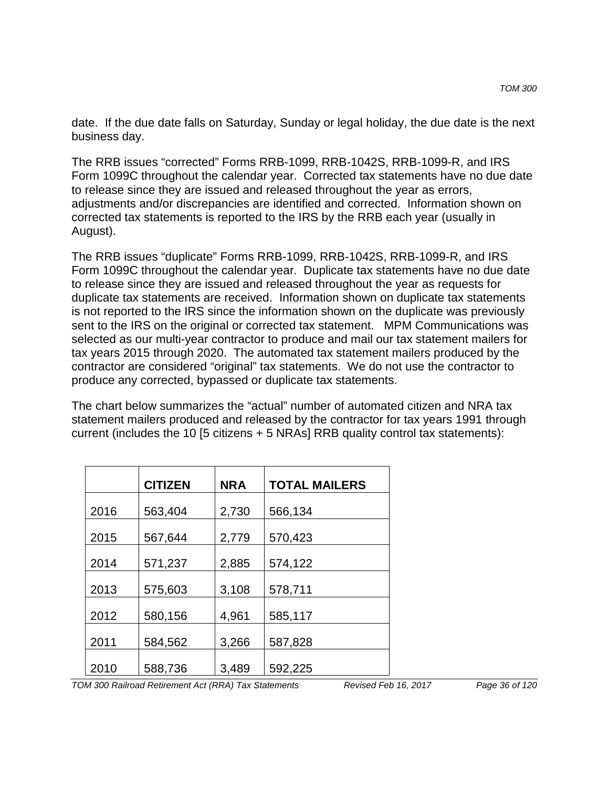date. If the due date falls on Saturday, Sunday or legal holiday, the due date is the next business day.

The RRB issues "corrected" Forms RRB-1099, RRB-1042S, RRB-1099-R, and IRS Form 1099C throughout the calendar year. Corrected tax statements have no due date to release since they are issued and released throughout the year as errors, adjustments and/or discrepancies are identified and corrected. Information shown on corrected tax statements is reported to the IRS by the RRB each year (usually in August).

The RRB issues "duplicate" Forms RRB-1099, RRB-1042S, RRB-1099-R, and IRS Form 1099C throughout the calendar year. Duplicate tax statements have no due date to release since they are issued and released throughout the year as requests for duplicate tax statements are received. Information shown on duplicate tax statements is not reported to the IRS since the information shown on the duplicate was previously sent to the IRS on the original or corrected tax statement. MPM Communications was selected as our multi-year contractor to produce and mail our tax statement mailers for tax years 2015 through 2020. The automated tax statement mailers produced by the contractor are considered "original" tax statements. We do not use the contractor to produce any corrected, bypassed or duplicate tax statements.

The chart below summarizes the "actual" number of automated citizen and NRA tax statement mailers produced and released by the contractor for tax years 1991 through current (includes the 10 [5 citizens + 5 NRAs] RRB quality control tax statements):

|      | <b>CITIZEN</b> | <b>NRA</b> | <b>TOTAL MAILERS</b> |
|------|----------------|------------|----------------------|
| 2016 | 563,404        | 2,730      | 566,134              |
| 2015 | 567,644        | 2,779      | 570,423              |
| 2014 | 571,237        | 2,885      | 574,122              |
| 2013 | 575,603        | 3,108      | 578,711              |
| 2012 | 580,156        | 4,961      | 585,117              |
| 2011 | 584,562        | 3,266      | 587,828              |
| 2010 | 588,736        | 3,489      | 592,225              |

*TOM 300 Railroad Retirement Act (RRA) Tax Statements Revised Feb 16, 2017 Page 36 of 120*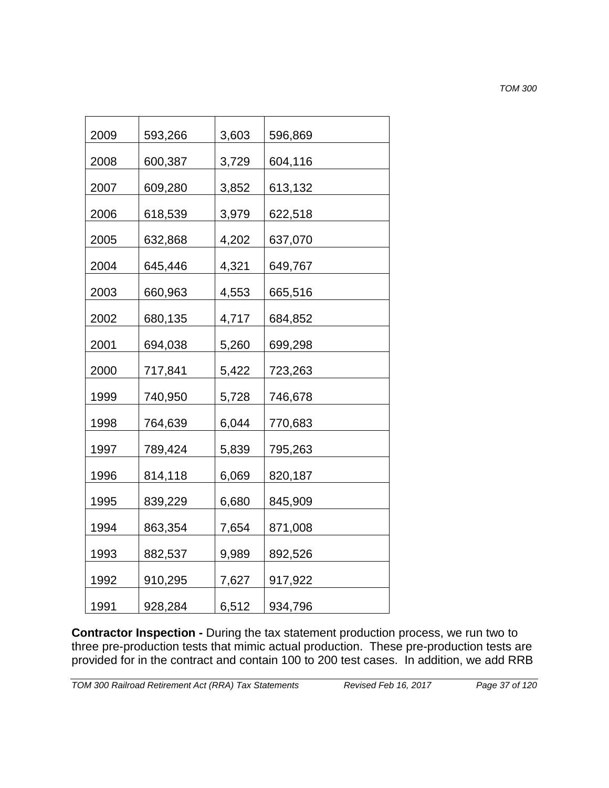*TOM 300*

| 2009 | 593,266 | 3,603 | 596,869 |
|------|---------|-------|---------|
| 2008 | 600,387 | 3,729 | 604,116 |
| 2007 | 609,280 | 3,852 | 613,132 |
| 2006 | 618,539 | 3,979 | 622,518 |
| 2005 | 632,868 | 4,202 | 637,070 |
| 2004 | 645,446 | 4,321 | 649,767 |
| 2003 | 660,963 | 4,553 | 665,516 |
| 2002 | 680,135 | 4,717 | 684,852 |
| 2001 | 694,038 | 5,260 | 699,298 |
| 2000 | 717,841 | 5,422 | 723,263 |
| 1999 | 740,950 | 5,728 | 746,678 |
| 1998 | 764,639 | 6,044 | 770,683 |
| 1997 | 789,424 | 5,839 | 795,263 |
| 1996 | 814,118 | 6,069 | 820,187 |
| 1995 | 839,229 | 6,680 | 845,909 |
| 1994 | 863,354 | 7,654 | 871,008 |
| 1993 | 882,537 | 9,989 | 892,526 |
| 1992 | 910,295 | 7,627 | 917,922 |
| 1991 | 928,284 | 6,512 | 934,796 |

**Contractor Inspection -** During the tax statement production process, we run two to three pre-production tests that mimic actual production. These pre-production tests are provided for in the contract and contain 100 to 200 test cases. In addition, we add RRB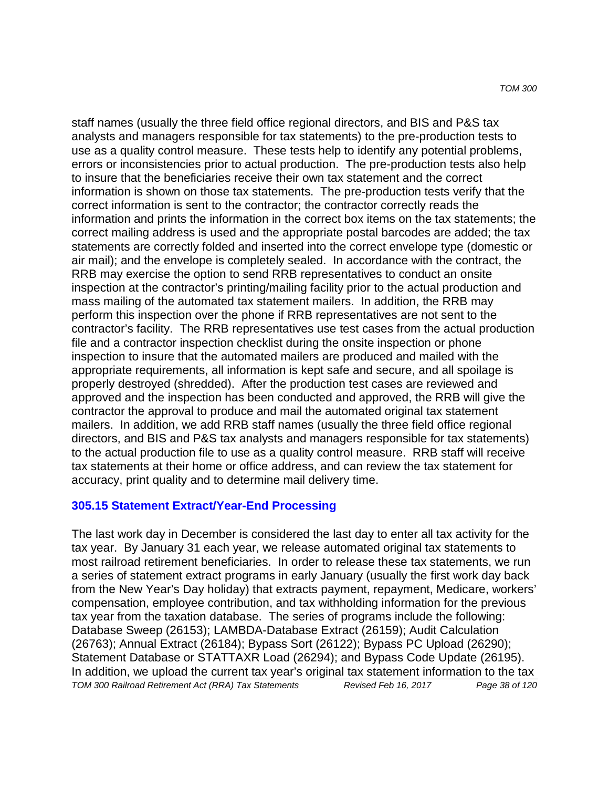staff names (usually the three field office regional directors, and BIS and P&S tax analysts and managers responsible for tax statements) to the pre-production tests to use as a quality control measure. These tests help to identify any potential problems, errors or inconsistencies prior to actual production. The pre-production tests also help to insure that the beneficiaries receive their own tax statement and the correct information is shown on those tax statements. The pre-production tests verify that the correct information is sent to the contractor; the contractor correctly reads the information and prints the information in the correct box items on the tax statements; the correct mailing address is used and the appropriate postal barcodes are added; the tax statements are correctly folded and inserted into the correct envelope type (domestic or air mail); and the envelope is completely sealed. In accordance with the contract, the RRB may exercise the option to send RRB representatives to conduct an onsite inspection at the contractor's printing/mailing facility prior to the actual production and mass mailing of the automated tax statement mailers. In addition, the RRB may perform this inspection over the phone if RRB representatives are not sent to the contractor's facility. The RRB representatives use test cases from the actual production file and a contractor inspection checklist during the onsite inspection or phone inspection to insure that the automated mailers are produced and mailed with the appropriate requirements, all information is kept safe and secure, and all spoilage is properly destroyed (shredded). After the production test cases are reviewed and approved and the inspection has been conducted and approved, the RRB will give the contractor the approval to produce and mail the automated original tax statement mailers. In addition, we add RRB staff names (usually the three field office regional directors, and BIS and P&S tax analysts and managers responsible for tax statements) to the actual production file to use as a quality control measure. RRB staff will receive tax statements at their home or office address, and can review the tax statement for accuracy, print quality and to determine mail delivery time.

### **305.15 Statement Extract/Year-End Processing**

The last work day in December is considered the last day to enter all tax activity for the tax year. By January 31 each year, we release automated original tax statements to most railroad retirement beneficiaries. In order to release these tax statements, we run a series of statement extract programs in early January (usually the first work day back from the New Year's Day holiday) that extracts payment, repayment, Medicare, workers' compensation, employee contribution, and tax withholding information for the previous tax year from the taxation database. The series of programs include the following: Database Sweep (26153); LAMBDA-Database Extract (26159); Audit Calculation (26763); Annual Extract (26184); Bypass Sort (26122); Bypass PC Upload (26290); Statement Database or STATTAXR Load (26294); and Bypass Code Update (26195). In addition, we upload the current tax year's original tax statement information to the tax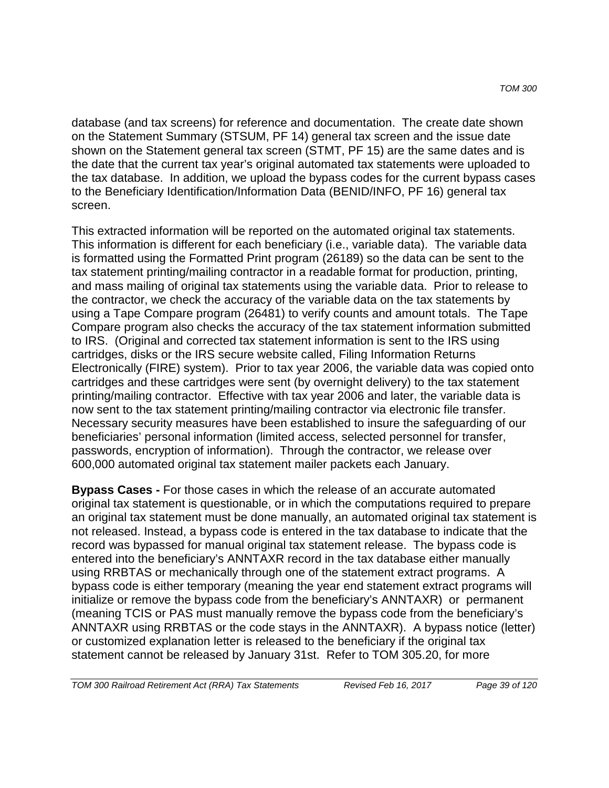database (and tax screens) for reference and documentation. The create date shown on the Statement Summary (STSUM, PF 14) general tax screen and the issue date shown on the Statement general tax screen (STMT, PF 15) are the same dates and is the date that the current tax year's original automated tax statements were uploaded to the tax database. In addition, we upload the bypass codes for the current bypass cases to the Beneficiary Identification/Information Data (BENID/INFO, PF 16) general tax screen.

This extracted information will be reported on the automated original tax statements. This information is different for each beneficiary (i.e., variable data). The variable data is formatted using the Formatted Print program (26189) so the data can be sent to the tax statement printing/mailing contractor in a readable format for production, printing, and mass mailing of original tax statements using the variable data. Prior to release to the contractor, we check the accuracy of the variable data on the tax statements by using a Tape Compare program (26481) to verify counts and amount totals. The Tape Compare program also checks the accuracy of the tax statement information submitted to IRS. (Original and corrected tax statement information is sent to the IRS using cartridges, disks or the IRS secure website called, Filing Information Returns Electronically (FIRE) system). Prior to tax year 2006, the variable data was copied onto cartridges and these cartridges were sent (by overnight delivery) to the tax statement printing/mailing contractor. Effective with tax year 2006 and later, the variable data is now sent to the tax statement printing/mailing contractor via electronic file transfer. Necessary security measures have been established to insure the safeguarding of our beneficiaries' personal information (limited access, selected personnel for transfer, passwords, encryption of information). Through the contractor, we release over 600,000 automated original tax statement mailer packets each January.

**Bypass Cases -** For those cases in which the release of an accurate automated original tax statement is questionable, or in which the computations required to prepare an original tax statement must be done manually, an automated original tax statement is not released. Instead, a bypass code is entered in the tax database to indicate that the record was bypassed for manual original tax statement release. The bypass code is entered into the beneficiary's ANNTAXR record in the tax database either manually using RRBTAS or mechanically through one of the statement extract programs. A bypass code is either temporary (meaning the year end statement extract programs will initialize or remove the bypass code from the beneficiary's ANNTAXR) or permanent (meaning TCIS or PAS must manually remove the bypass code from the beneficiary's ANNTAXR using RRBTAS or the code stays in the ANNTAXR). A bypass notice (letter) or customized explanation letter is released to the beneficiary if the original tax statement cannot be released by January 31st. Refer to TOM 305.20, for more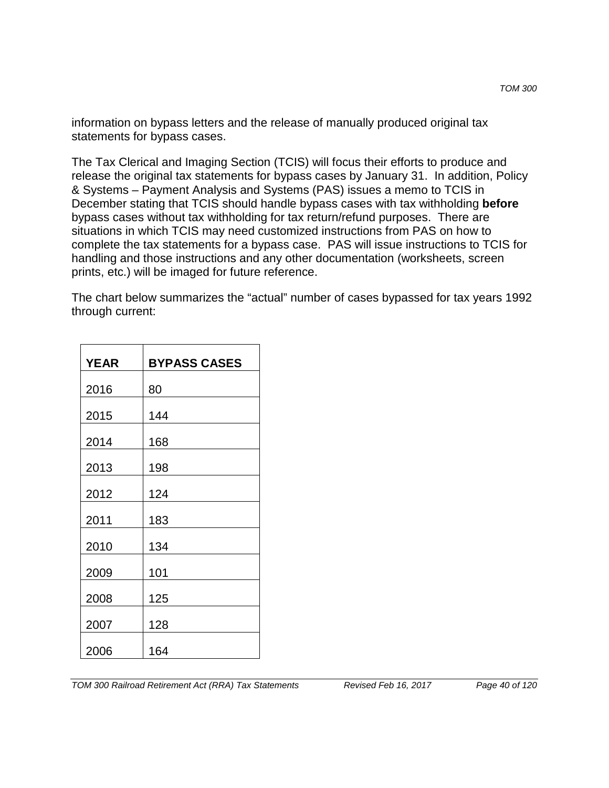information on bypass letters and the release of manually produced original tax statements for bypass cases.

The Tax Clerical and Imaging Section (TCIS) will focus their efforts to produce and release the original tax statements for bypass cases by January 31. In addition, Policy & Systems – Payment Analysis and Systems (PAS) issues a memo to TCIS in December stating that TCIS should handle bypass cases with tax withholding **before** bypass cases without tax withholding for tax return/refund purposes. There are situations in which TCIS may need customized instructions from PAS on how to complete the tax statements for a bypass case. PAS will issue instructions to TCIS for handling and those instructions and any other documentation (worksheets, screen prints, etc.) will be imaged for future reference.

The chart below summarizes the "actual" number of cases bypassed for tax years 1992 through current:

| <b>YEAR</b> | <b>BYPASS CASES</b> |
|-------------|---------------------|
| 2016        | 80                  |
| 2015        | 144                 |
| 2014        | 168                 |
| 2013        | 198                 |
| 2012        | 124                 |
| 2011        | 183                 |
| 2010        | 134                 |
| 2009        | 101                 |
| 2008        | 125                 |
| 2007        | 128                 |
| 2006        | 164                 |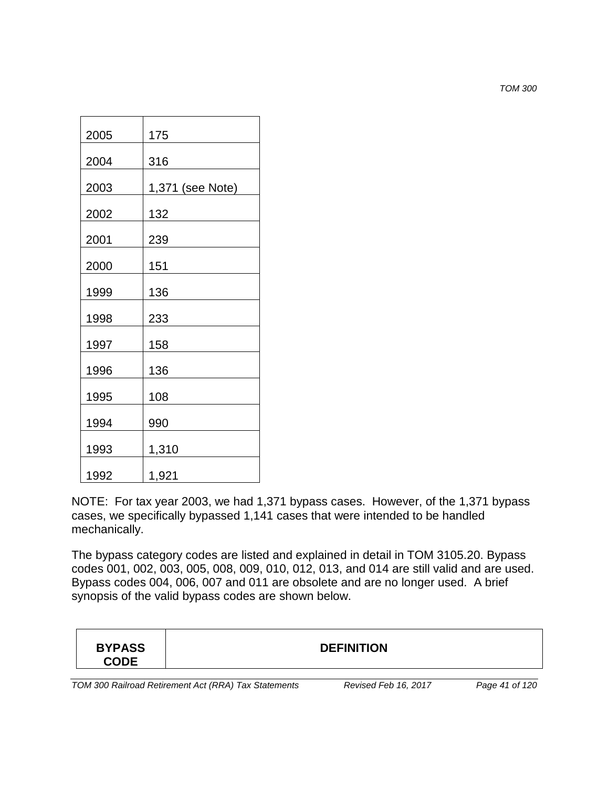*TOM 300*

| 2005 | 175              |
|------|------------------|
| 2004 | 316              |
| 2003 | 1,371 (see Note) |
| 2002 | 132              |
| 2001 | 239              |
| 2000 | 151              |
| 1999 | 136              |
| 1998 | 233              |
| 1997 | 158              |
| 1996 | 136              |
| 1995 | 108              |
| 1994 | 990              |
| 1993 | 1,310            |
| 1992 | 1,921            |

NOTE: For tax year 2003, we had 1,371 bypass cases. However, of the 1,371 bypass cases, we specifically bypassed 1,141 cases that were intended to be handled mechanically.

The bypass category codes are listed and explained in detail in TOM 3105.20. Bypass codes 001, 002, 003, 005, 008, 009, 010, 012, 013, and 014 are still valid and are used. Bypass codes 004, 006, 007 and 011 are obsolete and are no longer used. A brief synopsis of the valid bypass codes are shown below.

| <b>CODE</b> |
|-------------|
|-------------|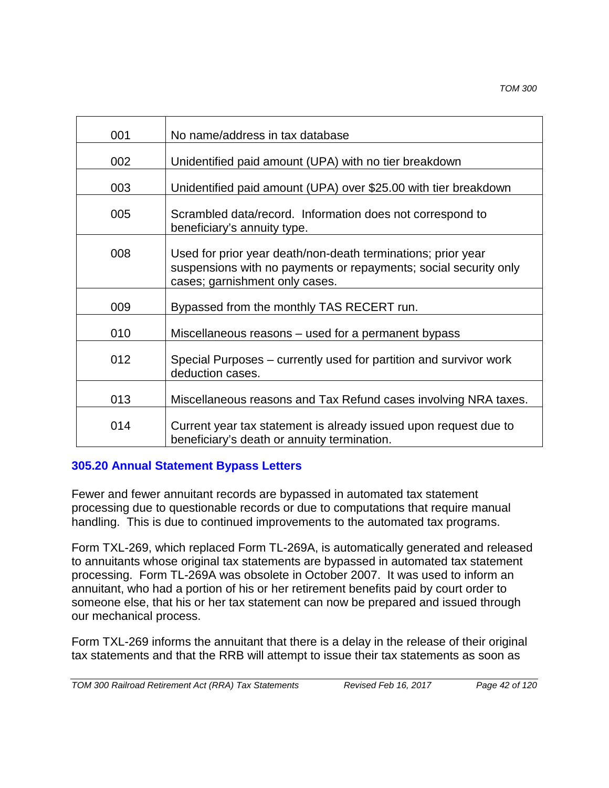| 001 | No name/address in tax database                                                                                                                                    |
|-----|--------------------------------------------------------------------------------------------------------------------------------------------------------------------|
| 002 | Unidentified paid amount (UPA) with no tier breakdown                                                                                                              |
| 003 | Unidentified paid amount (UPA) over \$25.00 with tier breakdown                                                                                                    |
| 005 | Scrambled data/record. Information does not correspond to<br>beneficiary's annuity type.                                                                           |
| 008 | Used for prior year death/non-death terminations; prior year<br>suspensions with no payments or repayments; social security only<br>cases; garnishment only cases. |
| 009 | Bypassed from the monthly TAS RECERT run.                                                                                                                          |
| 010 | Miscellaneous reasons – used for a permanent bypass                                                                                                                |
| 012 | Special Purposes – currently used for partition and survivor work<br>deduction cases.                                                                              |
| 013 | Miscellaneous reasons and Tax Refund cases involving NRA taxes.                                                                                                    |
| 014 | Current year tax statement is already issued upon request due to<br>beneficiary's death or annuity termination.                                                    |

## **305.20 Annual Statement Bypass Letters**

Fewer and fewer annuitant records are bypassed in automated tax statement processing due to questionable records or due to computations that require manual handling. This is due to continued improvements to the automated tax programs.

Form TXL-269, which replaced Form TL-269A, is automatically generated and released to annuitants whose original tax statements are bypassed in automated tax statement processing. Form TL-269A was obsolete in October 2007. It was used to inform an annuitant, who had a portion of his or her retirement benefits paid by court order to someone else, that his or her tax statement can now be prepared and issued through our mechanical process.

Form TXL-269 informs the annuitant that there is a delay in the release of their original tax statements and that the RRB will attempt to issue their tax statements as soon as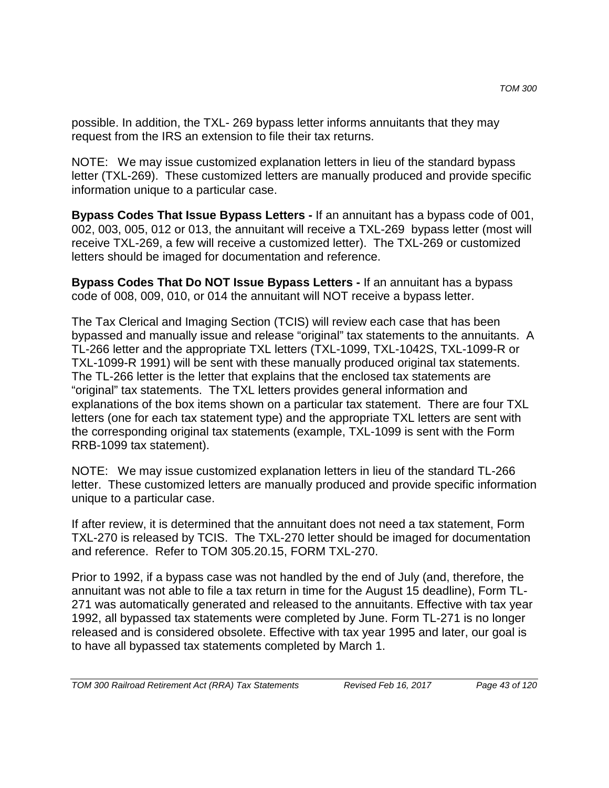possible. In addition, the TXL- 269 bypass letter informs annuitants that they may request from the IRS an extension to file their tax returns.

NOTE: We may issue customized explanation letters in lieu of the standard bypass letter (TXL-269). These customized letters are manually produced and provide specific information unique to a particular case.

**Bypass Codes That Issue Bypass Letters -** If an annuitant has a bypass code of 001, 002, 003, 005, 012 or 013, the annuitant will receive a TXL-269 bypass letter (most will receive TXL-269, a few will receive a customized letter). The TXL-269 or customized letters should be imaged for documentation and reference.

**Bypass Codes That Do NOT Issue Bypass Letters -** If an annuitant has a bypass code of 008, 009, 010, or 014 the annuitant will NOT receive a bypass letter.

The Tax Clerical and Imaging Section (TCIS) will review each case that has been bypassed and manually issue and release "original" tax statements to the annuitants. A TL-266 letter and the appropriate TXL letters (TXL-1099, TXL-1042S, TXL-1099-R or TXL-1099-R 1991) will be sent with these manually produced original tax statements. The TL-266 letter is the letter that explains that the enclosed tax statements are "original" tax statements. The TXL letters provides general information and explanations of the box items shown on a particular tax statement. There are four TXL letters (one for each tax statement type) and the appropriate TXL letters are sent with the corresponding original tax statements (example, TXL-1099 is sent with the Form RRB-1099 tax statement).

NOTE: We may issue customized explanation letters in lieu of the standard TL-266 letter. These customized letters are manually produced and provide specific information unique to a particular case.

If after review, it is determined that the annuitant does not need a tax statement, Form TXL-270 is released by TCIS. The TXL-270 letter should be imaged for documentation and reference. Refer to TOM 305.20.15, FORM TXL-270.

Prior to 1992, if a bypass case was not handled by the end of July (and, therefore, the annuitant was not able to file a tax return in time for the August 15 deadline), Form TL-271 was automatically generated and released to the annuitants. Effective with tax year 1992, all bypassed tax statements were completed by June. Form TL-271 is no longer released and is considered obsolete. Effective with tax year 1995 and later, our goal is to have all bypassed tax statements completed by March 1.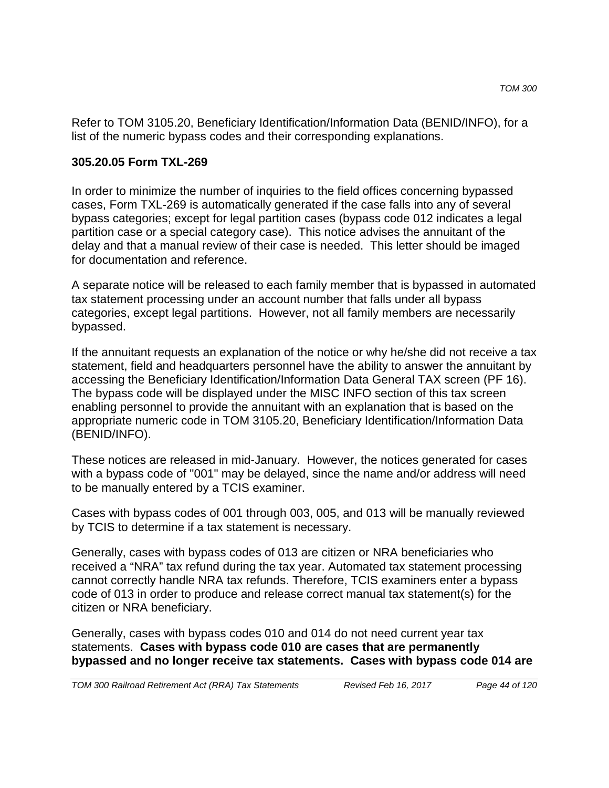Refer to TOM 3105.20, Beneficiary Identification/Information Data (BENID/INFO), for a list of the numeric bypass codes and their corresponding explanations.

#### **305.20.05 Form TXL-269**

In order to minimize the number of inquiries to the field offices concerning bypassed cases, Form TXL-269 is automatically generated if the case falls into any of several bypass categories; except for legal partition cases (bypass code 012 indicates a legal partition case or a special category case). This notice advises the annuitant of the delay and that a manual review of their case is needed. This letter should be imaged for documentation and reference.

A separate notice will be released to each family member that is bypassed in automated tax statement processing under an account number that falls under all bypass categories, except legal partitions. However, not all family members are necessarily bypassed.

If the annuitant requests an explanation of the notice or why he/she did not receive a tax statement, field and headquarters personnel have the ability to answer the annuitant by accessing the Beneficiary Identification/Information Data General TAX screen (PF 16). The bypass code will be displayed under the MISC INFO section of this tax screen enabling personnel to provide the annuitant with an explanation that is based on the appropriate numeric code in TOM 3105.20, Beneficiary Identification/Information Data (BENID/INFO).

These notices are released in mid-January. However, the notices generated for cases with a bypass code of "001" may be delayed, since the name and/or address will need to be manually entered by a TCIS examiner.

Cases with bypass codes of 001 through 003, 005, and 013 will be manually reviewed by TCIS to determine if a tax statement is necessary.

Generally, cases with bypass codes of 013 are citizen or NRA beneficiaries who received a "NRA" tax refund during the tax year. Automated tax statement processing cannot correctly handle NRA tax refunds. Therefore, TCIS examiners enter a bypass code of 013 in order to produce and release correct manual tax statement(s) for the citizen or NRA beneficiary.

Generally, cases with bypass codes 010 and 014 do not need current year tax statements. **Cases with bypass code 010 are cases that are permanently bypassed and no longer receive tax statements. Cases with bypass code 014 are**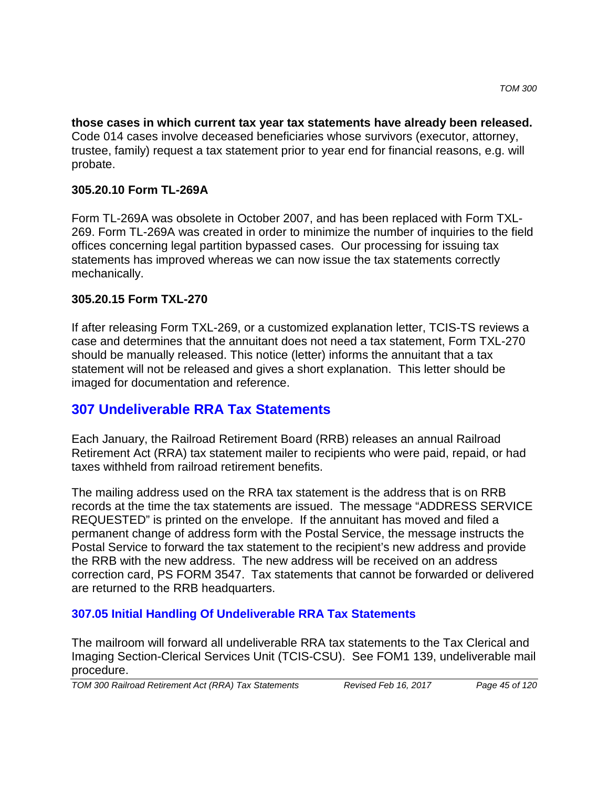**those cases in which current tax year tax statements have already been released.** Code 014 cases involve deceased beneficiaries whose survivors (executor, attorney, trustee, family) request a tax statement prior to year end for financial reasons, e.g. will probate.

## **305.20.10 Form TL-269A**

Form TL-269A was obsolete in October 2007, and has been replaced with Form TXL-269. Form TL-269A was created in order to minimize the number of inquiries to the field offices concerning legal partition bypassed cases. Our processing for issuing tax statements has improved whereas we can now issue the tax statements correctly mechanically.

## **305.20.15 Form TXL-270**

If after releasing Form TXL-269, or a customized explanation letter, TCIS-TS reviews a case and determines that the annuitant does not need a tax statement, Form TXL-270 should be manually released. This notice (letter) informs the annuitant that a tax statement will not be released and gives a short explanation. This letter should be imaged for documentation and reference.

# **307 Undeliverable RRA Tax Statements**

Each January, the Railroad Retirement Board (RRB) releases an annual Railroad Retirement Act (RRA) tax statement mailer to recipients who were paid, repaid, or had taxes withheld from railroad retirement benefits.

The mailing address used on the RRA tax statement is the address that is on RRB records at the time the tax statements are issued. The message "ADDRESS SERVICE REQUESTED" is printed on the envelope. If the annuitant has moved and filed a permanent change of address form with the Postal Service, the message instructs the Postal Service to forward the tax statement to the recipient's new address and provide the RRB with the new address. The new address will be received on an address correction card, PS FORM 3547. Tax statements that cannot be forwarded or delivered are returned to the RRB headquarters.

## **307.05 Initial Handling Of Undeliverable RRA Tax Statements**

The mailroom will forward all undeliverable RRA tax statements to the Tax Clerical and Imaging Section-Clerical Services Unit (TCIS-CSU). See FOM1 139, undeliverable mail procedure.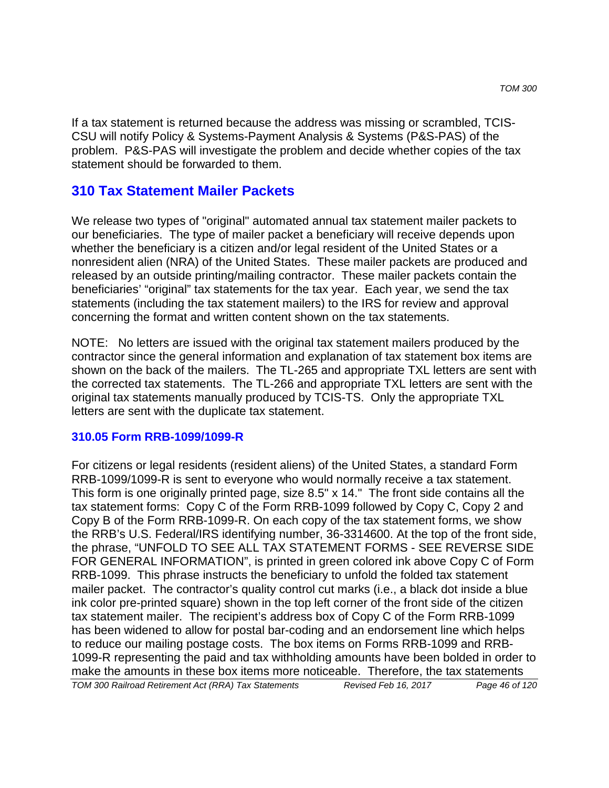If a tax statement is returned because the address was missing or scrambled, TCIS-CSU will notify Policy & Systems-Payment Analysis & Systems (P&S-PAS) of the problem. P&S-PAS will investigate the problem and decide whether copies of the tax statement should be forwarded to them.

## **310 Tax Statement Mailer Packets**

We release two types of "original" automated annual tax statement mailer packets to our beneficiaries. The type of mailer packet a beneficiary will receive depends upon whether the beneficiary is a citizen and/or legal resident of the United States or a nonresident alien (NRA) of the United States. These mailer packets are produced and released by an outside printing/mailing contractor. These mailer packets contain the beneficiaries' "original" tax statements for the tax year. Each year, we send the tax statements (including the tax statement mailers) to the IRS for review and approval concerning the format and written content shown on the tax statements.

NOTE: No letters are issued with the original tax statement mailers produced by the contractor since the general information and explanation of tax statement box items are shown on the back of the mailers. The TL-265 and appropriate TXL letters are sent with the corrected tax statements. The TL-266 and appropriate TXL letters are sent with the original tax statements manually produced by TCIS-TS. Only the appropriate TXL letters are sent with the duplicate tax statement.

#### **310.05 Form RRB-1099/1099-R**

For citizens or legal residents (resident aliens) of the United States, a standard Form RRB-1099/1099-R is sent to everyone who would normally receive a tax statement. This form is one originally printed page, size 8.5" x 14." The front side contains all the tax statement forms: Copy C of the Form RRB-1099 followed by Copy C, Copy 2 and Copy B of the Form RRB-1099-R. On each copy of the tax statement forms, we show the RRB's U.S. Federal/IRS identifying number, 36-3314600. At the top of the front side, the phrase, "UNFOLD TO SEE ALL TAX STATEMENT FORMS - SEE REVERSE SIDE FOR GENERAL INFORMATION", is printed in green colored ink above Copy C of Form RRB-1099. This phrase instructs the beneficiary to unfold the folded tax statement mailer packet. The contractor's quality control cut marks (i.e., a black dot inside a blue ink color pre-printed square) shown in the top left corner of the front side of the citizen tax statement mailer. The recipient's address box of Copy C of the Form RRB-1099 has been widened to allow for postal bar-coding and an endorsement line which helps to reduce our mailing postage costs. The box items on Forms RRB-1099 and RRB-1099-R representing the paid and tax withholding amounts have been bolded in order to make the amounts in these box items more noticeable. Therefore, the tax statements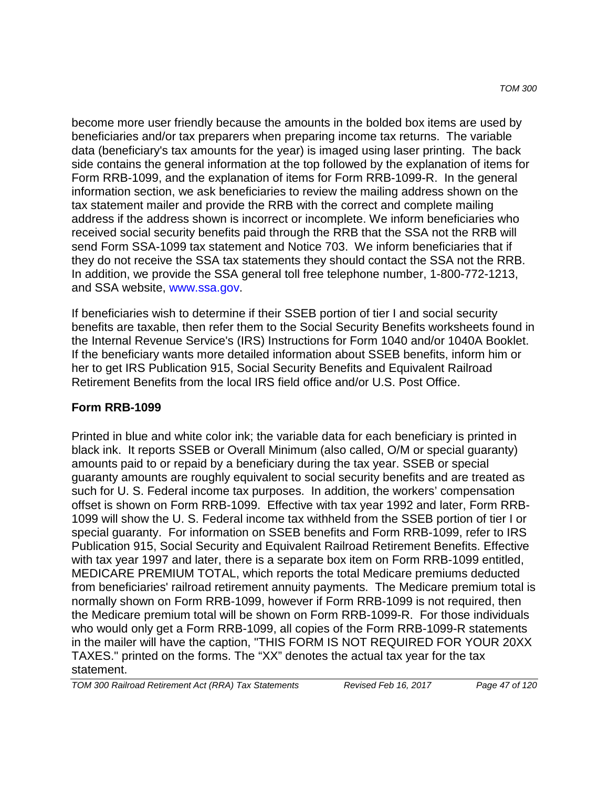become more user friendly because the amounts in the bolded box items are used by beneficiaries and/or tax preparers when preparing income tax returns. The variable data (beneficiary's tax amounts for the year) is imaged using laser printing. The back side contains the general information at the top followed by the explanation of items for Form RRB-1099, and the explanation of items for Form RRB-1099-R. In the general information section, we ask beneficiaries to review the mailing address shown on the tax statement mailer and provide the RRB with the correct and complete mailing address if the address shown is incorrect or incomplete. We inform beneficiaries who received social security benefits paid through the RRB that the SSA not the RRB will send Form SSA-1099 tax statement and Notice 703. We inform beneficiaries that if they do not receive the SSA tax statements they should contact the SSA not the RRB. In addition, we provide the SSA general toll free telephone number, 1-800-772-1213, and SSA website, www.ssa.gov.

If beneficiaries wish to determine if their SSEB portion of tier I and social security benefits are taxable, then refer them to the Social Security Benefits worksheets found in the Internal Revenue Service's (IRS) Instructions for Form 1040 and/or 1040A Booklet. If the beneficiary wants more detailed information about SSEB benefits, inform him or her to get IRS Publication 915, Social Security Benefits and Equivalent Railroad Retirement Benefits from the local IRS field office and/or U.S. Post Office.

### **Form RRB-1099**

Printed in blue and white color ink; the variable data for each beneficiary is printed in black ink. It reports SSEB or Overall Minimum (also called, O/M or special guaranty) amounts paid to or repaid by a beneficiary during the tax year. SSEB or special guaranty amounts are roughly equivalent to social security benefits and are treated as such for U. S. Federal income tax purposes. In addition, the workers' compensation offset is shown on Form RRB-1099. Effective with tax year 1992 and later, Form RRB-1099 will show the U. S. Federal income tax withheld from the SSEB portion of tier I or special guaranty. For information on SSEB benefits and Form RRB-1099, refer to IRS Publication 915, Social Security and Equivalent Railroad Retirement Benefits. Effective with tax year 1997 and later, there is a separate box item on Form RRB-1099 entitled, MEDICARE PREMIUM TOTAL, which reports the total Medicare premiums deducted from beneficiaries' railroad retirement annuity payments. The Medicare premium total is normally shown on Form RRB-1099, however if Form RRB-1099 is not required, then the Medicare premium total will be shown on Form RRB-1099-R. For those individuals who would only get a Form RRB-1099, all copies of the Form RRB-1099-R statements in the mailer will have the caption, "THIS FORM IS NOT REQUIRED FOR YOUR 20XX TAXES." printed on the forms. The "XX" denotes the actual tax year for the tax statement.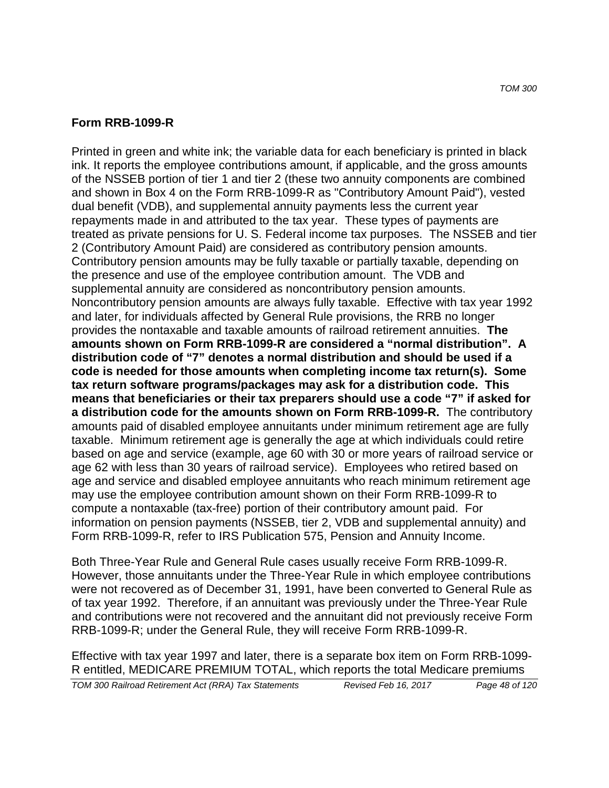#### **Form RRB-1099-R**

Printed in green and white ink; the variable data for each beneficiary is printed in black ink. It reports the employee contributions amount, if applicable, and the gross amounts of the NSSEB portion of tier 1 and tier 2 (these two annuity components are combined and shown in Box 4 on the Form RRB-1099-R as "Contributory Amount Paid"), vested dual benefit (VDB), and supplemental annuity payments less the current year repayments made in and attributed to the tax year. These types of payments are treated as private pensions for U. S. Federal income tax purposes. The NSSEB and tier 2 (Contributory Amount Paid) are considered as contributory pension amounts. Contributory pension amounts may be fully taxable or partially taxable, depending on the presence and use of the employee contribution amount. The VDB and supplemental annuity are considered as noncontributory pension amounts. Noncontributory pension amounts are always fully taxable. Effective with tax year 1992 and later, for individuals affected by General Rule provisions, the RRB no longer provides the nontaxable and taxable amounts of railroad retirement annuities. **The amounts shown on Form RRB-1099-R are considered a "normal distribution". A distribution code of "7" denotes a normal distribution and should be used if a code is needed for those amounts when completing income tax return(s). Some tax return software programs/packages may ask for a distribution code. This means that beneficiaries or their tax preparers should use a code "7" if asked for a distribution code for the amounts shown on Form RRB-1099-R.** The contributory amounts paid of disabled employee annuitants under minimum retirement age are fully taxable. Minimum retirement age is generally the age at which individuals could retire based on age and service (example, age 60 with 30 or more years of railroad service or age 62 with less than 30 years of railroad service). Employees who retired based on age and service and disabled employee annuitants who reach minimum retirement age may use the employee contribution amount shown on their Form RRB-1099-R to compute a nontaxable (tax-free) portion of their contributory amount paid. For information on pension payments (NSSEB, tier 2, VDB and supplemental annuity) and Form RRB-1099-R, refer to IRS Publication 575, Pension and Annuity Income.

Both Three-Year Rule and General Rule cases usually receive Form RRB-1099-R. However, those annuitants under the Three-Year Rule in which employee contributions were not recovered as of December 31, 1991, have been converted to General Rule as of tax year 1992. Therefore, if an annuitant was previously under the Three-Year Rule and contributions were not recovered and the annuitant did not previously receive Form RRB-1099-R; under the General Rule, they will receive Form RRB-1099-R.

Effective with tax year 1997 and later, there is a separate box item on Form RRB-1099- R entitled, MEDICARE PREMIUM TOTAL, which reports the total Medicare premiums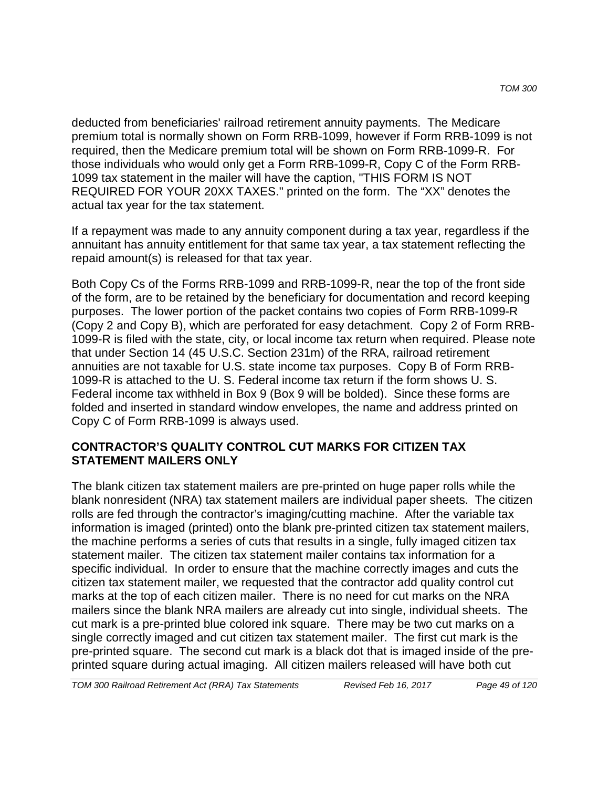deducted from beneficiaries' railroad retirement annuity payments. The Medicare premium total is normally shown on Form RRB-1099, however if Form RRB-1099 is not required, then the Medicare premium total will be shown on Form RRB-1099-R. For those individuals who would only get a Form RRB-1099-R, Copy C of the Form RRB-1099 tax statement in the mailer will have the caption, "THIS FORM IS NOT REQUIRED FOR YOUR 20XX TAXES." printed on the form. The "XX" denotes the actual tax year for the tax statement.

If a repayment was made to any annuity component during a tax year, regardless if the annuitant has annuity entitlement for that same tax year, a tax statement reflecting the repaid amount(s) is released for that tax year.

Both Copy Cs of the Forms RRB-1099 and RRB-1099-R, near the top of the front side of the form, are to be retained by the beneficiary for documentation and record keeping purposes. The lower portion of the packet contains two copies of Form RRB-1099-R (Copy 2 and Copy B), which are perforated for easy detachment. Copy 2 of Form RRB-1099-R is filed with the state, city, or local income tax return when required. Please note that under Section 14 (45 U.S.C. Section 231m) of the RRA, railroad retirement annuities are not taxable for U.S. state income tax purposes. Copy B of Form RRB-1099-R is attached to the U. S. Federal income tax return if the form shows U. S. Federal income tax withheld in Box 9 (Box 9 will be bolded). Since these forms are folded and inserted in standard window envelopes, the name and address printed on Copy C of Form RRB-1099 is always used.

#### **CONTRACTOR'S QUALITY CONTROL CUT MARKS FOR CITIZEN TAX STATEMENT MAILERS ONLY**

The blank citizen tax statement mailers are pre-printed on huge paper rolls while the blank nonresident (NRA) tax statement mailers are individual paper sheets. The citizen rolls are fed through the contractor's imaging/cutting machine. After the variable tax information is imaged (printed) onto the blank pre-printed citizen tax statement mailers, the machine performs a series of cuts that results in a single, fully imaged citizen tax statement mailer. The citizen tax statement mailer contains tax information for a specific individual. In order to ensure that the machine correctly images and cuts the citizen tax statement mailer, we requested that the contractor add quality control cut marks at the top of each citizen mailer. There is no need for cut marks on the NRA mailers since the blank NRA mailers are already cut into single, individual sheets. The cut mark is a pre-printed blue colored ink square. There may be two cut marks on a single correctly imaged and cut citizen tax statement mailer. The first cut mark is the pre-printed square. The second cut mark is a black dot that is imaged inside of the preprinted square during actual imaging. All citizen mailers released will have both cut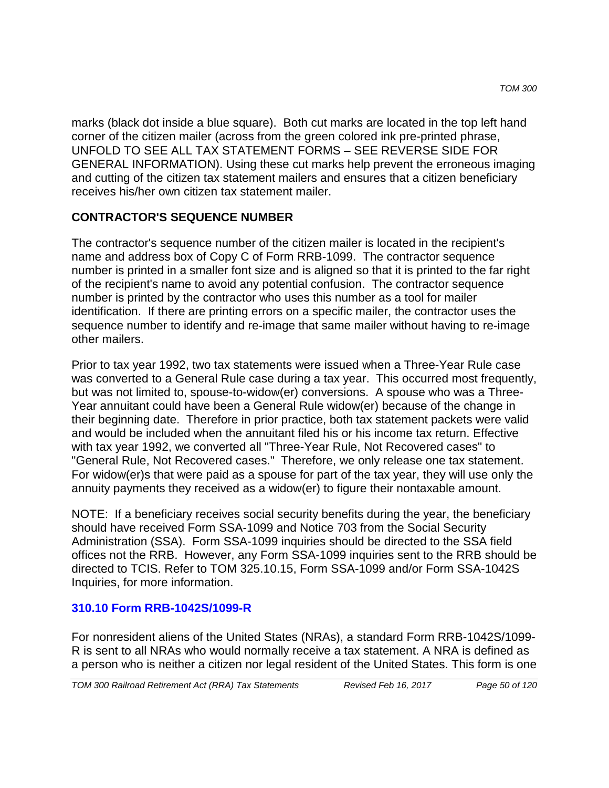marks (black dot inside a blue square). Both cut marks are located in the top left hand corner of the citizen mailer (across from the green colored ink pre-printed phrase, UNFOLD TO SEE ALL TAX STATEMENT FORMS – SEE REVERSE SIDE FOR GENERAL INFORMATION). Using these cut marks help prevent the erroneous imaging and cutting of the citizen tax statement mailers and ensures that a citizen beneficiary receives his/her own citizen tax statement mailer.

## **CONTRACTOR'S SEQUENCE NUMBER**

The contractor's sequence number of the citizen mailer is located in the recipient's name and address box of Copy C of Form RRB-1099. The contractor sequence number is printed in a smaller font size and is aligned so that it is printed to the far right of the recipient's name to avoid any potential confusion. The contractor sequence number is printed by the contractor who uses this number as a tool for mailer identification. If there are printing errors on a specific mailer, the contractor uses the sequence number to identify and re-image that same mailer without having to re-image other mailers.

Prior to tax year 1992, two tax statements were issued when a Three-Year Rule case was converted to a General Rule case during a tax year. This occurred most frequently, but was not limited to, spouse-to-widow(er) conversions. A spouse who was a Three-Year annuitant could have been a General Rule widow(er) because of the change in their beginning date. Therefore in prior practice, both tax statement packets were valid and would be included when the annuitant filed his or his income tax return. Effective with tax year 1992, we converted all "Three-Year Rule, Not Recovered cases" to "General Rule, Not Recovered cases." Therefore, we only release one tax statement. For widow(er)s that were paid as a spouse for part of the tax year, they will use only the annuity payments they received as a widow(er) to figure their nontaxable amount.

NOTE: If a beneficiary receives social security benefits during the year, the beneficiary should have received Form SSA-1099 and Notice 703 from the Social Security Administration (SSA). Form SSA-1099 inquiries should be directed to the SSA field offices not the RRB. However, any Form SSA-1099 inquiries sent to the RRB should be directed to TCIS. Refer to TOM 325.10.15, Form SSA-1099 and/or Form SSA-1042S Inquiries, for more information.

## **310.10 Form RRB-1042S/1099-R**

For nonresident aliens of the United States (NRAs), a standard Form RRB-1042S/1099- R is sent to all NRAs who would normally receive a tax statement. A NRA is defined as a person who is neither a citizen nor legal resident of the United States. This form is one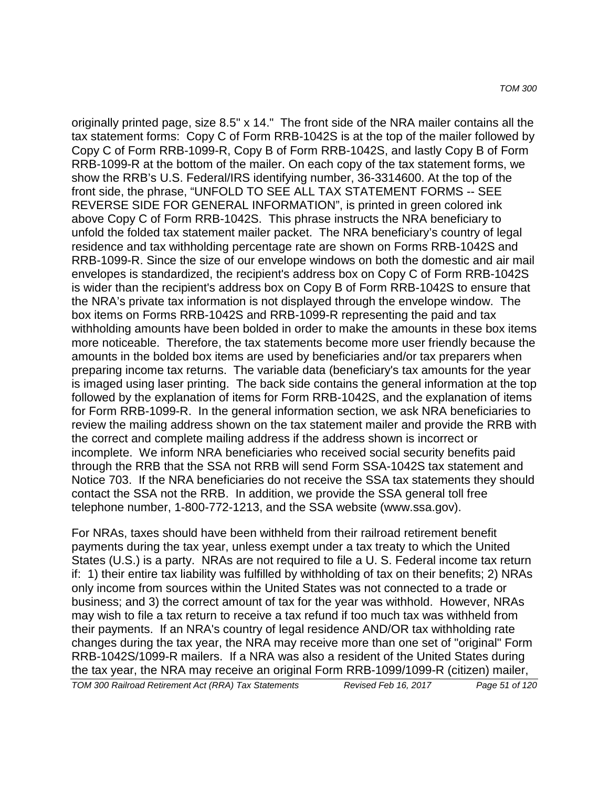originally printed page, size 8.5" x 14." The front side of the NRA mailer contains all the tax statement forms: Copy C of Form RRB-1042S is at the top of the mailer followed by Copy C of Form RRB-1099-R, Copy B of Form RRB-1042S, and lastly Copy B of Form RRB-1099-R at the bottom of the mailer. On each copy of the tax statement forms, we show the RRB's U.S. Federal/IRS identifying number, 36-3314600. At the top of the front side, the phrase, "UNFOLD TO SEE ALL TAX STATEMENT FORMS -- SEE REVERSE SIDE FOR GENERAL INFORMATION", is printed in green colored ink above Copy C of Form RRB-1042S. This phrase instructs the NRA beneficiary to unfold the folded tax statement mailer packet. The NRA beneficiary's country of legal residence and tax withholding percentage rate are shown on Forms RRB-1042S and RRB-1099-R. Since the size of our envelope windows on both the domestic and air mail envelopes is standardized, the recipient's address box on Copy C of Form RRB-1042S is wider than the recipient's address box on Copy B of Form RRB-1042S to ensure that the NRA's private tax information is not displayed through the envelope window. The box items on Forms RRB-1042S and RRB-1099-R representing the paid and tax withholding amounts have been bolded in order to make the amounts in these box items more noticeable. Therefore, the tax statements become more user friendly because the amounts in the bolded box items are used by beneficiaries and/or tax preparers when preparing income tax returns. The variable data (beneficiary's tax amounts for the year is imaged using laser printing. The back side contains the general information at the top followed by the explanation of items for Form RRB-1042S, and the explanation of items for Form RRB-1099-R. In the general information section, we ask NRA beneficiaries to review the mailing address shown on the tax statement mailer and provide the RRB with the correct and complete mailing address if the address shown is incorrect or incomplete. We inform NRA beneficiaries who received social security benefits paid through the RRB that the SSA not RRB will send Form SSA-1042S tax statement and Notice 703. If the NRA beneficiaries do not receive the SSA tax statements they should contact the SSA not the RRB. In addition, we provide the SSA general toll free telephone number, 1-800-772-1213, and the SSA website (www.ssa.gov).

For NRAs, taxes should have been withheld from their railroad retirement benefit payments during the tax year, unless exempt under a tax treaty to which the United States (U.S.) is a party. NRAs are not required to file a U. S. Federal income tax return if: 1) their entire tax liability was fulfilled by withholding of tax on their benefits; 2) NRAs only income from sources within the United States was not connected to a trade or business; and 3) the correct amount of tax for the year was withhold. However, NRAs may wish to file a tax return to receive a tax refund if too much tax was withheld from their payments. If an NRA's country of legal residence AND/OR tax withholding rate changes during the tax year, the NRA may receive more than one set of "original" Form RRB-1042S/1099-R mailers. If a NRA was also a resident of the United States during the tax year, the NRA may receive an original Form RRB-1099/1099-R (citizen) mailer,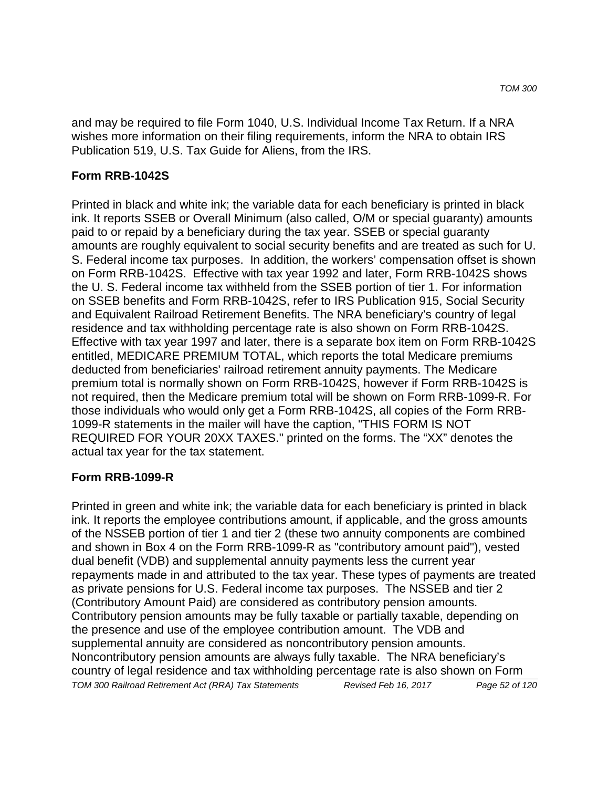and may be required to file Form 1040, U.S. Individual Income Tax Return. If a NRA wishes more information on their filing requirements, inform the NRA to obtain IRS Publication 519, U.S. Tax Guide for Aliens, from the IRS.

#### **Form RRB-1042S**

Printed in black and white ink; the variable data for each beneficiary is printed in black ink. It reports SSEB or Overall Minimum (also called, O/M or special guaranty) amounts paid to or repaid by a beneficiary during the tax year. SSEB or special guaranty amounts are roughly equivalent to social security benefits and are treated as such for U. S. Federal income tax purposes. In addition, the workers' compensation offset is shown on Form RRB-1042S. Effective with tax year 1992 and later, Form RRB-1042S shows the U. S. Federal income tax withheld from the SSEB portion of tier 1. For information on SSEB benefits and Form RRB-1042S, refer to IRS Publication 915, Social Security and Equivalent Railroad Retirement Benefits. The NRA beneficiary's country of legal residence and tax withholding percentage rate is also shown on Form RRB-1042S. Effective with tax year 1997 and later, there is a separate box item on Form RRB-1042S entitled, MEDICARE PREMIUM TOTAL, which reports the total Medicare premiums deducted from beneficiaries' railroad retirement annuity payments. The Medicare premium total is normally shown on Form RRB-1042S, however if Form RRB-1042S is not required, then the Medicare premium total will be shown on Form RRB-1099-R. For those individuals who would only get a Form RRB-1042S, all copies of the Form RRB-1099-R statements in the mailer will have the caption, "THIS FORM IS NOT REQUIRED FOR YOUR 20XX TAXES." printed on the forms. The "XX" denotes the actual tax year for the tax statement.

#### **Form RRB-1099-R**

Printed in green and white ink; the variable data for each beneficiary is printed in black ink. It reports the employee contributions amount, if applicable, and the gross amounts of the NSSEB portion of tier 1 and tier 2 (these two annuity components are combined and shown in Box 4 on the Form RRB-1099-R as "contributory amount paid"), vested dual benefit (VDB) and supplemental annuity payments less the current year repayments made in and attributed to the tax year. These types of payments are treated as private pensions for U.S. Federal income tax purposes. The NSSEB and tier 2 (Contributory Amount Paid) are considered as contributory pension amounts. Contributory pension amounts may be fully taxable or partially taxable, depending on the presence and use of the employee contribution amount. The VDB and supplemental annuity are considered as noncontributory pension amounts. Noncontributory pension amounts are always fully taxable. The NRA beneficiary's country of legal residence and tax withholding percentage rate is also shown on Form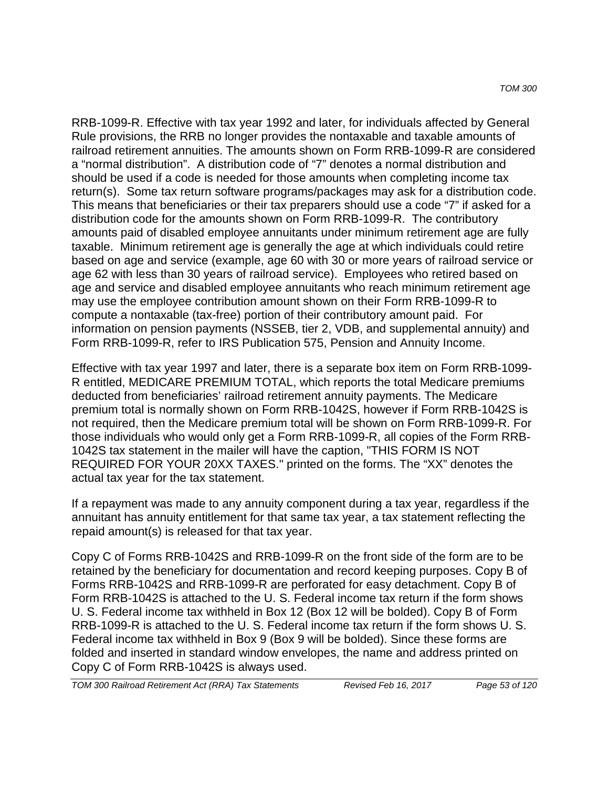RRB-1099-R. Effective with tax year 1992 and later, for individuals affected by General Rule provisions, the RRB no longer provides the nontaxable and taxable amounts of railroad retirement annuities. The amounts shown on Form RRB-1099-R are considered a "normal distribution". A distribution code of "7" denotes a normal distribution and should be used if a code is needed for those amounts when completing income tax return(s). Some tax return software programs/packages may ask for a distribution code. This means that beneficiaries or their tax preparers should use a code "7" if asked for a distribution code for the amounts shown on Form RRB-1099-R. The contributory amounts paid of disabled employee annuitants under minimum retirement age are fully taxable. Minimum retirement age is generally the age at which individuals could retire based on age and service (example, age 60 with 30 or more years of railroad service or age 62 with less than 30 years of railroad service). Employees who retired based on age and service and disabled employee annuitants who reach minimum retirement age may use the employee contribution amount shown on their Form RRB-1099-R to compute a nontaxable (tax-free) portion of their contributory amount paid. For information on pension payments (NSSEB, tier 2, VDB, and supplemental annuity) and Form RRB-1099-R, refer to IRS Publication 575, Pension and Annuity Income.

Effective with tax year 1997 and later, there is a separate box item on Form RRB-1099- R entitled, MEDICARE PREMIUM TOTAL, which reports the total Medicare premiums deducted from beneficiaries' railroad retirement annuity payments. The Medicare premium total is normally shown on Form RRB-1042S, however if Form RRB-1042S is not required, then the Medicare premium total will be shown on Form RRB-1099-R. For those individuals who would only get a Form RRB-1099-R, all copies of the Form RRB-1042S tax statement in the mailer will have the caption, "THIS FORM IS NOT REQUIRED FOR YOUR 20XX TAXES." printed on the forms. The "XX" denotes the actual tax year for the tax statement.

If a repayment was made to any annuity component during a tax year, regardless if the annuitant has annuity entitlement for that same tax year, a tax statement reflecting the repaid amount(s) is released for that tax year.

Copy C of Forms RRB-1042S and RRB-1099-R on the front side of the form are to be retained by the beneficiary for documentation and record keeping purposes. Copy B of Forms RRB-1042S and RRB-1099-R are perforated for easy detachment. Copy B of Form RRB-1042S is attached to the U. S. Federal income tax return if the form shows U. S. Federal income tax withheld in Box 12 (Box 12 will be bolded). Copy B of Form RRB-1099-R is attached to the U. S. Federal income tax return if the form shows U. S. Federal income tax withheld in Box 9 (Box 9 will be bolded). Since these forms are folded and inserted in standard window envelopes, the name and address printed on Copy C of Form RRB-1042S is always used.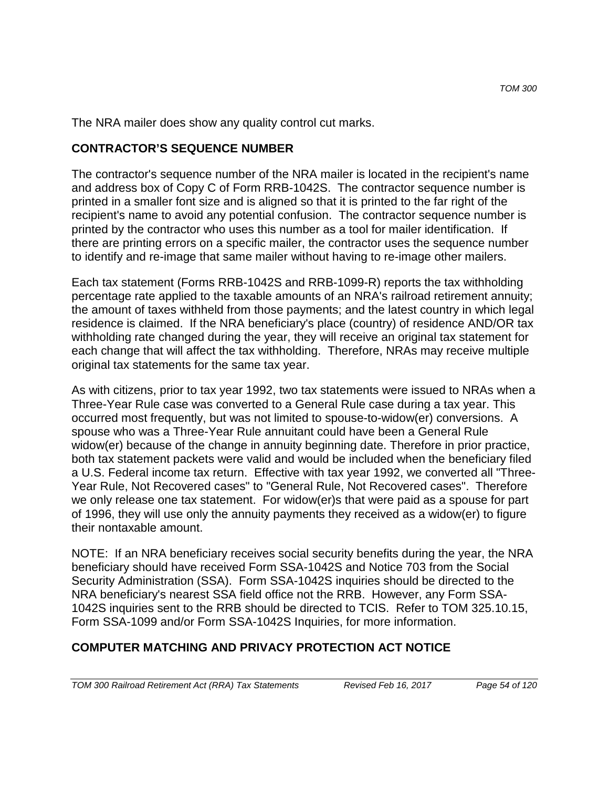The NRA mailer does show any quality control cut marks.

### **CONTRACTOR'S SEQUENCE NUMBER**

The contractor's sequence number of the NRA mailer is located in the recipient's name and address box of Copy C of Form RRB-1042S. The contractor sequence number is printed in a smaller font size and is aligned so that it is printed to the far right of the recipient's name to avoid any potential confusion. The contractor sequence number is printed by the contractor who uses this number as a tool for mailer identification. If there are printing errors on a specific mailer, the contractor uses the sequence number to identify and re-image that same mailer without having to re-image other mailers.

Each tax statement (Forms RRB-1042S and RRB-1099-R) reports the tax withholding percentage rate applied to the taxable amounts of an NRA's railroad retirement annuity; the amount of taxes withheld from those payments; and the latest country in which legal residence is claimed. If the NRA beneficiary's place (country) of residence AND/OR tax withholding rate changed during the year, they will receive an original tax statement for each change that will affect the tax withholding. Therefore, NRAs may receive multiple original tax statements for the same tax year.

As with citizens, prior to tax year 1992, two tax statements were issued to NRAs when a Three-Year Rule case was converted to a General Rule case during a tax year. This occurred most frequently, but was not limited to spouse-to-widow(er) conversions. A spouse who was a Three-Year Rule annuitant could have been a General Rule widow(er) because of the change in annuity beginning date. Therefore in prior practice, both tax statement packets were valid and would be included when the beneficiary filed a U.S. Federal income tax return. Effective with tax year 1992, we converted all "Three-Year Rule, Not Recovered cases" to "General Rule, Not Recovered cases". Therefore we only release one tax statement. For widow(er)s that were paid as a spouse for part of 1996, they will use only the annuity payments they received as a widow(er) to figure their nontaxable amount.

NOTE: If an NRA beneficiary receives social security benefits during the year, the NRA beneficiary should have received Form SSA-1042S and Notice 703 from the Social Security Administration (SSA). Form SSA-1042S inquiries should be directed to the NRA beneficiary's nearest SSA field office not the RRB. However, any Form SSA-1042S inquiries sent to the RRB should be directed to TCIS. Refer to TOM 325.10.15, Form SSA-1099 and/or Form SSA-1042S Inquiries, for more information.

## **COMPUTER MATCHING AND PRIVACY PROTECTION ACT NOTICE**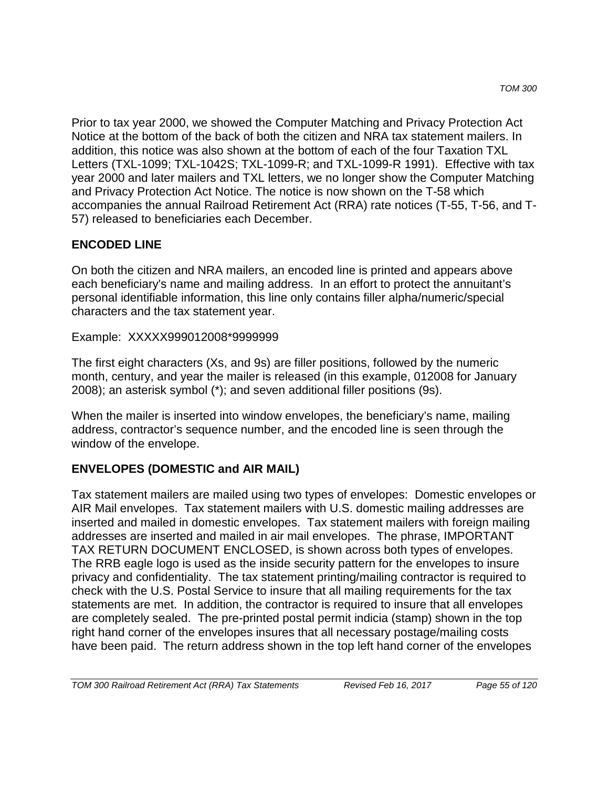Prior to tax year 2000, we showed the Computer Matching and Privacy Protection Act Notice at the bottom of the back of both the citizen and NRA tax statement mailers. In addition, this notice was also shown at the bottom of each of the four Taxation TXL Letters (TXL-1099; TXL-1042S; TXL-1099-R; and TXL-1099-R 1991). Effective with tax year 2000 and later mailers and TXL letters, we no longer show the Computer Matching and Privacy Protection Act Notice. The notice is now shown on the T-58 which accompanies the annual Railroad Retirement Act (RRA) rate notices (T-55, T-56, and T-57) released to beneficiaries each December.

## **ENCODED LINE**

On both the citizen and NRA mailers, an encoded line is printed and appears above each beneficiary's name and mailing address. In an effort to protect the annuitant's personal identifiable information, this line only contains filler alpha/numeric/special characters and the tax statement year.

Example: XXXXX999012008\*9999999

The first eight characters (Xs, and 9s) are filler positions, followed by the numeric month, century, and year the mailer is released (in this example, 012008 for January 2008); an asterisk symbol (\*); and seven additional filler positions (9s).

When the mailer is inserted into window envelopes, the beneficiary's name, mailing address, contractor's sequence number, and the encoded line is seen through the window of the envelope.

## **ENVELOPES (DOMESTIC and AIR MAIL)**

Tax statement mailers are mailed using two types of envelopes: Domestic envelopes or AIR Mail envelopes. Tax statement mailers with U.S. domestic mailing addresses are inserted and mailed in domestic envelopes. Tax statement mailers with foreign mailing addresses are inserted and mailed in air mail envelopes. The phrase, IMPORTANT TAX RETURN DOCUMENT ENCLOSED, is shown across both types of envelopes. The RRB eagle logo is used as the inside security pattern for the envelopes to insure privacy and confidentiality. The tax statement printing/mailing contractor is required to check with the U.S. Postal Service to insure that all mailing requirements for the tax statements are met. In addition, the contractor is required to insure that all envelopes are completely sealed. The pre-printed postal permit indicia (stamp) shown in the top right hand corner of the envelopes insures that all necessary postage/mailing costs have been paid. The return address shown in the top left hand corner of the envelopes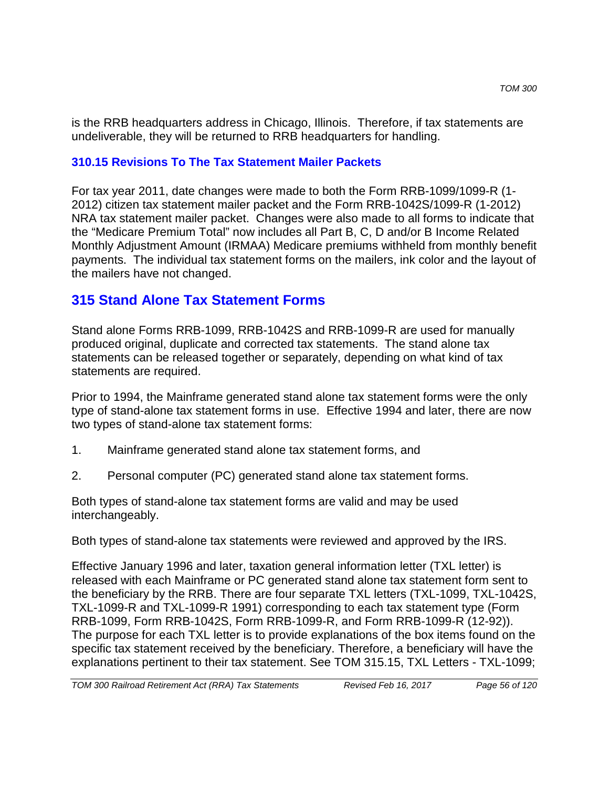is the RRB headquarters address in Chicago, Illinois. Therefore, if tax statements are undeliverable, they will be returned to RRB headquarters for handling.

### **310.15 Revisions To The Tax Statement Mailer Packets**

For tax year 2011, date changes were made to both the Form RRB-1099/1099-R (1- 2012) citizen tax statement mailer packet and the Form RRB-1042S/1099-R (1-2012) NRA tax statement mailer packet. Changes were also made to all forms to indicate that the "Medicare Premium Total" now includes all Part B, C, D and/or B Income Related Monthly Adjustment Amount (IRMAA) Medicare premiums withheld from monthly benefit payments. The individual tax statement forms on the mailers, ink color and the layout of the mailers have not changed.

# **315 Stand Alone Tax Statement Forms**

Stand alone Forms RRB-1099, RRB-1042S and RRB-1099-R are used for manually produced original, duplicate and corrected tax statements. The stand alone tax statements can be released together or separately, depending on what kind of tax statements are required.

Prior to 1994, the Mainframe generated stand alone tax statement forms were the only type of stand-alone tax statement forms in use. Effective 1994 and later, there are now two types of stand-alone tax statement forms:

- 1. Mainframe generated stand alone tax statement forms, and
- 2. Personal computer (PC) generated stand alone tax statement forms.

Both types of stand-alone tax statement forms are valid and may be used interchangeably.

Both types of stand-alone tax statements were reviewed and approved by the IRS.

Effective January 1996 and later, taxation general information letter (TXL letter) is released with each Mainframe or PC generated stand alone tax statement form sent to the beneficiary by the RRB. There are four separate TXL letters (TXL-1099, TXL-1042S, TXL-1099-R and TXL-1099-R 1991) corresponding to each tax statement type (Form RRB-1099, Form RRB-1042S, Form RRB-1099-R, and Form RRB-1099-R (12-92)). The purpose for each TXL letter is to provide explanations of the box items found on the specific tax statement received by the beneficiary. Therefore, a beneficiary will have the explanations pertinent to their tax statement. See TOM 315.15, TXL Letters - TXL-1099;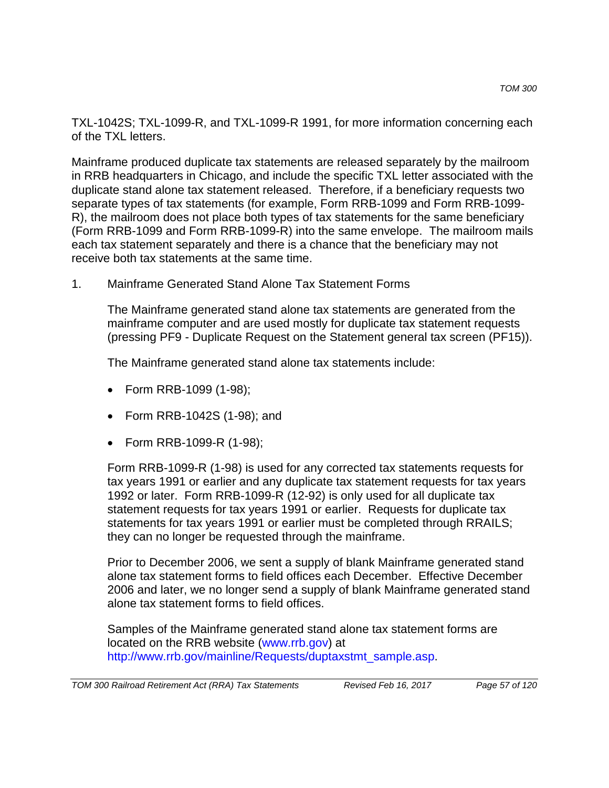TXL-1042S; TXL-1099-R, and TXL-1099-R 1991, for more information concerning each of the TXL letters.

Mainframe produced duplicate tax statements are released separately by the mailroom in RRB headquarters in Chicago, and include the specific TXL letter associated with the duplicate stand alone tax statement released. Therefore, if a beneficiary requests two separate types of tax statements (for example, Form RRB-1099 and Form RRB-1099- R), the mailroom does not place both types of tax statements for the same beneficiary (Form RRB-1099 and Form RRB-1099-R) into the same envelope. The mailroom mails each tax statement separately and there is a chance that the beneficiary may not receive both tax statements at the same time.

1. Mainframe Generated Stand Alone Tax Statement Forms

The Mainframe generated stand alone tax statements are generated from the mainframe computer and are used mostly for duplicate tax statement requests (pressing PF9 - Duplicate Request on the Statement general tax screen (PF15)).

The Mainframe generated stand alone tax statements include:

- Form RRB-1099 (1-98);
- Form RRB-1042S (1-98); and
- Form RRB-1099-R (1-98);

Form RRB-1099-R (1-98) is used for any corrected tax statements requests for tax years 1991 or earlier and any duplicate tax statement requests for tax years 1992 or later. Form RRB-1099-R (12-92) is only used for all duplicate tax statement requests for tax years 1991 or earlier. Requests for duplicate tax statements for tax years 1991 or earlier must be completed through RRAILS; they can no longer be requested through the mainframe.

Prior to December 2006, we sent a supply of blank Mainframe generated stand alone tax statement forms to field offices each December. Effective December 2006 and later, we no longer send a supply of blank Mainframe generated stand alone tax statement forms to field offices.

Samples of the Mainframe generated stand alone tax statement forms are located on the RRB website (www.rrb.gov) at http://www.rrb.gov/mainline/Requests/duptaxstmt\_sample.asp.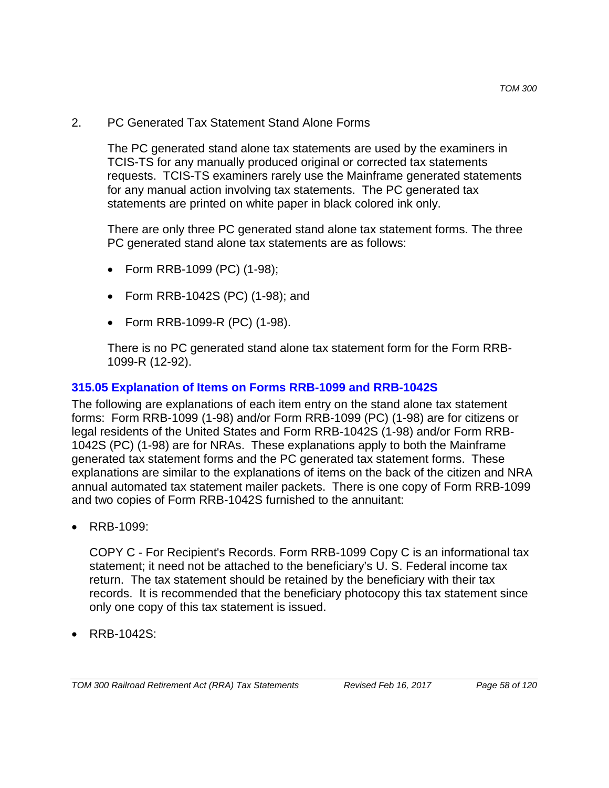2. PC Generated Tax Statement Stand Alone Forms

The PC generated stand alone tax statements are used by the examiners in TCIS-TS for any manually produced original or corrected tax statements requests. TCIS-TS examiners rarely use the Mainframe generated statements for any manual action involving tax statements. The PC generated tax statements are printed on white paper in black colored ink only.

There are only three PC generated stand alone tax statement forms. The three PC generated stand alone tax statements are as follows:

- Form RRB-1099 (PC) (1-98);
- Form RRB-1042S (PC) (1-98); and
- Form RRB-1099-R (PC) (1-98).

There is no PC generated stand alone tax statement form for the Form RRB-1099-R (12-92).

### **315.05 Explanation of Items on Forms RRB-1099 and RRB-1042S**

The following are explanations of each item entry on the stand alone tax statement forms: Form RRB-1099 (1-98) and/or Form RRB-1099 (PC) (1-98) are for citizens or legal residents of the United States and Form RRB-1042S (1-98) and/or Form RRB-1042S (PC) (1-98) are for NRAs. These explanations apply to both the Mainframe generated tax statement forms and the PC generated tax statement forms. These explanations are similar to the explanations of items on the back of the citizen and NRA annual automated tax statement mailer packets. There is one copy of Form RRB-1099 and two copies of Form RRB-1042S furnished to the annuitant:

• RRB-1099:

COPY C - For Recipient's Records. Form RRB-1099 Copy C is an informational tax statement; it need not be attached to the beneficiary's U. S. Federal income tax return. The tax statement should be retained by the beneficiary with their tax records. It is recommended that the beneficiary photocopy this tax statement since only one copy of this tax statement is issued.

• RRB-1042S: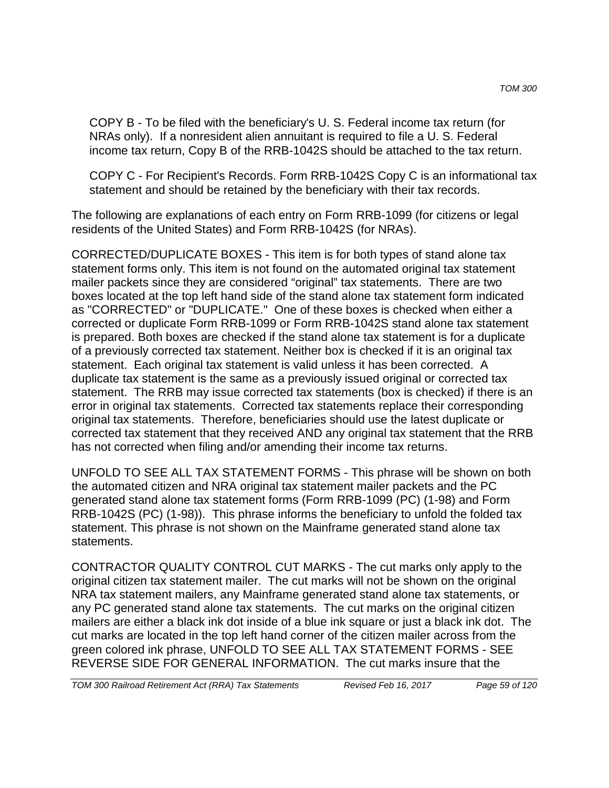COPY B - To be filed with the beneficiary's U. S. Federal income tax return (for NRAs only). If a nonresident alien annuitant is required to file a U. S. Federal income tax return, Copy B of the RRB-1042S should be attached to the tax return.

COPY C - For Recipient's Records. Form RRB-1042S Copy C is an informational tax statement and should be retained by the beneficiary with their tax records.

The following are explanations of each entry on Form RRB-1099 (for citizens or legal residents of the United States) and Form RRB-1042S (for NRAs).

CORRECTED/DUPLICATE BOXES - This item is for both types of stand alone tax statement forms only. This item is not found on the automated original tax statement mailer packets since they are considered "original" tax statements. There are two boxes located at the top left hand side of the stand alone tax statement form indicated as "CORRECTED" or "DUPLICATE." One of these boxes is checked when either a corrected or duplicate Form RRB-1099 or Form RRB-1042S stand alone tax statement is prepared. Both boxes are checked if the stand alone tax statement is for a duplicate of a previously corrected tax statement. Neither box is checked if it is an original tax statement. Each original tax statement is valid unless it has been corrected. A duplicate tax statement is the same as a previously issued original or corrected tax statement. The RRB may issue corrected tax statements (box is checked) if there is an error in original tax statements. Corrected tax statements replace their corresponding original tax statements. Therefore, beneficiaries should use the latest duplicate or corrected tax statement that they received AND any original tax statement that the RRB has not corrected when filing and/or amending their income tax returns.

UNFOLD TO SEE ALL TAX STATEMENT FORMS - This phrase will be shown on both the automated citizen and NRA original tax statement mailer packets and the PC generated stand alone tax statement forms (Form RRB-1099 (PC) (1-98) and Form RRB-1042S (PC) (1-98)). This phrase informs the beneficiary to unfold the folded tax statement. This phrase is not shown on the Mainframe generated stand alone tax statements.

CONTRACTOR QUALITY CONTROL CUT MARKS - The cut marks only apply to the original citizen tax statement mailer. The cut marks will not be shown on the original NRA tax statement mailers, any Mainframe generated stand alone tax statements, or any PC generated stand alone tax statements. The cut marks on the original citizen mailers are either a black ink dot inside of a blue ink square or just a black ink dot. The cut marks are located in the top left hand corner of the citizen mailer across from the green colored ink phrase, UNFOLD TO SEE ALL TAX STATEMENT FORMS - SEE REVERSE SIDE FOR GENERAL INFORMATION. The cut marks insure that the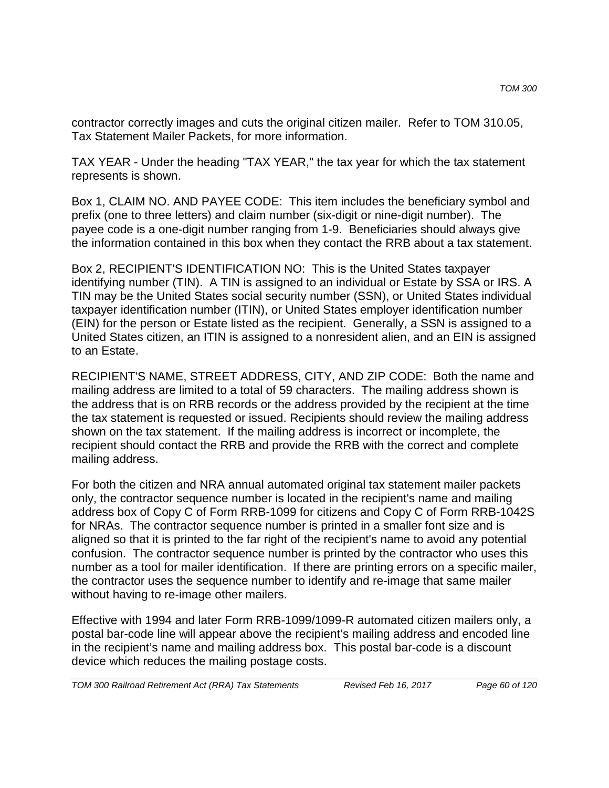contractor correctly images and cuts the original citizen mailer. Refer to TOM 310.05, Tax Statement Mailer Packets, for more information.

TAX YEAR - Under the heading "TAX YEAR," the tax year for which the tax statement represents is shown.

Box 1, CLAIM NO. AND PAYEE CODE: This item includes the beneficiary symbol and prefix (one to three letters) and claim number (six-digit or nine-digit number). The payee code is a one-digit number ranging from 1-9. Beneficiaries should always give the information contained in this box when they contact the RRB about a tax statement.

Box 2, RECIPIENT'S IDENTIFICATION NO: This is the United States taxpayer identifying number (TIN). A TIN is assigned to an individual or Estate by SSA or IRS. A TIN may be the United States social security number (SSN), or United States individual taxpayer identification number (ITIN), or United States employer identification number (EIN) for the person or Estate listed as the recipient. Generally, a SSN is assigned to a United States citizen, an ITIN is assigned to a nonresident alien, and an EIN is assigned to an Estate.

RECIPIENT'S NAME, STREET ADDRESS, CITY, AND ZIP CODE: Both the name and mailing address are limited to a total of 59 characters. The mailing address shown is the address that is on RRB records or the address provided by the recipient at the time the tax statement is requested or issued. Recipients should review the mailing address shown on the tax statement. If the mailing address is incorrect or incomplete, the recipient should contact the RRB and provide the RRB with the correct and complete mailing address.

For both the citizen and NRA annual automated original tax statement mailer packets only, the contractor sequence number is located in the recipient's name and mailing address box of Copy C of Form RRB-1099 for citizens and Copy C of Form RRB-1042S for NRAs. The contractor sequence number is printed in a smaller font size and is aligned so that it is printed to the far right of the recipient's name to avoid any potential confusion. The contractor sequence number is printed by the contractor who uses this number as a tool for mailer identification. If there are printing errors on a specific mailer, the contractor uses the sequence number to identify and re-image that same mailer without having to re-image other mailers.

Effective with 1994 and later Form RRB-1099/1099-R automated citizen mailers only, a postal bar-code line will appear above the recipient's mailing address and encoded line in the recipient's name and mailing address box. This postal bar-code is a discount device which reduces the mailing postage costs.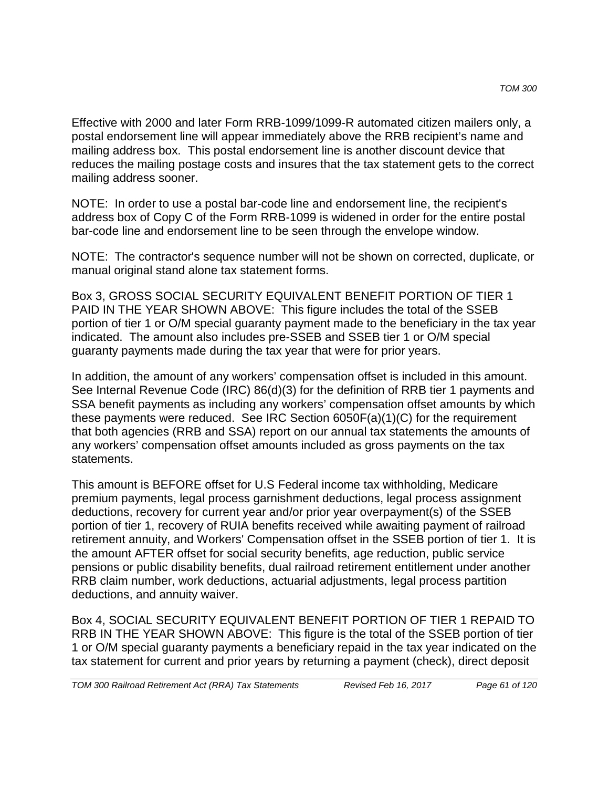Effective with 2000 and later Form RRB-1099/1099-R automated citizen mailers only, a postal endorsement line will appear immediately above the RRB recipient's name and mailing address box. This postal endorsement line is another discount device that reduces the mailing postage costs and insures that the tax statement gets to the correct mailing address sooner.

NOTE: In order to use a postal bar-code line and endorsement line, the recipient's address box of Copy C of the Form RRB-1099 is widened in order for the entire postal bar-code line and endorsement line to be seen through the envelope window.

NOTE: The contractor's sequence number will not be shown on corrected, duplicate, or manual original stand alone tax statement forms.

Box 3, GROSS SOCIAL SECURITY EQUIVALENT BENEFIT PORTION OF TIER 1 PAID IN THE YEAR SHOWN ABOVE: This figure includes the total of the SSEB portion of tier 1 or O/M special guaranty payment made to the beneficiary in the tax year indicated. The amount also includes pre-SSEB and SSEB tier 1 or O/M special guaranty payments made during the tax year that were for prior years.

In addition, the amount of any workers' compensation offset is included in this amount. See Internal Revenue Code (IRC) 86(d)(3) for the definition of RRB tier 1 payments and SSA benefit payments as including any workers' compensation offset amounts by which these payments were reduced. See IRC Section 6050F(a)(1)(C) for the requirement that both agencies (RRB and SSA) report on our annual tax statements the amounts of any workers' compensation offset amounts included as gross payments on the tax statements.

This amount is BEFORE offset for U.S Federal income tax withholding, Medicare premium payments, legal process garnishment deductions, legal process assignment deductions, recovery for current year and/or prior year overpayment(s) of the SSEB portion of tier 1, recovery of RUIA benefits received while awaiting payment of railroad retirement annuity, and Workers' Compensation offset in the SSEB portion of tier 1. It is the amount AFTER offset for social security benefits, age reduction, public service pensions or public disability benefits, dual railroad retirement entitlement under another RRB claim number, work deductions, actuarial adjustments, legal process partition deductions, and annuity waiver.

Box 4, SOCIAL SECURITY EQUIVALENT BENEFIT PORTION OF TIER 1 REPAID TO RRB IN THE YEAR SHOWN ABOVE: This figure is the total of the SSEB portion of tier 1 or O/M special guaranty payments a beneficiary repaid in the tax year indicated on the tax statement for current and prior years by returning a payment (check), direct deposit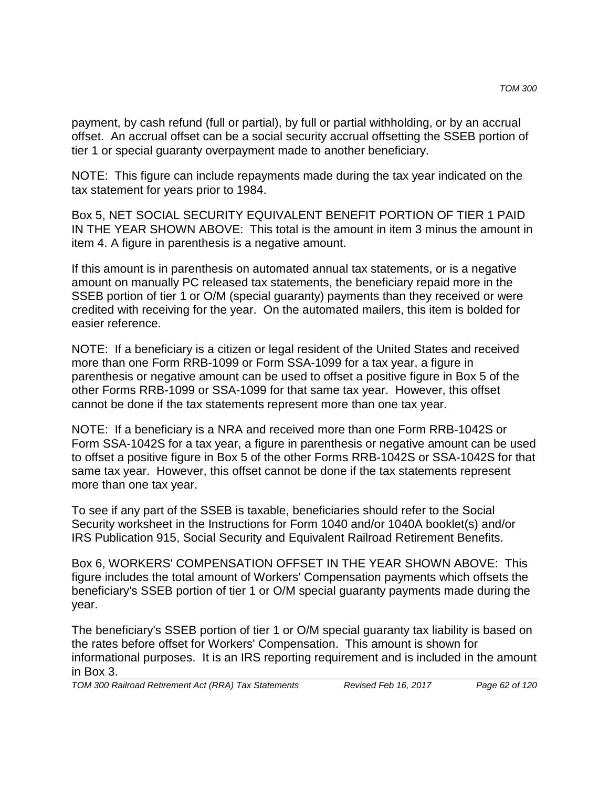payment, by cash refund (full or partial), by full or partial withholding, or by an accrual offset. An accrual offset can be a social security accrual offsetting the SSEB portion of tier 1 or special guaranty overpayment made to another beneficiary.

NOTE: This figure can include repayments made during the tax year indicated on the tax statement for years prior to 1984.

Box 5, NET SOCIAL SECURITY EQUIVALENT BENEFIT PORTION OF TIER 1 PAID IN THE YEAR SHOWN ABOVE: This total is the amount in item 3 minus the amount in item 4. A figure in parenthesis is a negative amount.

If this amount is in parenthesis on automated annual tax statements, or is a negative amount on manually PC released tax statements, the beneficiary repaid more in the SSEB portion of tier 1 or O/M (special guaranty) payments than they received or were credited with receiving for the year. On the automated mailers, this item is bolded for easier reference.

NOTE: If a beneficiary is a citizen or legal resident of the United States and received more than one Form RRB-1099 or Form SSA-1099 for a tax year, a figure in parenthesis or negative amount can be used to offset a positive figure in Box 5 of the other Forms RRB-1099 or SSA-1099 for that same tax year. However, this offset cannot be done if the tax statements represent more than one tax year.

NOTE: If a beneficiary is a NRA and received more than one Form RRB-1042S or Form SSA-1042S for a tax year, a figure in parenthesis or negative amount can be used to offset a positive figure in Box 5 of the other Forms RRB-1042S or SSA-1042S for that same tax year. However, this offset cannot be done if the tax statements represent more than one tax year.

To see if any part of the SSEB is taxable, beneficiaries should refer to the Social Security worksheet in the Instructions for Form 1040 and/or 1040A booklet(s) and/or IRS Publication 915, Social Security and Equivalent Railroad Retirement Benefits.

Box 6, WORKERS' COMPENSATION OFFSET IN THE YEAR SHOWN ABOVE: This figure includes the total amount of Workers' Compensation payments which offsets the beneficiary's SSEB portion of tier 1 or O/M special guaranty payments made during the year.

The beneficiary's SSEB portion of tier 1 or O/M special guaranty tax liability is based on the rates before offset for Workers' Compensation. This amount is shown for informational purposes. It is an IRS reporting requirement and is included in the amount in Box 3.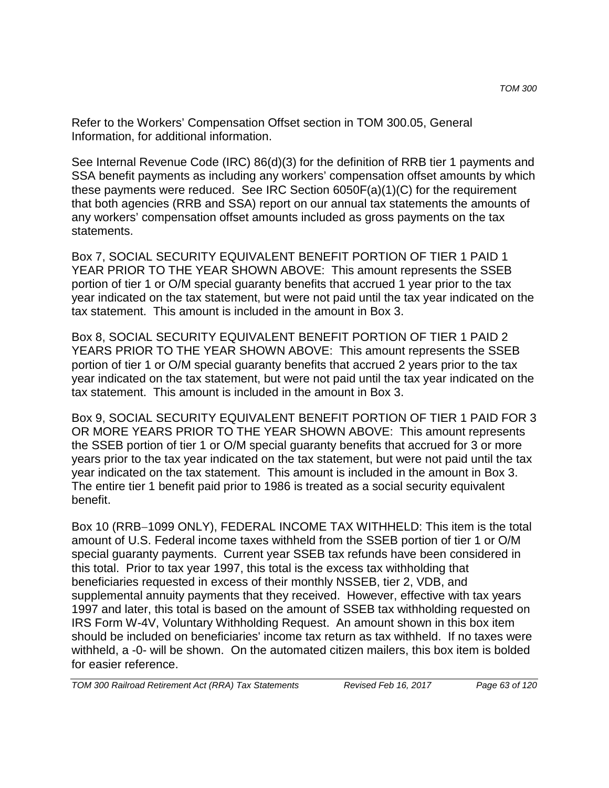Refer to the Workers' Compensation Offset section in TOM 300.05, General Information, for additional information.

See Internal Revenue Code (IRC) 86(d)(3) for the definition of RRB tier 1 payments and SSA benefit payments as including any workers' compensation offset amounts by which these payments were reduced. See IRC Section 6050F(a)(1)(C) for the requirement that both agencies (RRB and SSA) report on our annual tax statements the amounts of any workers' compensation offset amounts included as gross payments on the tax statements.

Box 7, SOCIAL SECURITY EQUIVALENT BENEFIT PORTION OF TIER 1 PAID 1 YEAR PRIOR TO THE YEAR SHOWN ABOVE: This amount represents the SSEB portion of tier 1 or O/M special guaranty benefits that accrued 1 year prior to the tax year indicated on the tax statement, but were not paid until the tax year indicated on the tax statement. This amount is included in the amount in Box 3.

Box 8, SOCIAL SECURITY EQUIVALENT BENEFIT PORTION OF TIER 1 PAID 2 YEARS PRIOR TO THE YEAR SHOWN ABOVE: This amount represents the SSEB portion of tier 1 or O/M special guaranty benefits that accrued 2 years prior to the tax year indicated on the tax statement, but were not paid until the tax year indicated on the tax statement. This amount is included in the amount in Box 3.

Box 9, SOCIAL SECURITY EQUIVALENT BENEFIT PORTION OF TIER 1 PAID FOR 3 OR MORE YEARS PRIOR TO THE YEAR SHOWN ABOVE: This amount represents the SSEB portion of tier 1 or O/M special guaranty benefits that accrued for 3 or more years prior to the tax year indicated on the tax statement, but were not paid until the tax year indicated on the tax statement. This amount is included in the amount in Box 3. The entire tier 1 benefit paid prior to 1986 is treated as a social security equivalent benefit.

Box 10 (RRB−1099 ONLY), FEDERAL INCOME TAX WITHHELD: This item is the total amount of U.S. Federal income taxes withheld from the SSEB portion of tier 1 or O/M special guaranty payments. Current year SSEB tax refunds have been considered in this total. Prior to tax year 1997, this total is the excess tax withholding that beneficiaries requested in excess of their monthly NSSEB, tier 2, VDB, and supplemental annuity payments that they received. However, effective with tax years 1997 and later, this total is based on the amount of SSEB tax withholding requested on IRS Form W-4V, Voluntary Withholding Request. An amount shown in this box item should be included on beneficiaries' income tax return as tax withheld. If no taxes were withheld, a -0- will be shown. On the automated citizen mailers, this box item is bolded for easier reference.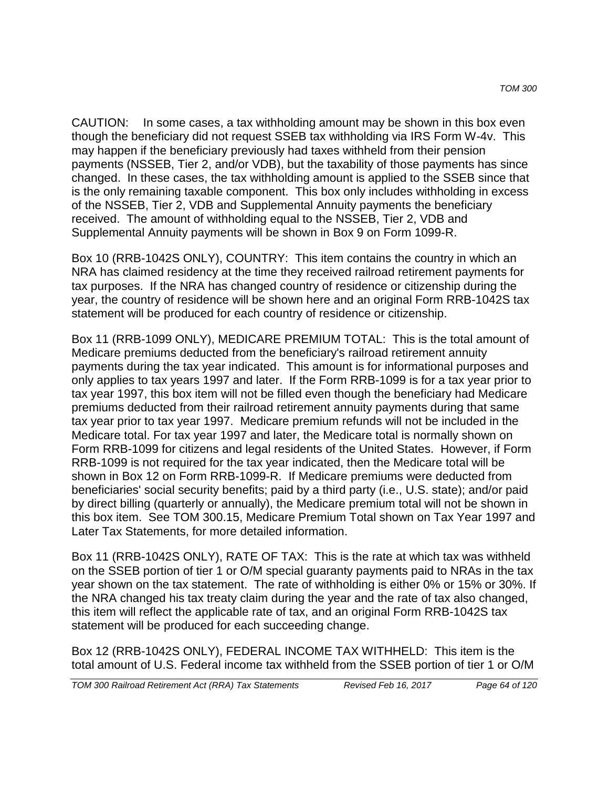CAUTION: In some cases, a tax withholding amount may be shown in this box even though the beneficiary did not request SSEB tax withholding via IRS Form W-4v. This may happen if the beneficiary previously had taxes withheld from their pension payments (NSSEB, Tier 2, and/or VDB), but the taxability of those payments has since changed. In these cases, the tax withholding amount is applied to the SSEB since that is the only remaining taxable component. This box only includes withholding in excess of the NSSEB, Tier 2, VDB and Supplemental Annuity payments the beneficiary received. The amount of withholding equal to the NSSEB, Tier 2, VDB and Supplemental Annuity payments will be shown in Box 9 on Form 1099-R.

Box 10 (RRB-1042S ONLY), COUNTRY: This item contains the country in which an NRA has claimed residency at the time they received railroad retirement payments for tax purposes. If the NRA has changed country of residence or citizenship during the year, the country of residence will be shown here and an original Form RRB-1042S tax statement will be produced for each country of residence or citizenship.

Box 11 (RRB-1099 ONLY), MEDICARE PREMIUM TOTAL: This is the total amount of Medicare premiums deducted from the beneficiary's railroad retirement annuity payments during the tax year indicated. This amount is for informational purposes and only applies to tax years 1997 and later. If the Form RRB-1099 is for a tax year prior to tax year 1997, this box item will not be filled even though the beneficiary had Medicare premiums deducted from their railroad retirement annuity payments during that same tax year prior to tax year 1997. Medicare premium refunds will not be included in the Medicare total. For tax year 1997 and later, the Medicare total is normally shown on Form RRB-1099 for citizens and legal residents of the United States. However, if Form RRB-1099 is not required for the tax year indicated, then the Medicare total will be shown in Box 12 on Form RRB-1099-R. If Medicare premiums were deducted from beneficiaries' social security benefits; paid by a third party (i.e., U.S. state); and/or paid by direct billing (quarterly or annually), the Medicare premium total will not be shown in this box item. See TOM 300.15, Medicare Premium Total shown on Tax Year 1997 and Later Tax Statements, for more detailed information.

Box 11 (RRB-1042S ONLY), RATE OF TAX: This is the rate at which tax was withheld on the SSEB portion of tier 1 or O/M special guaranty payments paid to NRAs in the tax year shown on the tax statement. The rate of withholding is either 0% or 15% or 30%. If the NRA changed his tax treaty claim during the year and the rate of tax also changed, this item will reflect the applicable rate of tax, and an original Form RRB-1042S tax statement will be produced for each succeeding change.

Box 12 (RRB-1042S ONLY), FEDERAL INCOME TAX WITHHELD: This item is the total amount of U.S. Federal income tax withheld from the SSEB portion of tier 1 or O/M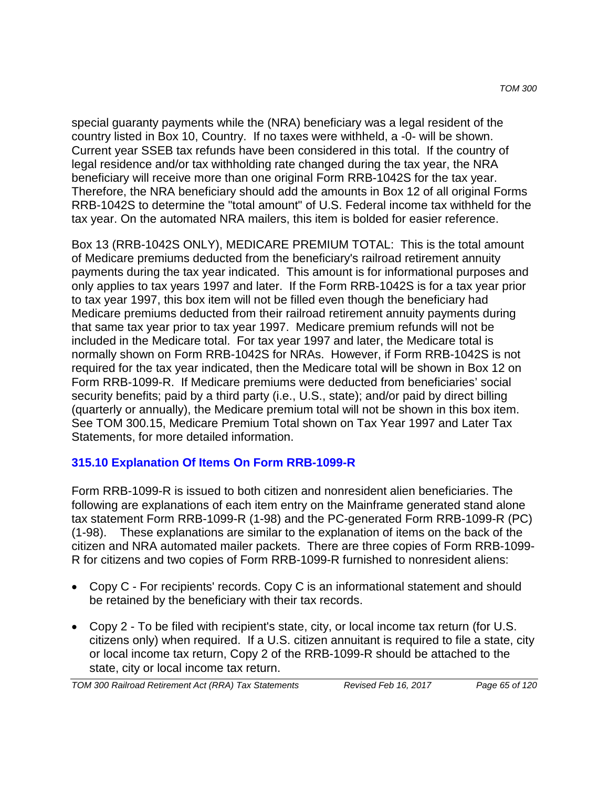special guaranty payments while the (NRA) beneficiary was a legal resident of the country listed in Box 10, Country. If no taxes were withheld, a -0- will be shown. Current year SSEB tax refunds have been considered in this total. If the country of legal residence and/or tax withholding rate changed during the tax year, the NRA beneficiary will receive more than one original Form RRB-1042S for the tax year. Therefore, the NRA beneficiary should add the amounts in Box 12 of all original Forms RRB-1042S to determine the "total amount" of U.S. Federal income tax withheld for the tax year. On the automated NRA mailers, this item is bolded for easier reference.

Box 13 (RRB-1042S ONLY), MEDICARE PREMIUM TOTAL: This is the total amount of Medicare premiums deducted from the beneficiary's railroad retirement annuity payments during the tax year indicated. This amount is for informational purposes and only applies to tax years 1997 and later. If the Form RRB-1042S is for a tax year prior to tax year 1997, this box item will not be filled even though the beneficiary had Medicare premiums deducted from their railroad retirement annuity payments during that same tax year prior to tax year 1997. Medicare premium refunds will not be included in the Medicare total. For tax year 1997 and later, the Medicare total is normally shown on Form RRB-1042S for NRAs. However, if Form RRB-1042S is not required for the tax year indicated, then the Medicare total will be shown in Box 12 on Form RRB-1099-R. If Medicare premiums were deducted from beneficiaries' social security benefits; paid by a third party (i.e., U.S., state); and/or paid by direct billing (quarterly or annually), the Medicare premium total will not be shown in this box item. See TOM 300.15, Medicare Premium Total shown on Tax Year 1997 and Later Tax Statements, for more detailed information.

### **315.10 Explanation Of Items On Form RRB-1099-R**

Form RRB-1099-R is issued to both citizen and nonresident alien beneficiaries. The following are explanations of each item entry on the Mainframe generated stand alone tax statement Form RRB-1099-R (1-98) and the PC-generated Form RRB-1099-R (PC) (1-98). These explanations are similar to the explanation of items on the back of the citizen and NRA automated mailer packets. There are three copies of Form RRB-1099- R for citizens and two copies of Form RRB-1099-R furnished to nonresident aliens:

- Copy C For recipients' records. Copy C is an informational statement and should be retained by the beneficiary with their tax records.
- Copy 2 To be filed with recipient's state, city, or local income tax return (for U.S. citizens only) when required. If a U.S. citizen annuitant is required to file a state, city or local income tax return, Copy 2 of the RRB-1099-R should be attached to the state, city or local income tax return.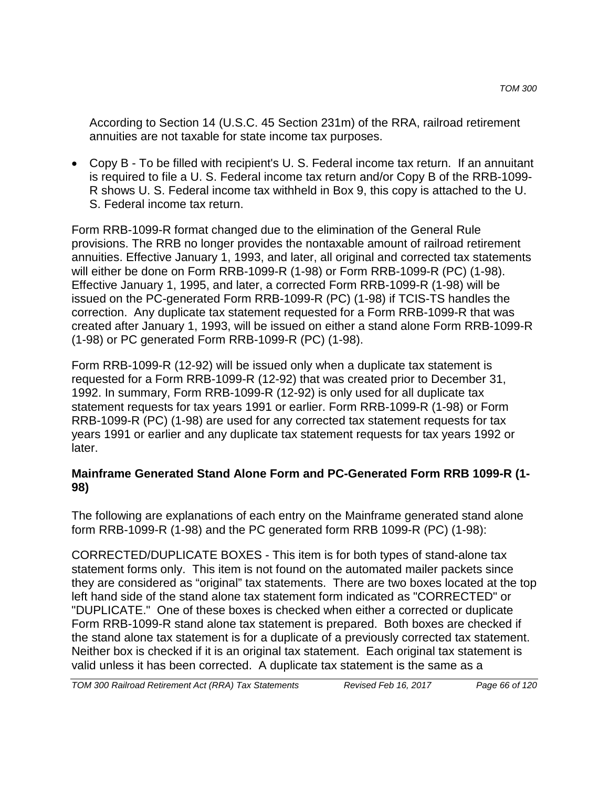According to Section 14 (U.S.C. 45 Section 231m) of the RRA, railroad retirement annuities are not taxable for state income tax purposes.

• Copy B - To be filled with recipient's U. S. Federal income tax return. If an annuitant is required to file a U. S. Federal income tax return and/or Copy B of the RRB-1099- R shows U. S. Federal income tax withheld in Box 9, this copy is attached to the U. S. Federal income tax return.

Form RRB-1099-R format changed due to the elimination of the General Rule provisions. The RRB no longer provides the nontaxable amount of railroad retirement annuities. Effective January 1, 1993, and later, all original and corrected tax statements will either be done on Form RRB-1099-R (1-98) or Form RRB-1099-R (PC) (1-98). Effective January 1, 1995, and later, a corrected Form RRB-1099-R (1-98) will be issued on the PC-generated Form RRB-1099-R (PC) (1-98) if TCIS-TS handles the correction. Any duplicate tax statement requested for a Form RRB-1099-R that was created after January 1, 1993, will be issued on either a stand alone Form RRB-1099-R (1-98) or PC generated Form RRB-1099-R (PC) (1-98).

Form RRB-1099-R (12-92) will be issued only when a duplicate tax statement is requested for a Form RRB-1099-R (12-92) that was created prior to December 31, 1992. In summary, Form RRB-1099-R (12-92) is only used for all duplicate tax statement requests for tax years 1991 or earlier. Form RRB-1099-R (1-98) or Form RRB-1099-R (PC) (1-98) are used for any corrected tax statement requests for tax years 1991 or earlier and any duplicate tax statement requests for tax years 1992 or later.

### **Mainframe Generated Stand Alone Form and PC-Generated Form RRB 1099-R (1- 98)**

The following are explanations of each entry on the Mainframe generated stand alone form RRB-1099-R (1-98) and the PC generated form RRB 1099-R (PC) (1-98):

CORRECTED/DUPLICATE BOXES - This item is for both types of stand-alone tax statement forms only. This item is not found on the automated mailer packets since they are considered as "original" tax statements. There are two boxes located at the top left hand side of the stand alone tax statement form indicated as "CORRECTED" or "DUPLICATE." One of these boxes is checked when either a corrected or duplicate Form RRB-1099-R stand alone tax statement is prepared. Both boxes are checked if the stand alone tax statement is for a duplicate of a previously corrected tax statement. Neither box is checked if it is an original tax statement. Each original tax statement is valid unless it has been corrected. A duplicate tax statement is the same as a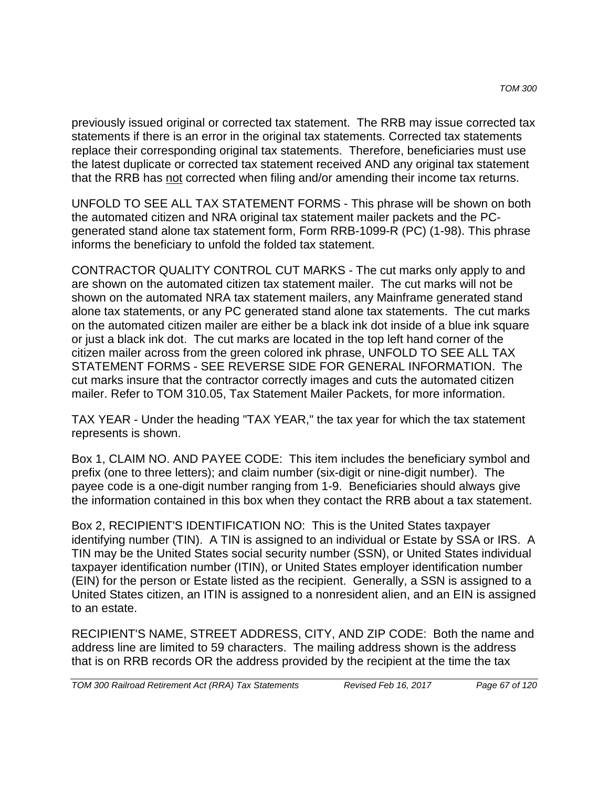previously issued original or corrected tax statement. The RRB may issue corrected tax statements if there is an error in the original tax statements. Corrected tax statements replace their corresponding original tax statements. Therefore, beneficiaries must use the latest duplicate or corrected tax statement received AND any original tax statement that the RRB has not corrected when filing and/or amending their income tax returns.

UNFOLD TO SEE ALL TAX STATEMENT FORMS - This phrase will be shown on both the automated citizen and NRA original tax statement mailer packets and the PCgenerated stand alone tax statement form, Form RRB-1099-R (PC) (1-98). This phrase informs the beneficiary to unfold the folded tax statement.

CONTRACTOR QUALITY CONTROL CUT MARKS - The cut marks only apply to and are shown on the automated citizen tax statement mailer. The cut marks will not be shown on the automated NRA tax statement mailers, any Mainframe generated stand alone tax statements, or any PC generated stand alone tax statements. The cut marks on the automated citizen mailer are either be a black ink dot inside of a blue ink square or just a black ink dot. The cut marks are located in the top left hand corner of the citizen mailer across from the green colored ink phrase, UNFOLD TO SEE ALL TAX STATEMENT FORMS - SEE REVERSE SIDE FOR GENERAL INFORMATION. The cut marks insure that the contractor correctly images and cuts the automated citizen mailer. Refer to TOM 310.05, Tax Statement Mailer Packets, for more information.

TAX YEAR - Under the heading "TAX YEAR," the tax year for which the tax statement represents is shown.

Box 1, CLAIM NO. AND PAYEE CODE: This item includes the beneficiary symbol and prefix (one to three letters); and claim number (six-digit or nine-digit number). The payee code is a one-digit number ranging from 1-9. Beneficiaries should always give the information contained in this box when they contact the RRB about a tax statement.

Box 2, RECIPIENT'S IDENTIFICATION NO: This is the United States taxpayer identifying number (TIN). A TIN is assigned to an individual or Estate by SSA or IRS. A TIN may be the United States social security number (SSN), or United States individual taxpayer identification number (ITIN), or United States employer identification number (EIN) for the person or Estate listed as the recipient. Generally, a SSN is assigned to a United States citizen, an ITIN is assigned to a nonresident alien, and an EIN is assigned to an estate.

RECIPIENT'S NAME, STREET ADDRESS, CITY, AND ZIP CODE: Both the name and address line are limited to 59 characters. The mailing address shown is the address that is on RRB records OR the address provided by the recipient at the time the tax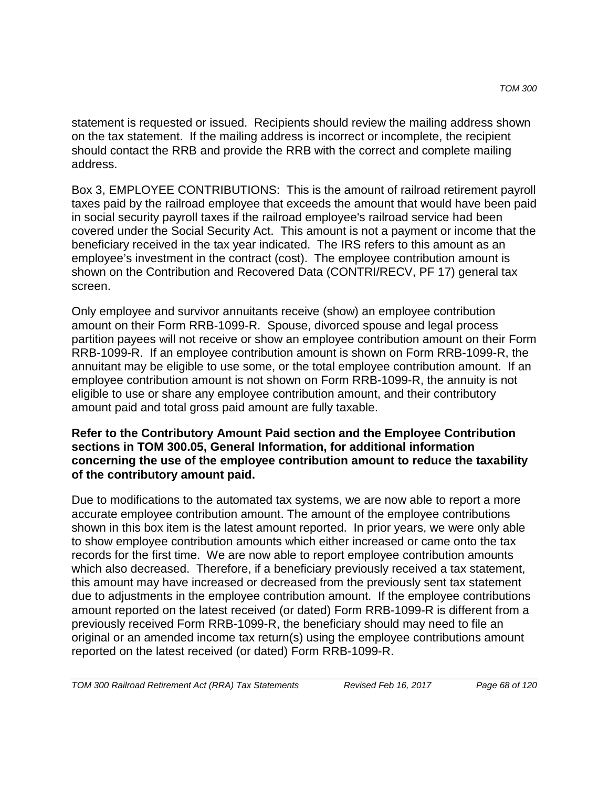statement is requested or issued. Recipients should review the mailing address shown on the tax statement. If the mailing address is incorrect or incomplete, the recipient should contact the RRB and provide the RRB with the correct and complete mailing address.

Box 3, EMPLOYEE CONTRIBUTIONS: This is the amount of railroad retirement payroll taxes paid by the railroad employee that exceeds the amount that would have been paid in social security payroll taxes if the railroad employee's railroad service had been covered under the Social Security Act. This amount is not a payment or income that the beneficiary received in the tax year indicated. The IRS refers to this amount as an employee's investment in the contract (cost). The employee contribution amount is shown on the Contribution and Recovered Data (CONTRI/RECV, PF 17) general tax screen.

Only employee and survivor annuitants receive (show) an employee contribution amount on their Form RRB-1099-R. Spouse, divorced spouse and legal process partition payees will not receive or show an employee contribution amount on their Form RRB-1099-R. If an employee contribution amount is shown on Form RRB-1099-R, the annuitant may be eligible to use some, or the total employee contribution amount. If an employee contribution amount is not shown on Form RRB-1099-R, the annuity is not eligible to use or share any employee contribution amount, and their contributory amount paid and total gross paid amount are fully taxable.

#### **Refer to the Contributory Amount Paid section and the Employee Contribution sections in TOM 300.05, General Information, for additional information concerning the use of the employee contribution amount to reduce the taxability of the contributory amount paid.**

Due to modifications to the automated tax systems, we are now able to report a more accurate employee contribution amount. The amount of the employee contributions shown in this box item is the latest amount reported. In prior years, we were only able to show employee contribution amounts which either increased or came onto the tax records for the first time. We are now able to report employee contribution amounts which also decreased. Therefore, if a beneficiary previously received a tax statement, this amount may have increased or decreased from the previously sent tax statement due to adjustments in the employee contribution amount. If the employee contributions amount reported on the latest received (or dated) Form RRB-1099-R is different from a previously received Form RRB-1099-R, the beneficiary should may need to file an original or an amended income tax return(s) using the employee contributions amount reported on the latest received (or dated) Form RRB-1099-R.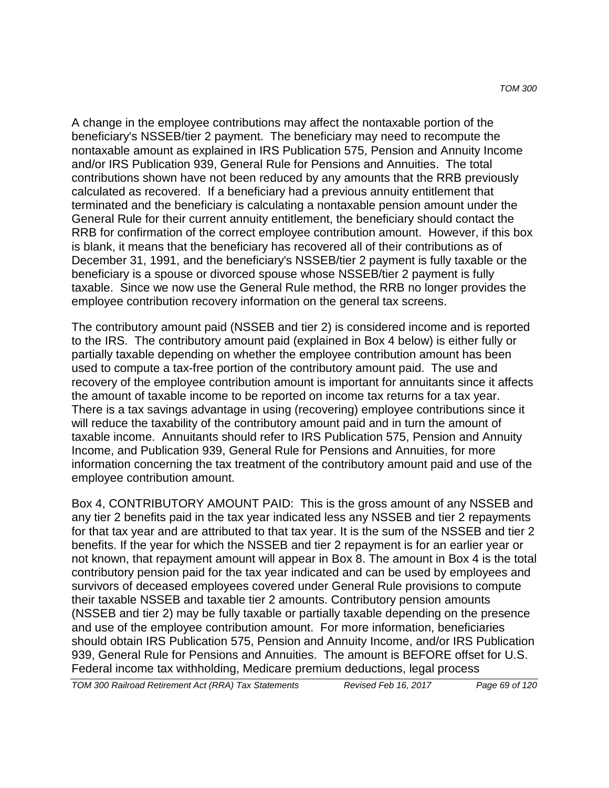A change in the employee contributions may affect the nontaxable portion of the beneficiary's NSSEB/tier 2 payment. The beneficiary may need to recompute the nontaxable amount as explained in IRS Publication 575, Pension and Annuity Income and/or IRS Publication 939, General Rule for Pensions and Annuities. The total contributions shown have not been reduced by any amounts that the RRB previously calculated as recovered. If a beneficiary had a previous annuity entitlement that terminated and the beneficiary is calculating a nontaxable pension amount under the General Rule for their current annuity entitlement, the beneficiary should contact the RRB for confirmation of the correct employee contribution amount. However, if this box is blank, it means that the beneficiary has recovered all of their contributions as of December 31, 1991, and the beneficiary's NSSEB/tier 2 payment is fully taxable or the beneficiary is a spouse or divorced spouse whose NSSEB/tier 2 payment is fully taxable. Since we now use the General Rule method, the RRB no longer provides the employee contribution recovery information on the general tax screens.

The contributory amount paid (NSSEB and tier 2) is considered income and is reported to the IRS. The contributory amount paid (explained in Box 4 below) is either fully or partially taxable depending on whether the employee contribution amount has been used to compute a tax-free portion of the contributory amount paid. The use and recovery of the employee contribution amount is important for annuitants since it affects the amount of taxable income to be reported on income tax returns for a tax year. There is a tax savings advantage in using (recovering) employee contributions since it will reduce the taxability of the contributory amount paid and in turn the amount of taxable income. Annuitants should refer to IRS Publication 575, Pension and Annuity Income, and Publication 939, General Rule for Pensions and Annuities, for more information concerning the tax treatment of the contributory amount paid and use of the employee contribution amount.

Box 4, CONTRIBUTORY AMOUNT PAID: This is the gross amount of any NSSEB and any tier 2 benefits paid in the tax year indicated less any NSSEB and tier 2 repayments for that tax year and are attributed to that tax year. It is the sum of the NSSEB and tier 2 benefits. If the year for which the NSSEB and tier 2 repayment is for an earlier year or not known, that repayment amount will appear in Box 8. The amount in Box 4 is the total contributory pension paid for the tax year indicated and can be used by employees and survivors of deceased employees covered under General Rule provisions to compute their taxable NSSEB and taxable tier 2 amounts. Contributory pension amounts (NSSEB and tier 2) may be fully taxable or partially taxable depending on the presence and use of the employee contribution amount. For more information, beneficiaries should obtain IRS Publication 575, Pension and Annuity Income, and/or IRS Publication 939, General Rule for Pensions and Annuities. The amount is BEFORE offset for U.S. Federal income tax withholding, Medicare premium deductions, legal process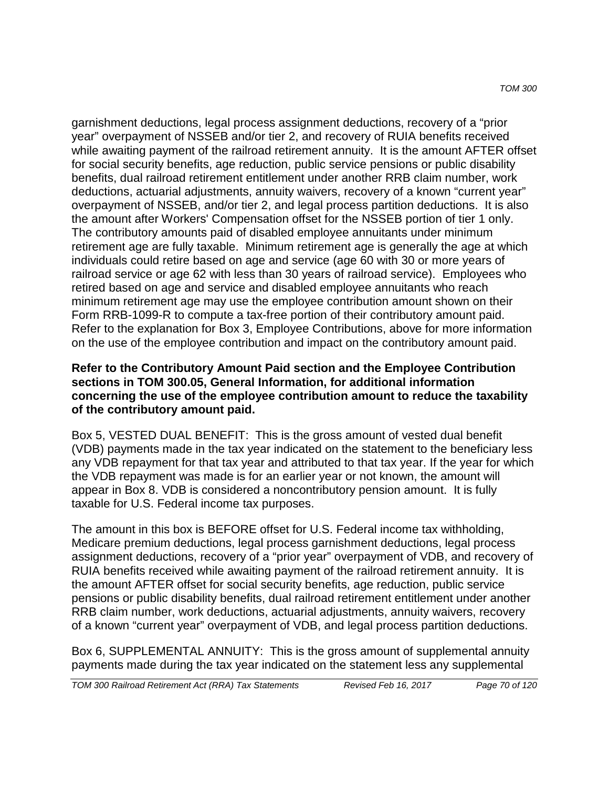garnishment deductions, legal process assignment deductions, recovery of a "prior year" overpayment of NSSEB and/or tier 2, and recovery of RUIA benefits received while awaiting payment of the railroad retirement annuity. It is the amount AFTER offset for social security benefits, age reduction, public service pensions or public disability benefits, dual railroad retirement entitlement under another RRB claim number, work deductions, actuarial adjustments, annuity waivers, recovery of a known "current year" overpayment of NSSEB, and/or tier 2, and legal process partition deductions. It is also the amount after Workers' Compensation offset for the NSSEB portion of tier 1 only. The contributory amounts paid of disabled employee annuitants under minimum retirement age are fully taxable. Minimum retirement age is generally the age at which individuals could retire based on age and service (age 60 with 30 or more years of railroad service or age 62 with less than 30 years of railroad service). Employees who retired based on age and service and disabled employee annuitants who reach minimum retirement age may use the employee contribution amount shown on their Form RRB-1099-R to compute a tax-free portion of their contributory amount paid. Refer to the explanation for Box 3, Employee Contributions, above for more information on the use of the employee contribution and impact on the contributory amount paid.

#### **Refer to the Contributory Amount Paid section and the Employee Contribution sections in TOM 300.05, General Information, for additional information concerning the use of the employee contribution amount to reduce the taxability of the contributory amount paid.**

Box 5, VESTED DUAL BENEFIT: This is the gross amount of vested dual benefit (VDB) payments made in the tax year indicated on the statement to the beneficiary less any VDB repayment for that tax year and attributed to that tax year. If the year for which the VDB repayment was made is for an earlier year or not known, the amount will appear in Box 8. VDB is considered a noncontributory pension amount. It is fully taxable for U.S. Federal income tax purposes.

The amount in this box is BEFORE offset for U.S. Federal income tax withholding, Medicare premium deductions, legal process garnishment deductions, legal process assignment deductions, recovery of a "prior year" overpayment of VDB, and recovery of RUIA benefits received while awaiting payment of the railroad retirement annuity. It is the amount AFTER offset for social security benefits, age reduction, public service pensions or public disability benefits, dual railroad retirement entitlement under another RRB claim number, work deductions, actuarial adjustments, annuity waivers, recovery of a known "current year" overpayment of VDB, and legal process partition deductions.

Box 6, SUPPLEMENTAL ANNUITY: This is the gross amount of supplemental annuity payments made during the tax year indicated on the statement less any supplemental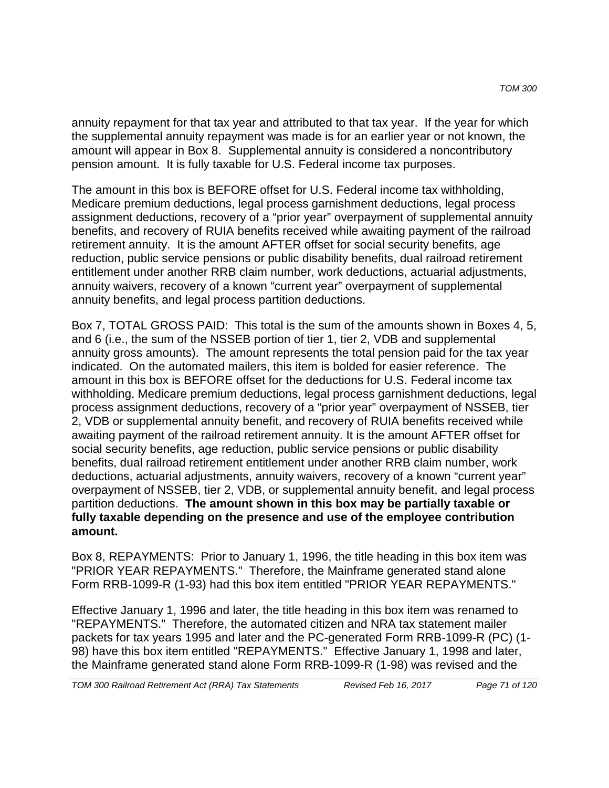annuity repayment for that tax year and attributed to that tax year. If the year for which the supplemental annuity repayment was made is for an earlier year or not known, the amount will appear in Box 8. Supplemental annuity is considered a noncontributory pension amount. It is fully taxable for U.S. Federal income tax purposes.

The amount in this box is BEFORE offset for U.S. Federal income tax withholding, Medicare premium deductions, legal process garnishment deductions, legal process assignment deductions, recovery of a "prior year" overpayment of supplemental annuity benefits, and recovery of RUIA benefits received while awaiting payment of the railroad retirement annuity. It is the amount AFTER offset for social security benefits, age reduction, public service pensions or public disability benefits, dual railroad retirement entitlement under another RRB claim number, work deductions, actuarial adjustments, annuity waivers, recovery of a known "current year" overpayment of supplemental annuity benefits, and legal process partition deductions.

Box 7, TOTAL GROSS PAID: This total is the sum of the amounts shown in Boxes 4, 5, and 6 (i.e., the sum of the NSSEB portion of tier 1, tier 2, VDB and supplemental annuity gross amounts). The amount represents the total pension paid for the tax year indicated. On the automated mailers, this item is bolded for easier reference. The amount in this box is BEFORE offset for the deductions for U.S. Federal income tax withholding, Medicare premium deductions, legal process garnishment deductions, legal process assignment deductions, recovery of a "prior year" overpayment of NSSEB, tier 2, VDB or supplemental annuity benefit, and recovery of RUIA benefits received while awaiting payment of the railroad retirement annuity. It is the amount AFTER offset for social security benefits, age reduction, public service pensions or public disability benefits, dual railroad retirement entitlement under another RRB claim number, work deductions, actuarial adjustments, annuity waivers, recovery of a known "current year" overpayment of NSSEB, tier 2, VDB, or supplemental annuity benefit, and legal process partition deductions. **The amount shown in this box may be partially taxable or fully taxable depending on the presence and use of the employee contribution amount.** 

Box 8, REPAYMENTS: Prior to January 1, 1996, the title heading in this box item was "PRIOR YEAR REPAYMENTS." Therefore, the Mainframe generated stand alone Form RRB-1099-R (1-93) had this box item entitled "PRIOR YEAR REPAYMENTS."

Effective January 1, 1996 and later, the title heading in this box item was renamed to "REPAYMENTS." Therefore, the automated citizen and NRA tax statement mailer packets for tax years 1995 and later and the PC-generated Form RRB-1099-R (PC) (1- 98) have this box item entitled "REPAYMENTS." Effective January 1, 1998 and later, the Mainframe generated stand alone Form RRB-1099-R (1-98) was revised and the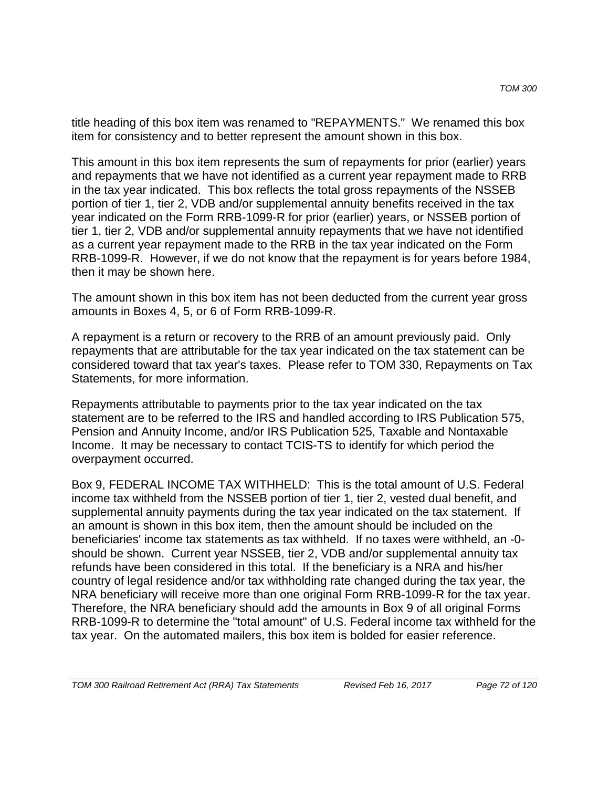title heading of this box item was renamed to "REPAYMENTS." We renamed this box item for consistency and to better represent the amount shown in this box.

This amount in this box item represents the sum of repayments for prior (earlier) years and repayments that we have not identified as a current year repayment made to RRB in the tax year indicated. This box reflects the total gross repayments of the NSSEB portion of tier 1, tier 2, VDB and/or supplemental annuity benefits received in the tax year indicated on the Form RRB-1099-R for prior (earlier) years, or NSSEB portion of tier 1, tier 2, VDB and/or supplemental annuity repayments that we have not identified as a current year repayment made to the RRB in the tax year indicated on the Form RRB-1099-R. However, if we do not know that the repayment is for years before 1984, then it may be shown here.

The amount shown in this box item has not been deducted from the current year gross amounts in Boxes 4, 5, or 6 of Form RRB-1099-R.

A repayment is a return or recovery to the RRB of an amount previously paid. Only repayments that are attributable for the tax year indicated on the tax statement can be considered toward that tax year's taxes. Please refer to TOM 330, Repayments on Tax Statements, for more information.

Repayments attributable to payments prior to the tax year indicated on the tax statement are to be referred to the IRS and handled according to IRS Publication 575, Pension and Annuity Income, and/or IRS Publication 525, Taxable and Nontaxable Income. It may be necessary to contact TCIS-TS to identify for which period the overpayment occurred.

Box 9, FEDERAL INCOME TAX WITHHELD: This is the total amount of U.S. Federal income tax withheld from the NSSEB portion of tier 1, tier 2, vested dual benefit, and supplemental annuity payments during the tax year indicated on the tax statement. If an amount is shown in this box item, then the amount should be included on the beneficiaries' income tax statements as tax withheld. If no taxes were withheld, an -0 should be shown. Current year NSSEB, tier 2, VDB and/or supplemental annuity tax refunds have been considered in this total. If the beneficiary is a NRA and his/her country of legal residence and/or tax withholding rate changed during the tax year, the NRA beneficiary will receive more than one original Form RRB-1099-R for the tax year. Therefore, the NRA beneficiary should add the amounts in Box 9 of all original Forms RRB-1099-R to determine the "total amount" of U.S. Federal income tax withheld for the tax year. On the automated mailers, this box item is bolded for easier reference.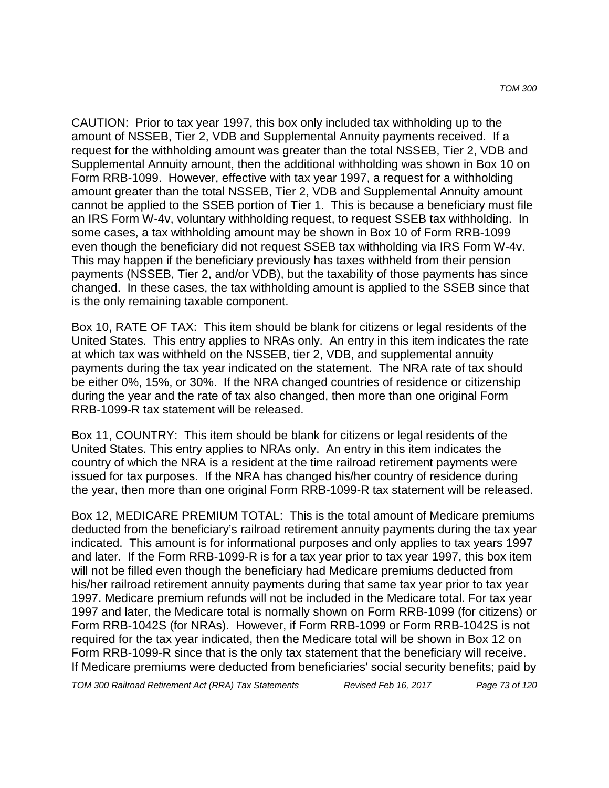CAUTION: Prior to tax year 1997, this box only included tax withholding up to the amount of NSSEB, Tier 2, VDB and Supplemental Annuity payments received. If a request for the withholding amount was greater than the total NSSEB, Tier 2, VDB and Supplemental Annuity amount, then the additional withholding was shown in Box 10 on Form RRB-1099. However, effective with tax year 1997, a request for a withholding amount greater than the total NSSEB, Tier 2, VDB and Supplemental Annuity amount cannot be applied to the SSEB portion of Tier 1. This is because a beneficiary must file an IRS Form W-4v, voluntary withholding request, to request SSEB tax withholding. In some cases, a tax withholding amount may be shown in Box 10 of Form RRB-1099 even though the beneficiary did not request SSEB tax withholding via IRS Form W-4v. This may happen if the beneficiary previously has taxes withheld from their pension payments (NSSEB, Tier 2, and/or VDB), but the taxability of those payments has since changed. In these cases, the tax withholding amount is applied to the SSEB since that is the only remaining taxable component.

Box 10, RATE OF TAX: This item should be blank for citizens or legal residents of the United States. This entry applies to NRAs only. An entry in this item indicates the rate at which tax was withheld on the NSSEB, tier 2, VDB, and supplemental annuity payments during the tax year indicated on the statement. The NRA rate of tax should be either 0%, 15%, or 30%. If the NRA changed countries of residence or citizenship during the year and the rate of tax also changed, then more than one original Form RRB-1099-R tax statement will be released.

Box 11, COUNTRY: This item should be blank for citizens or legal residents of the United States. This entry applies to NRAs only. An entry in this item indicates the country of which the NRA is a resident at the time railroad retirement payments were issued for tax purposes. If the NRA has changed his/her country of residence during the year, then more than one original Form RRB-1099-R tax statement will be released.

Box 12, MEDICARE PREMIUM TOTAL: This is the total amount of Medicare premiums deducted from the beneficiary's railroad retirement annuity payments during the tax year indicated. This amount is for informational purposes and only applies to tax years 1997 and later. If the Form RRB-1099-R is for a tax year prior to tax year 1997, this box item will not be filled even though the beneficiary had Medicare premiums deducted from his/her railroad retirement annuity payments during that same tax year prior to tax year 1997. Medicare premium refunds will not be included in the Medicare total. For tax year 1997 and later, the Medicare total is normally shown on Form RRB-1099 (for citizens) or Form RRB-1042S (for NRAs). However, if Form RRB-1099 or Form RRB-1042S is not required for the tax year indicated, then the Medicare total will be shown in Box 12 on Form RRB-1099-R since that is the only tax statement that the beneficiary will receive. If Medicare premiums were deducted from beneficiaries' social security benefits; paid by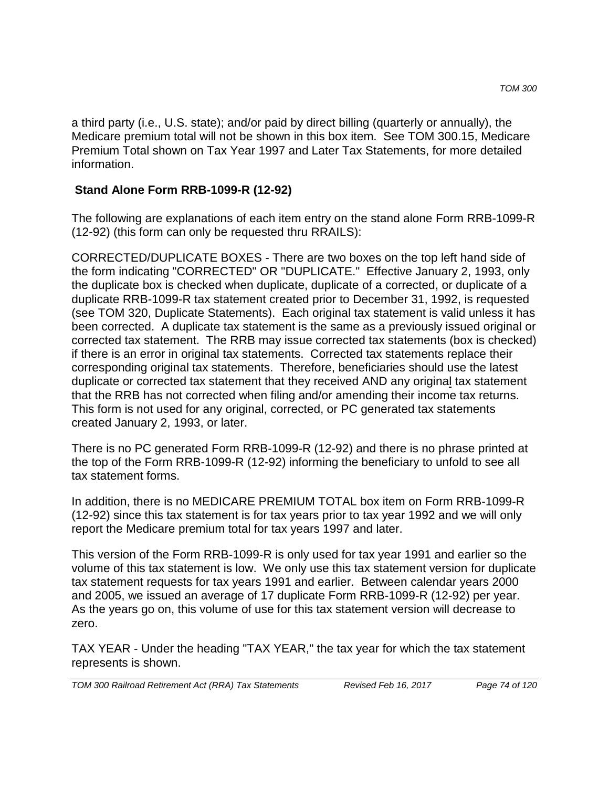a third party (i.e., U.S. state); and/or paid by direct billing (quarterly or annually), the Medicare premium total will not be shown in this box item. See TOM 300.15, Medicare Premium Total shown on Tax Year 1997 and Later Tax Statements, for more detailed information.

### **Stand Alone Form RRB-1099-R (12-92)**

The following are explanations of each item entry on the stand alone Form RRB-1099-R (12-92) (this form can only be requested thru RRAILS):

CORRECTED/DUPLICATE BOXES - There are two boxes on the top left hand side of the form indicating "CORRECTED" OR "DUPLICATE." Effective January 2, 1993, only the duplicate box is checked when duplicate, duplicate of a corrected, or duplicate of a duplicate RRB-1099-R tax statement created prior to December 31, 1992, is requested (see TOM 320, Duplicate Statements). Each original tax statement is valid unless it has been corrected. A duplicate tax statement is the same as a previously issued original or corrected tax statement. The RRB may issue corrected tax statements (box is checked) if there is an error in original tax statements. Corrected tax statements replace their corresponding original tax statements. Therefore, beneficiaries should use the latest duplicate or corrected tax statement that they received AND any original tax statement that the RRB has not corrected when filing and/or amending their income tax returns. This form is not used for any original, corrected, or PC generated tax statements created January 2, 1993, or later.

There is no PC generated Form RRB-1099-R (12-92) and there is no phrase printed at the top of the Form RRB-1099-R (12-92) informing the beneficiary to unfold to see all tax statement forms.

In addition, there is no MEDICARE PREMIUM TOTAL box item on Form RRB-1099-R (12-92) since this tax statement is for tax years prior to tax year 1992 and we will only report the Medicare premium total for tax years 1997 and later.

This version of the Form RRB-1099-R is only used for tax year 1991 and earlier so the volume of this tax statement is low. We only use this tax statement version for duplicate tax statement requests for tax years 1991 and earlier. Between calendar years 2000 and 2005, we issued an average of 17 duplicate Form RRB-1099-R (12-92) per year. As the years go on, this volume of use for this tax statement version will decrease to zero.

TAX YEAR - Under the heading "TAX YEAR," the tax year for which the tax statement represents is shown.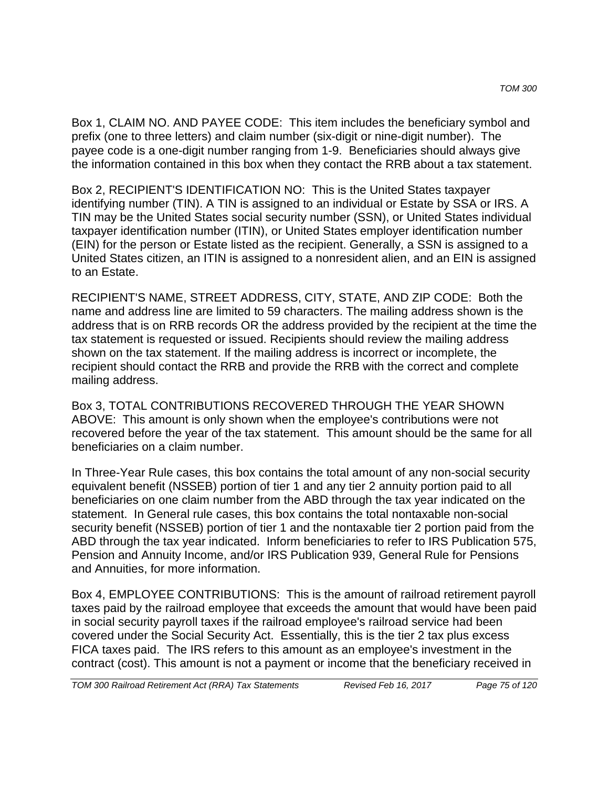Box 1, CLAIM NO. AND PAYEE CODE: This item includes the beneficiary symbol and prefix (one to three letters) and claim number (six-digit or nine-digit number). The payee code is a one-digit number ranging from 1-9. Beneficiaries should always give the information contained in this box when they contact the RRB about a tax statement.

Box 2, RECIPIENT'S IDENTIFICATION NO: This is the United States taxpayer identifying number (TIN). A TIN is assigned to an individual or Estate by SSA or IRS. A TIN may be the United States social security number (SSN), or United States individual taxpayer identification number (ITIN), or United States employer identification number (EIN) for the person or Estate listed as the recipient. Generally, a SSN is assigned to a United States citizen, an ITIN is assigned to a nonresident alien, and an EIN is assigned to an Estate.

RECIPIENT'S NAME, STREET ADDRESS, CITY, STATE, AND ZIP CODE: Both the name and address line are limited to 59 characters. The mailing address shown is the address that is on RRB records OR the address provided by the recipient at the time the tax statement is requested or issued. Recipients should review the mailing address shown on the tax statement. If the mailing address is incorrect or incomplete, the recipient should contact the RRB and provide the RRB with the correct and complete mailing address.

Box 3, TOTAL CONTRIBUTIONS RECOVERED THROUGH THE YEAR SHOWN ABOVE: This amount is only shown when the employee's contributions were not recovered before the year of the tax statement. This amount should be the same for all beneficiaries on a claim number.

In Three-Year Rule cases, this box contains the total amount of any non-social security equivalent benefit (NSSEB) portion of tier 1 and any tier 2 annuity portion paid to all beneficiaries on one claim number from the ABD through the tax year indicated on the statement. In General rule cases, this box contains the total nontaxable non-social security benefit (NSSEB) portion of tier 1 and the nontaxable tier 2 portion paid from the ABD through the tax year indicated. Inform beneficiaries to refer to IRS Publication 575, Pension and Annuity Income, and/or IRS Publication 939, General Rule for Pensions and Annuities, for more information.

Box 4, EMPLOYEE CONTRIBUTIONS: This is the amount of railroad retirement payroll taxes paid by the railroad employee that exceeds the amount that would have been paid in social security payroll taxes if the railroad employee's railroad service had been covered under the Social Security Act. Essentially, this is the tier 2 tax plus excess FICA taxes paid. The IRS refers to this amount as an employee's investment in the contract (cost). This amount is not a payment or income that the beneficiary received in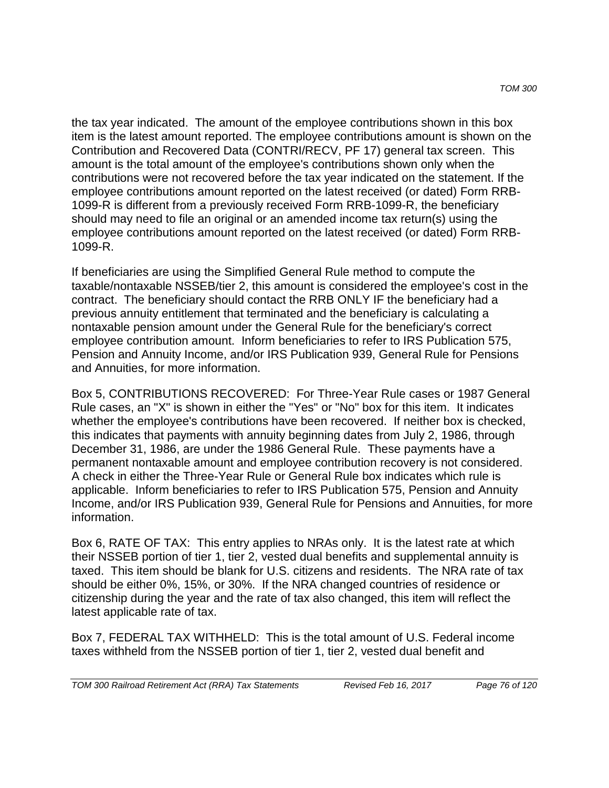the tax year indicated. The amount of the employee contributions shown in this box item is the latest amount reported. The employee contributions amount is shown on the Contribution and Recovered Data (CONTRI/RECV, PF 17) general tax screen. This amount is the total amount of the employee's contributions shown only when the contributions were not recovered before the tax year indicated on the statement. If the employee contributions amount reported on the latest received (or dated) Form RRB-1099-R is different from a previously received Form RRB-1099-R, the beneficiary should may need to file an original or an amended income tax return(s) using the employee contributions amount reported on the latest received (or dated) Form RRB-1099-R.

If beneficiaries are using the Simplified General Rule method to compute the taxable/nontaxable NSSEB/tier 2, this amount is considered the employee's cost in the contract. The beneficiary should contact the RRB ONLY IF the beneficiary had a previous annuity entitlement that terminated and the beneficiary is calculating a nontaxable pension amount under the General Rule for the beneficiary's correct employee contribution amount. Inform beneficiaries to refer to IRS Publication 575, Pension and Annuity Income, and/or IRS Publication 939, General Rule for Pensions and Annuities, for more information.

Box 5, CONTRIBUTIONS RECOVERED: For Three-Year Rule cases or 1987 General Rule cases, an "X" is shown in either the "Yes" or "No" box for this item. It indicates whether the employee's contributions have been recovered. If neither box is checked, this indicates that payments with annuity beginning dates from July 2, 1986, through December 31, 1986, are under the 1986 General Rule. These payments have a permanent nontaxable amount and employee contribution recovery is not considered. A check in either the Three-Year Rule or General Rule box indicates which rule is applicable. Inform beneficiaries to refer to IRS Publication 575, Pension and Annuity Income, and/or IRS Publication 939, General Rule for Pensions and Annuities, for more information.

Box 6, RATE OF TAX: This entry applies to NRAs only. It is the latest rate at which their NSSEB portion of tier 1, tier 2, vested dual benefits and supplemental annuity is taxed. This item should be blank for U.S. citizens and residents. The NRA rate of tax should be either 0%, 15%, or 30%. If the NRA changed countries of residence or citizenship during the year and the rate of tax also changed, this item will reflect the latest applicable rate of tax.

Box 7, FEDERAL TAX WITHHELD: This is the total amount of U.S. Federal income taxes withheld from the NSSEB portion of tier 1, tier 2, vested dual benefit and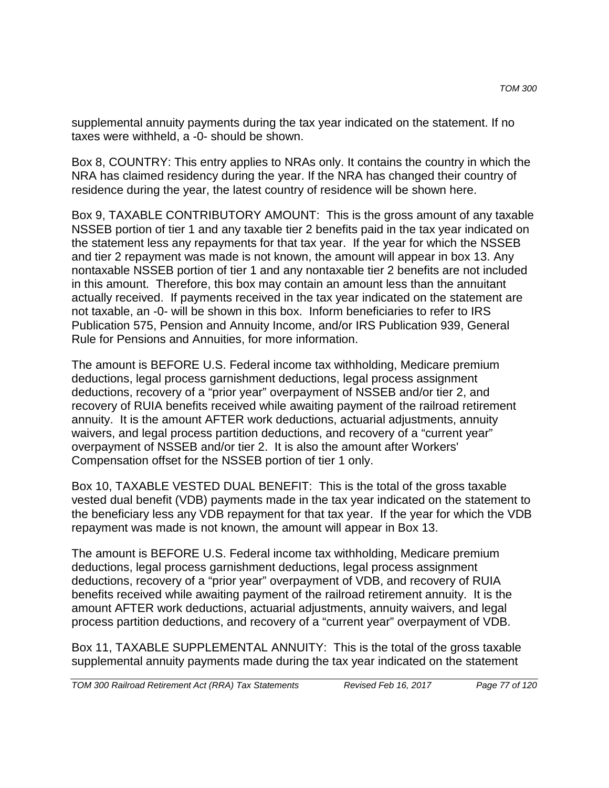supplemental annuity payments during the tax year indicated on the statement. If no taxes were withheld, a -0- should be shown.

Box 8, COUNTRY: This entry applies to NRAs only. It contains the country in which the NRA has claimed residency during the year. If the NRA has changed their country of residence during the year, the latest country of residence will be shown here.

Box 9, TAXABLE CONTRIBUTORY AMOUNT: This is the gross amount of any taxable NSSEB portion of tier 1 and any taxable tier 2 benefits paid in the tax year indicated on the statement less any repayments for that tax year. If the year for which the NSSEB and tier 2 repayment was made is not known, the amount will appear in box 13. Any nontaxable NSSEB portion of tier 1 and any nontaxable tier 2 benefits are not included in this amount. Therefore, this box may contain an amount less than the annuitant actually received. If payments received in the tax year indicated on the statement are not taxable, an -0- will be shown in this box. Inform beneficiaries to refer to IRS Publication 575, Pension and Annuity Income, and/or IRS Publication 939, General Rule for Pensions and Annuities, for more information.

The amount is BEFORE U.S. Federal income tax withholding, Medicare premium deductions, legal process garnishment deductions, legal process assignment deductions, recovery of a "prior year" overpayment of NSSEB and/or tier 2, and recovery of RUIA benefits received while awaiting payment of the railroad retirement annuity. It is the amount AFTER work deductions, actuarial adjustments, annuity waivers, and legal process partition deductions, and recovery of a "current year" overpayment of NSSEB and/or tier 2. It is also the amount after Workers' Compensation offset for the NSSEB portion of tier 1 only.

Box 10, TAXABLE VESTED DUAL BENEFIT: This is the total of the gross taxable vested dual benefit (VDB) payments made in the tax year indicated on the statement to the beneficiary less any VDB repayment for that tax year. If the year for which the VDB repayment was made is not known, the amount will appear in Box 13.

The amount is BEFORE U.S. Federal income tax withholding, Medicare premium deductions, legal process garnishment deductions, legal process assignment deductions, recovery of a "prior year" overpayment of VDB, and recovery of RUIA benefits received while awaiting payment of the railroad retirement annuity. It is the amount AFTER work deductions, actuarial adjustments, annuity waivers, and legal process partition deductions, and recovery of a "current year" overpayment of VDB.

Box 11, TAXABLE SUPPLEMENTAL ANNUITY: This is the total of the gross taxable supplemental annuity payments made during the tax year indicated on the statement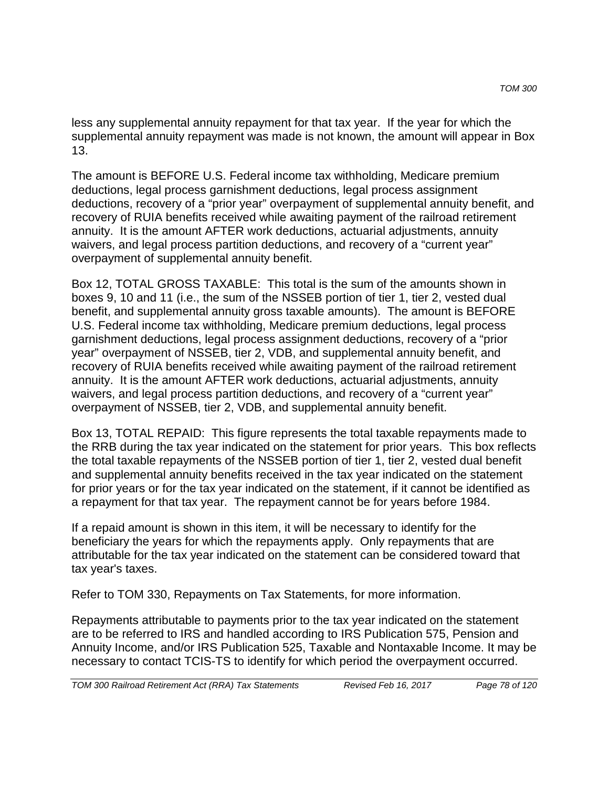less any supplemental annuity repayment for that tax year. If the year for which the supplemental annuity repayment was made is not known, the amount will appear in Box 13.

The amount is BEFORE U.S. Federal income tax withholding, Medicare premium deductions, legal process garnishment deductions, legal process assignment deductions, recovery of a "prior year" overpayment of supplemental annuity benefit, and recovery of RUIA benefits received while awaiting payment of the railroad retirement annuity. It is the amount AFTER work deductions, actuarial adjustments, annuity waivers, and legal process partition deductions, and recovery of a "current year" overpayment of supplemental annuity benefit.

Box 12, TOTAL GROSS TAXABLE: This total is the sum of the amounts shown in boxes 9, 10 and 11 (i.e., the sum of the NSSEB portion of tier 1, tier 2, vested dual benefit, and supplemental annuity gross taxable amounts). The amount is BEFORE U.S. Federal income tax withholding, Medicare premium deductions, legal process garnishment deductions, legal process assignment deductions, recovery of a "prior year" overpayment of NSSEB, tier 2, VDB, and supplemental annuity benefit, and recovery of RUIA benefits received while awaiting payment of the railroad retirement annuity. It is the amount AFTER work deductions, actuarial adjustments, annuity waivers, and legal process partition deductions, and recovery of a "current year" overpayment of NSSEB, tier 2, VDB, and supplemental annuity benefit.

Box 13, TOTAL REPAID: This figure represents the total taxable repayments made to the RRB during the tax year indicated on the statement for prior years. This box reflects the total taxable repayments of the NSSEB portion of tier 1, tier 2, vested dual benefit and supplemental annuity benefits received in the tax year indicated on the statement for prior years or for the tax year indicated on the statement, if it cannot be identified as a repayment for that tax year. The repayment cannot be for years before 1984.

If a repaid amount is shown in this item, it will be necessary to identify for the beneficiary the years for which the repayments apply. Only repayments that are attributable for the tax year indicated on the statement can be considered toward that tax year's taxes.

Refer to TOM 330, Repayments on Tax Statements, for more information.

Repayments attributable to payments prior to the tax year indicated on the statement are to be referred to IRS and handled according to IRS Publication 575, Pension and Annuity Income, and/or IRS Publication 525, Taxable and Nontaxable Income. It may be necessary to contact TCIS-TS to identify for which period the overpayment occurred.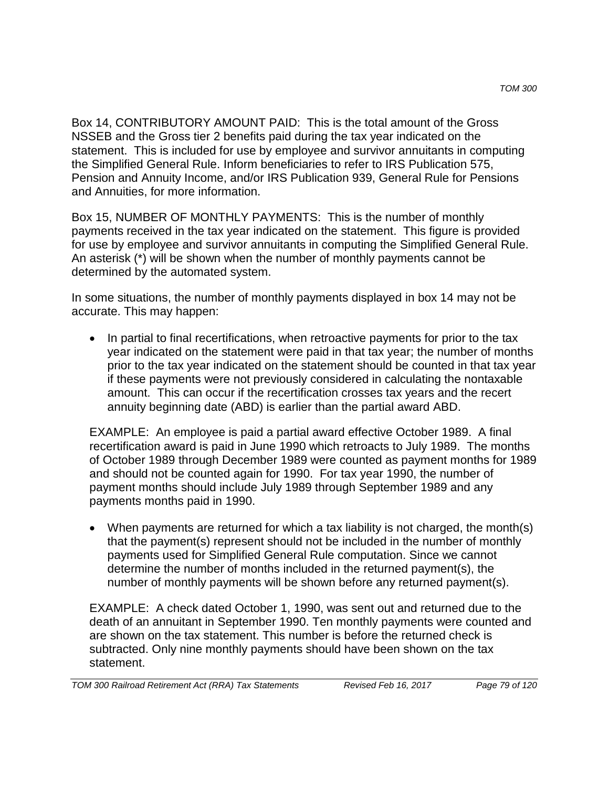Box 14, CONTRIBUTORY AMOUNT PAID: This is the total amount of the Gross NSSEB and the Gross tier 2 benefits paid during the tax year indicated on the statement. This is included for use by employee and survivor annuitants in computing the Simplified General Rule. Inform beneficiaries to refer to IRS Publication 575, Pension and Annuity Income, and/or IRS Publication 939, General Rule for Pensions and Annuities, for more information.

Box 15, NUMBER OF MONTHLY PAYMENTS: This is the number of monthly payments received in the tax year indicated on the statement. This figure is provided for use by employee and survivor annuitants in computing the Simplified General Rule. An asterisk (\*) will be shown when the number of monthly payments cannot be determined by the automated system.

In some situations, the number of monthly payments displayed in box 14 may not be accurate. This may happen:

• In partial to final recertifications, when retroactive payments for prior to the tax year indicated on the statement were paid in that tax year; the number of months prior to the tax year indicated on the statement should be counted in that tax year if these payments were not previously considered in calculating the nontaxable amount. This can occur if the recertification crosses tax years and the recert annuity beginning date (ABD) is earlier than the partial award ABD.

EXAMPLE: An employee is paid a partial award effective October 1989. A final recertification award is paid in June 1990 which retroacts to July 1989. The months of October 1989 through December 1989 were counted as payment months for 1989 and should not be counted again for 1990. For tax year 1990, the number of payment months should include July 1989 through September 1989 and any payments months paid in 1990.

• When payments are returned for which a tax liability is not charged, the month(s) that the payment(s) represent should not be included in the number of monthly payments used for Simplified General Rule computation. Since we cannot determine the number of months included in the returned payment(s), the number of monthly payments will be shown before any returned payment(s).

EXAMPLE: A check dated October 1, 1990, was sent out and returned due to the death of an annuitant in September 1990. Ten monthly payments were counted and are shown on the tax statement. This number is before the returned check is subtracted. Only nine monthly payments should have been shown on the tax statement.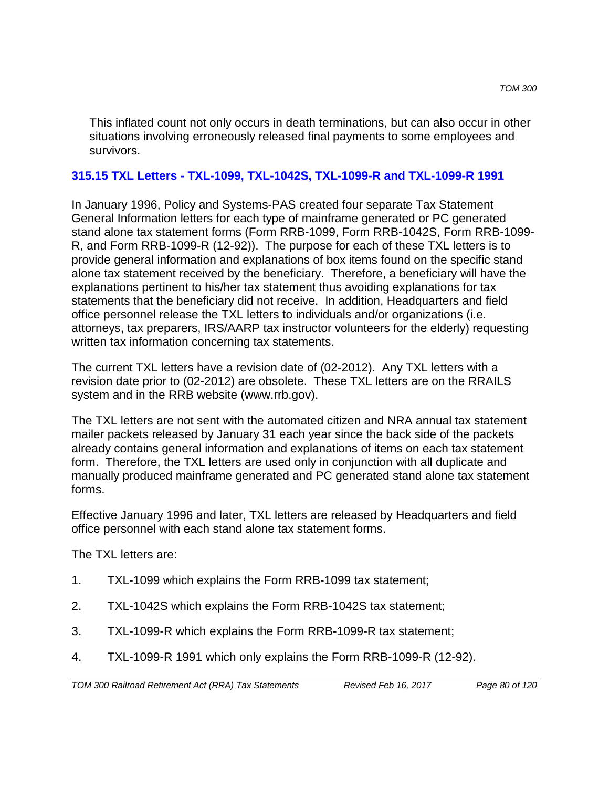This inflated count not only occurs in death terminations, but can also occur in other situations involving erroneously released final payments to some employees and survivors.

### **315.15 TXL Letters - TXL-1099, TXL-1042S, TXL-1099-R and TXL-1099-R 1991**

In January 1996, Policy and Systems-PAS created four separate Tax Statement General Information letters for each type of mainframe generated or PC generated stand alone tax statement forms (Form RRB-1099, Form RRB-1042S, Form RRB-1099- R, and Form RRB-1099-R (12-92)). The purpose for each of these TXL letters is to provide general information and explanations of box items found on the specific stand alone tax statement received by the beneficiary. Therefore, a beneficiary will have the explanations pertinent to his/her tax statement thus avoiding explanations for tax statements that the beneficiary did not receive. In addition, Headquarters and field office personnel release the TXL letters to individuals and/or organizations (i.e. attorneys, tax preparers, IRS/AARP tax instructor volunteers for the elderly) requesting written tax information concerning tax statements.

The current TXL letters have a revision date of (02-2012). Any TXL letters with a revision date prior to (02-2012) are obsolete. These TXL letters are on the RRAILS system and in the RRB website (www.rrb.gov).

The TXL letters are not sent with the automated citizen and NRA annual tax statement mailer packets released by January 31 each year since the back side of the packets already contains general information and explanations of items on each tax statement form. Therefore, the TXL letters are used only in conjunction with all duplicate and manually produced mainframe generated and PC generated stand alone tax statement forms.

Effective January 1996 and later, TXL letters are released by Headquarters and field office personnel with each stand alone tax statement forms.

The TXL letters are:

- 1. TXL-1099 which explains the Form RRB-1099 tax statement;
- 2. TXL-1042S which explains the Form RRB-1042S tax statement;
- 3. TXL-1099-R which explains the Form RRB-1099-R tax statement;
- 4. TXL-1099-R 1991 which only explains the Form RRB-1099-R (12-92).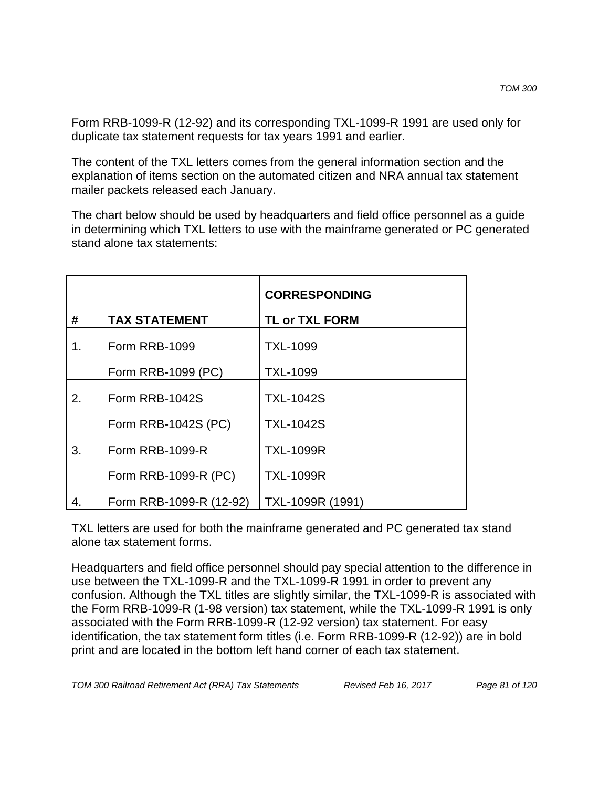Form RRB-1099-R (12-92) and its corresponding TXL-1099-R 1991 are used only for duplicate tax statement requests for tax years 1991 and earlier.

The content of the TXL letters comes from the general information section and the explanation of items section on the automated citizen and NRA annual tax statement mailer packets released each January.

The chart below should be used by headquarters and field office personnel as a guide in determining which TXL letters to use with the mainframe generated or PC generated stand alone tax statements:

|    |                         | <b>CORRESPONDING</b>  |
|----|-------------------------|-----------------------|
| #  | <b>TAX STATEMENT</b>    | <b>TL or TXL FORM</b> |
| 1. | Form RRB-1099           | <b>TXL-1099</b>       |
|    | Form RRB-1099 (PC)      | <b>TXL-1099</b>       |
| 2. | Form RRB-1042S          | <b>TXL-1042S</b>      |
|    | Form RRB-1042S (PC)     | <b>TXL-1042S</b>      |
| 3. | Form RRB-1099-R         | <b>TXL-1099R</b>      |
|    | Form RRB-1099-R (PC)    | <b>TXL-1099R</b>      |
| 4. | Form RRB-1099-R (12-92) | TXL-1099R (1991)      |

TXL letters are used for both the mainframe generated and PC generated tax stand alone tax statement forms.

Headquarters and field office personnel should pay special attention to the difference in use between the TXL-1099-R and the TXL-1099-R 1991 in order to prevent any confusion. Although the TXL titles are slightly similar, the TXL-1099-R is associated with the Form RRB-1099-R (1-98 version) tax statement, while the TXL-1099-R 1991 is only associated with the Form RRB-1099-R (12-92 version) tax statement. For easy identification, the tax statement form titles (i.e. Form RRB-1099-R (12-92)) are in bold print and are located in the bottom left hand corner of each tax statement.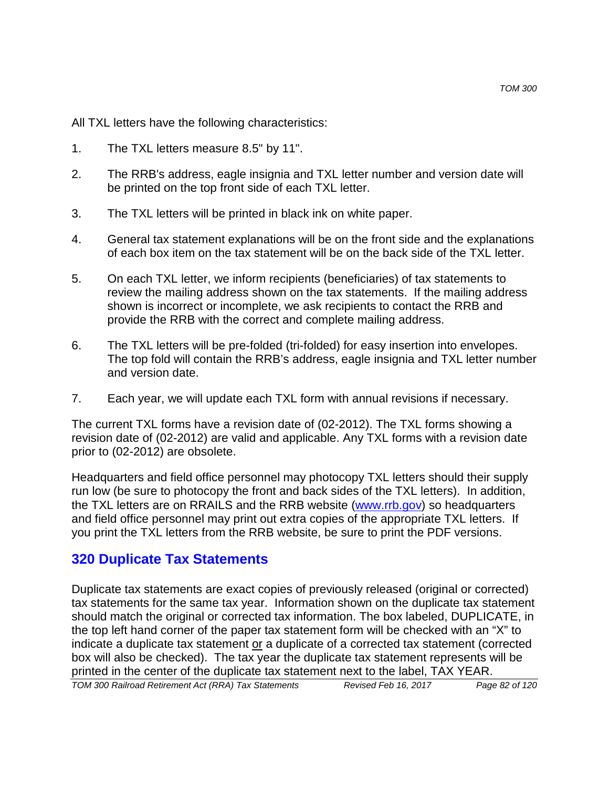All TXL letters have the following characteristics:

- 1. The TXL letters measure 8.5" by 11".
- 2. The RRB's address, eagle insignia and TXL letter number and version date will be printed on the top front side of each TXL letter.
- 3. The TXL letters will be printed in black ink on white paper.
- 4. General tax statement explanations will be on the front side and the explanations of each box item on the tax statement will be on the back side of the TXL letter.
- 5. On each TXL letter, we inform recipients (beneficiaries) of tax statements to review the mailing address shown on the tax statements. If the mailing address shown is incorrect or incomplete, we ask recipients to contact the RRB and provide the RRB with the correct and complete mailing address.
- 6. The TXL letters will be pre-folded (tri-folded) for easy insertion into envelopes. The top fold will contain the RRB's address, eagle insignia and TXL letter number and version date.
- 7. Each year, we will update each TXL form with annual revisions if necessary.

The current TXL forms have a revision date of (02-2012). The TXL forms showing a revision date of (02-2012) are valid and applicable. Any TXL forms with a revision date prior to (02-2012) are obsolete.

Headquarters and field office personnel may photocopy TXL letters should their supply run low (be sure to photocopy the front and back sides of the TXL letters). In addition, the TXL letters are on RRAILS and the RRB website (www.rrb.gov) so headquarters and field office personnel may print out extra copies of the appropriate TXL letters. If you print the TXL letters from the RRB website, be sure to print the PDF versions.

## **320 Duplicate Tax Statements**

Duplicate tax statements are exact copies of previously released (original or corrected) tax statements for the same tax year. Information shown on the duplicate tax statement should match the original or corrected tax information. The box labeled, DUPLICATE, in the top left hand corner of the paper tax statement form will be checked with an "X" to indicate a duplicate tax statement or a duplicate of a corrected tax statement (corrected box will also be checked). The tax year the duplicate tax statement represents will be printed in the center of the duplicate tax statement next to the label, TAX YEAR.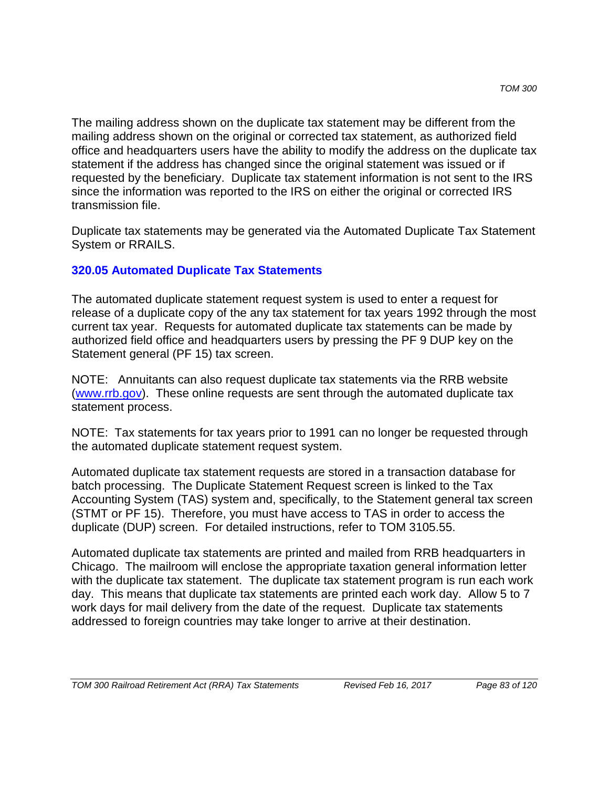The mailing address shown on the duplicate tax statement may be different from the mailing address shown on the original or corrected tax statement, as authorized field office and headquarters users have the ability to modify the address on the duplicate tax statement if the address has changed since the original statement was issued or if requested by the beneficiary. Duplicate tax statement information is not sent to the IRS since the information was reported to the IRS on either the original or corrected IRS transmission file.

Duplicate tax statements may be generated via the Automated Duplicate Tax Statement System or RRAILS.

## **320.05 Automated Duplicate Tax Statements**

The automated duplicate statement request system is used to enter a request for release of a duplicate copy of the any tax statement for tax years 1992 through the most current tax year. Requests for automated duplicate tax statements can be made by authorized field office and headquarters users by pressing the PF 9 DUP key on the Statement general (PF 15) tax screen.

NOTE: Annuitants can also request duplicate tax statements via the RRB website (www.rrb.gov). These online requests are sent through the automated duplicate tax statement process.

NOTE: Tax statements for tax years prior to 1991 can no longer be requested through the automated duplicate statement request system.

Automated duplicate tax statement requests are stored in a transaction database for batch processing. The Duplicate Statement Request screen is linked to the Tax Accounting System (TAS) system and, specifically, to the Statement general tax screen (STMT or PF 15). Therefore, you must have access to TAS in order to access the duplicate (DUP) screen. For detailed instructions, refer to TOM 3105.55.

Automated duplicate tax statements are printed and mailed from RRB headquarters in Chicago. The mailroom will enclose the appropriate taxation general information letter with the duplicate tax statement. The duplicate tax statement program is run each work day. This means that duplicate tax statements are printed each work day. Allow 5 to 7 work days for mail delivery from the date of the request. Duplicate tax statements addressed to foreign countries may take longer to arrive at their destination.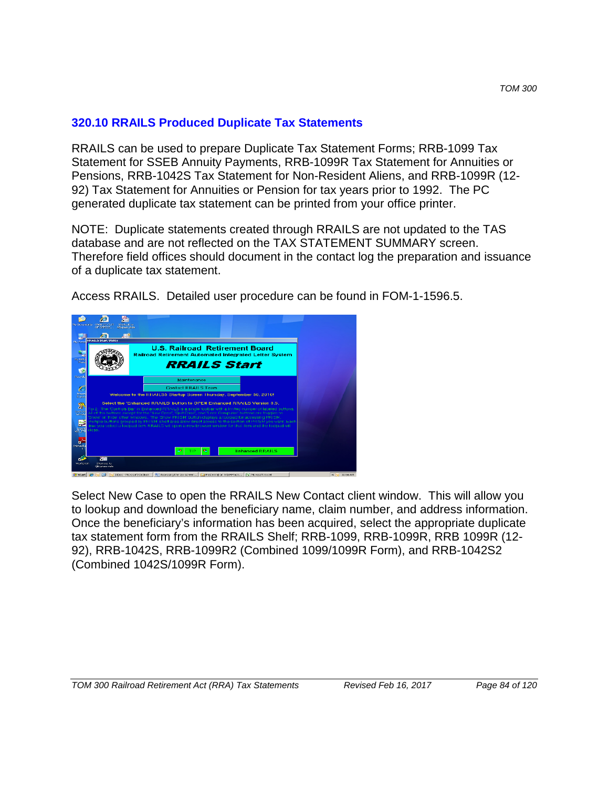### **320.10 RRAILS Produced Duplicate Tax Statements**

RRAILS can be used to prepare Duplicate Tax Statement Forms; RRB-1099 Tax Statement for SSEB Annuity Payments, RRB-1099R Tax Statement for Annuities or Pensions, RRB-1042S Tax Statement for Non-Resident Aliens, and RRB-1099R (12- 92) Tax Statement for Annuities or Pension for tax years prior to 1992. The PC generated duplicate tax statement can be printed from your office printer.

NOTE: Duplicate statements created through RRAILS are not updated to the TAS database and are not reflected on the TAX STATEMENT SUMMARY screen. Therefore field offices should document in the contact log the preparation and issuance of a duplicate tax statement.

Access RRAILS. Detailed user procedure can be found in FOM-1-1596.5.



Select New Case to open the RRAILS New Contact client window. This will allow you to lookup and download the beneficiary name, claim number, and address information. Once the beneficiary's information has been acquired, select the appropriate duplicate tax statement form from the RRAILS Shelf; RRB-1099, RRB-1099R, RRB 1099R (12- 92), RRB-1042S, RRB-1099R2 (Combined 1099/1099R Form), and RRB-1042S2 (Combined 1042S/1099R Form).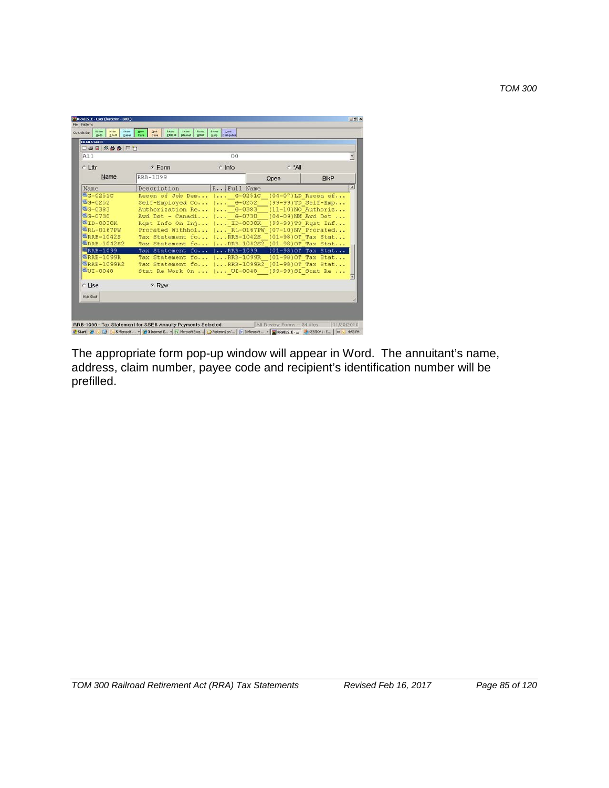*TOM 300*

| 二十日冬效效用口                                                                                                                                                                                    |                                                                                                                                                                                                                                                                                                                                                                                                                                                                                                                                                                                |             |           |                                            |
|---------------------------------------------------------------------------------------------------------------------------------------------------------------------------------------------|--------------------------------------------------------------------------------------------------------------------------------------------------------------------------------------------------------------------------------------------------------------------------------------------------------------------------------------------------------------------------------------------------------------------------------------------------------------------------------------------------------------------------------------------------------------------------------|-------------|-----------|--------------------------------------------|
| A11                                                                                                                                                                                         |                                                                                                                                                                                                                                                                                                                                                                                                                                                                                                                                                                                | 00          |           |                                            |
| c Lttr                                                                                                                                                                                      | G Form                                                                                                                                                                                                                                                                                                                                                                                                                                                                                                                                                                         | $c$ Info    | $f^*$ All |                                            |
| Name                                                                                                                                                                                        | RRB-1099                                                                                                                                                                                                                                                                                                                                                                                                                                                                                                                                                                       |             | Open      | <b>BIKP</b>                                |
| Name                                                                                                                                                                                        | Description                                                                                                                                                                                                                                                                                                                                                                                                                                                                                                                                                                    | R Full Name |           |                                            |
| $G-0251C$<br>型G-0252<br>图G-0383<br>图G-0730<br>型ID-0030K<br><b>URL-0167PW</b><br><b>ERRB-1042S</b><br><b>ERRB-1042S2</b><br><b>ERRB-1099</b><br><b>MRRB-1099R</b><br>型RRB-1099R2<br>UUI-0048 | Recon of Job Des ( G-0251C (04-07)LD Recon of<br>Self-Employed Co ( 6-0252 (99-99)TD_Self-Emp<br>Authorization Re ( G-0383 (11-10)NO Authoriz<br>Awd Det - Canadi ( G-0730 (04-09)NM Awd Det<br>Rqst Info On Inj ( ID-0030K (99-99)TS Rqst Inf<br>Prorated Withhol ( RL-0167PW (07-10)NV Prorated<br>Tax Statement fo ( RRB-1042S<br>Tax Statement fo ( RRB-1042S2 (01-98) OT Tax Stat<br>Tax Statement fo ( RRB-1099<br>Tax Statement fo ( RRB-1099R (01-98) OT Tax Stat<br>Tax Statement fo ( RRB-1099R2_(01-98)OT Tax Stat<br>Stmt Re Work On  ( UI-0048 (99-99) SI Stmt Re |             |           | (01-98) OT Tax Stat<br>(01-98) OT Tax Stat |
| r Use                                                                                                                                                                                       | <b>FRW</b>                                                                                                                                                                                                                                                                                                                                                                                                                                                                                                                                                                     |             |           |                                            |
| <b>Hide Shell</b>                                                                                                                                                                           |                                                                                                                                                                                                                                                                                                                                                                                                                                                                                                                                                                                |             |           |                                            |

The appropriate form pop-up window will appear in Word. The annuitant's name, address, claim number, payee code and recipient's identification number will be prefilled.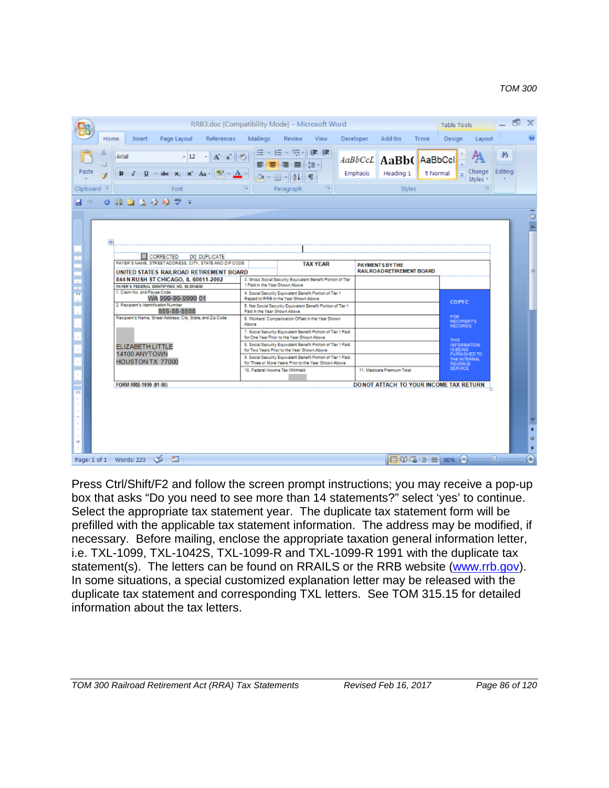|                                                                                                        | RRB3.doc [Compatibility Mode] - Microsoft Word                                                                        |                                                                  | $\mathbb{R}$<br><b>Table Tools</b>                                     |
|--------------------------------------------------------------------------------------------------------|-----------------------------------------------------------------------------------------------------------------------|------------------------------------------------------------------|------------------------------------------------------------------------|
| Home<br>Page Layout<br>References<br>Insert                                                            | Mailings<br>Review<br>View                                                                                            | Add-Ins<br>Developer<br>Trove                                    | $\circledcirc$<br>Design<br>Layout                                     |
| Arial<br>Paste<br>$x, x'$ Aa<br>в<br>I                                                                 | 建建<br>h <sub>e</sub><br>i≣-<br>$\equiv$<br>Ör<br>開                                                                    | AaBbCcL AaBb(AaBbCcl<br>Emphasis<br>Heading 1<br><b>T</b> Normal | 叠<br>Editina<br>Change<br>$=$<br>Styles *                              |
| Clipboard <sup>5</sup><br>Font                                                                         | 履<br>Б.<br>Paragraph                                                                                                  | <b>Styles</b>                                                    | $\overline{\mathbf{B}}$                                                |
| $0$ $0$ $0$ $0$ $0$ $0$ $0$<br>$\frac{180}{2}$<br>$127 - 1$<br>$\equiv$                                |                                                                                                                       |                                                                  |                                                                        |
| $\ddot{}$<br>CORRECTED<br>[X] DUPLICATE<br>÷<br>PAYER'S NAME, STREET ADDRESS, CITY, STATE AND ZIP CODE |                                                                                                                       |                                                                  | ō                                                                      |
| UNITED STATES RAILROAD RETIREMENT BOARD                                                                | <b>TAX YEAR</b>                                                                                                       | <b>PAYMENTS BY THE</b><br>RAILROAD RETIREMENT BOARD              | Ξ                                                                      |
| 844 N RUSH ST CHICAGO. IL 60611-2092<br>PAYER'S FEDERAL IDENTIFYING NO. 30-3314000                     | 3. Gross Social Security Equivalent Benefit Portion of Tier<br>1 Paid in the Year Shown Above                         |                                                                  |                                                                        |
| İ<br>1. Claim No. and Payee Code<br>WA 999-99-9999 01<br>$\overline{\phantom{a}}$                      | 4. Social Security Equivalent Benefit Portion of Tier 1<br>Regald to RRB in the Year Shown Above                      |                                                                  |                                                                        |
| ٠<br>2. Recipient's Identification Number<br>888-88-8888                                               | 5. Net Social Security Equivalent Benefit Portion of Tier 1<br>Paid in the Year Shown Above                           |                                                                  | <b>COPYC</b>                                                           |
| È<br>Recipient's Name, Street Address, City, State, and Zip Code<br>$\sim$                             | 6. Workers' Compensation Offset in the Year Shown<br>Above                                                            |                                                                  | FOR<br><b>RECIPIENTS</b><br><b>RECORDS</b>                             |
|                                                                                                        | 7. Social Security Equivalent Benefit Portion of Tier 1 Paid<br>for One Year Prior to the Year Shown Above            |                                                                  |                                                                        |
| <b>ELIZABETH LITTLE</b>                                                                                | 8. Social Security Equivalent Benefit Portion of Tier 1 Paid<br>for Two Years Prior to the Year Shown Above           |                                                                  | <b>THIS</b>                                                            |
| 14100 ANYTOWN<br>HOUSTON TX 77000                                                                      | 9. Social Security Equivalent Benefit Portion of Tier 1 Paid<br>for Three or More Years Prior to the Year Shown Above |                                                                  | THIS<br>IS BEING<br>FURNISHED TO<br>THE INTERNAL<br>REVENUE<br>SERVICE |
|                                                                                                        | 10. Federal Income Tax Withheld                                                                                       | 11. Medicare Premium Total                                       |                                                                        |
| FORM RRB-1099 (01-98)                                                                                  |                                                                                                                       | DONOT ATTACH TO YOUR INCOME TAX RETURN                           |                                                                        |
| $^{(1)}$<br>4                                                                                          |                                                                                                                       |                                                                  | $\pmb{z}$<br>$\bullet$<br>$\overline{\bullet}$                         |
| 面<br>Page: 1 of 1   Words: 223   @                                                                     |                                                                                                                       | $\Box$ 00 5 3 $\equiv$ 90%                                       | $\overline{\Theta}$<br>Đ.<br>$(-$                                      |

Press Ctrl/Shift/F2 and follow the screen prompt instructions; you may receive a pop-up box that asks "Do you need to see more than 14 statements?" select 'yes' to continue. Select the appropriate tax statement year. The duplicate tax statement form will be prefilled with the applicable tax statement information. The address may be modified, if necessary. Before mailing, enclose the appropriate taxation general information letter, i.e. TXL-1099, TXL-1042S, TXL-1099-R and TXL-1099-R 1991 with the duplicate tax statement(s). The letters can be found on RRAILS or the RRB website (www.rrb.gov). In some situations, a special customized explanation letter may be released with the duplicate tax statement and corresponding TXL letters. See TOM 315.15 for detailed information about the tax letters.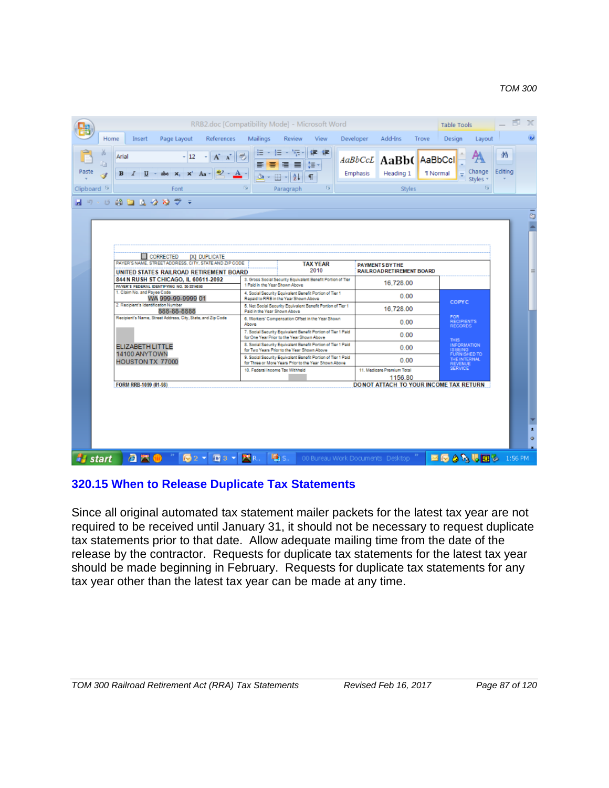#### *TOM 300*

| RRB2.doc [Compatibility Mode] - Microsoft Word                                                                                                                          |                                       |                                                                                                                       |           |                                                           |       | Table Tools                                  |                |
|-------------------------------------------------------------------------------------------------------------------------------------------------------------------------|---------------------------------------|-----------------------------------------------------------------------------------------------------------------------|-----------|-----------------------------------------------------------|-------|----------------------------------------------|----------------|
| Page Layout<br>References<br>Home<br>Insert                                                                                                                             | Mailings                              | Review<br>View                                                                                                        | Developer | Add-Ins                                                   | Trove | Design<br>Layout                             |                |
| 品<br>Arial<br>$-12$<br>$\mathbf{A}$<br>Paste<br>abe $x$ , $x^2$ Aa -<br>$\mathbf{B}$<br>U<br>$\overline{I}$                                                             | Öł<br>開                               | 建 建<br>Æ<br>雄                                                                                                         |           | AaBbCcL AaBb(AaBbCcl<br>Heading 1<br>Emphasis             |       | Change<br><b>T</b> Normal<br>$=$<br>Styles * | da.<br>Editing |
| Clipboard <sup>5</sup><br>Font                                                                                                                                          | 履                                     | <b>B</b><br>Paragraph                                                                                                 |           | <b>Styles</b>                                             |       | $\overline{\mathrm{Fm}}$                     |                |
| ロット あつ マダガジョ                                                                                                                                                            |                                       |                                                                                                                       |           |                                                           |       |                                              | 5              |
| CORRECTED<br>[X] DUPLICATE<br>PAYER'S NAME, STREET ADDRESS, CITY, STATE AND ZIP CODE<br>UNITED STATES RAILROAD RETIREMENT BOARD<br>844 N RUSH ST CHICAGO. IL 60611-2092 |                                       | <b>TAX YEAR</b><br>2010<br>3. Gross Social Security Equivalent Benefit Portion of Tier                                |           | <b>PAYMENTS BY THE</b><br><b>RAILROADRETIREMENT BOARD</b> |       |                                              |                |
| PAYER'S FEDERAL IDENTIFYING NO. 30-3314000<br>1. Claim No. and Payee Code                                                                                               | 1 Paid in the Year Shown Above        | 4. Social Security Equivalent Benefit Portion of Tier 1                                                               |           | 16.728.00                                                 |       |                                              |                |
| WA 999-99-9999 01<br>2. Recipient's Identification Number                                                                                                               | Repaid to RRB in the Year Shown Above | 5. Net Social Security Equivalent Benefit Portion of Tier 1                                                           |           | 0.00                                                      |       | <b>COPYC</b>                                 |                |
| 888-88-8888<br>Recipient's Name, Street Address, City, State, and Zip Code                                                                                              | Paid in the Year Shown Above<br>Above | 6. Workers' Compensation Offset in the Year Shown                                                                     |           | 16.728.00<br>0.00                                         |       | FOR<br><b>RECIPIENTS</b><br>RECORDS          |                |
|                                                                                                                                                                         |                                       | 7. Social Security Equivalent Benefit Portion of Tier 1 Paid<br>for One Year Prior to the Year Shown Above            |           | 0.00                                                      |       | THIS.                                        |                |
| <b>ELIZABETH LITTLE</b><br>14100 ANYTOWN                                                                                                                                |                                       | 8. Social Security Equivalent Benefit Portion of Tier 1 Paid<br>for Two Years Prior to the Year Shown Above           |           | 0.00                                                      |       | INFORMATION<br>IS BEING<br>FURNISHED TO      |                |
| HOUSTON TX 77000                                                                                                                                                        |                                       | 9. Social Security Equivalent Benefit Portion of Tier 1 Paid<br>for Three or More Years Prior to the Year Shown Above |           | 0.00                                                      |       | THE INTERNAL<br><b>REVENUE</b>               |                |
|                                                                                                                                                                         | 10. Federal Income Tax Withheld       |                                                                                                                       |           | 11. Medicare Premium Total<br>1156.80                     |       | <b>SERVICE</b>                               |                |
| FORM RRB-1099 (01-98)                                                                                                                                                   |                                       |                                                                                                                       |           | DONOT ATTACH TO YOUR INCOME TAX RETURN                    |       |                                              |                |
|                                                                                                                                                                         |                                       |                                                                                                                       |           |                                                           |       |                                              | ż.<br>$\alpha$ |
| <b><i>il</i></b> start<br>a m<br>$\mathbb{Z}^2$<br>$\sqrt{m}$ 3 $\sqrt{m}$                                                                                              | <b>B</b> <sub>15</sub> .              |                                                                                                                       |           | 00 Bureau Work Documents Desktop                          |       | ■63%眼图多 1:56 PM                              |                |

### **320.15 When to Release Duplicate Tax Statements**

Since all original automated tax statement mailer packets for the latest tax year are not required to be received until January 31, it should not be necessary to request duplicate tax statements prior to that date. Allow adequate mailing time from the date of the release by the contractor. Requests for duplicate tax statements for the latest tax year should be made beginning in February. Requests for duplicate tax statements for any tax year other than the latest tax year can be made at any time.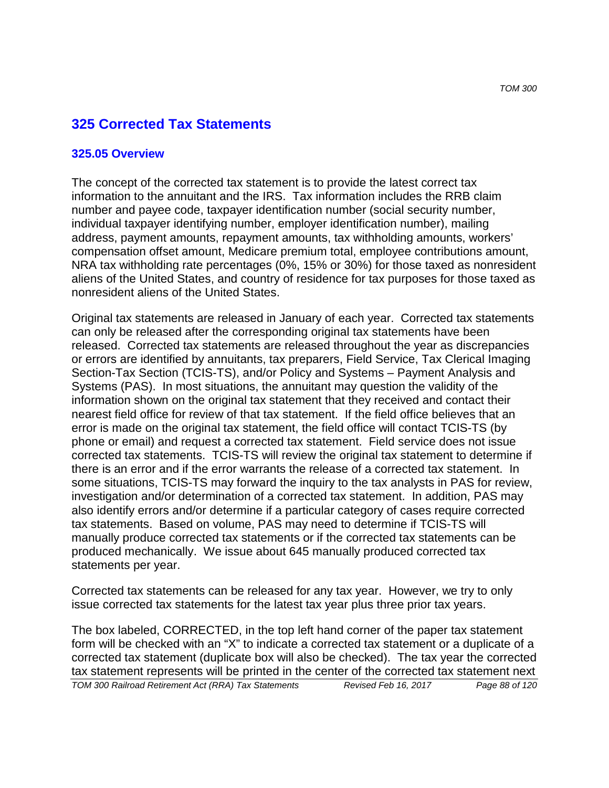# **325 Corrected Tax Statements**

#### **325.05 Overview**

The concept of the corrected tax statement is to provide the latest correct tax information to the annuitant and the IRS. Tax information includes the RRB claim number and payee code, taxpayer identification number (social security number, individual taxpayer identifying number, employer identification number), mailing address, payment amounts, repayment amounts, tax withholding amounts, workers' compensation offset amount, Medicare premium total, employee contributions amount, NRA tax withholding rate percentages (0%, 15% or 30%) for those taxed as nonresident aliens of the United States, and country of residence for tax purposes for those taxed as nonresident aliens of the United States.

Original tax statements are released in January of each year. Corrected tax statements can only be released after the corresponding original tax statements have been released. Corrected tax statements are released throughout the year as discrepancies or errors are identified by annuitants, tax preparers, Field Service, Tax Clerical Imaging Section-Tax Section (TCIS-TS), and/or Policy and Systems – Payment Analysis and Systems (PAS). In most situations, the annuitant may question the validity of the information shown on the original tax statement that they received and contact their nearest field office for review of that tax statement. If the field office believes that an error is made on the original tax statement, the field office will contact TCIS-TS (by phone or email) and request a corrected tax statement. Field service does not issue corrected tax statements. TCIS-TS will review the original tax statement to determine if there is an error and if the error warrants the release of a corrected tax statement. In some situations, TCIS-TS may forward the inquiry to the tax analysts in PAS for review, investigation and/or determination of a corrected tax statement. In addition, PAS may also identify errors and/or determine if a particular category of cases require corrected tax statements. Based on volume, PAS may need to determine if TCIS-TS will manually produce corrected tax statements or if the corrected tax statements can be produced mechanically. We issue about 645 manually produced corrected tax statements per year.

Corrected tax statements can be released for any tax year. However, we try to only issue corrected tax statements for the latest tax year plus three prior tax years.

The box labeled, CORRECTED, in the top left hand corner of the paper tax statement form will be checked with an "X" to indicate a corrected tax statement or a duplicate of a corrected tax statement (duplicate box will also be checked). The tax year the corrected tax statement represents will be printed in the center of the corrected tax statement next

*TOM 300 Railroad Retirement Act (RRA) Tax Statements Revised Feb 16, 2017 Page 88 of 120*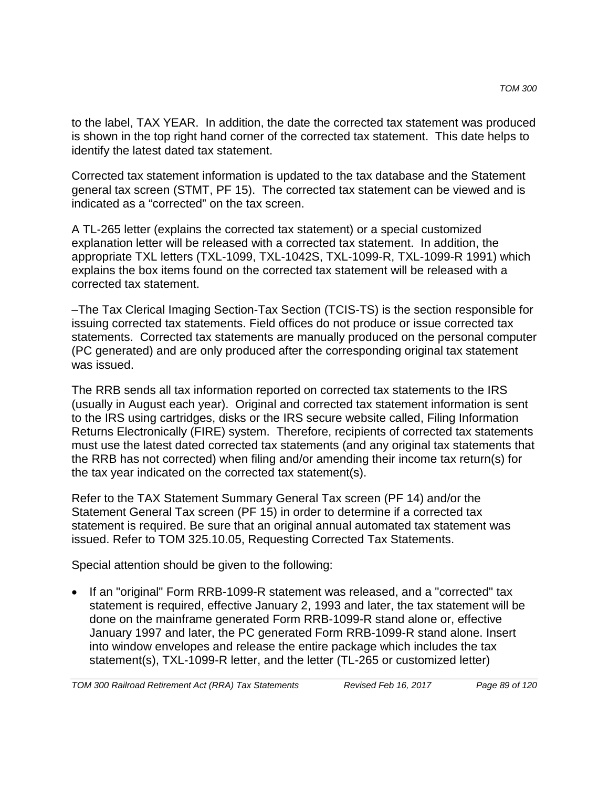to the label, TAX YEAR. In addition, the date the corrected tax statement was produced is shown in the top right hand corner of the corrected tax statement. This date helps to identify the latest dated tax statement.

Corrected tax statement information is updated to the tax database and the Statement general tax screen (STMT, PF 15). The corrected tax statement can be viewed and is indicated as a "corrected" on the tax screen.

A TL-265 letter (explains the corrected tax statement) or a special customized explanation letter will be released with a corrected tax statement. In addition, the appropriate TXL letters (TXL-1099, TXL-1042S, TXL-1099-R, TXL-1099-R 1991) which explains the box items found on the corrected tax statement will be released with a corrected tax statement.

–The Tax Clerical Imaging Section-Tax Section (TCIS-TS) is the section responsible for issuing corrected tax statements. Field offices do not produce or issue corrected tax statements. Corrected tax statements are manually produced on the personal computer (PC generated) and are only produced after the corresponding original tax statement was issued.

The RRB sends all tax information reported on corrected tax statements to the IRS (usually in August each year). Original and corrected tax statement information is sent to the IRS using cartridges, disks or the IRS secure website called, Filing Information Returns Electronically (FIRE) system. Therefore, recipients of corrected tax statements must use the latest dated corrected tax statements (and any original tax statements that the RRB has not corrected) when filing and/or amending their income tax return(s) for the tax year indicated on the corrected tax statement(s).

Refer to the TAX Statement Summary General Tax screen (PF 14) and/or the Statement General Tax screen (PF 15) in order to determine if a corrected tax statement is required. Be sure that an original annual automated tax statement was issued. Refer to TOM 325.10.05, Requesting Corrected Tax Statements.

Special attention should be given to the following:

• If an "original" Form RRB-1099-R statement was released, and a "corrected" tax statement is required, effective January 2, 1993 and later, the tax statement will be done on the mainframe generated Form RRB-1099-R stand alone or, effective January 1997 and later, the PC generated Form RRB-1099-R stand alone. Insert into window envelopes and release the entire package which includes the tax statement(s), TXL-1099-R letter, and the letter (TL-265 or customized letter)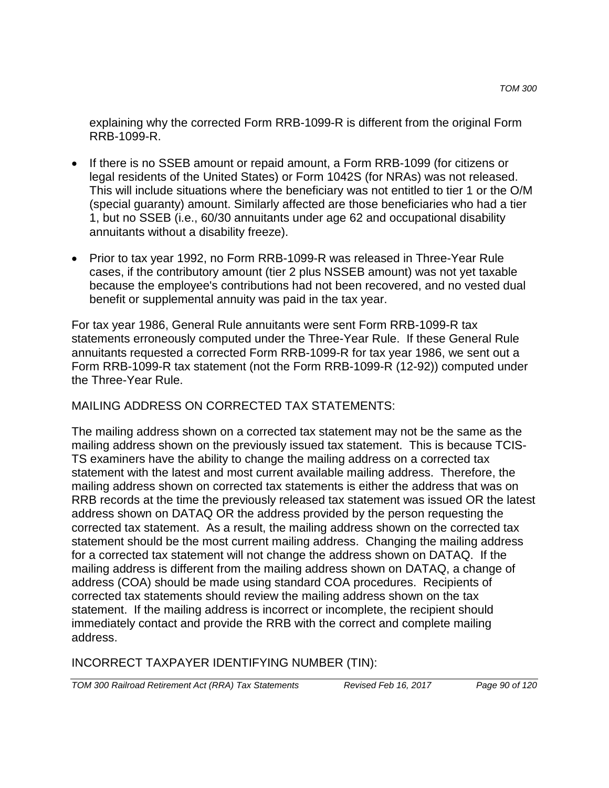explaining why the corrected Form RRB-1099-R is different from the original Form RRB-1099-R.

- If there is no SSEB amount or repaid amount, a Form RRB-1099 (for citizens or legal residents of the United States) or Form 1042S (for NRAs) was not released. This will include situations where the beneficiary was not entitled to tier 1 or the O/M (special guaranty) amount. Similarly affected are those beneficiaries who had a tier 1, but no SSEB (i.e., 60/30 annuitants under age 62 and occupational disability annuitants without a disability freeze).
- Prior to tax year 1992, no Form RRB-1099-R was released in Three-Year Rule cases, if the contributory amount (tier 2 plus NSSEB amount) was not yet taxable because the employee's contributions had not been recovered, and no vested dual benefit or supplemental annuity was paid in the tax year.

For tax year 1986, General Rule annuitants were sent Form RRB-1099-R tax statements erroneously computed under the Three-Year Rule. If these General Rule annuitants requested a corrected Form RRB-1099-R for tax year 1986, we sent out a Form RRB-1099-R tax statement (not the Form RRB-1099-R (12-92)) computed under the Three-Year Rule.

MAILING ADDRESS ON CORRECTED TAX STATEMENTS:

The mailing address shown on a corrected tax statement may not be the same as the mailing address shown on the previously issued tax statement. This is because TCIS-TS examiners have the ability to change the mailing address on a corrected tax statement with the latest and most current available mailing address. Therefore, the mailing address shown on corrected tax statements is either the address that was on RRB records at the time the previously released tax statement was issued OR the latest address shown on DATAQ OR the address provided by the person requesting the corrected tax statement. As a result, the mailing address shown on the corrected tax statement should be the most current mailing address. Changing the mailing address for a corrected tax statement will not change the address shown on DATAQ. If the mailing address is different from the mailing address shown on DATAQ, a change of address (COA) should be made using standard COA procedures. Recipients of corrected tax statements should review the mailing address shown on the tax statement. If the mailing address is incorrect or incomplete, the recipient should immediately contact and provide the RRB with the correct and complete mailing address.

INCORRECT TAXPAYER IDENTIFYING NUMBER (TIN):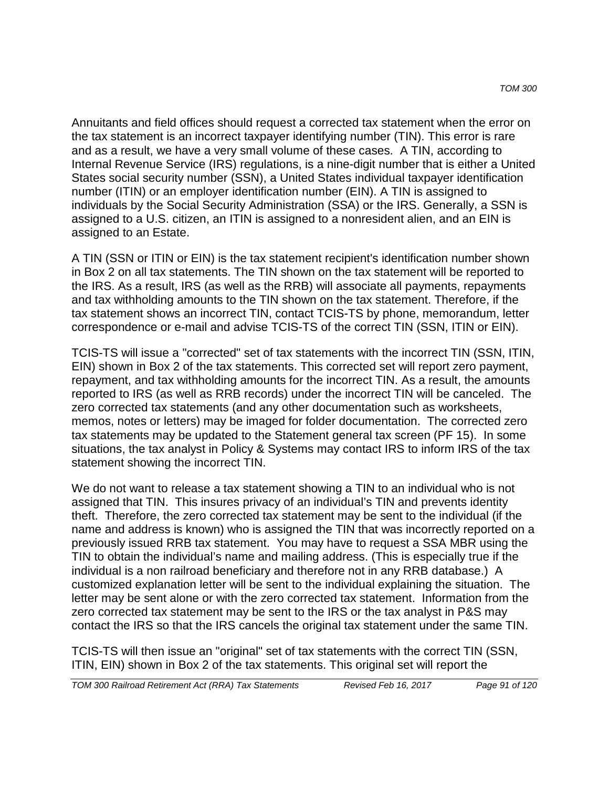Annuitants and field offices should request a corrected tax statement when the error on the tax statement is an incorrect taxpayer identifying number (TIN). This error is rare and as a result, we have a very small volume of these cases. A TIN, according to Internal Revenue Service (IRS) regulations, is a nine-digit number that is either a United States social security number (SSN), a United States individual taxpayer identification number (ITIN) or an employer identification number (EIN). A TIN is assigned to individuals by the Social Security Administration (SSA) or the IRS. Generally, a SSN is assigned to a U.S. citizen, an ITIN is assigned to a nonresident alien, and an EIN is assigned to an Estate.

A TIN (SSN or ITIN or EIN) is the tax statement recipient's identification number shown in Box 2 on all tax statements. The TIN shown on the tax statement will be reported to the IRS. As a result, IRS (as well as the RRB) will associate all payments, repayments and tax withholding amounts to the TIN shown on the tax statement. Therefore, if the tax statement shows an incorrect TIN, contact TCIS-TS by phone, memorandum, letter correspondence or e-mail and advise TCIS-TS of the correct TIN (SSN, ITIN or EIN).

TCIS-TS will issue a "corrected" set of tax statements with the incorrect TIN (SSN, ITIN, EIN) shown in Box 2 of the tax statements. This corrected set will report zero payment, repayment, and tax withholding amounts for the incorrect TIN. As a result, the amounts reported to IRS (as well as RRB records) under the incorrect TIN will be canceled. The zero corrected tax statements (and any other documentation such as worksheets, memos, notes or letters) may be imaged for folder documentation. The corrected zero tax statements may be updated to the Statement general tax screen (PF 15). In some situations, the tax analyst in Policy & Systems may contact IRS to inform IRS of the tax statement showing the incorrect TIN.

We do not want to release a tax statement showing a TIN to an individual who is not assigned that TIN. This insures privacy of an individual's TIN and prevents identity theft. Therefore, the zero corrected tax statement may be sent to the individual (if the name and address is known) who is assigned the TIN that was incorrectly reported on a previously issued RRB tax statement. You may have to request a SSA MBR using the TIN to obtain the individual's name and mailing address. (This is especially true if the individual is a non railroad beneficiary and therefore not in any RRB database.) A customized explanation letter will be sent to the individual explaining the situation. The letter may be sent alone or with the zero corrected tax statement. Information from the zero corrected tax statement may be sent to the IRS or the tax analyst in P&S may contact the IRS so that the IRS cancels the original tax statement under the same TIN.

TCIS-TS will then issue an "original" set of tax statements with the correct TIN (SSN, ITIN, EIN) shown in Box 2 of the tax statements. This original set will report the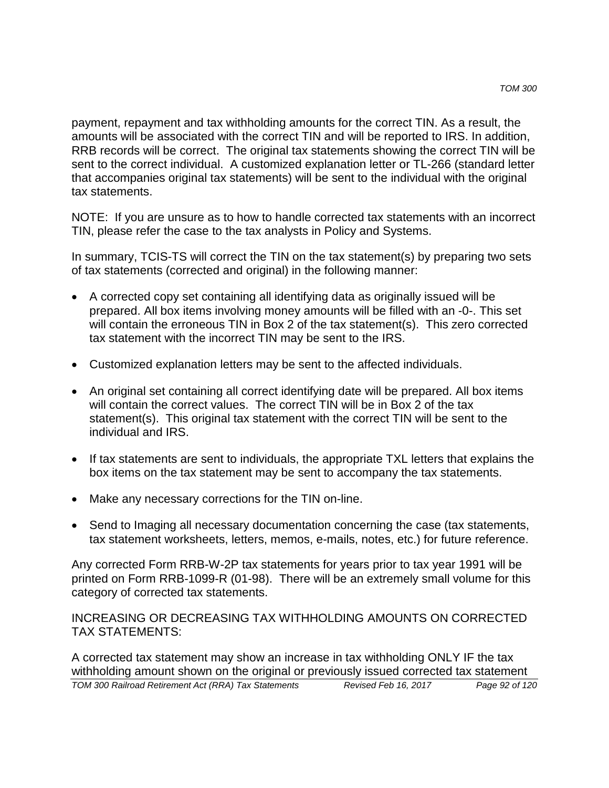payment, repayment and tax withholding amounts for the correct TIN. As a result, the amounts will be associated with the correct TIN and will be reported to IRS. In addition, RRB records will be correct. The original tax statements showing the correct TIN will be sent to the correct individual. A customized explanation letter or TL-266 (standard letter that accompanies original tax statements) will be sent to the individual with the original tax statements.

NOTE: If you are unsure as to how to handle corrected tax statements with an incorrect TIN, please refer the case to the tax analysts in Policy and Systems.

In summary, TCIS-TS will correct the TIN on the tax statement(s) by preparing two sets of tax statements (corrected and original) in the following manner:

- A corrected copy set containing all identifying data as originally issued will be prepared. All box items involving money amounts will be filled with an -0-. This set will contain the erroneous TIN in Box 2 of the tax statement(s). This zero corrected tax statement with the incorrect TIN may be sent to the IRS.
- Customized explanation letters may be sent to the affected individuals.
- An original set containing all correct identifying date will be prepared. All box items will contain the correct values. The correct TIN will be in Box 2 of the tax statement(s). This original tax statement with the correct TIN will be sent to the individual and IRS.
- If tax statements are sent to individuals, the appropriate TXL letters that explains the box items on the tax statement may be sent to accompany the tax statements.
- Make any necessary corrections for the TIN on-line.
- Send to Imaging all necessary documentation concerning the case (tax statements, tax statement worksheets, letters, memos, e-mails, notes, etc.) for future reference.

Any corrected Form RRB-W-2P tax statements for years prior to tax year 1991 will be printed on Form RRB-1099-R (01-98). There will be an extremely small volume for this category of corrected tax statements.

INCREASING OR DECREASING TAX WITHHOLDING AMOUNTS ON CORRECTED TAX STATEMENTS:

A corrected tax statement may show an increase in tax withholding ONLY IF the tax withholding amount shown on the original or previously issued corrected tax statement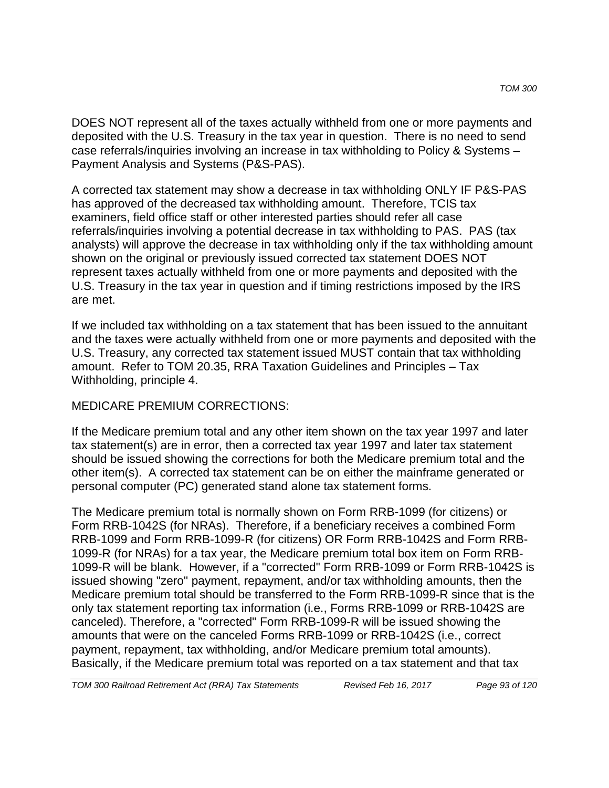DOES NOT represent all of the taxes actually withheld from one or more payments and deposited with the U.S. Treasury in the tax year in question. There is no need to send case referrals/inquiries involving an increase in tax withholding to Policy & Systems – Payment Analysis and Systems (P&S-PAS).

A corrected tax statement may show a decrease in tax withholding ONLY IF P&S-PAS has approved of the decreased tax withholding amount. Therefore, TCIS tax examiners, field office staff or other interested parties should refer all case referrals/inquiries involving a potential decrease in tax withholding to PAS. PAS (tax analysts) will approve the decrease in tax withholding only if the tax withholding amount shown on the original or previously issued corrected tax statement DOES NOT represent taxes actually withheld from one or more payments and deposited with the U.S. Treasury in the tax year in question and if timing restrictions imposed by the IRS are met.

If we included tax withholding on a tax statement that has been issued to the annuitant and the taxes were actually withheld from one or more payments and deposited with the U.S. Treasury, any corrected tax statement issued MUST contain that tax withholding amount. Refer to TOM 20.35, RRA Taxation Guidelines and Principles – Tax Withholding, principle 4.

### MEDICARE PREMIUM CORRECTIONS:

If the Medicare premium total and any other item shown on the tax year 1997 and later tax statement(s) are in error, then a corrected tax year 1997 and later tax statement should be issued showing the corrections for both the Medicare premium total and the other item(s). A corrected tax statement can be on either the mainframe generated or personal computer (PC) generated stand alone tax statement forms.

The Medicare premium total is normally shown on Form RRB-1099 (for citizens) or Form RRB-1042S (for NRAs). Therefore, if a beneficiary receives a combined Form RRB-1099 and Form RRB-1099-R (for citizens) OR Form RRB-1042S and Form RRB-1099-R (for NRAs) for a tax year, the Medicare premium total box item on Form RRB-1099-R will be blank. However, if a "corrected" Form RRB-1099 or Form RRB-1042S is issued showing "zero" payment, repayment, and/or tax withholding amounts, then the Medicare premium total should be transferred to the Form RRB-1099-R since that is the only tax statement reporting tax information (i.e., Forms RRB-1099 or RRB-1042S are canceled). Therefore, a "corrected" Form RRB-1099-R will be issued showing the amounts that were on the canceled Forms RRB-1099 or RRB-1042S (i.e., correct payment, repayment, tax withholding, and/or Medicare premium total amounts). Basically, if the Medicare premium total was reported on a tax statement and that tax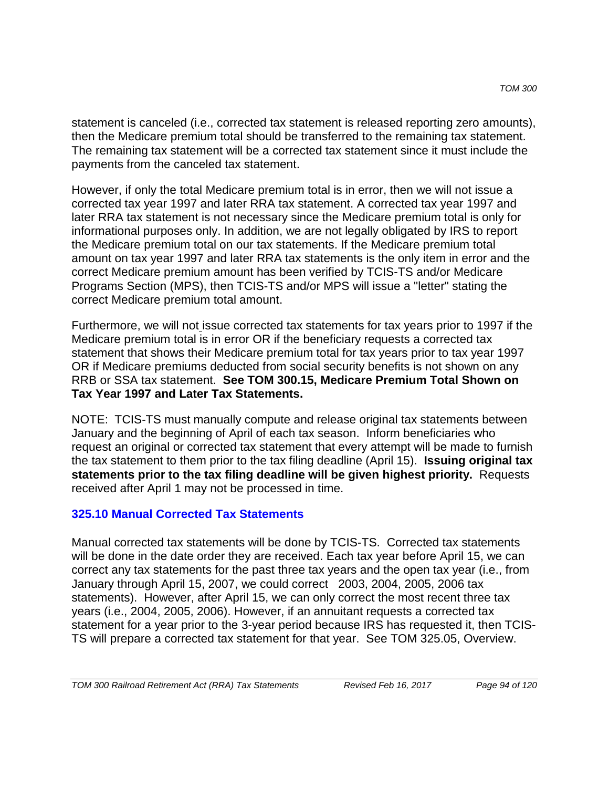statement is canceled (i.e., corrected tax statement is released reporting zero amounts), then the Medicare premium total should be transferred to the remaining tax statement. The remaining tax statement will be a corrected tax statement since it must include the payments from the canceled tax statement.

However, if only the total Medicare premium total is in error, then we will not issue a corrected tax year 1997 and later RRA tax statement. A corrected tax year 1997 and later RRA tax statement is not necessary since the Medicare premium total is only for informational purposes only. In addition, we are not legally obligated by IRS to report the Medicare premium total on our tax statements. If the Medicare premium total amount on tax year 1997 and later RRA tax statements is the only item in error and the correct Medicare premium amount has been verified by TCIS-TS and/or Medicare Programs Section (MPS), then TCIS-TS and/or MPS will issue a "letter" stating the correct Medicare premium total amount.

Furthermore, we will not issue corrected tax statements for tax years prior to 1997 if the Medicare premium total is in error OR if the beneficiary requests a corrected tax statement that shows their Medicare premium total for tax years prior to tax year 1997 OR if Medicare premiums deducted from social security benefits is not shown on any RRB or SSA tax statement. **See TOM 300.15, Medicare Premium Total Shown on Tax Year 1997 and Later Tax Statements.**

NOTE: TCIS-TS must manually compute and release original tax statements between January and the beginning of April of each tax season. Inform beneficiaries who request an original or corrected tax statement that every attempt will be made to furnish the tax statement to them prior to the tax filing deadline (April 15). **Issuing original tax statements prior to the tax filing deadline will be given highest priority.** Requests received after April 1 may not be processed in time.

### **325.10 Manual Corrected Tax Statements**

Manual corrected tax statements will be done by TCIS-TS. Corrected tax statements will be done in the date order they are received. Each tax year before April 15, we can correct any tax statements for the past three tax years and the open tax year (i.e., from January through April 15, 2007, we could correct 2003, 2004, 2005, 2006 tax statements). However, after April 15, we can only correct the most recent three tax years (i.e., 2004, 2005, 2006). However, if an annuitant requests a corrected tax statement for a year prior to the 3-year period because IRS has requested it, then TCIS-TS will prepare a corrected tax statement for that year. See TOM 325.05, Overview.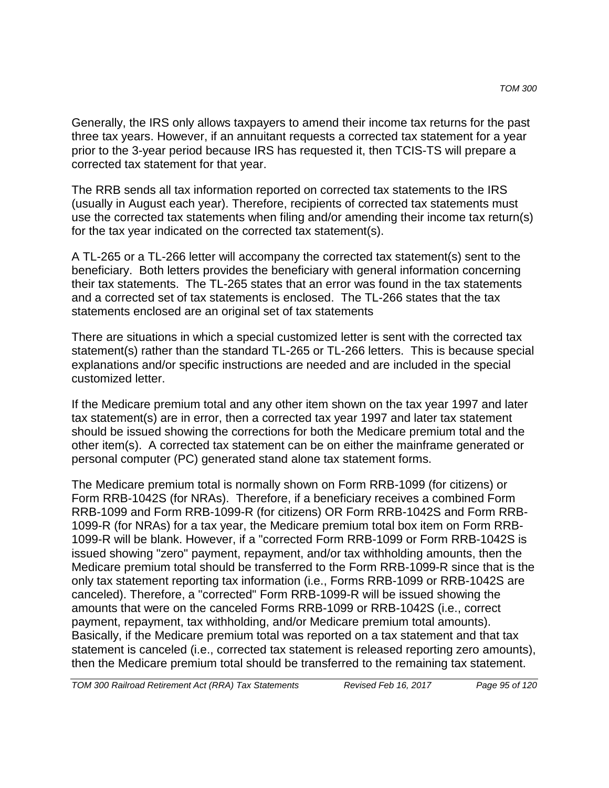Generally, the IRS only allows taxpayers to amend their income tax returns for the past three tax years. However, if an annuitant requests a corrected tax statement for a year prior to the 3-year period because IRS has requested it, then TCIS-TS will prepare a corrected tax statement for that year.

The RRB sends all tax information reported on corrected tax statements to the IRS (usually in August each year). Therefore, recipients of corrected tax statements must use the corrected tax statements when filing and/or amending their income tax return(s) for the tax year indicated on the corrected tax statement(s).

A TL-265 or a TL-266 letter will accompany the corrected tax statement(s) sent to the beneficiary. Both letters provides the beneficiary with general information concerning their tax statements. The TL-265 states that an error was found in the tax statements and a corrected set of tax statements is enclosed. The TL-266 states that the tax statements enclosed are an original set of tax statements

There are situations in which a special customized letter is sent with the corrected tax statement(s) rather than the standard TL-265 or TL-266 letters. This is because special explanations and/or specific instructions are needed and are included in the special customized letter.

If the Medicare premium total and any other item shown on the tax year 1997 and later tax statement(s) are in error, then a corrected tax year 1997 and later tax statement should be issued showing the corrections for both the Medicare premium total and the other item(s). A corrected tax statement can be on either the mainframe generated or personal computer (PC) generated stand alone tax statement forms.

The Medicare premium total is normally shown on Form RRB-1099 (for citizens) or Form RRB-1042S (for NRAs). Therefore, if a beneficiary receives a combined Form RRB-1099 and Form RRB-1099-R (for citizens) OR Form RRB-1042S and Form RRB-1099-R (for NRAs) for a tax year, the Medicare premium total box item on Form RRB-1099-R will be blank. However, if a "corrected Form RRB-1099 or Form RRB-1042S is issued showing "zero" payment, repayment, and/or tax withholding amounts, then the Medicare premium total should be transferred to the Form RRB-1099-R since that is the only tax statement reporting tax information (i.e., Forms RRB-1099 or RRB-1042S are canceled). Therefore, a "corrected" Form RRB-1099-R will be issued showing the amounts that were on the canceled Forms RRB-1099 or RRB-1042S (i.e., correct payment, repayment, tax withholding, and/or Medicare premium total amounts). Basically, if the Medicare premium total was reported on a tax statement and that tax statement is canceled (i.e., corrected tax statement is released reporting zero amounts), then the Medicare premium total should be transferred to the remaining tax statement.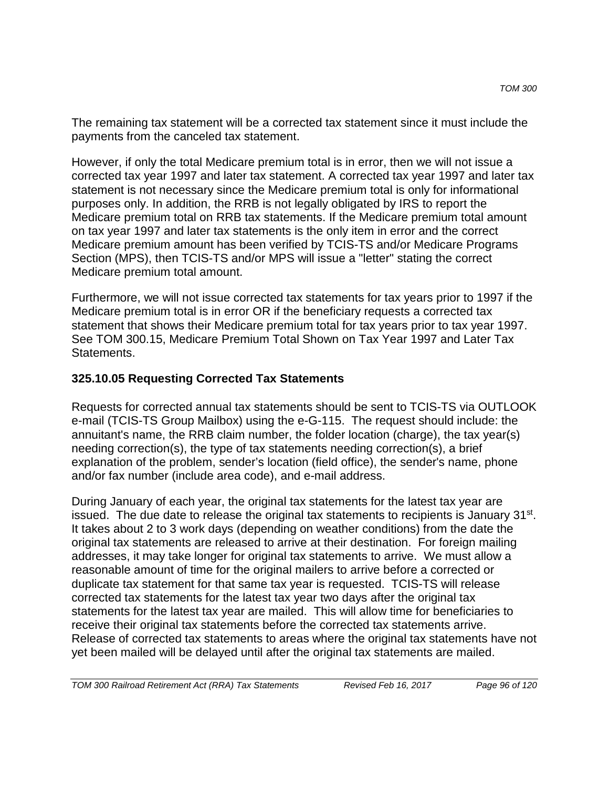The remaining tax statement will be a corrected tax statement since it must include the payments from the canceled tax statement.

However, if only the total Medicare premium total is in error, then we will not issue a corrected tax year 1997 and later tax statement. A corrected tax year 1997 and later tax statement is not necessary since the Medicare premium total is only for informational purposes only. In addition, the RRB is not legally obligated by IRS to report the Medicare premium total on RRB tax statements. If the Medicare premium total amount on tax year 1997 and later tax statements is the only item in error and the correct Medicare premium amount has been verified by TCIS-TS and/or Medicare Programs Section (MPS), then TCIS-TS and/or MPS will issue a "letter" stating the correct Medicare premium total amount.

Furthermore, we will not issue corrected tax statements for tax years prior to 1997 if the Medicare premium total is in error OR if the beneficiary requests a corrected tax statement that shows their Medicare premium total for tax years prior to tax year 1997. See TOM 300.15, Medicare Premium Total Shown on Tax Year 1997 and Later Tax **Statements** 

### **325.10.05 Requesting Corrected Tax Statements**

Requests for corrected annual tax statements should be sent to TCIS-TS via OUTLOOK e-mail (TCIS-TS Group Mailbox) using the e-G-115. The request should include: the annuitant's name, the RRB claim number, the folder location (charge), the tax year(s) needing correction(s), the type of tax statements needing correction(s), a brief explanation of the problem, sender's location (field office), the sender's name, phone and/or fax number (include area code), and e-mail address.

During January of each year, the original tax statements for the latest tax year are issued. The due date to release the original tax statements to recipients is January 31<sup>st</sup>. It takes about 2 to 3 work days (depending on weather conditions) from the date the original tax statements are released to arrive at their destination. For foreign mailing addresses, it may take longer for original tax statements to arrive. We must allow a reasonable amount of time for the original mailers to arrive before a corrected or duplicate tax statement for that same tax year is requested. TCIS-TS will release corrected tax statements for the latest tax year two days after the original tax statements for the latest tax year are mailed. This will allow time for beneficiaries to receive their original tax statements before the corrected tax statements arrive. Release of corrected tax statements to areas where the original tax statements have not yet been mailed will be delayed until after the original tax statements are mailed.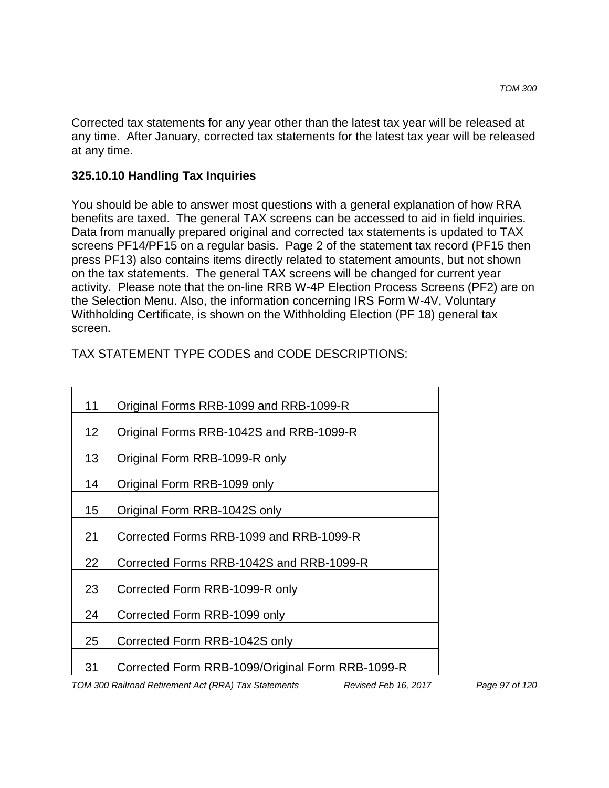Corrected tax statements for any year other than the latest tax year will be released at any time. After January, corrected tax statements for the latest tax year will be released at any time.

#### **325.10.10 Handling Tax Inquiries**

You should be able to answer most questions with a general explanation of how RRA benefits are taxed. The general TAX screens can be accessed to aid in field inquiries. Data from manually prepared original and corrected tax statements is updated to TAX screens PF14/PF15 on a regular basis. Page 2 of the statement tax record (PF15 then press PF13) also contains items directly related to statement amounts, but not shown on the tax statements. The general TAX screens will be changed for current year activity. Please note that the on-line RRB W-4P Election Process Screens (PF2) are on the Selection Menu. Also, the information concerning IRS Form W-4V, Voluntary Withholding Certificate, is shown on the Withholding Election (PF 18) general tax screen.

| TAX STATEMENT TYPE CODES and CODE DESCRIPTIONS: |  |
|-------------------------------------------------|--|
|-------------------------------------------------|--|

| 11 | Original Forms RRB-1099 and RRB-1099-R           |
|----|--------------------------------------------------|
| 12 | Original Forms RRB-1042S and RRB-1099-R          |
| 13 | Original Form RRB-1099-R only                    |
| 14 | Original Form RRB-1099 only                      |
| 15 | Original Form RRB-1042S only                     |
| 21 | Corrected Forms RRB-1099 and RRB-1099-R          |
| 22 | Corrected Forms RRB-1042S and RRB-1099-R         |
| 23 | Corrected Form RRB-1099-R only                   |
| 24 | Corrected Form RRB-1099 only                     |
| 25 | Corrected Form RRB-1042S only                    |
| 31 | Corrected Form RRB-1099/Original Form RRB-1099-R |

*TOM 300 Railroad Retirement Act (RRA) Tax Statements Revised Feb 16, 2017 Page 97 of 120*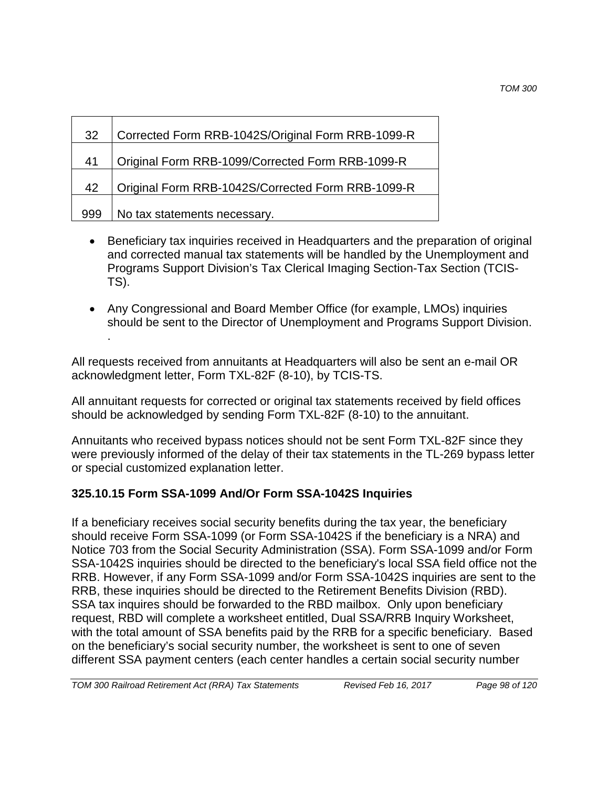| 32  | Corrected Form RRB-1042S/Original Form RRB-1099-R |  |
|-----|---------------------------------------------------|--|
| 41  | Original Form RRB-1099/Corrected Form RRB-1099-R  |  |
| 42  | Original Form RRB-1042S/Corrected Form RRB-1099-R |  |
| 999 | No tax statements necessary.                      |  |

- Beneficiary tax inquiries received in Headquarters and the preparation of original and corrected manual tax statements will be handled by the Unemployment and Programs Support Division's Tax Clerical Imaging Section-Tax Section (TCIS-TS).
- Any Congressional and Board Member Office (for example, LMOs) inquiries should be sent to the Director of Unemployment and Programs Support Division.

All requests received from annuitants at Headquarters will also be sent an e-mail OR acknowledgment letter, Form TXL-82F (8-10), by TCIS-TS.

All annuitant requests for corrected or original tax statements received by field offices should be acknowledged by sending Form TXL-82F (8-10) to the annuitant.

Annuitants who received bypass notices should not be sent Form TXL-82F since they were previously informed of the delay of their tax statements in the TL-269 bypass letter or special customized explanation letter.

## **325.10.15 Form SSA-1099 And/Or Form SSA-1042S Inquiries**

.

If a beneficiary receives social security benefits during the tax year, the beneficiary should receive Form SSA-1099 (or Form SSA-1042S if the beneficiary is a NRA) and Notice 703 from the Social Security Administration (SSA). Form SSA-1099 and/or Form SSA-1042S inquiries should be directed to the beneficiary's local SSA field office not the RRB. However, if any Form SSA-1099 and/or Form SSA-1042S inquiries are sent to the RRB, these inquiries should be directed to the Retirement Benefits Division (RBD). SSA tax inquires should be forwarded to the RBD mailbox. Only upon beneficiary request, RBD will complete a worksheet entitled, Dual SSA/RRB Inquiry Worksheet, with the total amount of SSA benefits paid by the RRB for a specific beneficiary. Based on the beneficiary's social security number, the worksheet is sent to one of seven different SSA payment centers (each center handles a certain social security number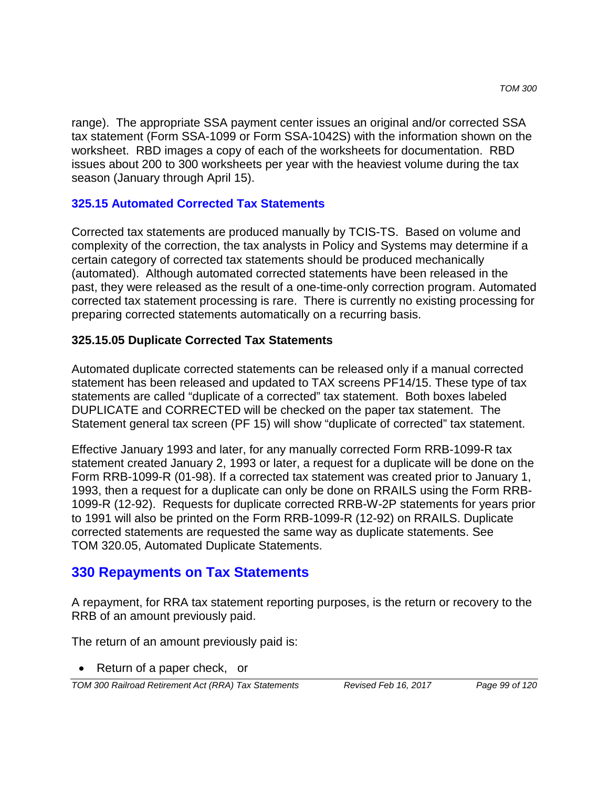range). The appropriate SSA payment center issues an original and/or corrected SSA tax statement (Form SSA-1099 or Form SSA-1042S) with the information shown on the worksheet. RBD images a copy of each of the worksheets for documentation. RBD issues about 200 to 300 worksheets per year with the heaviest volume during the tax season (January through April 15).

#### **325.15 Automated Corrected Tax Statements**

Corrected tax statements are produced manually by TCIS-TS. Based on volume and complexity of the correction, the tax analysts in Policy and Systems may determine if a certain category of corrected tax statements should be produced mechanically (automated). Although automated corrected statements have been released in the past, they were released as the result of a one-time-only correction program. Automated corrected tax statement processing is rare. There is currently no existing processing for preparing corrected statements automatically on a recurring basis.

#### **325.15.05 Duplicate Corrected Tax Statements**

Automated duplicate corrected statements can be released only if a manual corrected statement has been released and updated to TAX screens PF14/15. These type of tax statements are called "duplicate of a corrected" tax statement. Both boxes labeled DUPLICATE and CORRECTED will be checked on the paper tax statement. The Statement general tax screen (PF 15) will show "duplicate of corrected" tax statement.

Effective January 1993 and later, for any manually corrected Form RRB-1099-R tax statement created January 2, 1993 or later, a request for a duplicate will be done on the Form RRB-1099-R (01-98). If a corrected tax statement was created prior to January 1, 1993, then a request for a duplicate can only be done on RRAILS using the Form RRB-1099-R (12-92). Requests for duplicate corrected RRB-W-2P statements for years prior to 1991 will also be printed on the Form RRB-1099-R (12-92) on RRAILS. Duplicate corrected statements are requested the same way as duplicate statements. See TOM 320.05, Automated Duplicate Statements.

## **330 Repayments on Tax Statements**

A repayment, for RRA tax statement reporting purposes, is the return or recovery to the RRB of an amount previously paid.

The return of an amount previously paid is:

• Return of a paper check, or

*TOM 300 Railroad Retirement Act (RRA) Tax Statements Revised Feb 16, 2017 Page 99 of 120*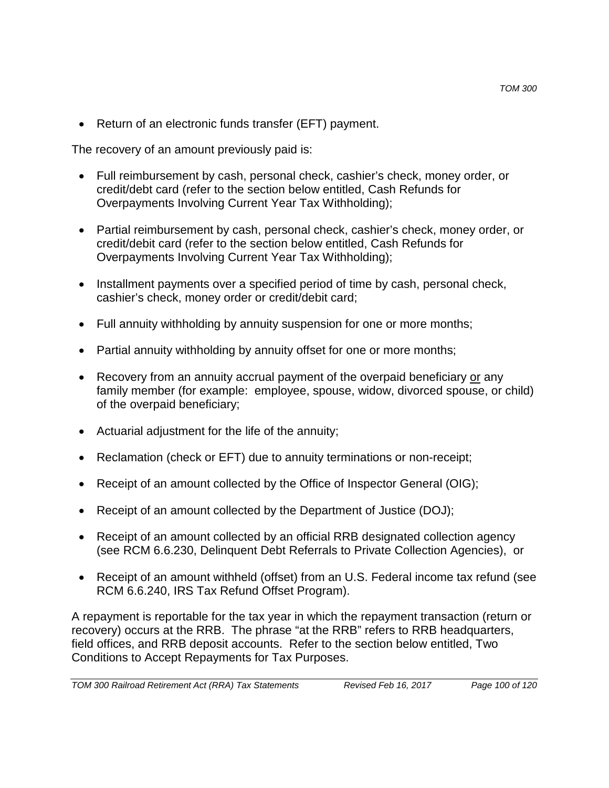• Return of an electronic funds transfer (EFT) payment.

The recovery of an amount previously paid is:

- Full reimbursement by cash, personal check, cashier's check, money order, or credit/debt card (refer to the section below entitled, Cash Refunds for Overpayments Involving Current Year Tax Withholding);
- Partial reimbursement by cash, personal check, cashier's check, money order, or credit/debit card (refer to the section below entitled, Cash Refunds for Overpayments Involving Current Year Tax Withholding);
- Installment payments over a specified period of time by cash, personal check, cashier's check, money order or credit/debit card;
- Full annuity withholding by annuity suspension for one or more months;
- Partial annuity withholding by annuity offset for one or more months;
- Recovery from an annuity accrual payment of the overpaid beneficiary or any family member (for example: employee, spouse, widow, divorced spouse, or child) of the overpaid beneficiary;
- Actuarial adjustment for the life of the annuity;
- Reclamation (check or EFT) due to annuity terminations or non-receipt;
- Receipt of an amount collected by the Office of Inspector General (OIG);
- Receipt of an amount collected by the Department of Justice (DOJ);
- Receipt of an amount collected by an official RRB designated collection agency (see RCM 6.6.230, Delinquent Debt Referrals to Private Collection Agencies), or
- Receipt of an amount withheld (offset) from an U.S. Federal income tax refund (see RCM 6.6.240, IRS Tax Refund Offset Program).

A repayment is reportable for the tax year in which the repayment transaction (return or recovery) occurs at the RRB. The phrase "at the RRB" refers to RRB headquarters, field offices, and RRB deposit accounts. Refer to the section below entitled, Two Conditions to Accept Repayments for Tax Purposes.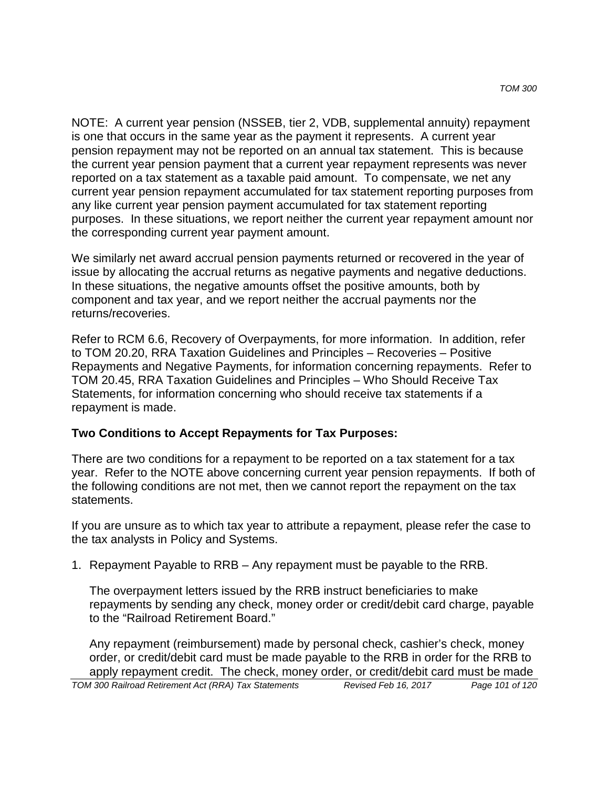NOTE: A current year pension (NSSEB, tier 2, VDB, supplemental annuity) repayment is one that occurs in the same year as the payment it represents. A current year pension repayment may not be reported on an annual tax statement. This is because the current year pension payment that a current year repayment represents was never reported on a tax statement as a taxable paid amount. To compensate, we net any current year pension repayment accumulated for tax statement reporting purposes from any like current year pension payment accumulated for tax statement reporting purposes. In these situations, we report neither the current year repayment amount nor the corresponding current year payment amount.

We similarly net award accrual pension payments returned or recovered in the year of issue by allocating the accrual returns as negative payments and negative deductions. In these situations, the negative amounts offset the positive amounts, both by component and tax year, and we report neither the accrual payments nor the returns/recoveries.

Refer to RCM 6.6, Recovery of Overpayments, for more information. In addition, refer to TOM 20.20, RRA Taxation Guidelines and Principles – Recoveries – Positive Repayments and Negative Payments, for information concerning repayments. Refer to TOM 20.45, RRA Taxation Guidelines and Principles – Who Should Receive Tax Statements, for information concerning who should receive tax statements if a repayment is made.

#### **Two Conditions to Accept Repayments for Tax Purposes:**

There are two conditions for a repayment to be reported on a tax statement for a tax year. Refer to the NOTE above concerning current year pension repayments. If both of the following conditions are not met, then we cannot report the repayment on the tax statements.

If you are unsure as to which tax year to attribute a repayment, please refer the case to the tax analysts in Policy and Systems.

1. Repayment Payable to RRB – Any repayment must be payable to the RRB.

The overpayment letters issued by the RRB instruct beneficiaries to make repayments by sending any check, money order or credit/debit card charge, payable to the "Railroad Retirement Board."

Any repayment (reimbursement) made by personal check, cashier's check, money order, or credit/debit card must be made payable to the RRB in order for the RRB to apply repayment credit. The check, money order, or credit/debit card must be made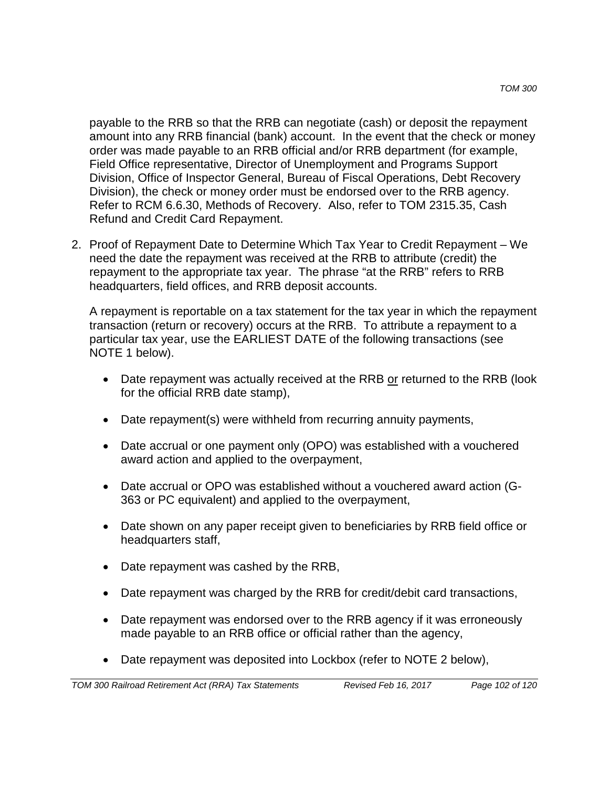payable to the RRB so that the RRB can negotiate (cash) or deposit the repayment amount into any RRB financial (bank) account. In the event that the check or money order was made payable to an RRB official and/or RRB department (for example, Field Office representative, Director of Unemployment and Programs Support Division, Office of Inspector General, Bureau of Fiscal Operations, Debt Recovery Division), the check or money order must be endorsed over to the RRB agency. Refer to RCM 6.6.30, Methods of Recovery. Also, refer to TOM 2315.35, Cash Refund and Credit Card Repayment.

2. Proof of Repayment Date to Determine Which Tax Year to Credit Repayment – We need the date the repayment was received at the RRB to attribute (credit) the repayment to the appropriate tax year. The phrase "at the RRB" refers to RRB headquarters, field offices, and RRB deposit accounts.

A repayment is reportable on a tax statement for the tax year in which the repayment transaction (return or recovery) occurs at the RRB. To attribute a repayment to a particular tax year, use the EARLIEST DATE of the following transactions (see NOTE 1 below).

- Date repayment was actually received at the RRB or returned to the RRB (look for the official RRB date stamp),
- Date repayment(s) were withheld from recurring annuity payments,
- Date accrual or one payment only (OPO) was established with a vouchered award action and applied to the overpayment,
- Date accrual or OPO was established without a vouchered award action (G-363 or PC equivalent) and applied to the overpayment,
- Date shown on any paper receipt given to beneficiaries by RRB field office or headquarters staff,
- Date repayment was cashed by the RRB,
- Date repayment was charged by the RRB for credit/debit card transactions,
- Date repayment was endorsed over to the RRB agency if it was erroneously made payable to an RRB office or official rather than the agency,
- Date repayment was deposited into Lockbox (refer to NOTE 2 below),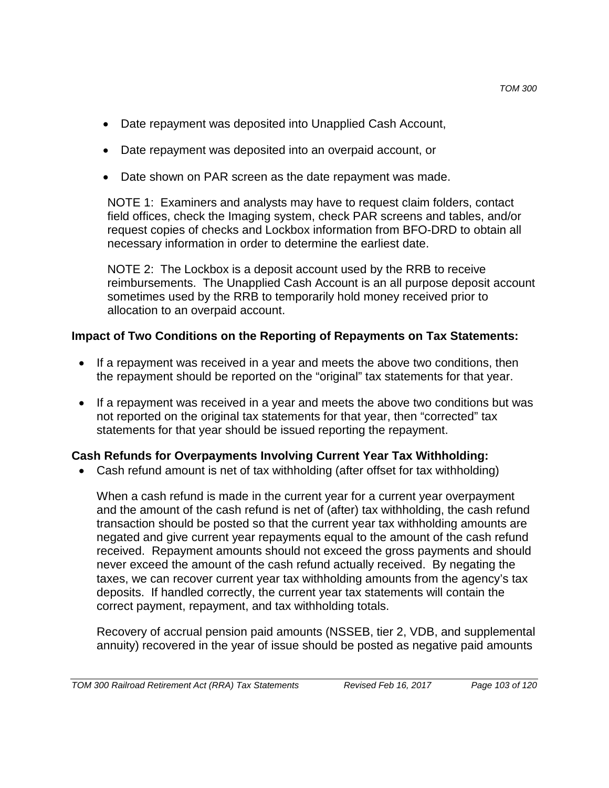- Date repayment was deposited into Unapplied Cash Account,
- Date repayment was deposited into an overpaid account, or
- Date shown on PAR screen as the date repayment was made.

NOTE 1: Examiners and analysts may have to request claim folders, contact field offices, check the Imaging system, check PAR screens and tables, and/or request copies of checks and Lockbox information from BFO-DRD to obtain all necessary information in order to determine the earliest date.

NOTE 2: The Lockbox is a deposit account used by the RRB to receive reimbursements. The Unapplied Cash Account is an all purpose deposit account sometimes used by the RRB to temporarily hold money received prior to allocation to an overpaid account.

### **Impact of Two Conditions on the Reporting of Repayments on Tax Statements:**

- If a repayment was received in a year and meets the above two conditions, then the repayment should be reported on the "original" tax statements for that year.
- If a repayment was received in a year and meets the above two conditions but was not reported on the original tax statements for that year, then "corrected" tax statements for that year should be issued reporting the repayment.

### **Cash Refunds for Overpayments Involving Current Year Tax Withholding:**

• Cash refund amount is net of tax withholding (after offset for tax withholding)

When a cash refund is made in the current year for a current year overpayment and the amount of the cash refund is net of (after) tax withholding, the cash refund transaction should be posted so that the current year tax withholding amounts are negated and give current year repayments equal to the amount of the cash refund received. Repayment amounts should not exceed the gross payments and should never exceed the amount of the cash refund actually received. By negating the taxes, we can recover current year tax withholding amounts from the agency's tax deposits. If handled correctly, the current year tax statements will contain the correct payment, repayment, and tax withholding totals.

Recovery of accrual pension paid amounts (NSSEB, tier 2, VDB, and supplemental annuity) recovered in the year of issue should be posted as negative paid amounts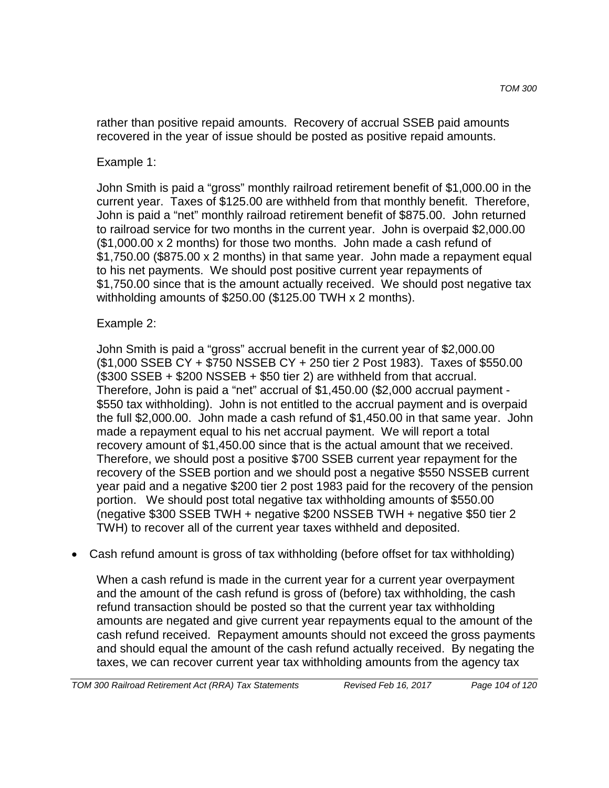rather than positive repaid amounts. Recovery of accrual SSEB paid amounts recovered in the year of issue should be posted as positive repaid amounts.

### Example 1:

John Smith is paid a "gross" monthly railroad retirement benefit of \$1,000.00 in the current year. Taxes of \$125.00 are withheld from that monthly benefit. Therefore, John is paid a "net" monthly railroad retirement benefit of \$875.00. John returned to railroad service for two months in the current year. John is overpaid \$2,000.00 (\$1,000.00 x 2 months) for those two months. John made a cash refund of \$1,750.00 (\$875.00 x 2 months) in that same year. John made a repayment equal to his net payments. We should post positive current year repayments of \$1,750.00 since that is the amount actually received. We should post negative tax withholding amounts of \$250.00 (\$125.00 TWH x 2 months).

### Example 2:

John Smith is paid a "gross" accrual benefit in the current year of \$2,000.00 (\$1,000 SSEB CY + \$750 NSSEB CY + 250 tier 2 Post 1983). Taxes of \$550.00 (\$300 SSEB + \$200 NSSEB + \$50 tier 2) are withheld from that accrual. Therefore, John is paid a "net" accrual of \$1,450.00 (\$2,000 accrual payment - \$550 tax withholding). John is not entitled to the accrual payment and is overpaid the full \$2,000.00. John made a cash refund of \$1,450.00 in that same year. John made a repayment equal to his net accrual payment. We will report a total recovery amount of \$1,450.00 since that is the actual amount that we received. Therefore, we should post a positive \$700 SSEB current year repayment for the recovery of the SSEB portion and we should post a negative \$550 NSSEB current year paid and a negative \$200 tier 2 post 1983 paid for the recovery of the pension portion. We should post total negative tax withholding amounts of \$550.00 (negative \$300 SSEB TWH + negative \$200 NSSEB TWH + negative \$50 tier 2 TWH) to recover all of the current year taxes withheld and deposited.

### • Cash refund amount is gross of tax withholding (before offset for tax withholding)

When a cash refund is made in the current year for a current year overpayment and the amount of the cash refund is gross of (before) tax withholding, the cash refund transaction should be posted so that the current year tax withholding amounts are negated and give current year repayments equal to the amount of the cash refund received. Repayment amounts should not exceed the gross payments and should equal the amount of the cash refund actually received. By negating the taxes, we can recover current year tax withholding amounts from the agency tax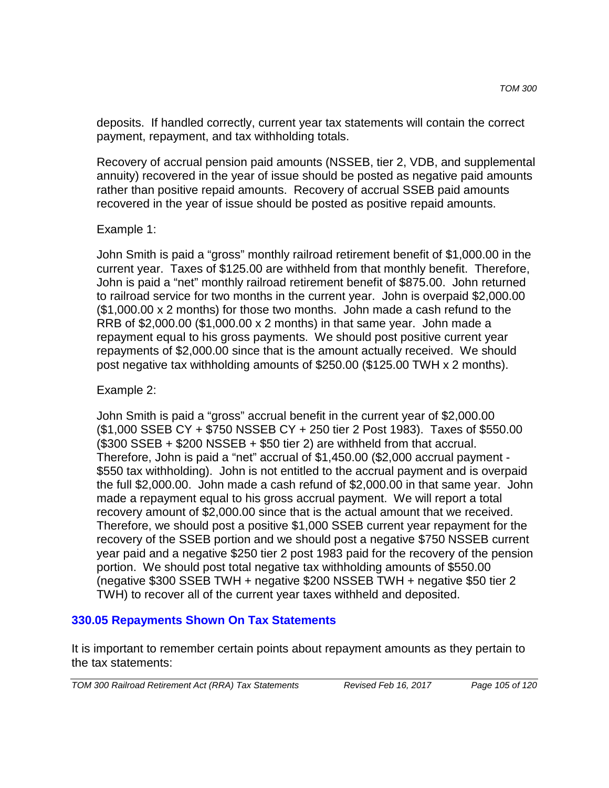deposits. If handled correctly, current year tax statements will contain the correct payment, repayment, and tax withholding totals.

Recovery of accrual pension paid amounts (NSSEB, tier 2, VDB, and supplemental annuity) recovered in the year of issue should be posted as negative paid amounts rather than positive repaid amounts. Recovery of accrual SSEB paid amounts recovered in the year of issue should be posted as positive repaid amounts.

#### Example 1:

John Smith is paid a "gross" monthly railroad retirement benefit of \$1,000.00 in the current year. Taxes of \$125.00 are withheld from that monthly benefit. Therefore, John is paid a "net" monthly railroad retirement benefit of \$875.00. John returned to railroad service for two months in the current year. John is overpaid \$2,000.00 (\$1,000.00 x 2 months) for those two months. John made a cash refund to the RRB of \$2,000.00 (\$1,000.00  $\times$  2 months) in that same year. John made a repayment equal to his gross payments. We should post positive current year repayments of \$2,000.00 since that is the amount actually received. We should post negative tax withholding amounts of \$250.00 (\$125.00 TWH x 2 months).

#### Example 2:

John Smith is paid a "gross" accrual benefit in the current year of \$2,000.00 (\$1,000 SSEB CY + \$750 NSSEB CY + 250 tier 2 Post 1983). Taxes of \$550.00 (\$300 SSEB + \$200 NSSEB + \$50 tier 2) are withheld from that accrual. Therefore, John is paid a "net" accrual of \$1,450.00 (\$2,000 accrual payment - \$550 tax withholding). John is not entitled to the accrual payment and is overpaid the full \$2,000.00. John made a cash refund of \$2,000.00 in that same year. John made a repayment equal to his gross accrual payment. We will report a total recovery amount of \$2,000.00 since that is the actual amount that we received. Therefore, we should post a positive \$1,000 SSEB current year repayment for the recovery of the SSEB portion and we should post a negative \$750 NSSEB current year paid and a negative \$250 tier 2 post 1983 paid for the recovery of the pension portion. We should post total negative tax withholding amounts of \$550.00 (negative \$300 SSEB TWH + negative \$200 NSSEB TWH + negative \$50 tier 2 TWH) to recover all of the current year taxes withheld and deposited.

### **330.05 Repayments Shown On Tax Statements**

It is important to remember certain points about repayment amounts as they pertain to the tax statements: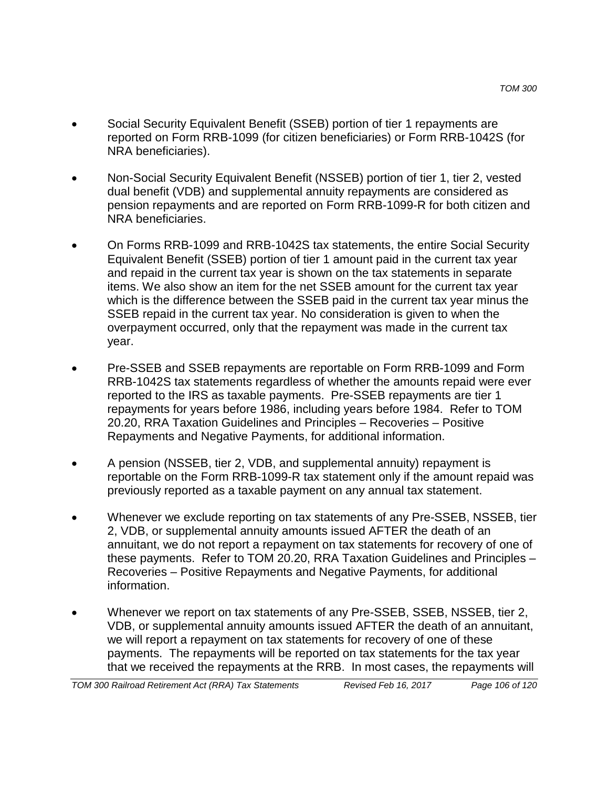- Social Security Equivalent Benefit (SSEB) portion of tier 1 repayments are reported on Form RRB-1099 (for citizen beneficiaries) or Form RRB-1042S (for NRA beneficiaries).
- Non-Social Security Equivalent Benefit (NSSEB) portion of tier 1, tier 2, vested dual benefit (VDB) and supplemental annuity repayments are considered as pension repayments and are reported on Form RRB-1099-R for both citizen and NRA beneficiaries.
- On Forms RRB-1099 and RRB-1042S tax statements, the entire Social Security Equivalent Benefit (SSEB) portion of tier 1 amount paid in the current tax year and repaid in the current tax year is shown on the tax statements in separate items. We also show an item for the net SSEB amount for the current tax year which is the difference between the SSEB paid in the current tax year minus the SSEB repaid in the current tax year. No consideration is given to when the overpayment occurred, only that the repayment was made in the current tax year.
- Pre-SSEB and SSEB repayments are reportable on Form RRB-1099 and Form RRB-1042S tax statements regardless of whether the amounts repaid were ever reported to the IRS as taxable payments. Pre-SSEB repayments are tier 1 repayments for years before 1986, including years before 1984. Refer to TOM 20.20, RRA Taxation Guidelines and Principles – Recoveries – Positive Repayments and Negative Payments, for additional information.
- A pension (NSSEB, tier 2, VDB, and supplemental annuity) repayment is reportable on the Form RRB-1099-R tax statement only if the amount repaid was previously reported as a taxable payment on any annual tax statement.
- Whenever we exclude reporting on tax statements of any Pre-SSEB, NSSEB, tier 2, VDB, or supplemental annuity amounts issued AFTER the death of an annuitant, we do not report a repayment on tax statements for recovery of one of these payments. Refer to TOM 20.20, RRA Taxation Guidelines and Principles – Recoveries – Positive Repayments and Negative Payments, for additional information.
- Whenever we report on tax statements of any Pre-SSEB, SSEB, NSSEB, tier 2, VDB, or supplemental annuity amounts issued AFTER the death of an annuitant, we will report a repayment on tax statements for recovery of one of these payments. The repayments will be reported on tax statements for the tax year that we received the repayments at the RRB. In most cases, the repayments will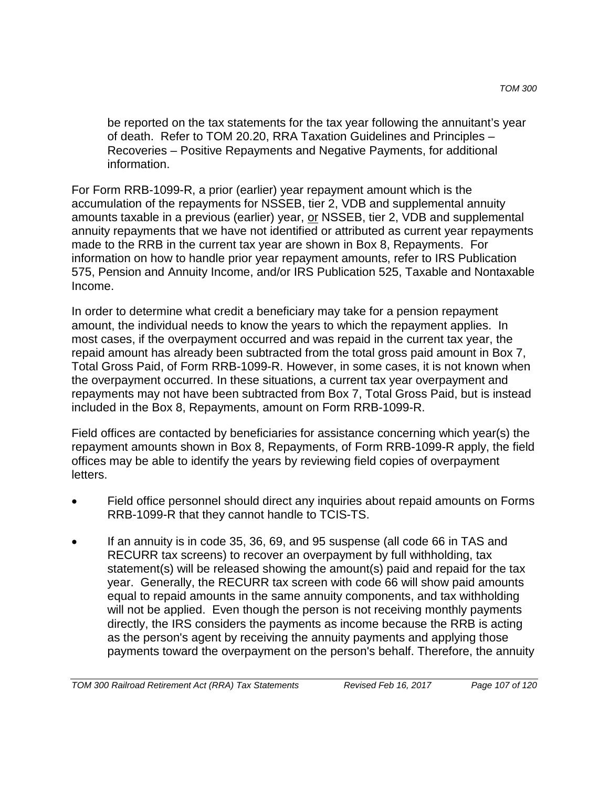be reported on the tax statements for the tax year following the annuitant's year of death. Refer to TOM 20.20, RRA Taxation Guidelines and Principles – Recoveries – Positive Repayments and Negative Payments, for additional information.

For Form RRB-1099-R, a prior (earlier) year repayment amount which is the accumulation of the repayments for NSSEB, tier 2, VDB and supplemental annuity amounts taxable in a previous (earlier) year, or NSSEB, tier 2, VDB and supplemental annuity repayments that we have not identified or attributed as current year repayments made to the RRB in the current tax year are shown in Box 8, Repayments. For information on how to handle prior year repayment amounts, refer to IRS Publication 575, Pension and Annuity Income, and/or IRS Publication 525, Taxable and Nontaxable Income.

In order to determine what credit a beneficiary may take for a pension repayment amount, the individual needs to know the years to which the repayment applies. In most cases, if the overpayment occurred and was repaid in the current tax year, the repaid amount has already been subtracted from the total gross paid amount in Box 7, Total Gross Paid, of Form RRB-1099-R. However, in some cases, it is not known when the overpayment occurred. In these situations, a current tax year overpayment and repayments may not have been subtracted from Box 7, Total Gross Paid, but is instead included in the Box 8, Repayments, amount on Form RRB-1099-R.

Field offices are contacted by beneficiaries for assistance concerning which year(s) the repayment amounts shown in Box 8, Repayments, of Form RRB-1099-R apply, the field offices may be able to identify the years by reviewing field copies of overpayment letters.

- Field office personnel should direct any inquiries about repaid amounts on Forms RRB-1099-R that they cannot handle to TCIS-TS.
- If an annuity is in code 35, 36, 69, and 95 suspense (all code 66 in TAS and RECURR tax screens) to recover an overpayment by full withholding, tax statement(s) will be released showing the amount(s) paid and repaid for the tax year. Generally, the RECURR tax screen with code 66 will show paid amounts equal to repaid amounts in the same annuity components, and tax withholding will not be applied. Even though the person is not receiving monthly payments directly, the IRS considers the payments as income because the RRB is acting as the person's agent by receiving the annuity payments and applying those payments toward the overpayment on the person's behalf. Therefore, the annuity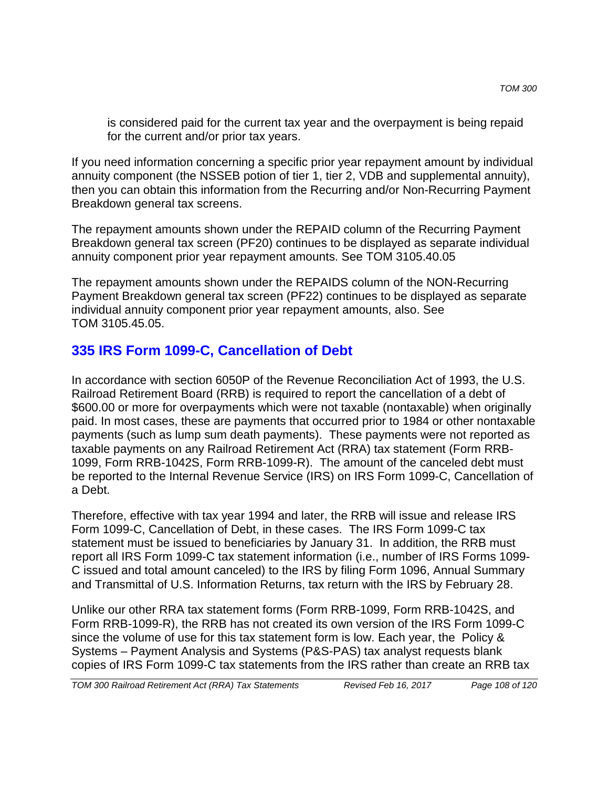is considered paid for the current tax year and the overpayment is being repaid for the current and/or prior tax years.

If you need information concerning a specific prior year repayment amount by individual annuity component (the NSSEB potion of tier 1, tier 2, VDB and supplemental annuity), then you can obtain this information from the Recurring and/or Non-Recurring Payment Breakdown general tax screens.

The repayment amounts shown under the REPAID column of the Recurring Payment Breakdown general tax screen (PF20) continues to be displayed as separate individual annuity component prior year repayment amounts. See TOM 3105.40.05

The repayment amounts shown under the REPAIDS column of the NON-Recurring Payment Breakdown general tax screen (PF22) continues to be displayed as separate individual annuity component prior year repayment amounts, also. See TOM 3105.45.05.

# **335 IRS Form 1099-C, Cancellation of Debt**

In accordance with section 6050P of the Revenue Reconciliation Act of 1993, the U.S. Railroad Retirement Board (RRB) is required to report the cancellation of a debt of \$600.00 or more for overpayments which were not taxable (nontaxable) when originally paid. In most cases, these are payments that occurred prior to 1984 or other nontaxable payments (such as lump sum death payments). These payments were not reported as taxable payments on any Railroad Retirement Act (RRA) tax statement (Form RRB-1099, Form RRB-1042S, Form RRB-1099-R). The amount of the canceled debt must be reported to the Internal Revenue Service (IRS) on IRS Form 1099-C, Cancellation of a Debt.

Therefore, effective with tax year 1994 and later, the RRB will issue and release IRS Form 1099-C, Cancellation of Debt, in these cases. The IRS Form 1099-C tax statement must be issued to beneficiaries by January 31. In addition, the RRB must report all IRS Form 1099-C tax statement information (i.e., number of IRS Forms 1099- C issued and total amount canceled) to the IRS by filing Form 1096, Annual Summary and Transmittal of U.S. Information Returns, tax return with the IRS by February 28.

Unlike our other RRA tax statement forms (Form RRB-1099, Form RRB-1042S, and Form RRB-1099-R), the RRB has not created its own version of the IRS Form 1099-C since the volume of use for this tax statement form is low. Each year, the Policy & Systems – Payment Analysis and Systems (P&S-PAS) tax analyst requests blank copies of IRS Form 1099-C tax statements from the IRS rather than create an RRB tax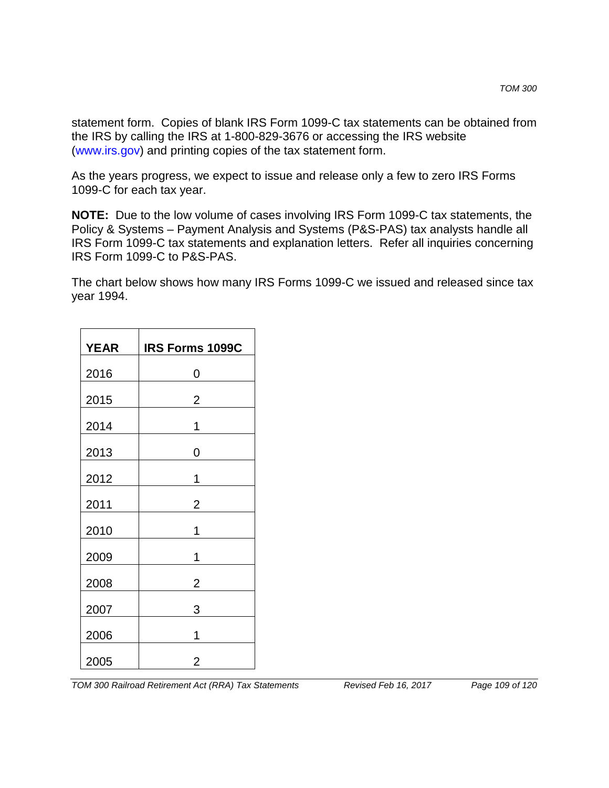statement form. Copies of blank IRS Form 1099-C tax statements can be obtained from the IRS by calling the IRS at 1-800-829-3676 or accessing the IRS website (www.irs.gov) and printing copies of the tax statement form.

As the years progress, we expect to issue and release only a few to zero IRS Forms 1099-C for each tax year.

**NOTE:** Due to the low volume of cases involving IRS Form 1099-C tax statements, the Policy & Systems – Payment Analysis and Systems (P&S-PAS) tax analysts handle all IRS Form 1099-C tax statements and explanation letters. Refer all inquiries concerning IRS Form 1099-C to P&S-PAS.

The chart below shows how many IRS Forms 1099-C we issued and released since tax year 1994.

| <b>YEAR</b> | IRS Forms 1099C |
|-------------|-----------------|
| 2016        | 0               |
| 2015        | $\overline{2}$  |
| 2014        | 1               |
| 2013        | 0               |
| 2012        | 1               |
| 2011        | $\overline{2}$  |
| 2010        | 1               |
| 2009        | 1               |
| 2008        | 2               |
| 2007        | 3               |
| 2006        | 1               |
| 2005        | 2               |

*TOM 300 Railroad Retirement Act (RRA) Tax Statements Revised Feb 16, 2017 Page 109 of 120*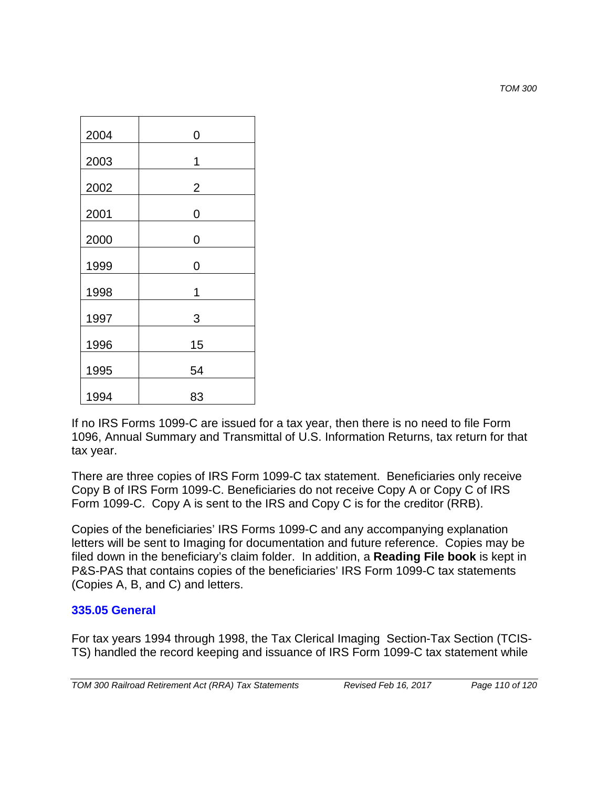*TOM 300*

| 2004 | $\overline{0}$ |
|------|----------------|
| 2003 | 1              |
| 2002 | $\overline{2}$ |
| 2001 | $\overline{0}$ |
| 2000 | 0              |
| 1999 | $\overline{0}$ |
| 1998 | 1              |
| 1997 | 3              |
| 1996 | 15             |
| 1995 | 54             |
| 1994 | 83             |

If no IRS Forms 1099-C are issued for a tax year, then there is no need to file Form 1096, Annual Summary and Transmittal of U.S. Information Returns, tax return for that tax year.

There are three copies of IRS Form 1099-C tax statement. Beneficiaries only receive Copy B of IRS Form 1099-C. Beneficiaries do not receive Copy A or Copy C of IRS Form 1099-C. Copy A is sent to the IRS and Copy C is for the creditor (RRB).

Copies of the beneficiaries' IRS Forms 1099-C and any accompanying explanation letters will be sent to Imaging for documentation and future reference. Copies may be filed down in the beneficiary's claim folder. In addition, a **Reading File book** is kept in P&S-PAS that contains copies of the beneficiaries' IRS Form 1099-C tax statements (Copies A, B, and C) and letters.

### **335.05 General**

For tax years 1994 through 1998, the Tax Clerical Imaging Section-Tax Section (TCIS-TS) handled the record keeping and issuance of IRS Form 1099-C tax statement while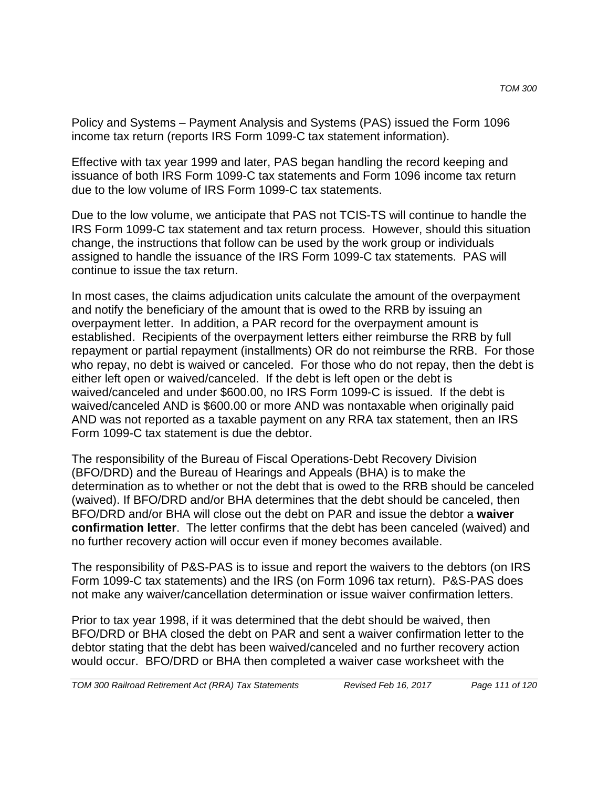Policy and Systems – Payment Analysis and Systems (PAS) issued the Form 1096 income tax return (reports IRS Form 1099-C tax statement information).

Effective with tax year 1999 and later, PAS began handling the record keeping and issuance of both IRS Form 1099-C tax statements and Form 1096 income tax return due to the low volume of IRS Form 1099-C tax statements.

Due to the low volume, we anticipate that PAS not TCIS-TS will continue to handle the IRS Form 1099-C tax statement and tax return process. However, should this situation change, the instructions that follow can be used by the work group or individuals assigned to handle the issuance of the IRS Form 1099-C tax statements. PAS will continue to issue the tax return.

In most cases, the claims adjudication units calculate the amount of the overpayment and notify the beneficiary of the amount that is owed to the RRB by issuing an overpayment letter. In addition, a PAR record for the overpayment amount is established. Recipients of the overpayment letters either reimburse the RRB by full repayment or partial repayment (installments) OR do not reimburse the RRB. For those who repay, no debt is waived or canceled. For those who do not repay, then the debt is either left open or waived/canceled. If the debt is left open or the debt is waived/canceled and under \$600.00, no IRS Form 1099-C is issued. If the debt is waived/canceled AND is \$600.00 or more AND was nontaxable when originally paid AND was not reported as a taxable payment on any RRA tax statement, then an IRS Form 1099-C tax statement is due the debtor.

The responsibility of the Bureau of Fiscal Operations-Debt Recovery Division (BFO/DRD) and the Bureau of Hearings and Appeals (BHA) is to make the determination as to whether or not the debt that is owed to the RRB should be canceled (waived). If BFO/DRD and/or BHA determines that the debt should be canceled, then BFO/DRD and/or BHA will close out the debt on PAR and issue the debtor a **waiver confirmation letter**. The letter confirms that the debt has been canceled (waived) and no further recovery action will occur even if money becomes available.

The responsibility of P&S-PAS is to issue and report the waivers to the debtors (on IRS Form 1099-C tax statements) and the IRS (on Form 1096 tax return). P&S-PAS does not make any waiver/cancellation determination or issue waiver confirmation letters.

Prior to tax year 1998, if it was determined that the debt should be waived, then BFO/DRD or BHA closed the debt on PAR and sent a waiver confirmation letter to the debtor stating that the debt has been waived/canceled and no further recovery action would occur. BFO/DRD or BHA then completed a waiver case worksheet with the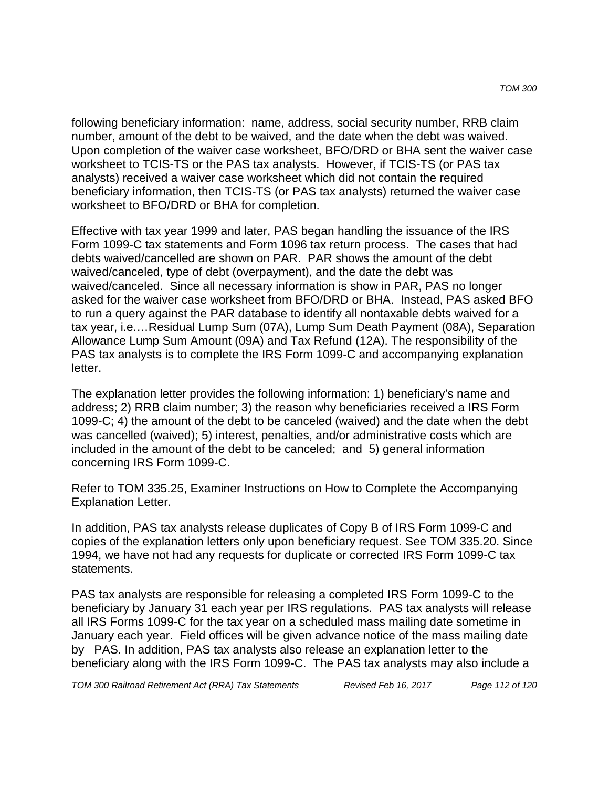following beneficiary information: name, address, social security number, RRB claim number, amount of the debt to be waived, and the date when the debt was waived. Upon completion of the waiver case worksheet, BFO/DRD or BHA sent the waiver case worksheet to TCIS-TS or the PAS tax analysts. However, if TCIS-TS (or PAS tax analysts) received a waiver case worksheet which did not contain the required beneficiary information, then TCIS-TS (or PAS tax analysts) returned the waiver case worksheet to BFO/DRD or BHA for completion.

Effective with tax year 1999 and later, PAS began handling the issuance of the IRS Form 1099-C tax statements and Form 1096 tax return process. The cases that had debts waived/cancelled are shown on PAR. PAR shows the amount of the debt waived/canceled, type of debt (overpayment), and the date the debt was waived/canceled. Since all necessary information is show in PAR, PAS no longer asked for the waiver case worksheet from BFO/DRD or BHA. Instead, PAS asked BFO to run a query against the PAR database to identify all nontaxable debts waived for a tax year, i.e.…Residual Lump Sum (07A), Lump Sum Death Payment (08A), Separation Allowance Lump Sum Amount (09A) and Tax Refund (12A). The responsibility of the PAS tax analysts is to complete the IRS Form 1099-C and accompanying explanation letter.

The explanation letter provides the following information: 1) beneficiary's name and address; 2) RRB claim number; 3) the reason why beneficiaries received a IRS Form 1099-C; 4) the amount of the debt to be canceled (waived) and the date when the debt was cancelled (waived); 5) interest, penalties, and/or administrative costs which are included in the amount of the debt to be canceled; and 5) general information concerning IRS Form 1099-C.

Refer to TOM 335.25, Examiner Instructions on How to Complete the Accompanying Explanation Letter.

In addition, PAS tax analysts release duplicates of Copy B of IRS Form 1099-C and copies of the explanation letters only upon beneficiary request. See TOM 335.20. Since 1994, we have not had any requests for duplicate or corrected IRS Form 1099-C tax statements.

PAS tax analysts are responsible for releasing a completed IRS Form 1099-C to the beneficiary by January 31 each year per IRS regulations. PAS tax analysts will release all IRS Forms 1099-C for the tax year on a scheduled mass mailing date sometime in January each year. Field offices will be given advance notice of the mass mailing date by PAS. In addition, PAS tax analysts also release an explanation letter to the beneficiary along with the IRS Form 1099-C. The PAS tax analysts may also include a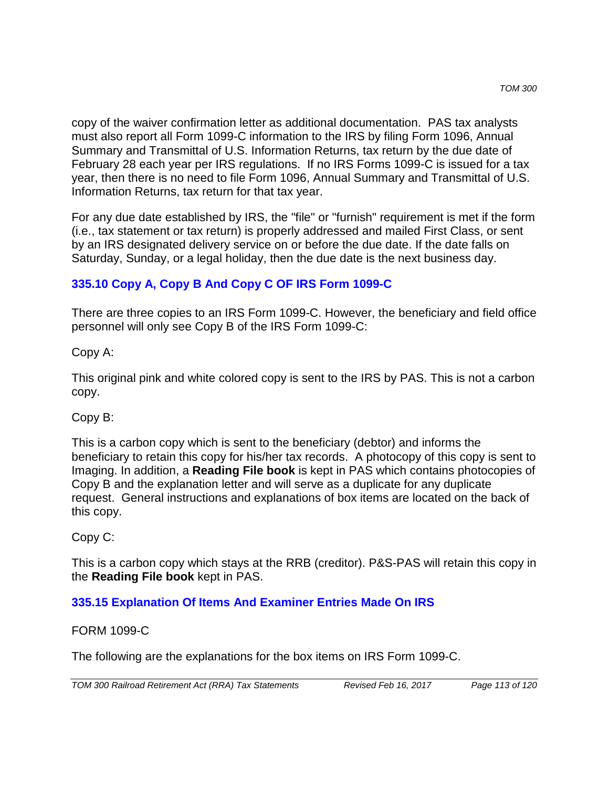copy of the waiver confirmation letter as additional documentation. PAS tax analysts must also report all Form 1099-C information to the IRS by filing Form 1096, Annual Summary and Transmittal of U.S. Information Returns, tax return by the due date of February 28 each year per IRS regulations. If no IRS Forms 1099-C is issued for a tax year, then there is no need to file Form 1096, Annual Summary and Transmittal of U.S. Information Returns, tax return for that tax year.

For any due date established by IRS, the "file" or "furnish" requirement is met if the form (i.e., tax statement or tax return) is properly addressed and mailed First Class, or sent by an IRS designated delivery service on or before the due date. If the date falls on Saturday, Sunday, or a legal holiday, then the due date is the next business day.

# **335.10 Copy A, Copy B And Copy C OF IRS Form 1099-C**

There are three copies to an IRS Form 1099-C. However, the beneficiary and field office personnel will only see Copy B of the IRS Form 1099-C:

Copy A:

This original pink and white colored copy is sent to the IRS by PAS. This is not a carbon copy.

# Copy B:

This is a carbon copy which is sent to the beneficiary (debtor) and informs the beneficiary to retain this copy for his/her tax records. A photocopy of this copy is sent to Imaging. In addition, a **Reading File book** is kept in PAS which contains photocopies of Copy B and the explanation letter and will serve as a duplicate for any duplicate request. General instructions and explanations of box items are located on the back of this copy.

# Copy C:

This is a carbon copy which stays at the RRB (creditor). P&S-PAS will retain this copy in the **Reading File book** kept in PAS.

# **335.15 Explanation Of Items And Examiner Entries Made On IRS**

### FORM 1099-C

The following are the explanations for the box items on IRS Form 1099-C.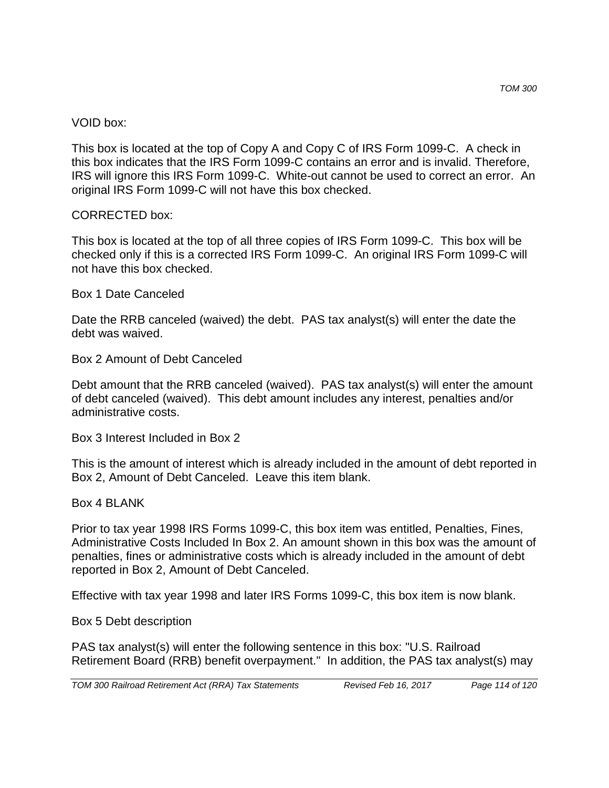#### VOID box:

This box is located at the top of Copy A and Copy C of IRS Form 1099-C. A check in this box indicates that the IRS Form 1099-C contains an error and is invalid. Therefore, IRS will ignore this IRS Form 1099-C. White-out cannot be used to correct an error. An original IRS Form 1099-C will not have this box checked.

### CORRECTED box:

This box is located at the top of all three copies of IRS Form 1099-C. This box will be checked only if this is a corrected IRS Form 1099-C. An original IRS Form 1099-C will not have this box checked.

### Box 1 Date Canceled

Date the RRB canceled (waived) the debt. PAS tax analyst(s) will enter the date the debt was waived.

Box 2 Amount of Debt Canceled

Debt amount that the RRB canceled (waived). PAS tax analyst(s) will enter the amount of debt canceled (waived). This debt amount includes any interest, penalties and/or administrative costs.

Box 3 Interest Included in Box 2

This is the amount of interest which is already included in the amount of debt reported in Box 2, Amount of Debt Canceled. Leave this item blank.

Box 4 BLANK

Prior to tax year 1998 IRS Forms 1099-C, this box item was entitled, Penalties, Fines, Administrative Costs Included In Box 2. An amount shown in this box was the amount of penalties, fines or administrative costs which is already included in the amount of debt reported in Box 2, Amount of Debt Canceled.

Effective with tax year 1998 and later IRS Forms 1099-C, this box item is now blank.

Box 5 Debt description

PAS tax analyst(s) will enter the following sentence in this box: "U.S. Railroad Retirement Board (RRB) benefit overpayment." In addition, the PAS tax analyst(s) may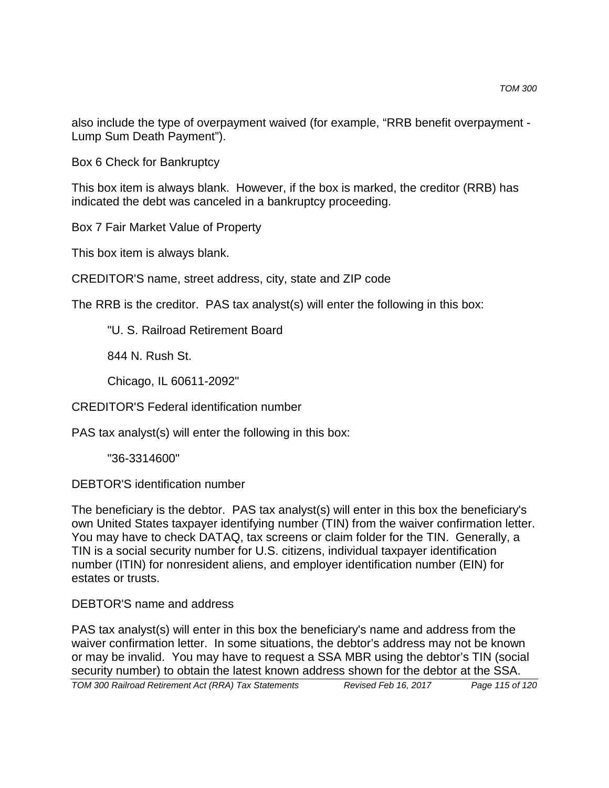also include the type of overpayment waived (for example, "RRB benefit overpayment - Lump Sum Death Payment").

Box 6 Check for Bankruptcy

This box item is always blank. However, if the box is marked, the creditor (RRB) has indicated the debt was canceled in a bankruptcy proceeding.

Box 7 Fair Market Value of Property

This box item is always blank.

CREDITOR'S name, street address, city, state and ZIP code

The RRB is the creditor. PAS tax analyst(s) will enter the following in this box:

"U. S. Railroad Retirement Board

844 N. Rush St.

Chicago, IL 60611-2092"

CREDITOR'S Federal identification number

PAS tax analyst(s) will enter the following in this box:

"36-3314600"

DEBTOR'S identification number

The beneficiary is the debtor. PAS tax analyst(s) will enter in this box the beneficiary's own United States taxpayer identifying number (TIN) from the waiver confirmation letter. You may have to check DATAQ, tax screens or claim folder for the TIN. Generally, a TIN is a social security number for U.S. citizens, individual taxpayer identification number (ITIN) for nonresident aliens, and employer identification number (EIN) for estates or trusts.

DEBTOR'S name and address

PAS tax analyst(s) will enter in this box the beneficiary's name and address from the waiver confirmation letter. In some situations, the debtor's address may not be known or may be invalid. You may have to request a SSA MBR using the debtor's TIN (social security number) to obtain the latest known address shown for the debtor at the SSA.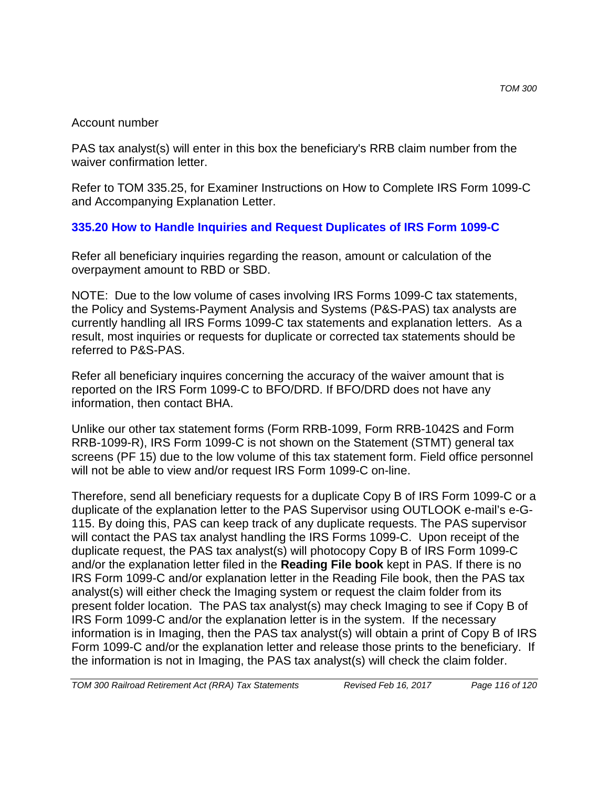#### Account number

PAS tax analyst(s) will enter in this box the beneficiary's RRB claim number from the waiver confirmation letter.

Refer to TOM 335.25, for Examiner Instructions on How to Complete IRS Form 1099-C and Accompanying Explanation Letter.

# **335.20 How to Handle Inquiries and Request Duplicates of IRS Form 1099-C**

Refer all beneficiary inquiries regarding the reason, amount or calculation of the overpayment amount to RBD or SBD.

NOTE: Due to the low volume of cases involving IRS Forms 1099-C tax statements, the Policy and Systems-Payment Analysis and Systems (P&S-PAS) tax analysts are currently handling all IRS Forms 1099-C tax statements and explanation letters. As a result, most inquiries or requests for duplicate or corrected tax statements should be referred to P&S-PAS.

Refer all beneficiary inquires concerning the accuracy of the waiver amount that is reported on the IRS Form 1099-C to BFO/DRD. If BFO/DRD does not have any information, then contact BHA.

Unlike our other tax statement forms (Form RRB-1099, Form RRB-1042S and Form RRB-1099-R), IRS Form 1099-C is not shown on the Statement (STMT) general tax screens (PF 15) due to the low volume of this tax statement form. Field office personnel will not be able to view and/or request IRS Form 1099-C on-line.

Therefore, send all beneficiary requests for a duplicate Copy B of IRS Form 1099-C or a duplicate of the explanation letter to the PAS Supervisor using OUTLOOK e-mail's e-G-115. By doing this, PAS can keep track of any duplicate requests. The PAS supervisor will contact the PAS tax analyst handling the IRS Forms 1099-C. Upon receipt of the duplicate request, the PAS tax analyst(s) will photocopy Copy B of IRS Form 1099-C and/or the explanation letter filed in the **Reading File book** kept in PAS. If there is no IRS Form 1099-C and/or explanation letter in the Reading File book, then the PAS tax analyst(s) will either check the Imaging system or request the claim folder from its present folder location. The PAS tax analyst(s) may check Imaging to see if Copy B of IRS Form 1099-C and/or the explanation letter is in the system. If the necessary information is in Imaging, then the PAS tax analyst(s) will obtain a print of Copy B of IRS Form 1099-C and/or the explanation letter and release those prints to the beneficiary. If the information is not in Imaging, the PAS tax analyst(s) will check the claim folder.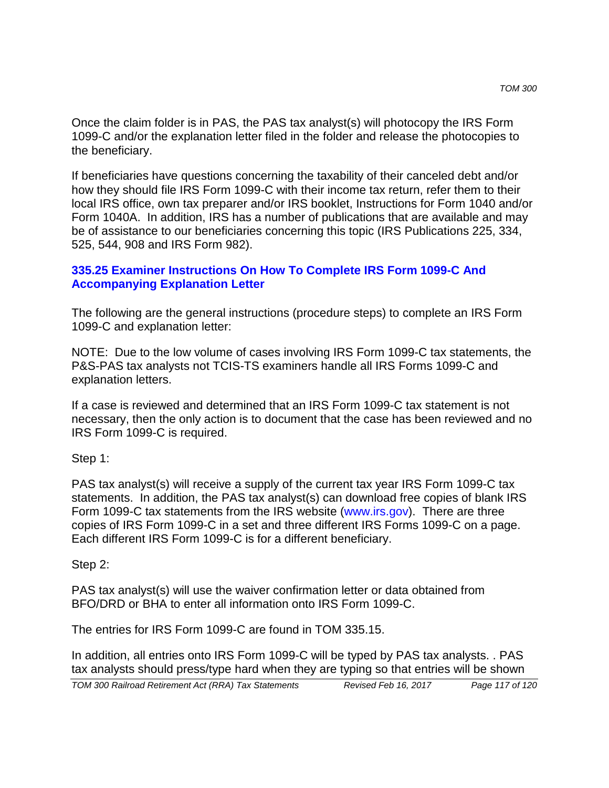Once the claim folder is in PAS, the PAS tax analyst(s) will photocopy the IRS Form 1099-C and/or the explanation letter filed in the folder and release the photocopies to the beneficiary.

If beneficiaries have questions concerning the taxability of their canceled debt and/or how they should file IRS Form 1099-C with their income tax return, refer them to their local IRS office, own tax preparer and/or IRS booklet, Instructions for Form 1040 and/or Form 1040A. In addition, IRS has a number of publications that are available and may be of assistance to our beneficiaries concerning this topic (IRS Publications 225, 334, 525, 544, 908 and IRS Form 982).

### **335.25 Examiner Instructions On How To Complete IRS Form 1099-C And Accompanying Explanation Letter**

The following are the general instructions (procedure steps) to complete an IRS Form 1099-C and explanation letter:

NOTE: Due to the low volume of cases involving IRS Form 1099-C tax statements, the P&S-PAS tax analysts not TCIS-TS examiners handle all IRS Forms 1099-C and explanation letters.

If a case is reviewed and determined that an IRS Form 1099-C tax statement is not necessary, then the only action is to document that the case has been reviewed and no IRS Form 1099-C is required.

Step 1:

PAS tax analyst(s) will receive a supply of the current tax year IRS Form 1099-C tax statements. In addition, the PAS tax analyst(s) can download free copies of blank IRS Form 1099-C tax statements from the IRS website (www.irs.gov). There are three copies of IRS Form 1099-C in a set and three different IRS Forms 1099-C on a page. Each different IRS Form 1099-C is for a different beneficiary.

Step 2:

PAS tax analyst(s) will use the waiver confirmation letter or data obtained from BFO/DRD or BHA to enter all information onto IRS Form 1099-C.

The entries for IRS Form 1099-C are found in TOM 335.15.

In addition, all entries onto IRS Form 1099-C will be typed by PAS tax analysts. . PAS tax analysts should press/type hard when they are typing so that entries will be shown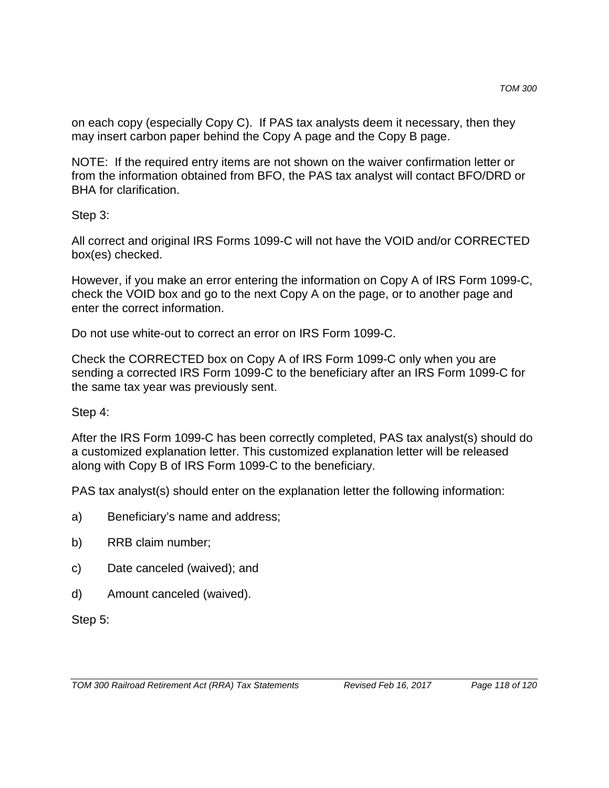on each copy (especially Copy C). If PAS tax analysts deem it necessary, then they may insert carbon paper behind the Copy A page and the Copy B page.

NOTE: If the required entry items are not shown on the waiver confirmation letter or from the information obtained from BFO, the PAS tax analyst will contact BFO/DRD or BHA for clarification.

Step 3:

All correct and original IRS Forms 1099-C will not have the VOID and/or CORRECTED box(es) checked.

However, if you make an error entering the information on Copy A of IRS Form 1099-C, check the VOID box and go to the next Copy A on the page, or to another page and enter the correct information.

Do not use white-out to correct an error on IRS Form 1099-C.

Check the CORRECTED box on Copy A of IRS Form 1099-C only when you are sending a corrected IRS Form 1099-C to the beneficiary after an IRS Form 1099-C for the same tax year was previously sent.

### Step 4:

After the IRS Form 1099-C has been correctly completed, PAS tax analyst(s) should do a customized explanation letter. This customized explanation letter will be released along with Copy B of IRS Form 1099-C to the beneficiary.

PAS tax analyst(s) should enter on the explanation letter the following information:

- a) Beneficiary's name and address;
- b) RRB claim number;
- c) Date canceled (waived); and
- d) Amount canceled (waived).

Step 5: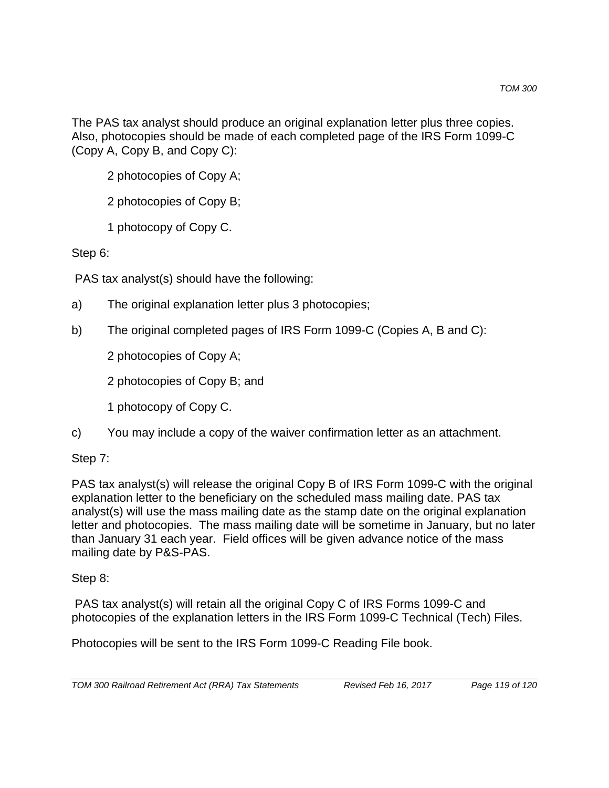The PAS tax analyst should produce an original explanation letter plus three copies. Also, photocopies should be made of each completed page of the IRS Form 1099-C (Copy A, Copy B, and Copy C):

- 2 photocopies of Copy A;
- 2 photocopies of Copy B;
- 1 photocopy of Copy C.

Step 6:

PAS tax analyst(s) should have the following:

- a) The original explanation letter plus 3 photocopies;
- b) The original completed pages of IRS Form 1099-C (Copies A, B and C):

2 photocopies of Copy A;

- 2 photocopies of Copy B; and
- 1 photocopy of Copy C.
- c) You may include a copy of the waiver confirmation letter as an attachment.

Step 7:

PAS tax analyst(s) will release the original Copy B of IRS Form 1099-C with the original explanation letter to the beneficiary on the scheduled mass mailing date. PAS tax analyst(s) will use the mass mailing date as the stamp date on the original explanation letter and photocopies. The mass mailing date will be sometime in January, but no later than January 31 each year. Field offices will be given advance notice of the mass mailing date by P&S-PAS.

Step 8:

PAS tax analyst(s) will retain all the original Copy C of IRS Forms 1099-C and photocopies of the explanation letters in the IRS Form 1099-C Technical (Tech) Files.

Photocopies will be sent to the IRS Form 1099-C Reading File book.